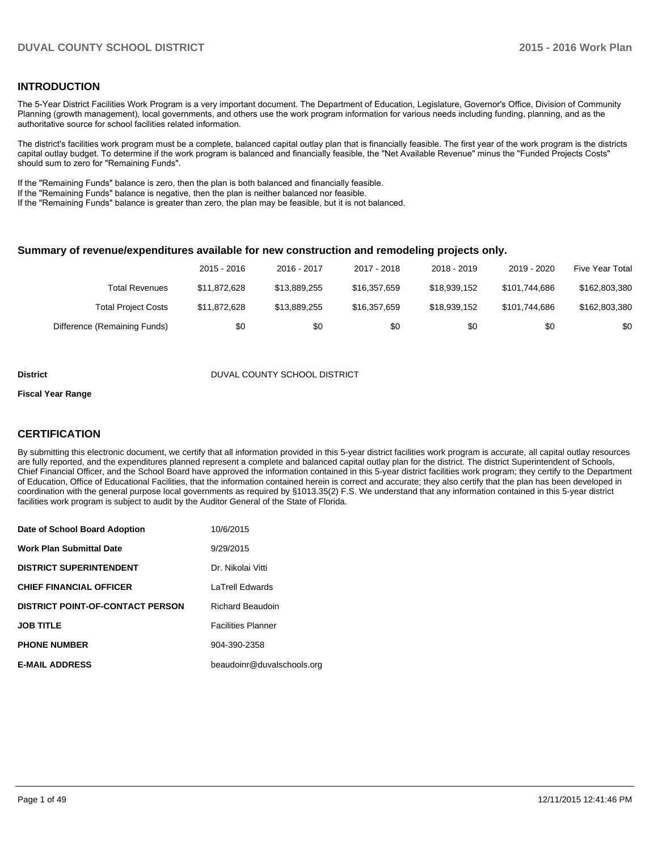#### **INTRODUCTION**

The 5-Year District Facilities Work Program is a very important document. The Department of Education, Legislature, Governor's Office, Division of Community Planning (growth management), local governments, and others use the work program information for various needs including funding, planning, and as the authoritative source for school facilities related information.

The district's facilities work program must be a complete, balanced capital outlay plan that is financially feasible. The first year of the work program is the districts capital outlay budget. To determine if the work program is balanced and financially feasible, the "Net Available Revenue" minus the "Funded Projects Costs" should sum to zero for "Remaining Funds".

If the "Remaining Funds" balance is zero, then the plan is both balanced and financially feasible.

If the "Remaining Funds" balance is negative, then the plan is neither balanced nor feasible.

If the "Remaining Funds" balance is greater than zero, the plan may be feasible, but it is not balanced.

#### **Summary of revenue/expenditures available for new construction and remodeling projects only.**

|                              | $2015 - 2016$ | 2016 - 2017  | 2017 - 2018  | 2018 - 2019  | 2019 - 2020   | Five Year Total |
|------------------------------|---------------|--------------|--------------|--------------|---------------|-----------------|
| Total Revenues               | \$11.872.628  | \$13.889.255 | \$16,357,659 | \$18.939.152 | \$101.744.686 | \$162,803,380   |
| <b>Total Project Costs</b>   | \$11,872,628  | \$13.889.255 | \$16,357,659 | \$18.939.152 | \$101.744.686 | \$162,803,380   |
| Difference (Remaining Funds) | \$0           | \$0          | \$0          | \$0          | \$0           | \$0             |

#### **District District DUVAL COUNTY SCHOOL DISTRICT**

#### **Fiscal Year Range**

### **CERTIFICATION**

By submitting this electronic document, we certify that all information provided in this 5-year district facilities work program is accurate, all capital outlay resources are fully reported, and the expenditures planned represent a complete and balanced capital outlay plan for the district. The district Superintendent of Schools, Chief Financial Officer, and the School Board have approved the information contained in this 5-year district facilities work program; they certify to the Department of Education, Office of Educational Facilities, that the information contained herein is correct and accurate; they also certify that the plan has been developed in coordination with the general purpose local governments as required by §1013.35(2) F.S. We understand that any information contained in this 5-year district facilities work program is subject to audit by the Auditor General of the State of Florida.

| Date of School Board Adoption           | 10/6/2015                  |
|-----------------------------------------|----------------------------|
| <b>Work Plan Submittal Date</b>         | 9/29/2015                  |
| <b>DISTRICT SUPERINTENDENT</b>          | Dr. Nikolai Vitti          |
| <b>CHIEF FINANCIAL OFFICER</b>          | <b>LaTrell Edwards</b>     |
| <b>DISTRICT POINT-OF-CONTACT PERSON</b> | <b>Richard Beaudoin</b>    |
| <b>JOB TITLE</b>                        | <b>Facilities Planner</b>  |
| <b>PHONE NUMBER</b>                     | 904-390-2358               |
| <b>E-MAIL ADDRESS</b>                   | beaudoinr@duvalschools.org |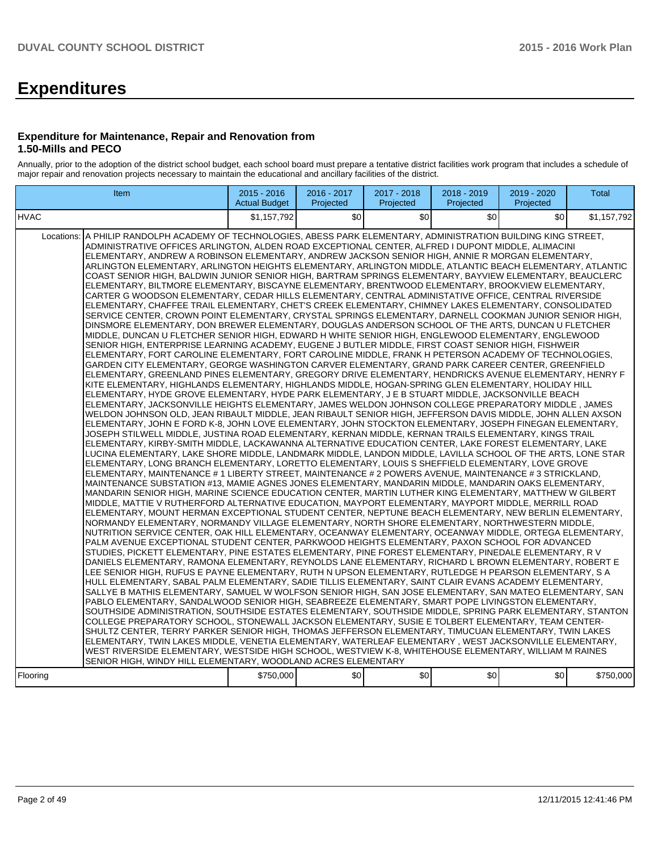# **Expenditures**

#### **Expenditure for Maintenance, Repair and Renovation from 1.50-Mills and PECO**

Annually, prior to the adoption of the district school budget, each school board must prepare a tentative district facilities work program that includes a schedule of major repair and renovation projects necessary to maintain the educational and ancillary facilities of the district.

| Item                                                                                                                                                                                                                                                                                                                                                                                                                                                                                                                                                                                                                                                                                                                                                                                                                                                                                                                                                                                                                                                                                                                                                                                                                                                                                                                                                                                                                                                                                                                                                                                                                                                                                                                                                                                                                                                                                                                                                                                                                                                                                                                                                                                                                                                                                                                                                                                                                                                                                                                                                                                                                                                                                                                                                                                                                                                                                                                                                                                                                                                                                                                                                                                                                                                                                                                                                                                                                                                                                                                                                                                                                                                                                                                                                                                                                                                                                                                                                                                                                                                                                                                                                                                                                                                                                                                                                                                                                                                                                                                                                                                                                                                                                                                                                                  | 2015 - 2016<br><b>Actual Budget</b> | 2016 - 2017<br>Projected | 2017 - 2018<br>Projected | 2018 - 2019<br>Projected | 2019 - 2020<br>Projected | <b>Total</b> |
|-----------------------------------------------------------------------------------------------------------------------------------------------------------------------------------------------------------------------------------------------------------------------------------------------------------------------------------------------------------------------------------------------------------------------------------------------------------------------------------------------------------------------------------------------------------------------------------------------------------------------------------------------------------------------------------------------------------------------------------------------------------------------------------------------------------------------------------------------------------------------------------------------------------------------------------------------------------------------------------------------------------------------------------------------------------------------------------------------------------------------------------------------------------------------------------------------------------------------------------------------------------------------------------------------------------------------------------------------------------------------------------------------------------------------------------------------------------------------------------------------------------------------------------------------------------------------------------------------------------------------------------------------------------------------------------------------------------------------------------------------------------------------------------------------------------------------------------------------------------------------------------------------------------------------------------------------------------------------------------------------------------------------------------------------------------------------------------------------------------------------------------------------------------------------------------------------------------------------------------------------------------------------------------------------------------------------------------------------------------------------------------------------------------------------------------------------------------------------------------------------------------------------------------------------------------------------------------------------------------------------------------------------------------------------------------------------------------------------------------------------------------------------------------------------------------------------------------------------------------------------------------------------------------------------------------------------------------------------------------------------------------------------------------------------------------------------------------------------------------------------------------------------------------------------------------------------------------------------------------------------------------------------------------------------------------------------------------------------------------------------------------------------------------------------------------------------------------------------------------------------------------------------------------------------------------------------------------------------------------------------------------------------------------------------------------------------------------------------------------------------------------------------------------------------------------------------------------------------------------------------------------------------------------------------------------------------------------------------------------------------------------------------------------------------------------------------------------------------------------------------------------------------------------------------------------------------------------------------------------------------------------------------------------------------------------------------------------------------------------------------------------------------------------------------------------------------------------------------------------------------------------------------------------------------------------------------------------------------------------------------------------------------------------------------------------------------------------------------------------------------------------------------|-------------------------------------|--------------------------|--------------------------|--------------------------|--------------------------|--------------|
| <b>HVAC</b>                                                                                                                                                                                                                                                                                                                                                                                                                                                                                                                                                                                                                                                                                                                                                                                                                                                                                                                                                                                                                                                                                                                                                                                                                                                                                                                                                                                                                                                                                                                                                                                                                                                                                                                                                                                                                                                                                                                                                                                                                                                                                                                                                                                                                                                                                                                                                                                                                                                                                                                                                                                                                                                                                                                                                                                                                                                                                                                                                                                                                                                                                                                                                                                                                                                                                                                                                                                                                                                                                                                                                                                                                                                                                                                                                                                                                                                                                                                                                                                                                                                                                                                                                                                                                                                                                                                                                                                                                                                                                                                                                                                                                                                                                                                                                           | \$1.157.792                         | $\mathcal{S}$            | \$0                      | \$0                      | \$0                      | \$1,157,792  |
| Locations: A PHILIP RANDOLPH ACADEMY OF TECHNOLOGIES, ABESS PARK ELEMENTARY, ADMINISTRATION BUILDING KING STREET,<br>ADMINISTRATIVE OFFICES ARLINGTON, ALDEN ROAD EXCEPTIONAL CENTER, ALFRED I DUPONT MIDDLE, ALIMACINI<br>ELEMENTARY, ANDREW A ROBINSON ELEMENTARY, ANDREW JACKSON SENIOR HIGH, ANNIE R MORGAN ELEMENTARY,<br>ARLINGTON ELEMENTARY, ARLINGTON HEIGHTS ELEMENTARY, ARLINGTON MIDDLE, ATLANTIC BEACH ELEMENTARY, ATLANTIC<br>COAST SENIOR HIGH, BALDWIN JUNIOR SENIOR HIGH, BARTRAM SPRINGS ELEMENTARY, BAYVIEW ELEMENTARY, BEAUCLERC<br>ELEMENTARY, BILTMORE ELEMENTARY, BISCAYNE ELEMENTARY, BRENTWOOD ELEMENTARY, BROOKVIEW ELEMENTARY,<br>CARTER G WOODSON ELEMENTARY, CEDAR HILLS ELEMENTARY, CENTRAL ADMINISTATIVE OFFICE, CENTRAL RIVERSIDE<br>ELEMENTARY, CHAFFEE TRAIL ELEMENTARY, CHET'S CREEK ELEMENTARY, CHIMNEY LAKES ELEMENTARY, CONSOLIDATED<br>SERVICE CENTER, CROWN POINT ELEMENTARY, CRYSTAL SPRINGS ELEMENTARY, DARNELL COOKMAN JUNIOR SENIOR HIGH,<br>DINSMORE ELEMENTARY, DON BREWER ELEMENTARY, DOUGLAS ANDERSON SCHOOL OF THE ARTS, DUNCAN U FLETCHER<br>MIDDLE, DUNCAN U FLETCHER SENIOR HIGH, EDWARD H WHITE SENIOR HIGH, ENGLEWOOD ELEMENTARY, ENGLEWOOD<br>SENIOR HIGH, ENTERPRISE LEARNING ACADEMY, EUGENE J BUTLER MIDDLE, FIRST COAST SENIOR HIGH, FISHWEIR<br>ELEMENTARY, FORT CAROLINE ELEMENTARY, FORT CAROLINE MIDDLE, FRANK H PETERSON ACADEMY OF TECHNOLOGIES,<br>GARDEN CITY ELEMENTARY, GEORGE WASHINGTON CARVER ELEMENTARY, GRAND PARK CAREER CENTER, GREENFIELD<br>ELEMENTARY, GREENLAND PINES ELEMENTARY, GREGORY DRIVE ELEMENTARY, HENDRICKS AVENUE ELEMENTARY, HENRY F<br>KITE ELEMENTARY, HIGHLANDS ELEMENTARY, HIGHLANDS MIDDLE, HOGAN-SPRING GLEN ELEMENTARY, HOLIDAY HILL<br>ELEMENTARY, HYDE GROVE ELEMENTARY, HYDE PARK ELEMENTARY, J E B STUART MIDDLE, JACKSONVILLE BEACH<br>ELEMENTARY, JACKSONVILLE HEIGHTS ELEMENTARY, JAMES WELDON JOHNSON COLLEGE PREPARATORY MIDDLE , JAMES<br>WELDON JOHNSON OLD, JEAN RIBAULT MIDDLE, JEAN RIBAULT SENIOR HIGH, JEFFERSON DAVIS MIDDLE, JOHN ALLEN AXSON<br>ELEMENTARY, JOHN E FORD K-8, JOHN LOVE ELEMENTARY, JOHN STOCKTON ELEMENTARY, JOSEPH FINEGAN ELEMENTARY,<br>JOSEPH STILWELL MIDDLE, JUSTINA ROAD ELEMENTARY, KERNAN MIDDLE, KERNAN TRAILS ELEMENTARY, KINGS TRAIL<br>ELEMENTARY, KIRBY-SMITH MIDDLE, LACKAWANNA ALTERNATIVE EDUCATION CENTER, LAKE FOREST ELEMENTARY, LAKE<br>LUCINA ELEMENTARY, LAKE SHORE MIDDLE, LANDMARK MIDDLE, LANDON MIDDLE, LAVILLA SCHOOL OF THE ARTS, LONE STAR<br>ELEMENTARY, LONG BRANCH ELEMENTARY, LORETTO ELEMENTARY, LOUIS S SHEFFIELD ELEMENTARY, LOVE GROVE<br>ELEMENTARY, MAINTENANCE # 1 LIBERTY STREET, MAINTENANCE # 2 POWERS AVENUE, MAINTENANCE # 3 STRICKLAND,<br>MAINTENANCE SUBSTATION #13, MAMIE AGNES JONES ELEMENTARY, MANDARIN MIDDLE, MANDARIN OAKS ELEMENTARY,<br>MANDARIN SENIOR HIGH, MARINE SCIENCE EDUCATION CENTER, MARTIN LUTHER KING ELEMENTARY, MATTHEW W GILBERT<br>MIDDLE, MATTIE V RUTHERFORD ALTERNATIVE EDUCATION, MAYPORT ELEMENTARY, MAYPORT MIDDLE, MERRILL ROAD<br>ELEMENTARY, MOUNT HERMAN EXCEPTIONAL STUDENT CENTER, NEPTUNE BEACH ELEMENTARY, NEW BERLIN ELEMENTARY,<br>NORMANDY ELEMENTARY, NORMANDY VILLAGE ELEMENTARY, NORTH SHORE ELEMENTARY, NORTHWESTERN MIDDLE,<br>NUTRITION SERVICE CENTER, OAK HILL ELEMENTARY, OCEANWAY ELEMENTARY, OCEANWAY MIDDLE, ORTEGA ELEMENTARY,<br>PALM AVENUE EXCEPTIONAL STUDENT CENTER, PARKWOOD HEIGHTS ELEMENTARY, PAXON SCHOOL FOR ADVANCED<br>STUDIES, PICKETT ELEMENTARY, PINE ESTATES ELEMENTARY, PINE FOREST ELEMENTARY, PINEDALE ELEMENTARY, R V<br>DANIELS ELEMENTARY, RAMONA ELEMENTARY, REYNOLDS LANE ELEMENTARY, RICHARD L BROWN ELEMENTARY, ROBERT E<br>LEE SENIOR HIGH, RUFUS E PAYNE ELEMENTARY, RUTH N UPSON ELEMENTARY, RUTLEDGE H PEARSON ELEMENTARY, S A<br>HULL ELEMENTARY, SABAL PALM ELEMENTARY, SADIE TILLIS ELEMENTARY, SAINT CLAIR EVANS ACADEMY ELEMENTARY,<br>SALLYE B MATHIS ELEMENTARY, SAMUEL W WOLFSON SENIOR HIGH, SAN JOSE ELEMENTARY, SAN MATEO ELEMENTARY, SAN<br>PABLO ELEMENTARY, SANDALWOOD SENIOR HIGH, SEABREEZE ELEMENTARY, SMART POPE LIVINGSTON ELEMENTARY,<br>SOUTHSIDE ADMINISTRATION, SOUTHSIDE ESTATES ELEMENTARY, SOUTHSIDE MIDDLE, SPRING PARK ELEMENTARY, STANTON<br>COLLEGE PREPARATORY SCHOOL. STONEWALL JACKSON ELEMENTARY. SUSIE E TOLBERT ELEMENTARY. TEAM CENTER-<br>SHULTZ CENTER, TERRY PARKER SENIOR HIGH, THOMAS JEFFERSON ELEMENTARY, TIMUCUAN ELEMENTARY, TWIN LAKES<br>ELEMENTARY, TWIN LAKES MIDDLE, VENETIA ELEMENTARY, WATERLEAF ELEMENTARY, WEST JACKSONVILLE ELEMENTARY,<br>WEST RIVERSIDE ELEMENTARY, WESTSIDE HIGH SCHOOL, WESTVIEW K-8, WHITEHOUSE ELEMENTARY, WILLIAM M RAINES<br>SENIOR HIGH, WINDY HILL ELEMENTARY, WOODLAND ACRES ELEMENTARY<br>l Floorina | \$750,000                           | \$0                      | \$0]                     | \$0                      | \$0                      | \$750,000    |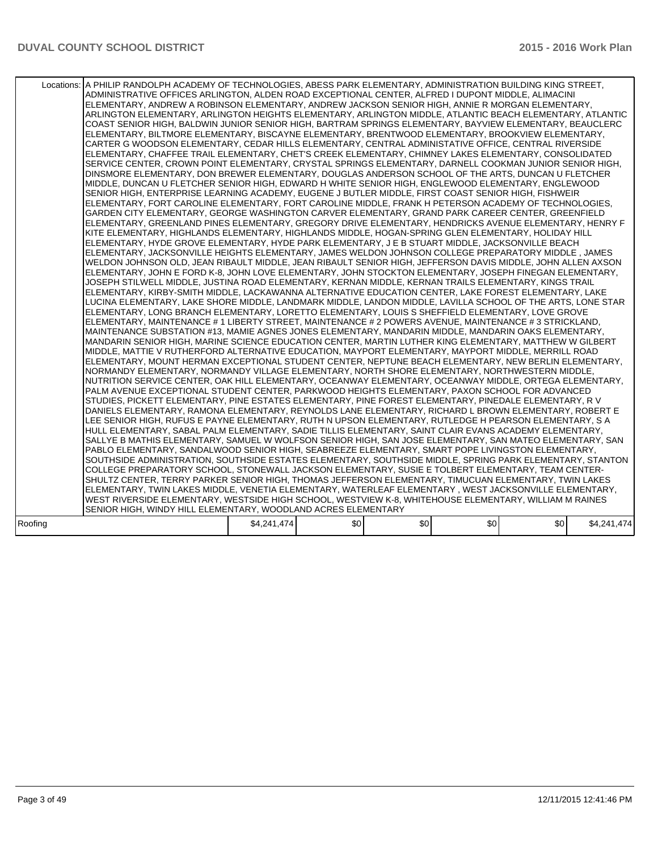|         | Locations: A PHILIP RANDOLPH ACADEMY OF TECHNOLOGIES, ABESS PARK ELEMENTARY, ADMINISTRATION BUILDING KING STREET,<br>ADMINISTRATIVE OFFICES ARLINGTON, ALDEN ROAD EXCEPTIONAL CENTER, ALFRED I DUPONT MIDDLE, ALIMACINI<br>ELEMENTARY, ANDREW A ROBINSON ELEMENTARY, ANDREW JACKSON SENIOR HIGH, ANNIE R MORGAN ELEMENTARY,<br>ARLINGTON ELEMENTARY, ARLINGTON HEIGHTS ELEMENTARY, ARLINGTON MIDDLE, ATLANTIC BEACH ELEMENTARY, ATLANTIC<br>COAST SENIOR HIGH, BALDWIN JUNIOR SENIOR HIGH, BARTRAM SPRINGS ELEMENTARY, BAYVIEW ELEMENTARY, BEAUCLERC<br>ELEMENTARY, BILTMORE ELEMENTARY, BISCAYNE ELEMENTARY, BRENTWOOD ELEMENTARY, BROOKVIEW ELEMENTARY,<br>CARTER G WOODSON ELEMENTARY, CEDAR HILLS ELEMENTARY, CENTRAL ADMINISTATIVE OFFICE, CENTRAL RIVERSIDE<br>ELEMENTARY, CHAFFEE TRAIL ELEMENTARY, CHET'S CREEK ELEMENTARY, CHIMNEY LAKES ELEMENTARY, CONSOLIDATED<br>SERVICE CENTER, CROWN POINT ELEMENTARY, CRYSTAL SPRINGS ELEMENTARY, DARNELL COOKMAN JUNIOR SENIOR HIGH,<br>DINSMORE ELEMENTARY, DON BREWER ELEMENTARY, DOUGLAS ANDERSON SCHOOL OF THE ARTS, DUNCAN U FLETCHER<br>MIDDLE, DUNCAN U FLETCHER SENIOR HIGH, EDWARD H WHITE SENIOR HIGH, ENGLEWOOD ELEMENTARY, ENGLEWOOD<br>SENIOR HIGH. ENTERPRISE LEARNING ACADEMY. EUGENE J BUTLER MIDDLE. FIRST COAST SENIOR HIGH. FISHWEIR<br>ELEMENTARY, FORT CAROLINE ELEMENTARY, FORT CAROLINE MIDDLE, FRANK H PETERSON ACADEMY OF TECHNOLOGIES,<br>GARDEN CITY ELEMENTARY. GEORGE WASHINGTON CARVER ELEMENTARY. GRAND PARK CAREER CENTER. GREENFIELD<br>ELEMENTARY, GREENLAND PINES ELEMENTARY, GREGORY DRIVE ELEMENTARY, HENDRICKS AVENUE ELEMENTARY, HENRY F<br>KITE ELEMENTARY, HIGHLANDS ELEMENTARY, HIGHLANDS MIDDLE, HOGAN-SPRING GLEN ELEMENTARY, HOLIDAY HILL<br>ELEMENTARY, HYDE GROVE ELEMENTARY, HYDE PARK ELEMENTARY, J E B STUART MIDDLE, JACKSONVILLE BEACH<br>ELEMENTARY, JACKSONVILLE HEIGHTS ELEMENTARY, JAMES WELDON JOHNSON COLLEGE PREPARATORY MIDDLE, JAMES<br>WELDON JOHNSON OLD, JEAN RIBAULT MIDDLE, JEAN RIBAULT SENIOR HIGH, JEFFERSON DAVIS MIDDLE, JOHN ALLEN AXSON<br>ELEMENTARY, JOHN E FORD K-8, JOHN LOVE ELEMENTARY, JOHN STOCKTON ELEMENTARY, JOSEPH FINEGAN ELEMENTARY,<br>JOSEPH STILWELL MIDDLE. JUSTINA ROAD ELEMENTARY. KERNAN MIDDLE. KERNAN TRAILS ELEMENTARY. KINGS TRAIL<br>ELEMENTARY, KIRBY-SMITH MIDDLE, LACKAWANNA ALTERNATIVE EDUCATION CENTER, LAKE FOREST ELEMENTARY, LAKE<br>LUCINA ELEMENTARY, LAKE SHORE MIDDLE, LANDMARK MIDDLE, LANDON MIDDLE, LAVILLA SCHOOL OF THE ARTS, LONE STAR<br>ELEMENTARY, LONG BRANCH ELEMENTARY, LORETTO ELEMENTARY, LOUIS S SHEFFIELD ELEMENTARY, LOVE GROVE<br>ELEMENTARY, MAINTENANCE # 1 LIBERTY STREET, MAINTENANCE # 2 POWERS AVENUE, MAINTENANCE # 3 STRICKLAND,<br>MAINTENANCE SUBSTATION #13, MAMIE AGNES JONES ELEMENTARY, MANDARIN MIDDLE, MANDARIN OAKS ELEMENTARY,<br>MANDARIN SENIOR HIGH, MARINE SCIENCE EDUCATION CENTER, MARTIN LUTHER KING ELEMENTARY, MATTHEW W GILBERT<br>MIDDLE, MATTIE V RUTHERFORD ALTERNATIVE EDUCATION, MAYPORT ELEMENTARY, MAYPORT MIDDLE, MERRILL ROAD<br>ELEMENTARY, MOUNT HERMAN EXCEPTIONAL STUDENT CENTER, NEPTUNE BEACH ELEMENTARY, NEW BERLIN ELEMENTARY,<br>NORMANDY ELEMENTARY, NORMANDY VILLAGE ELEMENTARY, NORTH SHORE ELEMENTARY, NORTHWESTERN MIDDLE,<br>NUTRITION SERVICE CENTER, OAK HILL ELEMENTARY, OCEANWAY ELEMENTARY, OCEANWAY MIDDLE, ORTEGA ELEMENTARY,<br>PALM AVENUE EXCEPTIONAL STUDENT CENTER, PARKWOOD HEIGHTS ELEMENTARY, PAXON SCHOOL FOR ADVANCED<br>STUDIES, PICKETT ELEMENTARY, PINE ESTATES ELEMENTARY, PINE FOREST ELEMENTARY, PINEDALE ELEMENTARY, R V<br>DANIELS ELEMENTARY, RAMONA ELEMENTARY, REYNOLDS LANE ELEMENTARY, RICHARD L BROWN ELEMENTARY, ROBERT E<br>LEE SENIOR HIGH, RUFUS E PAYNE ELEMENTARY, RUTH N UPSON ELEMENTARY, RUTLEDGE H PEARSON ELEMENTARY, S A<br>HULL ELEMENTARY, SABAL PALM ELEMENTARY, SADIE TILLIS ELEMENTARY, SAINT CLAIR EVANS ACADEMY ELEMENTARY,<br>SALLYE B MATHIS ELEMENTARY, SAMUEL W WOLFSON SENIOR HIGH, SAN JOSE ELEMENTARY, SAN MATEO ELEMENTARY, SAN<br>PABLO ELEMENTARY, SANDALWOOD SENIOR HIGH, SEABREEZE ELEMENTARY, SMART POPE LIVINGSTON ELEMENTARY,<br>SOUTHSIDE ADMINISTRATION, SOUTHSIDE ESTATES ELEMENTARY, SOUTHSIDE MIDDLE, SPRING PARK ELEMENTARY, STANTON<br>COLLEGE PREPARATORY SCHOOL, STONEWALL JACKSON ELEMENTARY, SUSIE E TOLBERT ELEMENTARY, TEAM CENTER-<br>SHULTZ CENTER, TERRY PARKER SENIOR HIGH, THOMAS JEFFERSON ELEMENTARY, TIMUCUAN ELEMENTARY, TWIN LAKES<br>ELEMENTARY, TWIN LAKES MIDDLE, VENETIA ELEMENTARY, WATERLEAF ELEMENTARY, WEST JACKSONVILLE ELEMENTARY,<br>WEST RIVERSIDE ELEMENTARY, WESTSIDE HIGH SCHOOL, WESTVIEW K-8, WHITEHOUSE ELEMENTARY, WILLIAM M RAINES |             |     |     |     |     |             |
|---------|---------------------------------------------------------------------------------------------------------------------------------------------------------------------------------------------------------------------------------------------------------------------------------------------------------------------------------------------------------------------------------------------------------------------------------------------------------------------------------------------------------------------------------------------------------------------------------------------------------------------------------------------------------------------------------------------------------------------------------------------------------------------------------------------------------------------------------------------------------------------------------------------------------------------------------------------------------------------------------------------------------------------------------------------------------------------------------------------------------------------------------------------------------------------------------------------------------------------------------------------------------------------------------------------------------------------------------------------------------------------------------------------------------------------------------------------------------------------------------------------------------------------------------------------------------------------------------------------------------------------------------------------------------------------------------------------------------------------------------------------------------------------------------------------------------------------------------------------------------------------------------------------------------------------------------------------------------------------------------------------------------------------------------------------------------------------------------------------------------------------------------------------------------------------------------------------------------------------------------------------------------------------------------------------------------------------------------------------------------------------------------------------------------------------------------------------------------------------------------------------------------------------------------------------------------------------------------------------------------------------------------------------------------------------------------------------------------------------------------------------------------------------------------------------------------------------------------------------------------------------------------------------------------------------------------------------------------------------------------------------------------------------------------------------------------------------------------------------------------------------------------------------------------------------------------------------------------------------------------------------------------------------------------------------------------------------------------------------------------------------------------------------------------------------------------------------------------------------------------------------------------------------------------------------------------------------------------------------------------------------------------------------------------------------------------------------------------------------------------------------------------------------------------------------------------------------------------------------------------------------------------------------------------------------------------------------------------------------------------------------------------------------------------------------------------------------------------------------------------------------------------------------------------------------------------------------------------------------------------------------------------------------------------------------------------------------------------------------------------------------------------------------------------------------------------------------------------------------------------------------------------------------------------------------------------------------------------------------------------------------------------------------------------------------------------------|-------------|-----|-----|-----|-----|-------------|
|         | SENIOR HIGH, WINDY HILL ELEMENTARY, WOODLAND ACRES ELEMENTARY                                                                                                                                                                                                                                                                                                                                                                                                                                                                                                                                                                                                                                                                                                                                                                                                                                                                                                                                                                                                                                                                                                                                                                                                                                                                                                                                                                                                                                                                                                                                                                                                                                                                                                                                                                                                                                                                                                                                                                                                                                                                                                                                                                                                                                                                                                                                                                                                                                                                                                                                                                                                                                                                                                                                                                                                                                                                                                                                                                                                                                                                                                                                                                                                                                                                                                                                                                                                                                                                                                                                                                                                                                                                                                                                                                                                                                                                                                                                                                                                                                                                                                                                                                                                                                                                                                                                                                                                                                                                                                                                                                                                                         |             |     |     |     |     |             |
| Roofing |                                                                                                                                                                                                                                                                                                                                                                                                                                                                                                                                                                                                                                                                                                                                                                                                                                                                                                                                                                                                                                                                                                                                                                                                                                                                                                                                                                                                                                                                                                                                                                                                                                                                                                                                                                                                                                                                                                                                                                                                                                                                                                                                                                                                                                                                                                                                                                                                                                                                                                                                                                                                                                                                                                                                                                                                                                                                                                                                                                                                                                                                                                                                                                                                                                                                                                                                                                                                                                                                                                                                                                                                                                                                                                                                                                                                                                                                                                                                                                                                                                                                                                                                                                                                                                                                                                                                                                                                                                                                                                                                                                                                                                                                                       | \$4,241,474 | \$0 | \$0 | \$0 | \$0 | \$4,241,474 |
|         |                                                                                                                                                                                                                                                                                                                                                                                                                                                                                                                                                                                                                                                                                                                                                                                                                                                                                                                                                                                                                                                                                                                                                                                                                                                                                                                                                                                                                                                                                                                                                                                                                                                                                                                                                                                                                                                                                                                                                                                                                                                                                                                                                                                                                                                                                                                                                                                                                                                                                                                                                                                                                                                                                                                                                                                                                                                                                                                                                                                                                                                                                                                                                                                                                                                                                                                                                                                                                                                                                                                                                                                                                                                                                                                                                                                                                                                                                                                                                                                                                                                                                                                                                                                                                                                                                                                                                                                                                                                                                                                                                                                                                                                                                       |             |     |     |     |     |             |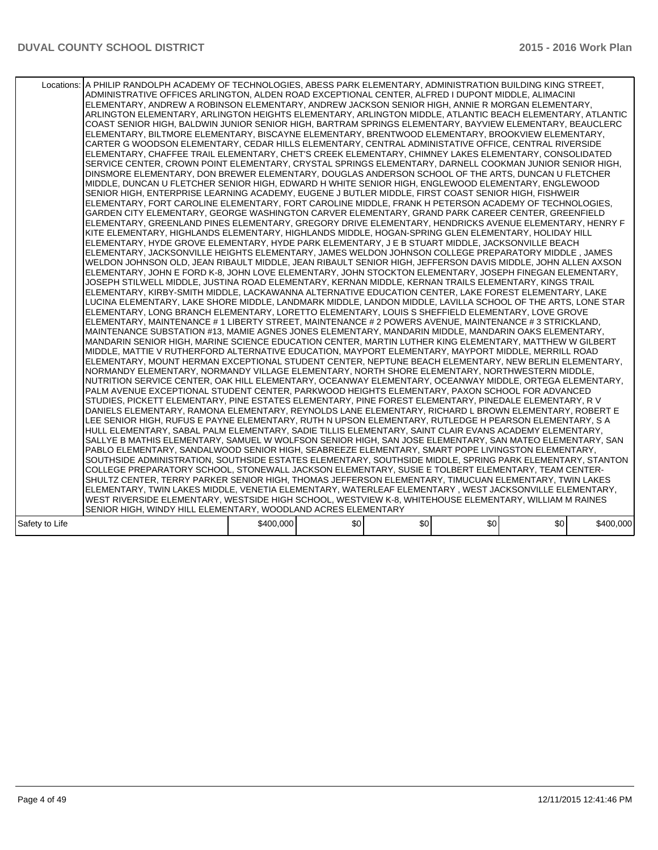|                | Locations:   A PHILIP RANDOLPH ACADEMY OF TECHNOLOGIES, ABESS PARK ELEMENTARY, ADMINISTRATION BUILDING KING STREET,<br>ADMINISTRATIVE OFFICES ARLINGTON, ALDEN ROAD EXCEPTIONAL CENTER, ALFRED I DUPONT MIDDLE, ALIMACINI<br>ELEMENTARY, ANDREW A ROBINSON ELEMENTARY, ANDREW JACKSON SENIOR HIGH, ANNIE R MORGAN ELEMENTARY,<br>ARLINGTON ELEMENTARY, ARLINGTON HEIGHTS ELEMENTARY, ARLINGTON MIDDLE, ATLANTIC BEACH ELEMENTARY, ATLANTIC<br>COAST SENIOR HIGH, BALDWIN JUNIOR SENIOR HIGH, BARTRAM SPRINGS ELEMENTARY, BAYVIEW ELEMENTARY, BEAUCLERC<br>ELEMENTARY, BILTMORE ELEMENTARY, BISCAYNE ELEMENTARY, BRENTWOOD ELEMENTARY, BROOKVIEW ELEMENTARY,<br>CARTER G WOODSON ELEMENTARY, CEDAR HILLS ELEMENTARY, CENTRAL ADMINISTATIVE OFFICE, CENTRAL RIVERSIDE<br>ELEMENTARY, CHAFFEE TRAIL ELEMENTARY, CHET'S CREEK ELEMENTARY, CHIMNEY LAKES ELEMENTARY, CONSOLIDATED<br>SERVICE CENTER, CROWN POINT ELEMENTARY, CRYSTAL SPRINGS ELEMENTARY, DARNELL COOKMAN JUNIOR SENIOR HIGH,<br>DINSMORE ELEMENTARY, DON BREWER ELEMENTARY, DOUGLAS ANDERSON SCHOOL OF THE ARTS, DUNCAN U FLETCHER<br>MIDDLE, DUNCAN U FLETCHER SENIOR HIGH, EDWARD H WHITE SENIOR HIGH, ENGLEWOOD ELEMENTARY, ENGLEWOOD<br>SENIOR HIGH, ENTERPRISE LEARNING ACADEMY, EUGENE J BUTLER MIDDLE, FIRST COAST SENIOR HIGH, FISHWEIR<br>ELEMENTARY, FORT CAROLINE ELEMENTARY, FORT CAROLINE MIDDLE, FRANK H PETERSON ACADEMY OF TECHNOLOGIES.<br>GARDEN CITY ELEMENTARY, GEORGE WASHINGTON CARVER ELEMENTARY, GRAND PARK CAREER CENTER, GREENFIELD<br>ELEMENTARY, GREENLAND PINES ELEMENTARY, GREGORY DRIVE ELEMENTARY, HENDRICKS AVENUE ELEMENTARY, HENRY F<br>KITE ELEMENTARY, HIGHLANDS ELEMENTARY, HIGHLANDS MIDDLE, HOGAN-SPRING GLEN ELEMENTARY, HOLIDAY HILL<br>ELEMENTARY, HYDE GROVE ELEMENTARY, HYDE PARK ELEMENTARY, J E B STUART MIDDLE, JACKSONVILLE BEACH<br>ELEMENTARY, JACKSONVILLE HEIGHTS ELEMENTARY, JAMES WELDON JOHNSON COLLEGE PREPARATORY MIDDLE, JAMES<br>WELDON JOHNSON OLD, JEAN RIBAULT MIDDLE, JEAN RIBAULT SENIOR HIGH, JEFFERSON DAVIS MIDDLE, JOHN ALLEN AXSON<br>ELEMENTARY, JOHN E FORD K-8, JOHN LOVE ELEMENTARY, JOHN STOCKTON ELEMENTARY, JOSEPH FINEGAN ELEMENTARY,<br>JOSEPH STILWELL MIDDLE. JUSTINA ROAD ELEMENTARY. KERNAN MIDDLE. KERNAN TRAILS ELEMENTARY. KINGS TRAIL<br>ELEMENTARY, KIRBY-SMITH MIDDLE, LACKAWANNA ALTERNATIVE EDUCATION CENTER, LAKE FOREST ELEMENTARY, LAKE<br>LUCINA ELEMENTARY, LAKE SHORE MIDDLE, LANDMARK MIDDLE, LANDON MIDDLE, LAVILLA SCHOOL OF THE ARTS, LONE STAR<br>ELEMENTARY, LONG BRANCH ELEMENTARY, LORETTO ELEMENTARY, LOUIS S SHEFFIELD ELEMENTARY, LOVE GROVE<br>ELEMENTARY, MAINTENANCE # 1 LIBERTY STREET, MAINTENANCE # 2 POWERS AVENUE, MAINTENANCE # 3 STRICKLAND,<br>MAINTENANCE SUBSTATION #13, MAMIE AGNES JONES ELEMENTARY, MANDARIN MIDDLE, MANDARIN OAKS ELEMENTARY,<br>MANDARIN SENIOR HIGH, MARINE SCIENCE EDUCATION CENTER, MARTIN LUTHER KING ELEMENTARY, MATTHEW W GILBERT<br>MIDDLE, MATTIE V RUTHERFORD ALTERNATIVE EDUCATION, MAYPORT ELEMENTARY, MAYPORT MIDDLE, MERRILL ROAD<br>ELEMENTARY, MOUNT HERMAN EXCEPTIONAL STUDENT CENTER, NEPTUNE BEACH ELEMENTARY, NEW BERLIN ELEMENTARY,<br>NORMANDY ELEMENTARY, NORMANDY VILLAGE ELEMENTARY, NORTH SHORE ELEMENTARY, NORTHWESTERN MIDDLE,<br>NUTRITION SERVICE CENTER, OAK HILL ELEMENTARY, OCEANWAY ELEMENTARY, OCEANWAY MIDDLE, ORTEGA ELEMENTARY,<br>PALM AVENUE EXCEPTIONAL STUDENT CENTER, PARKWOOD HEIGHTS ELEMENTARY, PAXON SCHOOL FOR ADVANCED<br>STUDIES, PICKETT ELEMENTARY, PINE ESTATES ELEMENTARY, PINE FOREST ELEMENTARY, PINEDALE ELEMENTARY, RV<br>DANIELS ELEMENTARY, RAMONA ELEMENTARY, REYNOLDS LANE ELEMENTARY, RICHARD L BROWN ELEMENTARY, ROBERT E<br>LEE SENIOR HIGH, RUFUS E PAYNE ELEMENTARY, RUTH N UPSON ELEMENTARY, RUTLEDGE H PEARSON ELEMENTARY, S A<br>HULL ELEMENTARY, SABAL PALM ELEMENTARY, SADIE TILLIS ELEMENTARY, SAINT CLAIR EVANS ACADEMY ELEMENTARY,<br>SALLYE B MATHIS ELEMENTARY, SAMUEL W WOLFSON SENIOR HIGH, SAN JOSE ELEMENTARY, SAN MATEO ELEMENTARY, SAN<br>PABLO ELEMENTARY, SANDALWOOD SENIOR HIGH, SEABREEZE ELEMENTARY, SMART POPE LIVINGSTON ELEMENTARY,<br>SOUTHSIDE ADMINISTRATION, SOUTHSIDE ESTATES ELEMENTARY, SOUTHSIDE MIDDLE, SPRING PARK ELEMENTARY, STANTON<br>COLLEGE PREPARATORY SCHOOL, STONEWALL JACKSON ELEMENTARY, SUSIE E TOLBERT ELEMENTARY, TEAM CENTER-<br>SHULTZ CENTER, TERRY PARKER SENIOR HIGH, THOMAS JEFFERSON ELEMENTARY, TIMUCUAN ELEMENTARY, TWIN LAKES<br>ELEMENTARY, TWIN LAKES MIDDLE, VENETIA ELEMENTARY, WATERLEAF ELEMENTARY, WEST JACKSONVILLE ELEMENTARY,<br>WEST RIVERSIDE ELEMENTARY, WESTSIDE HIGH SCHOOL, WESTVIEW K-8, WHITEHOUSE ELEMENTARY, WILLIAM M RAINES<br>SENIOR HIGH, WINDY HILL ELEMENTARY, WOODLAND ACRES ELEMENTARY |           |     |     |     |     |           |
|----------------|---------------------------------------------------------------------------------------------------------------------------------------------------------------------------------------------------------------------------------------------------------------------------------------------------------------------------------------------------------------------------------------------------------------------------------------------------------------------------------------------------------------------------------------------------------------------------------------------------------------------------------------------------------------------------------------------------------------------------------------------------------------------------------------------------------------------------------------------------------------------------------------------------------------------------------------------------------------------------------------------------------------------------------------------------------------------------------------------------------------------------------------------------------------------------------------------------------------------------------------------------------------------------------------------------------------------------------------------------------------------------------------------------------------------------------------------------------------------------------------------------------------------------------------------------------------------------------------------------------------------------------------------------------------------------------------------------------------------------------------------------------------------------------------------------------------------------------------------------------------------------------------------------------------------------------------------------------------------------------------------------------------------------------------------------------------------------------------------------------------------------------------------------------------------------------------------------------------------------------------------------------------------------------------------------------------------------------------------------------------------------------------------------------------------------------------------------------------------------------------------------------------------------------------------------------------------------------------------------------------------------------------------------------------------------------------------------------------------------------------------------------------------------------------------------------------------------------------------------------------------------------------------------------------------------------------------------------------------------------------------------------------------------------------------------------------------------------------------------------------------------------------------------------------------------------------------------------------------------------------------------------------------------------------------------------------------------------------------------------------------------------------------------------------------------------------------------------------------------------------------------------------------------------------------------------------------------------------------------------------------------------------------------------------------------------------------------------------------------------------------------------------------------------------------------------------------------------------------------------------------------------------------------------------------------------------------------------------------------------------------------------------------------------------------------------------------------------------------------------------------------------------------------------------------------------------------------------------------------------------------------------------------------------------------------------------------------------------------------------------------------------------------------------------------------------------------------------------------------------------------------------------------------------------------------------------------------------------------------------------------------------------------------------------------------------------------------------------------------------------------------------|-----------|-----|-----|-----|-----|-----------|
| Safety to Life |                                                                                                                                                                                                                                                                                                                                                                                                                                                                                                                                                                                                                                                                                                                                                                                                                                                                                                                                                                                                                                                                                                                                                                                                                                                                                                                                                                                                                                                                                                                                                                                                                                                                                                                                                                                                                                                                                                                                                                                                                                                                                                                                                                                                                                                                                                                                                                                                                                                                                                                                                                                                                                                                                                                                                                                                                                                                                                                                                                                                                                                                                                                                                                                                                                                                                                                                                                                                                                                                                                                                                                                                                                                                                                                                                                                                                                                                                                                                                                                                                                                                                                                                                                                                                                                                                                                                                                                                                                                                                                                                                                                                                                                                                                                                                         | \$400,000 | \$0 | \$0 | \$0 | \$0 | \$400,000 |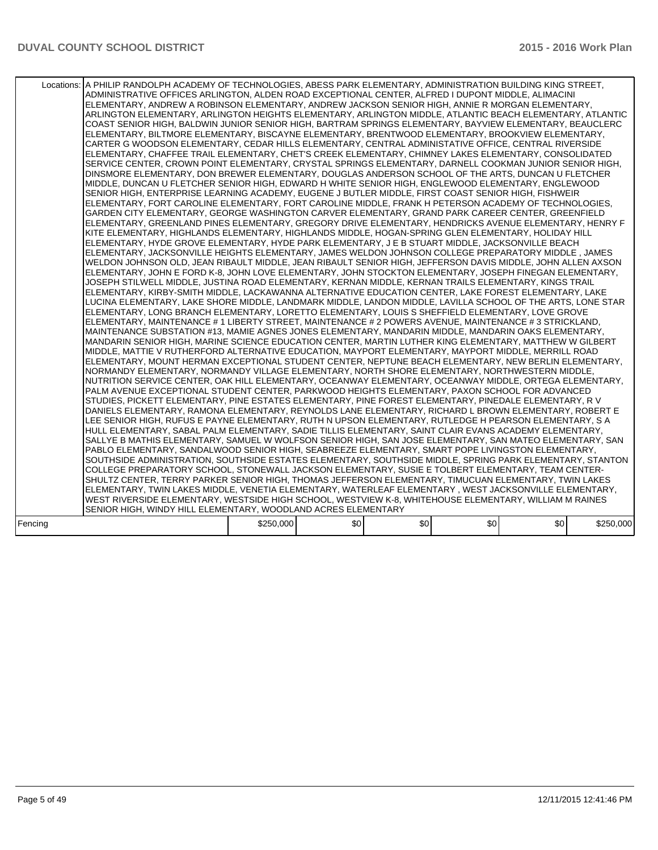|         | Locations:   A PHILIP RANDOLPH ACADEMY OF TECHNOLOGIES, ABESS PARK ELEMENTARY, ADMINISTRATION BUILDING KING STREET,<br>ADMINISTRATIVE OFFICES ARLINGTON, ALDEN ROAD EXCEPTIONAL CENTER, ALFRED I DUPONT MIDDLE, ALIMACINI<br>ELEMENTARY, ANDREW A ROBINSON ELEMENTARY, ANDREW JACKSON SENIOR HIGH, ANNIE R MORGAN ELEMENTARY,<br>ARLINGTON ELEMENTARY, ARLINGTON HEIGHTS ELEMENTARY, ARLINGTON MIDDLE, ATLANTIC BEACH ELEMENTARY, ATLANTIC<br>COAST SENIOR HIGH, BALDWIN JUNIOR SENIOR HIGH, BARTRAM SPRINGS ELEMENTARY, BAYVIEW ELEMENTARY, BEAUCLERC<br>ELEMENTARY, BILTMORE ELEMENTARY, BISCAYNE ELEMENTARY, BRENTWOOD ELEMENTARY, BROOKVIEW ELEMENTARY,<br>CARTER G WOODSON ELEMENTARY, CEDAR HILLS ELEMENTARY, CENTRAL ADMINISTATIVE OFFICE, CENTRAL RIVERSIDE<br>ELEMENTARY, CHAFFEE TRAIL ELEMENTARY, CHET'S CREEK ELEMENTARY, CHIMNEY LAKES ELEMENTARY, CONSOLIDATED<br>SERVICE CENTER, CROWN POINT ELEMENTARY, CRYSTAL SPRINGS ELEMENTARY, DARNELL COOKMAN JUNIOR SENIOR HIGH,<br>DINSMORE ELEMENTARY, DON BREWER ELEMENTARY, DOUGLAS ANDERSON SCHOOL OF THE ARTS, DUNCAN U FLETCHER<br>MIDDLE, DUNCAN U FLETCHER SENIOR HIGH, EDWARD H WHITE SENIOR HIGH, ENGLEWOOD ELEMENTARY, ENGLEWOOD<br>SENIOR HIGH, ENTERPRISE LEARNING ACADEMY, EUGENE J BUTLER MIDDLE, FIRST COAST SENIOR HIGH, FISHWEIR<br>ELEMENTARY, FORT CAROLINE ELEMENTARY, FORT CAROLINE MIDDLE, FRANK H PETERSON ACADEMY OF TECHNOLOGIES.<br>GARDEN CITY ELEMENTARY, GEORGE WASHINGTON CARVER ELEMENTARY, GRAND PARK CAREER CENTER, GREENFIELD<br>ELEMENTARY, GREENLAND PINES ELEMENTARY, GREGORY DRIVE ELEMENTARY, HENDRICKS AVENUE ELEMENTARY, HENRY F<br>KITE ELEMENTARY, HIGHLANDS ELEMENTARY, HIGHLANDS MIDDLE, HOGAN-SPRING GLEN ELEMENTARY, HOLIDAY HILL<br>ELEMENTARY, HYDE GROVE ELEMENTARY, HYDE PARK ELEMENTARY, J E B STUART MIDDLE, JACKSONVILLE BEACH<br>ELEMENTARY, JACKSONVILLE HEIGHTS ELEMENTARY, JAMES WELDON JOHNSON COLLEGE PREPARATORY MIDDLE, JAMES<br>WELDON JOHNSON OLD, JEAN RIBAULT MIDDLE, JEAN RIBAULT SENIOR HIGH, JEFFERSON DAVIS MIDDLE, JOHN ALLEN AXSON<br>ELEMENTARY, JOHN E FORD K-8, JOHN LOVE ELEMENTARY, JOHN STOCKTON ELEMENTARY, JOSEPH FINEGAN ELEMENTARY,<br>JOSEPH STILWELL MIDDLE. JUSTINA ROAD ELEMENTARY. KERNAN MIDDLE. KERNAN TRAILS ELEMENTARY. KINGS TRAIL<br>ELEMENTARY, KIRBY-SMITH MIDDLE, LACKAWANNA ALTERNATIVE EDUCATION CENTER, LAKE FOREST ELEMENTARY, LAKE<br>LUCINA ELEMENTARY, LAKE SHORE MIDDLE, LANDMARK MIDDLE, LANDON MIDDLE, LAVILLA SCHOOL OF THE ARTS, LONE STAR<br>ELEMENTARY, LONG BRANCH ELEMENTARY, LORETTO ELEMENTARY, LOUIS S SHEFFIELD ELEMENTARY, LOVE GROVE<br>ELEMENTARY, MAINTENANCE # 1 LIBERTY STREET, MAINTENANCE # 2 POWERS AVENUE, MAINTENANCE # 3 STRICKLAND,<br>MAINTENANCE SUBSTATION #13, MAMIE AGNES JONES ELEMENTARY, MANDARIN MIDDLE, MANDARIN OAKS ELEMENTARY,<br>MANDARIN SENIOR HIGH, MARINE SCIENCE EDUCATION CENTER, MARTIN LUTHER KING ELEMENTARY, MATTHEW W GILBERT<br>MIDDLE, MATTIE V RUTHERFORD ALTERNATIVE EDUCATION, MAYPORT ELEMENTARY, MAYPORT MIDDLE, MERRILL ROAD<br>ELEMENTARY, MOUNT HERMAN EXCEPTIONAL STUDENT CENTER, NEPTUNE BEACH ELEMENTARY, NEW BERLIN ELEMENTARY,<br>NORMANDY ELEMENTARY, NORMANDY VILLAGE ELEMENTARY, NORTH SHORE ELEMENTARY, NORTHWESTERN MIDDLE,<br>NUTRITION SERVICE CENTER, OAK HILL ELEMENTARY, OCEANWAY ELEMENTARY, OCEANWAY MIDDLE, ORTEGA ELEMENTARY,<br>PALM AVENUE EXCEPTIONAL STUDENT CENTER, PARKWOOD HEIGHTS ELEMENTARY, PAXON SCHOOL FOR ADVANCED<br>STUDIES, PICKETT ELEMENTARY, PINE ESTATES ELEMENTARY, PINE FOREST ELEMENTARY, PINEDALE ELEMENTARY, RV<br>DANIELS ELEMENTARY, RAMONA ELEMENTARY, REYNOLDS LANE ELEMENTARY, RICHARD L BROWN ELEMENTARY, ROBERT E<br>LEE SENIOR HIGH, RUFUS E PAYNE ELEMENTARY, RUTH N UPSON ELEMENTARY, RUTLEDGE H PEARSON ELEMENTARY, S A<br>HULL ELEMENTARY, SABAL PALM ELEMENTARY, SADIE TILLIS ELEMENTARY, SAINT CLAIR EVANS ACADEMY ELEMENTARY,<br>SALLYE B MATHIS ELEMENTARY, SAMUEL W WOLFSON SENIOR HIGH, SAN JOSE ELEMENTARY, SAN MATEO ELEMENTARY, SAN<br>PABLO ELEMENTARY, SANDALWOOD SENIOR HIGH, SEABREEZE ELEMENTARY, SMART POPE LIVINGSTON ELEMENTARY,<br>SOUTHSIDE ADMINISTRATION, SOUTHSIDE ESTATES ELEMENTARY, SOUTHSIDE MIDDLE, SPRING PARK ELEMENTARY, STANTON<br>COLLEGE PREPARATORY SCHOOL, STONEWALL JACKSON ELEMENTARY, SUSIE E TOLBERT ELEMENTARY, TEAM CENTER-<br>SHULTZ CENTER, TERRY PARKER SENIOR HIGH, THOMAS JEFFERSON ELEMENTARY, TIMUCUAN ELEMENTARY, TWIN LAKES<br>ELEMENTARY, TWIN LAKES MIDDLE, VENETIA ELEMENTARY, WATERLEAF ELEMENTARY, WEST JACKSONVILLE ELEMENTARY,<br>WEST RIVERSIDE ELEMENTARY, WESTSIDE HIGH SCHOOL, WESTVIEW K-8, WHITEHOUSE ELEMENTARY, WILLIAM M RAINES<br>SENIOR HIGH, WINDY HILL ELEMENTARY, WOODLAND ACRES ELEMENTARY |           |     |     |     |     |           |
|---------|---------------------------------------------------------------------------------------------------------------------------------------------------------------------------------------------------------------------------------------------------------------------------------------------------------------------------------------------------------------------------------------------------------------------------------------------------------------------------------------------------------------------------------------------------------------------------------------------------------------------------------------------------------------------------------------------------------------------------------------------------------------------------------------------------------------------------------------------------------------------------------------------------------------------------------------------------------------------------------------------------------------------------------------------------------------------------------------------------------------------------------------------------------------------------------------------------------------------------------------------------------------------------------------------------------------------------------------------------------------------------------------------------------------------------------------------------------------------------------------------------------------------------------------------------------------------------------------------------------------------------------------------------------------------------------------------------------------------------------------------------------------------------------------------------------------------------------------------------------------------------------------------------------------------------------------------------------------------------------------------------------------------------------------------------------------------------------------------------------------------------------------------------------------------------------------------------------------------------------------------------------------------------------------------------------------------------------------------------------------------------------------------------------------------------------------------------------------------------------------------------------------------------------------------------------------------------------------------------------------------------------------------------------------------------------------------------------------------------------------------------------------------------------------------------------------------------------------------------------------------------------------------------------------------------------------------------------------------------------------------------------------------------------------------------------------------------------------------------------------------------------------------------------------------------------------------------------------------------------------------------------------------------------------------------------------------------------------------------------------------------------------------------------------------------------------------------------------------------------------------------------------------------------------------------------------------------------------------------------------------------------------------------------------------------------------------------------------------------------------------------------------------------------------------------------------------------------------------------------------------------------------------------------------------------------------------------------------------------------------------------------------------------------------------------------------------------------------------------------------------------------------------------------------------------------------------------------------------------------------------------------------------------------------------------------------------------------------------------------------------------------------------------------------------------------------------------------------------------------------------------------------------------------------------------------------------------------------------------------------------------------------------------------------------------------------------------------------------------------------------------------|-----------|-----|-----|-----|-----|-----------|
| Fencing |                                                                                                                                                                                                                                                                                                                                                                                                                                                                                                                                                                                                                                                                                                                                                                                                                                                                                                                                                                                                                                                                                                                                                                                                                                                                                                                                                                                                                                                                                                                                                                                                                                                                                                                                                                                                                                                                                                                                                                                                                                                                                                                                                                                                                                                                                                                                                                                                                                                                                                                                                                                                                                                                                                                                                                                                                                                                                                                                                                                                                                                                                                                                                                                                                                                                                                                                                                                                                                                                                                                                                                                                                                                                                                                                                                                                                                                                                                                                                                                                                                                                                                                                                                                                                                                                                                                                                                                                                                                                                                                                                                                                                                                                                                                                                         | \$250,000 | \$0 | \$0 | \$0 | \$0 | \$250,000 |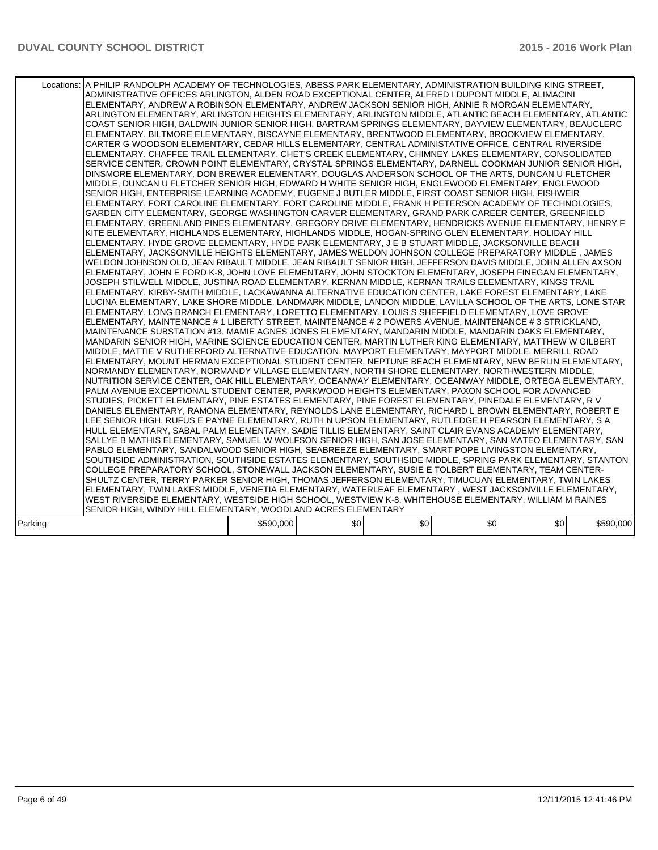|         | Locations: A PHILIP RANDOLPH ACADEMY OF TECHNOLOGIES, ABESS PARK ELEMENTARY, ADMINISTRATION BUILDING KING STREET,<br>ADMINISTRATIVE OFFICES ARLINGTON, ALDEN ROAD EXCEPTIONAL CENTER, ALFRED I DUPONT MIDDLE, ALIMACINI<br>ELEMENTARY, ANDREW A ROBINSON ELEMENTARY, ANDREW JACKSON SENIOR HIGH, ANNIE R MORGAN ELEMENTARY,<br>ARLINGTON ELEMENTARY, ARLINGTON HEIGHTS ELEMENTARY, ARLINGTON MIDDLE, ATLANTIC BEACH ELEMENTARY, ATLANTIC<br>COAST SENIOR HIGH, BALDWIN JUNIOR SENIOR HIGH, BARTRAM SPRINGS ELEMENTARY, BAYVIEW ELEMENTARY, BEAUCLERC<br>ELEMENTARY, BILTMORE ELEMENTARY, BISCAYNE ELEMENTARY, BRENTWOOD ELEMENTARY, BROOKVIEW ELEMENTARY,<br>CARTER G WOODSON ELEMENTARY, CEDAR HILLS ELEMENTARY, CENTRAL ADMINISTATIVE OFFICE, CENTRAL RIVERSIDE<br>ELEMENTARY, CHAFFEE TRAIL ELEMENTARY, CHET'S CREEK ELEMENTARY, CHIMNEY LAKES ELEMENTARY, CONSOLIDATED<br>SERVICE CENTER, CROWN POINT ELEMENTARY, CRYSTAL SPRINGS ELEMENTARY, DARNELL COOKMAN JUNIOR SENIOR HIGH,<br>DINSMORE ELEMENTARY, DON BREWER ELEMENTARY, DOUGLAS ANDERSON SCHOOL OF THE ARTS, DUNCAN U FLETCHER<br>MIDDLE, DUNCAN U FLETCHER SENIOR HIGH, EDWARD H WHITE SENIOR HIGH, ENGLEWOOD ELEMENTARY, ENGLEWOOD<br>SENIOR HIGH, ENTERPRISE LEARNING ACADEMY, EUGENE J BUTLER MIDDLE, FIRST COAST SENIOR HIGH, FISHWEIR<br>ELEMENTARY, FORT CAROLINE ELEMENTARY, FORT CAROLINE MIDDLE, FRANK H PETERSON ACADEMY OF TECHNOLOGIES,<br>GARDEN CITY ELEMENTARY, GEORGE WASHINGTON CARVER ELEMENTARY, GRAND PARK CAREER CENTER, GREENFIELD<br>ELEMENTARY. GREENLAND PINES ELEMENTARY. GREGORY DRIVE ELEMENTARY. HENDRICKS AVENUE ELEMENTARY. HENRY F<br>KITE ELEMENTARY, HIGHLANDS ELEMENTARY, HIGHLANDS MIDDLE, HOGAN-SPRING GLEN ELEMENTARY, HOLIDAY HILL<br>ELEMENTARY, HYDE GROVE ELEMENTARY, HYDE PARK ELEMENTARY, J E B STUART MIDDLE, JACKSONVILLE BEACH<br>ELEMENTARY, JACKSONVILLE HEIGHTS ELEMENTARY, JAMES WELDON JOHNSON COLLEGE PREPARATORY MIDDLE, JAMES<br>WELDON JOHNSON OLD, JEAN RIBAULT MIDDLE, JEAN RIBAULT SENIOR HIGH, JEFFERSON DAVIS MIDDLE, JOHN ALLEN AXSON<br>ELEMENTARY, JOHN E FORD K-8, JOHN LOVE ELEMENTARY, JOHN STOCKTON ELEMENTARY, JOSEPH FINEGAN ELEMENTARY,<br>JOSEPH STILWELL MIDDLE, JUSTINA ROAD ELEMENTARY, KERNAN MIDDLE, KERNAN TRAILS ELEMENTARY, KINGS TRAIL<br>ELEMENTARY, KIRBY-SMITH MIDDLE, LACKAWANNA ALTERNATIVE EDUCATION CENTER, LAKE FOREST ELEMENTARY, LAKE<br>LUCINA ELEMENTARY. LAKE SHORE MIDDLE. LANDMARK MIDDLE. LANDON MIDDLE. LAVILLA SCHOOL OF THE ARTS. LONE STAR<br>ELEMENTARY, LONG BRANCH ELEMENTARY, LORETTO ELEMENTARY, LOUIS S SHEFFIELD ELEMENTARY, LOVE GROVE<br>ELEMENTARY, MAINTENANCE # 1 LIBERTY STREET, MAINTENANCE # 2 POWERS AVENUE, MAINTENANCE # 3 STRICKLAND,<br>MAINTENANCE SUBSTATION #13, MAMIE AGNES JONES ELEMENTARY, MANDARIN MIDDLE, MANDARIN OAKS ELEMENTARY,<br>MANDARIN SENIOR HIGH, MARINE SCIENCE EDUCATION CENTER, MARTIN LUTHER KING ELEMENTARY, MATTHEW W GILBERT<br>MIDDLE, MATTIE V RUTHERFORD ALTERNATIVE EDUCATION, MAYPORT ELEMENTARY, MAYPORT MIDDLE, MERRILL ROAD<br>ELEMENTARY, MOUNT HERMAN EXCEPTIONAL STUDENT CENTER, NEPTUNE BEACH ELEMENTARY, NEW BERLIN ELEMENTARY,<br>NORMANDY ELEMENTARY, NORMANDY VILLAGE ELEMENTARY, NORTH SHORE ELEMENTARY, NORTHWESTERN MIDDLE,<br>NUTRITION SERVICE CENTER, OAK HILL ELEMENTARY, OCEANWAY ELEMENTARY, OCEANWAY MIDDLE, ORTEGA ELEMENTARY,<br>PALM AVENUE EXCEPTIONAL STUDENT CENTER, PARKWOOD HEIGHTS ELEMENTARY, PAXON SCHOOL FOR ADVANCED<br>STUDIES, PICKETT ELEMENTARY, PINE ESTATES ELEMENTARY, PINE FOREST ELEMENTARY, PINEDALE ELEMENTARY, R V<br>DANIELS ELEMENTARY, RAMONA ELEMENTARY, REYNOLDS LANE ELEMENTARY, RICHARD L BROWN ELEMENTARY, ROBERT E<br>LEE SENIOR HIGH, RUFUS E PAYNE ELEMENTARY, RUTH N UPSON ELEMENTARY, RUTLEDGE H PEARSON ELEMENTARY, S A<br>HULL ELEMENTARY, SABAL PALM ELEMENTARY, SADIE TILLIS ELEMENTARY, SAINT CLAIR EVANS ACADEMY ELEMENTARY,<br>SALLYE B MATHIS ELEMENTARY, SAMUEL W WOLFSON SENIOR HIGH, SAN JOSE ELEMENTARY, SAN MATEO ELEMENTARY, SAN<br>PABLO ELEMENTARY, SANDALWOOD SENIOR HIGH, SEABREEZE ELEMENTARY, SMART POPE LIVINGSTON ELEMENTARY,<br>SOUTHSIDE ADMINISTRATION, SOUTHSIDE ESTATES ELEMENTARY, SOUTHSIDE MIDDLE, SPRING PARK ELEMENTARY, STANTON<br>COLLEGE PREPARATORY SCHOOL, STONEWALL JACKSON ELEMENTARY, SUSIE E TOLBERT ELEMENTARY, TEAM CENTER-<br>SHULTZ CENTER, TERRY PARKER SENIOR HIGH, THOMAS JEFFERSON ELEMENTARY, TIMUCUAN ELEMENTARY, TWIN LAKES<br>ELEMENTARY, TWIN LAKES MIDDLE, VENETIA ELEMENTARY, WATERLEAF ELEMENTARY, WEST JACKSONVILLE ELEMENTARY,<br>WEST RIVERSIDE ELEMENTARY, WESTSIDE HIGH SCHOOL, WESTVIEW K-8, WHITEHOUSE ELEMENTARY, WILLIAM M RAINES<br>SENIOR HIGH, WINDY HILL ELEMENTARY, WOODLAND ACRES ELEMENTARY |           |     |     |     |     |           |
|---------|--------------------------------------------------------------------------------------------------------------------------------------------------------------------------------------------------------------------------------------------------------------------------------------------------------------------------------------------------------------------------------------------------------------------------------------------------------------------------------------------------------------------------------------------------------------------------------------------------------------------------------------------------------------------------------------------------------------------------------------------------------------------------------------------------------------------------------------------------------------------------------------------------------------------------------------------------------------------------------------------------------------------------------------------------------------------------------------------------------------------------------------------------------------------------------------------------------------------------------------------------------------------------------------------------------------------------------------------------------------------------------------------------------------------------------------------------------------------------------------------------------------------------------------------------------------------------------------------------------------------------------------------------------------------------------------------------------------------------------------------------------------------------------------------------------------------------------------------------------------------------------------------------------------------------------------------------------------------------------------------------------------------------------------------------------------------------------------------------------------------------------------------------------------------------------------------------------------------------------------------------------------------------------------------------------------------------------------------------------------------------------------------------------------------------------------------------------------------------------------------------------------------------------------------------------------------------------------------------------------------------------------------------------------------------------------------------------------------------------------------------------------------------------------------------------------------------------------------------------------------------------------------------------------------------------------------------------------------------------------------------------------------------------------------------------------------------------------------------------------------------------------------------------------------------------------------------------------------------------------------------------------------------------------------------------------------------------------------------------------------------------------------------------------------------------------------------------------------------------------------------------------------------------------------------------------------------------------------------------------------------------------------------------------------------------------------------------------------------------------------------------------------------------------------------------------------------------------------------------------------------------------------------------------------------------------------------------------------------------------------------------------------------------------------------------------------------------------------------------------------------------------------------------------------------------------------------------------------------------------------------------------------------------------------------------------------------------------------------------------------------------------------------------------------------------------------------------------------------------------------------------------------------------------------------------------------------------------------------------------------------------------------------------------------------------------------------------------------------------------------------------|-----------|-----|-----|-----|-----|-----------|
| Parking |                                                                                                                                                                                                                                                                                                                                                                                                                                                                                                                                                                                                                                                                                                                                                                                                                                                                                                                                                                                                                                                                                                                                                                                                                                                                                                                                                                                                                                                                                                                                                                                                                                                                                                                                                                                                                                                                                                                                                                                                                                                                                                                                                                                                                                                                                                                                                                                                                                                                                                                                                                                                                                                                                                                                                                                                                                                                                                                                                                                                                                                                                                                                                                                                                                                                                                                                                                                                                                                                                                                                                                                                                                                                                                                                                                                                                                                                                                                                                                                                                                                                                                                                                                                                                                                                                                                                                                                                                                                                                                                                                                                                                                                                                                                                                        | \$590,000 | \$0 | \$0 | \$0 | \$0 | \$590,000 |
|         |                                                                                                                                                                                                                                                                                                                                                                                                                                                                                                                                                                                                                                                                                                                                                                                                                                                                                                                                                                                                                                                                                                                                                                                                                                                                                                                                                                                                                                                                                                                                                                                                                                                                                                                                                                                                                                                                                                                                                                                                                                                                                                                                                                                                                                                                                                                                                                                                                                                                                                                                                                                                                                                                                                                                                                                                                                                                                                                                                                                                                                                                                                                                                                                                                                                                                                                                                                                                                                                                                                                                                                                                                                                                                                                                                                                                                                                                                                                                                                                                                                                                                                                                                                                                                                                                                                                                                                                                                                                                                                                                                                                                                                                                                                                                                        |           |     |     |     |     |           |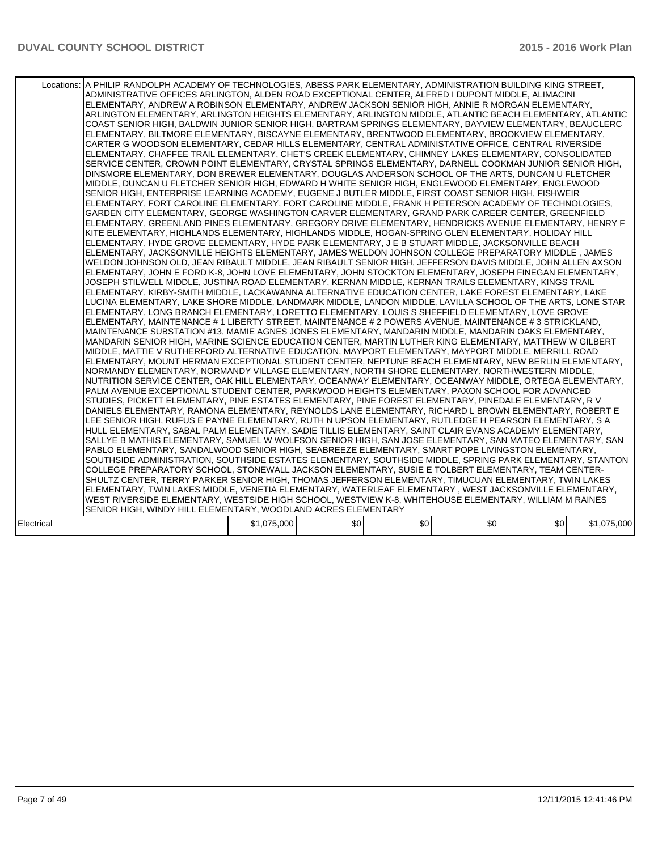|            | Locations: A PHILIP RANDOLPH ACADEMY OF TECHNOLOGIES, ABESS PARK ELEMENTARY, ADMINISTRATION BUILDING KING STREET,<br>ADMINISTRATIVE OFFICES ARLINGTON, ALDEN ROAD EXCEPTIONAL CENTER, ALFRED I DUPONT MIDDLE, ALIMACINI<br>ELEMENTARY, ANDREW A ROBINSON ELEMENTARY, ANDREW JACKSON SENIOR HIGH, ANNIE R MORGAN ELEMENTARY,<br>ARLINGTON ELEMENTARY, ARLINGTON HEIGHTS ELEMENTARY, ARLINGTON MIDDLE, ATLANTIC BEACH ELEMENTARY, ATLANTIC<br>COAST SENIOR HIGH, BALDWIN JUNIOR SENIOR HIGH, BARTRAM SPRINGS ELEMENTARY, BAYVIEW ELEMENTARY, BEAUCLERC<br>ELEMENTARY, BILTMORE ELEMENTARY, BISCAYNE ELEMENTARY, BRENTWOOD ELEMENTARY, BROOKVIEW ELEMENTARY,<br>CARTER G WOODSON ELEMENTARY, CEDAR HILLS ELEMENTARY, CENTRAL ADMINISTATIVE OFFICE, CENTRAL RIVERSIDE<br>ELEMENTARY, CHAFFEE TRAIL ELEMENTARY, CHET'S CREEK ELEMENTARY, CHIMNEY LAKES ELEMENTARY, CONSOLIDATED<br>SERVICE CENTER, CROWN POINT ELEMENTARY, CRYSTAL SPRINGS ELEMENTARY, DARNELL COOKMAN JUNIOR SENIOR HIGH,<br>DINSMORE ELEMENTARY, DON BREWER ELEMENTARY, DOUGLAS ANDERSON SCHOOL OF THE ARTS, DUNCAN U FLETCHER<br>MIDDLE, DUNCAN U FLETCHER SENIOR HIGH, EDWARD H WHITE SENIOR HIGH, ENGLEWOOD ELEMENTARY, ENGLEWOOD<br>SENIOR HIGH, ENTERPRISE LEARNING ACADEMY, EUGENE J BUTLER MIDDLE, FIRST COAST SENIOR HIGH, FISHWEIR<br>ELEMENTARY, FORT CAROLINE ELEMENTARY, FORT CAROLINE MIDDLE, FRANK H PETERSON ACADEMY OF TECHNOLOGIES,<br>GARDEN CITY ELEMENTARY, GEORGE WASHINGTON CARVER ELEMENTARY, GRAND PARK CAREER CENTER, GREENFIELD<br>ELEMENTARY. GREENLAND PINES ELEMENTARY. GREGORY DRIVE ELEMENTARY. HENDRICKS AVENUE ELEMENTARY. HENRY F<br>KITE ELEMENTARY, HIGHLANDS ELEMENTARY, HIGHLANDS MIDDLE, HOGAN-SPRING GLEN ELEMENTARY, HOLIDAY HILL<br>ELEMENTARY, HYDE GROVE ELEMENTARY, HYDE PARK ELEMENTARY, J E B STUART MIDDLE, JACKSONVILLE BEACH<br>ELEMENTARY, JACKSONVILLE HEIGHTS ELEMENTARY, JAMES WELDON JOHNSON COLLEGE PREPARATORY MIDDLE, JAMES<br>WELDON JOHNSON OLD, JEAN RIBAULT MIDDLE, JEAN RIBAULT SENIOR HIGH, JEFFERSON DAVIS MIDDLE, JOHN ALLEN AXSON<br>ELEMENTARY, JOHN E FORD K-8, JOHN LOVE ELEMENTARY, JOHN STOCKTON ELEMENTARY, JOSEPH FINEGAN ELEMENTARY,<br>JOSEPH STILWELL MIDDLE, JUSTINA ROAD ELEMENTARY, KERNAN MIDDLE, KERNAN TRAILS ELEMENTARY, KINGS TRAIL<br>ELEMENTARY, KIRBY-SMITH MIDDLE, LACKAWANNA ALTERNATIVE EDUCATION CENTER, LAKE FOREST ELEMENTARY, LAKE<br>LUCINA ELEMENTARY. LAKE SHORE MIDDLE. LANDMARK MIDDLE. LANDON MIDDLE. LAVILLA SCHOOL OF THE ARTS. LONE STAR<br>ELEMENTARY, LONG BRANCH ELEMENTARY, LORETTO ELEMENTARY, LOUIS S SHEFFIELD ELEMENTARY, LOVE GROVE<br>ELEMENTARY, MAINTENANCE # 1 LIBERTY STREET, MAINTENANCE # 2 POWERS AVENUE, MAINTENANCE # 3 STRICKLAND,<br>MAINTENANCE SUBSTATION #13, MAMIE AGNES JONES ELEMENTARY, MANDARIN MIDDLE, MANDARIN OAKS ELEMENTARY,<br>MANDARIN SENIOR HIGH, MARINE SCIENCE EDUCATION CENTER, MARTIN LUTHER KING ELEMENTARY, MATTHEW W GILBERT<br>MIDDLE, MATTIE V RUTHERFORD ALTERNATIVE EDUCATION, MAYPORT ELEMENTARY, MAYPORT MIDDLE, MERRILL ROAD<br>ELEMENTARY, MOUNT HERMAN EXCEPTIONAL STUDENT CENTER, NEPTUNE BEACH ELEMENTARY, NEW BERLIN ELEMENTARY,<br>NORMANDY ELEMENTARY, NORMANDY VILLAGE ELEMENTARY, NORTH SHORE ELEMENTARY, NORTHWESTERN MIDDLE,<br>NUTRITION SERVICE CENTER, OAK HILL ELEMENTARY, OCEANWAY ELEMENTARY, OCEANWAY MIDDLE, ORTEGA ELEMENTARY,<br>PALM AVENUE EXCEPTIONAL STUDENT CENTER, PARKWOOD HEIGHTS ELEMENTARY, PAXON SCHOOL FOR ADVANCED<br>STUDIES, PICKETT ELEMENTARY, PINE ESTATES ELEMENTARY, PINE FOREST ELEMENTARY, PINEDALE ELEMENTARY, R V<br>DANIELS ELEMENTARY, RAMONA ELEMENTARY, REYNOLDS LANE ELEMENTARY, RICHARD L BROWN ELEMENTARY, ROBERT E<br>LEE SENIOR HIGH, RUFUS E PAYNE ELEMENTARY, RUTH N UPSON ELEMENTARY, RUTLEDGE H PEARSON ELEMENTARY, S A<br>HULL ELEMENTARY, SABAL PALM ELEMENTARY, SADIE TILLIS ELEMENTARY, SAINT CLAIR EVANS ACADEMY ELEMENTARY,<br>SALLYE B MATHIS ELEMENTARY, SAMUEL W WOLFSON SENIOR HIGH, SAN JOSE ELEMENTARY, SAN MATEO ELEMENTARY, SAN<br>PABLO ELEMENTARY, SANDALWOOD SENIOR HIGH, SEABREEZE ELEMENTARY, SMART POPE LIVINGSTON ELEMENTARY,<br>SOUTHSIDE ADMINISTRATION, SOUTHSIDE ESTATES ELEMENTARY, SOUTHSIDE MIDDLE, SPRING PARK ELEMENTARY, STANTON<br>COLLEGE PREPARATORY SCHOOL, STONEWALL JACKSON ELEMENTARY, SUSIE E TOLBERT ELEMENTARY, TEAM CENTER-<br>SHULTZ CENTER, TERRY PARKER SENIOR HIGH, THOMAS JEFFERSON ELEMENTARY, TIMUCUAN ELEMENTARY, TWIN LAKES<br>ELEMENTARY, TWIN LAKES MIDDLE, VENETIA ELEMENTARY, WATERLEAF ELEMENTARY, WEST JACKSONVILLE ELEMENTARY,<br>WEST RIVERSIDE ELEMENTARY, WESTSIDE HIGH SCHOOL, WESTVIEW K-8, WHITEHOUSE ELEMENTARY, WILLIAM M RAINES<br>SENIOR HIGH, WINDY HILL ELEMENTARY, WOODLAND ACRES ELEMENTARY |             |     |     |     |     |             |
|------------|--------------------------------------------------------------------------------------------------------------------------------------------------------------------------------------------------------------------------------------------------------------------------------------------------------------------------------------------------------------------------------------------------------------------------------------------------------------------------------------------------------------------------------------------------------------------------------------------------------------------------------------------------------------------------------------------------------------------------------------------------------------------------------------------------------------------------------------------------------------------------------------------------------------------------------------------------------------------------------------------------------------------------------------------------------------------------------------------------------------------------------------------------------------------------------------------------------------------------------------------------------------------------------------------------------------------------------------------------------------------------------------------------------------------------------------------------------------------------------------------------------------------------------------------------------------------------------------------------------------------------------------------------------------------------------------------------------------------------------------------------------------------------------------------------------------------------------------------------------------------------------------------------------------------------------------------------------------------------------------------------------------------------------------------------------------------------------------------------------------------------------------------------------------------------------------------------------------------------------------------------------------------------------------------------------------------------------------------------------------------------------------------------------------------------------------------------------------------------------------------------------------------------------------------------------------------------------------------------------------------------------------------------------------------------------------------------------------------------------------------------------------------------------------------------------------------------------------------------------------------------------------------------------------------------------------------------------------------------------------------------------------------------------------------------------------------------------------------------------------------------------------------------------------------------------------------------------------------------------------------------------------------------------------------------------------------------------------------------------------------------------------------------------------------------------------------------------------------------------------------------------------------------------------------------------------------------------------------------------------------------------------------------------------------------------------------------------------------------------------------------------------------------------------------------------------------------------------------------------------------------------------------------------------------------------------------------------------------------------------------------------------------------------------------------------------------------------------------------------------------------------------------------------------------------------------------------------------------------------------------------------------------------------------------------------------------------------------------------------------------------------------------------------------------------------------------------------------------------------------------------------------------------------------------------------------------------------------------------------------------------------------------------------------------------------------------------------------------------------------------------------|-------------|-----|-----|-----|-----|-------------|
| Electrical |                                                                                                                                                                                                                                                                                                                                                                                                                                                                                                                                                                                                                                                                                                                                                                                                                                                                                                                                                                                                                                                                                                                                                                                                                                                                                                                                                                                                                                                                                                                                                                                                                                                                                                                                                                                                                                                                                                                                                                                                                                                                                                                                                                                                                                                                                                                                                                                                                                                                                                                                                                                                                                                                                                                                                                                                                                                                                                                                                                                                                                                                                                                                                                                                                                                                                                                                                                                                                                                                                                                                                                                                                                                                                                                                                                                                                                                                                                                                                                                                                                                                                                                                                                                                                                                                                                                                                                                                                                                                                                                                                                                                                                                                                                                                                        | \$1,075,000 | \$0 | \$0 | \$0 | \$0 | \$1,075,000 |
|            |                                                                                                                                                                                                                                                                                                                                                                                                                                                                                                                                                                                                                                                                                                                                                                                                                                                                                                                                                                                                                                                                                                                                                                                                                                                                                                                                                                                                                                                                                                                                                                                                                                                                                                                                                                                                                                                                                                                                                                                                                                                                                                                                                                                                                                                                                                                                                                                                                                                                                                                                                                                                                                                                                                                                                                                                                                                                                                                                                                                                                                                                                                                                                                                                                                                                                                                                                                                                                                                                                                                                                                                                                                                                                                                                                                                                                                                                                                                                                                                                                                                                                                                                                                                                                                                                                                                                                                                                                                                                                                                                                                                                                                                                                                                                                        |             |     |     |     |     |             |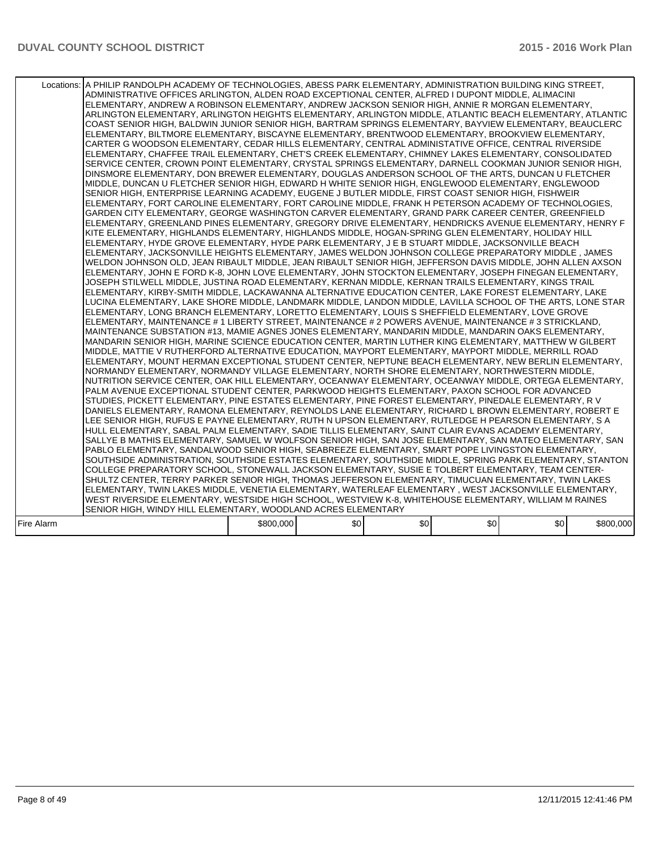|            | Locations:   A PHILIP RANDOLPH ACADEMY OF TECHNOLOGIES, ABESS PARK ELEMENTARY, ADMINISTRATION BUILDING KING STREET,<br>ADMINISTRATIVE OFFICES ARLINGTON, ALDEN ROAD EXCEPTIONAL CENTER, ALFRED I DUPONT MIDDLE, ALIMACINI<br>ELEMENTARY, ANDREW A ROBINSON ELEMENTARY, ANDREW JACKSON SENIOR HIGH, ANNIE R MORGAN ELEMENTARY,<br>ARLINGTON ELEMENTARY, ARLINGTON HEIGHTS ELEMENTARY, ARLINGTON MIDDLE, ATLANTIC BEACH ELEMENTARY, ATLANTIC<br>COAST SENIOR HIGH, BALDWIN JUNIOR SENIOR HIGH, BARTRAM SPRINGS ELEMENTARY, BAYVIEW ELEMENTARY, BEAUCLERC<br>ELEMENTARY, BILTMORE ELEMENTARY, BISCAYNE ELEMENTARY, BRENTWOOD ELEMENTARY, BROOKVIEW ELEMENTARY,<br>CARTER G WOODSON ELEMENTARY, CEDAR HILLS ELEMENTARY, CENTRAL ADMINISTATIVE OFFICE, CENTRAL RIVERSIDE<br>ELEMENTARY, CHAFFEE TRAIL ELEMENTARY, CHET'S CREEK ELEMENTARY, CHIMNEY LAKES ELEMENTARY, CONSOLIDATED<br>SERVICE CENTER, CROWN POINT ELEMENTARY, CRYSTAL SPRINGS ELEMENTARY, DARNELL COOKMAN JUNIOR SENIOR HIGH,<br>DINSMORE ELEMENTARY, DON BREWER ELEMENTARY, DOUGLAS ANDERSON SCHOOL OF THE ARTS, DUNCAN U FLETCHER<br>MIDDLE, DUNCAN U FLETCHER SENIOR HIGH, EDWARD H WHITE SENIOR HIGH, ENGLEWOOD ELEMENTARY, ENGLEWOOD<br>SENIOR HIGH, ENTERPRISE LEARNING ACADEMY, EUGENE J BUTLER MIDDLE, FIRST COAST SENIOR HIGH, FISHWEIR<br>ELEMENTARY, FORT CAROLINE ELEMENTARY, FORT CAROLINE MIDDLE, FRANK H PETERSON ACADEMY OF TECHNOLOGIES.<br>GARDEN CITY ELEMENTARY, GEORGE WASHINGTON CARVER ELEMENTARY, GRAND PARK CAREER CENTER, GREENFIELD<br>ELEMENTARY, GREENLAND PINES ELEMENTARY, GREGORY DRIVE ELEMENTARY, HENDRICKS AVENUE ELEMENTARY, HENRY F<br>KITE ELEMENTARY, HIGHLANDS ELEMENTARY, HIGHLANDS MIDDLE, HOGAN-SPRING GLEN ELEMENTARY, HOLIDAY HILL<br>ELEMENTARY, HYDE GROVE ELEMENTARY, HYDE PARK ELEMENTARY, J E B STUART MIDDLE, JACKSONVILLE BEACH<br>ELEMENTARY, JACKSONVILLE HEIGHTS ELEMENTARY, JAMES WELDON JOHNSON COLLEGE PREPARATORY MIDDLE, JAMES<br>WELDON JOHNSON OLD, JEAN RIBAULT MIDDLE, JEAN RIBAULT SENIOR HIGH, JEFFERSON DAVIS MIDDLE, JOHN ALLEN AXSON<br>ELEMENTARY, JOHN E FORD K-8, JOHN LOVE ELEMENTARY, JOHN STOCKTON ELEMENTARY, JOSEPH FINEGAN ELEMENTARY,<br>JOSEPH STILWELL MIDDLE. JUSTINA ROAD ELEMENTARY. KERNAN MIDDLE. KERNAN TRAILS ELEMENTARY. KINGS TRAIL<br>ELEMENTARY, KIRBY-SMITH MIDDLE, LACKAWANNA ALTERNATIVE EDUCATION CENTER, LAKE FOREST ELEMENTARY, LAKE<br>LUCINA ELEMENTARY, LAKE SHORE MIDDLE, LANDMARK MIDDLE, LANDON MIDDLE, LAVILLA SCHOOL OF THE ARTS, LONE STAR<br>ELEMENTARY, LONG BRANCH ELEMENTARY, LORETTO ELEMENTARY, LOUIS S SHEFFIELD ELEMENTARY, LOVE GROVE<br>ELEMENTARY, MAINTENANCE # 1 LIBERTY STREET, MAINTENANCE # 2 POWERS AVENUE, MAINTENANCE # 3 STRICKLAND,<br>MAINTENANCE SUBSTATION #13, MAMIE AGNES JONES ELEMENTARY, MANDARIN MIDDLE, MANDARIN OAKS ELEMENTARY,<br>MANDARIN SENIOR HIGH, MARINE SCIENCE EDUCATION CENTER, MARTIN LUTHER KING ELEMENTARY, MATTHEW W GILBERT<br>MIDDLE, MATTIE V RUTHERFORD ALTERNATIVE EDUCATION, MAYPORT ELEMENTARY, MAYPORT MIDDLE, MERRILL ROAD<br>ELEMENTARY, MOUNT HERMAN EXCEPTIONAL STUDENT CENTER, NEPTUNE BEACH ELEMENTARY, NEW BERLIN ELEMENTARY,<br>NORMANDY ELEMENTARY, NORMANDY VILLAGE ELEMENTARY, NORTH SHORE ELEMENTARY, NORTHWESTERN MIDDLE,<br>NUTRITION SERVICE CENTER, OAK HILL ELEMENTARY, OCEANWAY ELEMENTARY, OCEANWAY MIDDLE, ORTEGA ELEMENTARY,<br>PALM AVENUE EXCEPTIONAL STUDENT CENTER, PARKWOOD HEIGHTS ELEMENTARY, PAXON SCHOOL FOR ADVANCED<br>STUDIES, PICKETT ELEMENTARY, PINE ESTATES ELEMENTARY, PINE FOREST ELEMENTARY, PINEDALE ELEMENTARY, RV<br>DANIELS ELEMENTARY, RAMONA ELEMENTARY, REYNOLDS LANE ELEMENTARY, RICHARD L BROWN ELEMENTARY, ROBERT E<br>LEE SENIOR HIGH, RUFUS E PAYNE ELEMENTARY, RUTH N UPSON ELEMENTARY, RUTLEDGE H PEARSON ELEMENTARY, S A<br>HULL ELEMENTARY, SABAL PALM ELEMENTARY, SADIE TILLIS ELEMENTARY, SAINT CLAIR EVANS ACADEMY ELEMENTARY,<br>SALLYE B MATHIS ELEMENTARY, SAMUEL W WOLFSON SENIOR HIGH, SAN JOSE ELEMENTARY, SAN MATEO ELEMENTARY, SAN<br>PABLO ELEMENTARY, SANDALWOOD SENIOR HIGH, SEABREEZE ELEMENTARY, SMART POPE LIVINGSTON ELEMENTARY,<br>SOUTHSIDE ADMINISTRATION, SOUTHSIDE ESTATES ELEMENTARY, SOUTHSIDE MIDDLE, SPRING PARK ELEMENTARY, STANTON<br>COLLEGE PREPARATORY SCHOOL, STONEWALL JACKSON ELEMENTARY, SUSIE E TOLBERT ELEMENTARY, TEAM CENTER-<br>SHULTZ CENTER, TERRY PARKER SENIOR HIGH, THOMAS JEFFERSON ELEMENTARY, TIMUCUAN ELEMENTARY, TWIN LAKES<br>ELEMENTARY, TWIN LAKES MIDDLE, VENETIA ELEMENTARY, WATERLEAF ELEMENTARY, WEST JACKSONVILLE ELEMENTARY,<br>WEST RIVERSIDE ELEMENTARY, WESTSIDE HIGH SCHOOL, WESTVIEW K-8, WHITEHOUSE ELEMENTARY, WILLIAM M RAINES<br>SENIOR HIGH, WINDY HILL ELEMENTARY, WOODLAND ACRES ELEMENTARY |           |     |     |     |     |           |
|------------|---------------------------------------------------------------------------------------------------------------------------------------------------------------------------------------------------------------------------------------------------------------------------------------------------------------------------------------------------------------------------------------------------------------------------------------------------------------------------------------------------------------------------------------------------------------------------------------------------------------------------------------------------------------------------------------------------------------------------------------------------------------------------------------------------------------------------------------------------------------------------------------------------------------------------------------------------------------------------------------------------------------------------------------------------------------------------------------------------------------------------------------------------------------------------------------------------------------------------------------------------------------------------------------------------------------------------------------------------------------------------------------------------------------------------------------------------------------------------------------------------------------------------------------------------------------------------------------------------------------------------------------------------------------------------------------------------------------------------------------------------------------------------------------------------------------------------------------------------------------------------------------------------------------------------------------------------------------------------------------------------------------------------------------------------------------------------------------------------------------------------------------------------------------------------------------------------------------------------------------------------------------------------------------------------------------------------------------------------------------------------------------------------------------------------------------------------------------------------------------------------------------------------------------------------------------------------------------------------------------------------------------------------------------------------------------------------------------------------------------------------------------------------------------------------------------------------------------------------------------------------------------------------------------------------------------------------------------------------------------------------------------------------------------------------------------------------------------------------------------------------------------------------------------------------------------------------------------------------------------------------------------------------------------------------------------------------------------------------------------------------------------------------------------------------------------------------------------------------------------------------------------------------------------------------------------------------------------------------------------------------------------------------------------------------------------------------------------------------------------------------------------------------------------------------------------------------------------------------------------------------------------------------------------------------------------------------------------------------------------------------------------------------------------------------------------------------------------------------------------------------------------------------------------------------------------------------------------------------------------------------------------------------------------------------------------------------------------------------------------------------------------------------------------------------------------------------------------------------------------------------------------------------------------------------------------------------------------------------------------------------------------------------------------------------------------------------------------------------------------------------------|-----------|-----|-----|-----|-----|-----------|
| Fire Alarm |                                                                                                                                                                                                                                                                                                                                                                                                                                                                                                                                                                                                                                                                                                                                                                                                                                                                                                                                                                                                                                                                                                                                                                                                                                                                                                                                                                                                                                                                                                                                                                                                                                                                                                                                                                                                                                                                                                                                                                                                                                                                                                                                                                                                                                                                                                                                                                                                                                                                                                                                                                                                                                                                                                                                                                                                                                                                                                                                                                                                                                                                                                                                                                                                                                                                                                                                                                                                                                                                                                                                                                                                                                                                                                                                                                                                                                                                                                                                                                                                                                                                                                                                                                                                                                                                                                                                                                                                                                                                                                                                                                                                                                                                                                                                                         | \$800,000 | \$0 | \$0 | \$0 | \$0 | \$800,000 |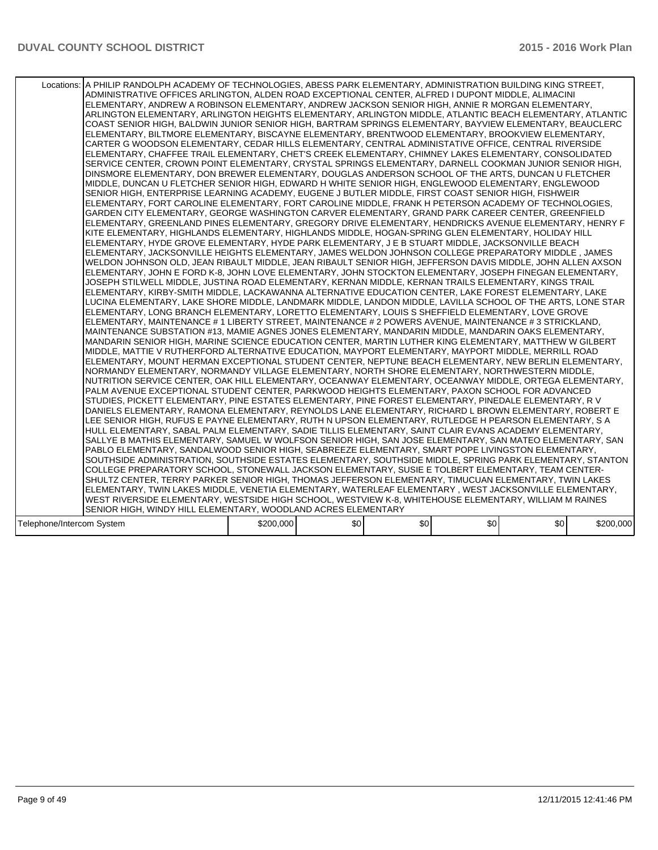| Locations: A PHILIP RANDOLPH ACADEMY OF TECHNOLOGIES, ABESS PARK ELEMENTARY, ADMINISTRATION BUILDING KING STREET,<br>ADMINISTRATIVE OFFICES ARLINGTON, ALDEN ROAD EXCEPTIONAL CENTER, ALFRED I DUPONT MIDDLE, ALIMACINI<br>ELEMENTARY, ANDREW A ROBINSON ELEMENTARY, ANDREW JACKSON SENIOR HIGH, ANNIE R MORGAN ELEMENTARY,<br>ARLINGTON ELEMENTARY, ARLINGTON HEIGHTS ELEMENTARY, ARLINGTON MIDDLE, ATLANTIC BEACH ELEMENTARY, ATLANTIC<br>COAST SENIOR HIGH, BALDWIN JUNIOR SENIOR HIGH, BARTRAM SPRINGS ELEMENTARY, BAYVIEW ELEMENTARY, BEAUCLERC<br>ELEMENTARY, BILTMORE ELEMENTARY, BISCAYNE ELEMENTARY, BRENTWOOD ELEMENTARY, BROOKVIEW ELEMENTARY,<br>CARTER G WOODSON ELEMENTARY, CEDAR HILLS ELEMENTARY, CENTRAL ADMINISTATIVE OFFICE, CENTRAL RIVERSIDE<br>ELEMENTARY, CHAFFEE TRAIL ELEMENTARY, CHET'S CREEK ELEMENTARY, CHIMNEY LAKES ELEMENTARY, CONSOLIDATED<br>SERVICE CENTER, CROWN POINT ELEMENTARY, CRYSTAL SPRINGS ELEMENTARY, DARNELL COOKMAN JUNIOR SENIOR HIGH,<br>DINSMORE ELEMENTARY, DON BREWER ELEMENTARY, DOUGLAS ANDERSON SCHOOL OF THE ARTS, DUNCAN U FLETCHER<br>MIDDLE, DUNCAN U FLETCHER SENIOR HIGH, EDWARD H WHITE SENIOR HIGH, ENGLEWOOD ELEMENTARY, ENGLEWOOD<br>SENIOR HIGH. ENTERPRISE LEARNING ACADEMY. EUGENE J BUTLER MIDDLE. FIRST COAST SENIOR HIGH. FISHWEIR<br>ELEMENTARY, FORT CAROLINE ELEMENTARY, FORT CAROLINE MIDDLE, FRANK H PETERSON ACADEMY OF TECHNOLOGIES,<br>GARDEN CITY ELEMENTARY, GEORGE WASHINGTON CARVER ELEMENTARY, GRAND PARK CAREER CENTER, GREENFIELD<br>ELEMENTARY, GREENLAND PINES ELEMENTARY, GREGORY DRIVE ELEMENTARY, HENDRICKS AVENUE ELEMENTARY, HENRY F<br>KITE ELEMENTARY. HIGHLANDS ELEMENTARY. HIGHLANDS MIDDLE. HOGAN-SPRING GLEN ELEMENTARY. HOLIDAY HILL<br>ELEMENTARY, HYDE GROVE ELEMENTARY, HYDE PARK ELEMENTARY, J E B STUART MIDDLE, JACKSONVILLE BEACH<br>ELEMENTARY, JACKSONVILLE HEIGHTS ELEMENTARY, JAMES WELDON JOHNSON COLLEGE PREPARATORY MIDDLE, JAMES<br>WELDON JOHNSON OLD, JEAN RIBAULT MIDDLE, JEAN RIBAULT SENIOR HIGH, JEFFERSON DAVIS MIDDLE, JOHN ALLEN AXSON<br>ELEMENTARY, JOHN E FORD K-8, JOHN LOVE ELEMENTARY, JOHN STOCKTON ELEMENTARY, JOSEPH FINEGAN ELEMENTARY,<br>JOSEPH STILWELL MIDDLE, JUSTINA ROAD ELEMENTARY, KERNAN MIDDLE, KERNAN TRAILS ELEMENTARY, KINGS TRAIL<br>ELEMENTARY, KIRBY-SMITH MIDDLE, LACKAWANNA ALTERNATIVE EDUCATION CENTER, LAKE FOREST ELEMENTARY, LAKE<br>LUCINA ELEMENTARY, LAKE SHORE MIDDLE, LANDMARK MIDDLE, LANDON MIDDLE, LAVILLA SCHOOL OF THE ARTS, LONE STAR<br>ELEMENTARY, LONG BRANCH ELEMENTARY, LORETTO ELEMENTARY, LOUIS S SHEFFIELD ELEMENTARY, LOVE GROVE<br>ELEMENTARY, MAINTENANCE # 1 LIBERTY STREET, MAINTENANCE # 2 POWERS AVENUE, MAINTENANCE # 3 STRICKLAND,<br>MAINTENANCE SUBSTATION #13, MAMIE AGNES JONES ELEMENTARY, MANDARIN MIDDLE, MANDARIN OAKS ELEMENTARY,<br>MANDARIN SENIOR HIGH, MARINE SCIENCE EDUCATION CENTER, MARTIN LUTHER KING ELEMENTARY, MATTHEW W GILBERT<br>MIDDLE, MATTIE V RUTHERFORD ALTERNATIVE EDUCATION, MAYPORT ELEMENTARY, MAYPORT MIDDLE, MERRILL ROAD<br>ELEMENTARY, MOUNT HERMAN EXCEPTIONAL STUDENT CENTER, NEPTUNE BEACH ELEMENTARY, NEW BERLIN ELEMENTARY,<br>NORMANDY ELEMENTARY, NORMANDY VILLAGE ELEMENTARY, NORTH SHORE ELEMENTARY, NORTHWESTERN MIDDLE,<br>NUTRITION SERVICE CENTER, OAK HILL ELEMENTARY, OCEANWAY ELEMENTARY, OCEANWAY MIDDLE, ORTEGA ELEMENTARY,<br>PALM AVENUE EXCEPTIONAL STUDENT CENTER, PARKWOOD HEIGHTS ELEMENTARY, PAXON SCHOOL FOR ADVANCED<br>STUDIES, PICKETT ELEMENTARY, PINE ESTATES ELEMENTARY, PINE FOREST ELEMENTARY, PINEDALE ELEMENTARY, RV<br>DANIELS ELEMENTARY, RAMONA ELEMENTARY, REYNOLDS LANE ELEMENTARY, RICHARD L BROWN ELEMENTARY, ROBERT E<br>LEE SENIOR HIGH, RUFUS E PAYNE ELEMENTARY, RUTH N UPSON ELEMENTARY, RUTLEDGE H PEARSON ELEMENTARY, S A<br>HULL ELEMENTARY, SABAL PALM ELEMENTARY, SADIE TILLIS ELEMENTARY, SAINT CLAIR EVANS ACADEMY ELEMENTARY,<br>SALLYE B MATHIS ELEMENTARY, SAMUEL W WOLFSON SENIOR HIGH, SAN JOSE ELEMENTARY, SAN MATEO ELEMENTARY, SAN<br>PABLO ELEMENTARY, SANDALWOOD SENIOR HIGH, SEABREEZE ELEMENTARY, SMART POPE LIVINGSTON ELEMENTARY,<br>SOUTHSIDE ADMINISTRATION, SOUTHSIDE ESTATES ELEMENTARY, SOUTHSIDE MIDDLE, SPRING PARK ELEMENTARY, STANTON<br>COLLEGE PREPARATORY SCHOOL, STONEWALL JACKSON ELEMENTARY, SUSIE E TOLBERT ELEMENTARY, TEAM CENTER-<br>SHULTZ CENTER, TERRY PARKER SENIOR HIGH, THOMAS JEFFERSON ELEMENTARY, TIMUCUAN ELEMENTARY, TWIN LAKES<br>ELEMENTARY, TWIN LAKES MIDDLE, VENETIA ELEMENTARY, WATERLEAF ELEMENTARY, WEST JACKSONVILLE ELEMENTARY,<br>WEST RIVERSIDE ELEMENTARY, WESTSIDE HIGH SCHOOL, WESTVIEW K-8, WHITEHOUSE ELEMENTARY, WILLIAM M RAINES<br>SENIOR HIGH, WINDY HILL ELEMENTARY, WOODLAND ACRES ELEMENTARY |           |     |     |     |     |           |
|-------------------------------------------------------------------------------------------------------------------------------------------------------------------------------------------------------------------------------------------------------------------------------------------------------------------------------------------------------------------------------------------------------------------------------------------------------------------------------------------------------------------------------------------------------------------------------------------------------------------------------------------------------------------------------------------------------------------------------------------------------------------------------------------------------------------------------------------------------------------------------------------------------------------------------------------------------------------------------------------------------------------------------------------------------------------------------------------------------------------------------------------------------------------------------------------------------------------------------------------------------------------------------------------------------------------------------------------------------------------------------------------------------------------------------------------------------------------------------------------------------------------------------------------------------------------------------------------------------------------------------------------------------------------------------------------------------------------------------------------------------------------------------------------------------------------------------------------------------------------------------------------------------------------------------------------------------------------------------------------------------------------------------------------------------------------------------------------------------------------------------------------------------------------------------------------------------------------------------------------------------------------------------------------------------------------------------------------------------------------------------------------------------------------------------------------------------------------------------------------------------------------------------------------------------------------------------------------------------------------------------------------------------------------------------------------------------------------------------------------------------------------------------------------------------------------------------------------------------------------------------------------------------------------------------------------------------------------------------------------------------------------------------------------------------------------------------------------------------------------------------------------------------------------------------------------------------------------------------------------------------------------------------------------------------------------------------------------------------------------------------------------------------------------------------------------------------------------------------------------------------------------------------------------------------------------------------------------------------------------------------------------------------------------------------------------------------------------------------------------------------------------------------------------------------------------------------------------------------------------------------------------------------------------------------------------------------------------------------------------------------------------------------------------------------------------------------------------------------------------------------------------------------------------------------------------------------------------------------------------------------------------------------------------------------------------------------------------------------------------------------------------------------------------------------------------------------------------------------------------------------------------------------------------------------------------------------------------------------------------------------------------------------------------------------------------------------------------------------------------------------|-----------|-----|-----|-----|-----|-----------|
| Telephone/Intercom System                                                                                                                                                                                                                                                                                                                                                                                                                                                                                                                                                                                                                                                                                                                                                                                                                                                                                                                                                                                                                                                                                                                                                                                                                                                                                                                                                                                                                                                                                                                                                                                                                                                                                                                                                                                                                                                                                                                                                                                                                                                                                                                                                                                                                                                                                                                                                                                                                                                                                                                                                                                                                                                                                                                                                                                                                                                                                                                                                                                                                                                                                                                                                                                                                                                                                                                                                                                                                                                                                                                                                                                                                                                                                                                                                                                                                                                                                                                                                                                                                                                                                                                                                                                                                                                                                                                                                                                                                                                                                                                                                                                                                                                                                                                             | \$200,000 | \$0 | \$0 | \$0 | \$0 | \$200,000 |
|                                                                                                                                                                                                                                                                                                                                                                                                                                                                                                                                                                                                                                                                                                                                                                                                                                                                                                                                                                                                                                                                                                                                                                                                                                                                                                                                                                                                                                                                                                                                                                                                                                                                                                                                                                                                                                                                                                                                                                                                                                                                                                                                                                                                                                                                                                                                                                                                                                                                                                                                                                                                                                                                                                                                                                                                                                                                                                                                                                                                                                                                                                                                                                                                                                                                                                                                                                                                                                                                                                                                                                                                                                                                                                                                                                                                                                                                                                                                                                                                                                                                                                                                                                                                                                                                                                                                                                                                                                                                                                                                                                                                                                                                                                                                                       |           |     |     |     |     |           |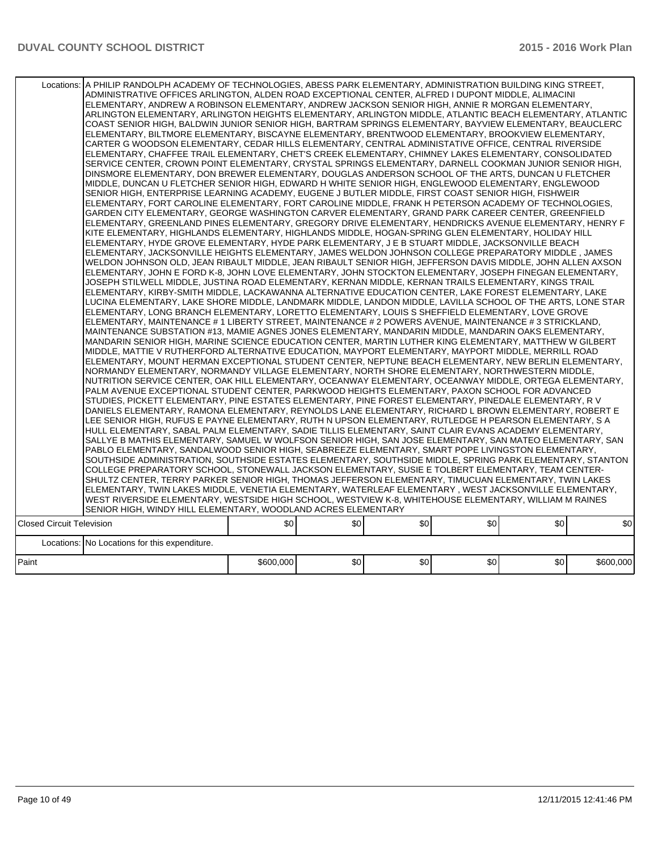|                                  | Locations: A PHILIP RANDOLPH ACADEMY OF TECHNOLOGIES, ABESS PARK ELEMENTARY, ADMINISTRATION BUILDING KING STREET,<br>ADMINISTRATIVE OFFICES ARLINGTON, ALDEN ROAD EXCEPTIONAL CENTER, ALFRED I DUPONT MIDDLE, ALIMACINI<br>ELEMENTARY, ANDREW A ROBINSON ELEMENTARY, ANDREW JACKSON SENIOR HIGH, ANNIE R MORGAN ELEMENTARY,<br>ARLINGTON ELEMENTARY, ARLINGTON HEIGHTS ELEMENTARY, ARLINGTON MIDDLE, ATLANTIC BEACH ELEMENTARY, ATLANTIC<br>COAST SENIOR HIGH, BALDWIN JUNIOR SENIOR HIGH, BARTRAM SPRINGS ELEMENTARY, BAYVIEW ELEMENTARY, BEAUCLERC<br>ELEMENTARY, BILTMORE ELEMENTARY, BISCAYNE ELEMENTARY, BRENTWOOD ELEMENTARY, BROOKVIEW ELEMENTARY,<br>CARTER G WOODSON ELEMENTARY, CEDAR HILLS ELEMENTARY, CENTRAL ADMINISTATIVE OFFICE, CENTRAL RIVERSIDE<br>ELEMENTARY, CHAFFEE TRAIL ELEMENTARY, CHET'S CREEK ELEMENTARY, CHIMNEY LAKES ELEMENTARY, CONSOLIDATED<br>SERVICE CENTER, CROWN POINT ELEMENTARY, CRYSTAL SPRINGS ELEMENTARY, DARNELL COOKMAN JUNIOR SENIOR HIGH,<br>DINSMORE ELEMENTARY, DON BREWER ELEMENTARY, DOUGLAS ANDERSON SCHOOL OF THE ARTS, DUNCAN U FLETCHER<br>MIDDLE, DUNCAN U FLETCHER SENIOR HIGH, EDWARD H WHITE SENIOR HIGH, ENGLEWOOD ELEMENTARY, ENGLEWOOD<br>SENIOR HIGH, ENTERPRISE LEARNING ACADEMY, EUGENE J BUTLER MIDDLE, FIRST COAST SENIOR HIGH, FISHWEIR<br>ELEMENTARY, FORT CAROLINE ELEMENTARY, FORT CAROLINE MIDDLE, FRANK H PETERSON ACADEMY OF TECHNOLOGIES,<br>GARDEN CITY ELEMENTARY. GEORGE WASHINGTON CARVER ELEMENTARY. GRAND PARK CAREER CENTER. GREENFIELD<br>ELEMENTARY, GREENLAND PINES ELEMENTARY, GREGORY DRIVE ELEMENTARY, HENDRICKS AVENUE ELEMENTARY, HENRY F<br>KITE ELEMENTARY, HIGHLANDS ELEMENTARY, HIGHLANDS MIDDLE, HOGAN-SPRING GLEN ELEMENTARY, HOLIDAY HILL<br>ELEMENTARY, HYDE GROVE ELEMENTARY, HYDE PARK ELEMENTARY, J E B STUART MIDDLE, JACKSONVILLE BEACH<br>ELEMENTARY, JACKSONVILLE HEIGHTS ELEMENTARY, JAMES WELDON JOHNSON COLLEGE PREPARATORY MIDDLE, JAMES<br>WELDON JOHNSON OLD, JEAN RIBAULT MIDDLE, JEAN RIBAULT SENIOR HIGH, JEFFERSON DAVIS MIDDLE, JOHN ALLEN AXSON<br>ELEMENTARY, JOHN E FORD K-8, JOHN LOVE ELEMENTARY, JOHN STOCKTON ELEMENTARY, JOSEPH FINEGAN ELEMENTARY,<br>JOSEPH STILWELL MIDDLE, JUSTINA ROAD ELEMENTARY, KERNAN MIDDLE, KERNAN TRAILS ELEMENTARY, KINGS TRAIL<br>ELEMENTARY, KIRBY-SMITH MIDDLE, LACKAWANNA ALTERNATIVE EDUCATION CENTER, LAKE FOREST ELEMENTARY, LAKE<br>LUCINA ELEMENTARY, LAKE SHORE MIDDLE, LANDMARK MIDDLE, LANDON MIDDLE, LAVILLA SCHOOL OF THE ARTS, LONE STAR<br>ELEMENTARY, LONG BRANCH ELEMENTARY, LORETTO ELEMENTARY, LOUIS S SHEFFIELD ELEMENTARY, LOVE GROVE<br>ELEMENTARY, MAINTENANCE # 1 LIBERTY STREET, MAINTENANCE # 2 POWERS AVENUE, MAINTENANCE # 3 STRICKLAND,<br>MAINTENANCE SUBSTATION #13, MAMIE AGNES JONES ELEMENTARY, MANDARIN MIDDLE, MANDARIN OAKS ELEMENTARY,<br>MANDARIN SENIOR HIGH, MARINE SCIENCE EDUCATION CENTER, MARTIN LUTHER KING ELEMENTARY, MATTHEW W GILBERT<br>MIDDLE, MATTIE V RUTHERFORD ALTERNATIVE EDUCATION, MAYPORT ELEMENTARY, MAYPORT MIDDLE, MERRILL ROAD<br>ELEMENTARY, MOUNT HERMAN EXCEPTIONAL STUDENT CENTER, NEPTUNE BEACH ELEMENTARY, NEW BERLIN ELEMENTARY,<br>NORMANDY ELEMENTARY, NORMANDY VILLAGE ELEMENTARY, NORTH SHORE ELEMENTARY, NORTHWESTERN MIDDLE,<br>NUTRITION SERVICE CENTER, OAK HILL ELEMENTARY, OCEANWAY ELEMENTARY, OCEANWAY MIDDLE, ORTEGA ELEMENTARY,<br>PALM AVENUE EXCEPTIONAL STUDENT CENTER, PARKWOOD HEIGHTS ELEMENTARY, PAXON SCHOOL FOR ADVANCED<br>STUDIES, PICKETT ELEMENTARY, PINE ESTATES ELEMENTARY, PINE FOREST ELEMENTARY, PINEDALE ELEMENTARY, R V<br>DANIELS ELEMENTARY, RAMONA ELEMENTARY, REYNOLDS LANE ELEMENTARY, RICHARD L BROWN ELEMENTARY, ROBERT E<br>LEE SENIOR HIGH, RUFUS E PAYNE ELEMENTARY, RUTH N UPSON ELEMENTARY, RUTLEDGE H PEARSON ELEMENTARY, S A<br>HULL ELEMENTARY, SABAL PALM ELEMENTARY, SADIE TILLIS ELEMENTARY, SAINT CLAIR EVANS ACADEMY ELEMENTARY,<br>SALLYE B MATHIS ELEMENTARY, SAMUEL W WOLFSON SENIOR HIGH, SAN JOSE ELEMENTARY, SAN MATEO ELEMENTARY, SAN<br>PABLO ELEMENTARY, SANDALWOOD SENIOR HIGH, SEABREEZE ELEMENTARY, SMART POPE LIVINGSTON ELEMENTARY,<br>SOUTHSIDE ADMINISTRATION, SOUTHSIDE ESTATES ELEMENTARY, SOUTHSIDE MIDDLE, SPRING PARK ELEMENTARY, STANTON<br>COLLEGE PREPARATORY SCHOOL, STONEWALL JACKSON ELEMENTARY, SUSIE E TOLBERT ELEMENTARY, TEAM CENTER-<br>SHULTZ CENTER, TERRY PARKER SENIOR HIGH, THOMAS JEFFERSON ELEMENTARY, TIMUCUAN ELEMENTARY, TWIN LAKES<br>ELEMENTARY, TWIN LAKES MIDDLE, VENETIA ELEMENTARY, WATERLEAF ELEMENTARY , WEST JACKSONVILLE ELEMENTARY,<br>WEST RIVERSIDE ELEMENTARY, WESTSIDE HIGH SCHOOL, WESTVIEW K-8, WHITEHOUSE ELEMENTARY, WILLIAM M RAINES<br>SENIOR HIGH, WINDY HILL ELEMENTARY, WOODLAND ACRES ELEMENTARY |           |     |     |     |     |           |
|----------------------------------|---------------------------------------------------------------------------------------------------------------------------------------------------------------------------------------------------------------------------------------------------------------------------------------------------------------------------------------------------------------------------------------------------------------------------------------------------------------------------------------------------------------------------------------------------------------------------------------------------------------------------------------------------------------------------------------------------------------------------------------------------------------------------------------------------------------------------------------------------------------------------------------------------------------------------------------------------------------------------------------------------------------------------------------------------------------------------------------------------------------------------------------------------------------------------------------------------------------------------------------------------------------------------------------------------------------------------------------------------------------------------------------------------------------------------------------------------------------------------------------------------------------------------------------------------------------------------------------------------------------------------------------------------------------------------------------------------------------------------------------------------------------------------------------------------------------------------------------------------------------------------------------------------------------------------------------------------------------------------------------------------------------------------------------------------------------------------------------------------------------------------------------------------------------------------------------------------------------------------------------------------------------------------------------------------------------------------------------------------------------------------------------------------------------------------------------------------------------------------------------------------------------------------------------------------------------------------------------------------------------------------------------------------------------------------------------------------------------------------------------------------------------------------------------------------------------------------------------------------------------------------------------------------------------------------------------------------------------------------------------------------------------------------------------------------------------------------------------------------------------------------------------------------------------------------------------------------------------------------------------------------------------------------------------------------------------------------------------------------------------------------------------------------------------------------------------------------------------------------------------------------------------------------------------------------------------------------------------------------------------------------------------------------------------------------------------------------------------------------------------------------------------------------------------------------------------------------------------------------------------------------------------------------------------------------------------------------------------------------------------------------------------------------------------------------------------------------------------------------------------------------------------------------------------------------------------------------------------------------------------------------------------------------------------------------------------------------------------------------------------------------------------------------------------------------------------------------------------------------------------------------------------------------------------------------------------------------------------------------------------------------------------------------------------------------------------------------------------------------------------------------------|-----------|-----|-----|-----|-----|-----------|
| <b>Closed Circuit Television</b> |                                                                                                                                                                                                                                                                                                                                                                                                                                                                                                                                                                                                                                                                                                                                                                                                                                                                                                                                                                                                                                                                                                                                                                                                                                                                                                                                                                                                                                                                                                                                                                                                                                                                                                                                                                                                                                                                                                                                                                                                                                                                                                                                                                                                                                                                                                                                                                                                                                                                                                                                                                                                                                                                                                                                                                                                                                                                                                                                                                                                                                                                                                                                                                                                                                                                                                                                                                                                                                                                                                                                                                                                                                                                                                                                                                                                                                                                                                                                                                                                                                                                                                                                                                                                                                                                                                                                                                                                                                                                                                                                                                                                                                                                                                                                                         | \$0       | \$0 | \$0 | \$0 | \$0 | \$0       |
|                                  | Locations: No Locations for this expenditure.                                                                                                                                                                                                                                                                                                                                                                                                                                                                                                                                                                                                                                                                                                                                                                                                                                                                                                                                                                                                                                                                                                                                                                                                                                                                                                                                                                                                                                                                                                                                                                                                                                                                                                                                                                                                                                                                                                                                                                                                                                                                                                                                                                                                                                                                                                                                                                                                                                                                                                                                                                                                                                                                                                                                                                                                                                                                                                                                                                                                                                                                                                                                                                                                                                                                                                                                                                                                                                                                                                                                                                                                                                                                                                                                                                                                                                                                                                                                                                                                                                                                                                                                                                                                                                                                                                                                                                                                                                                                                                                                                                                                                                                                                                           |           |     |     |     |     |           |
| Paint                            |                                                                                                                                                                                                                                                                                                                                                                                                                                                                                                                                                                                                                                                                                                                                                                                                                                                                                                                                                                                                                                                                                                                                                                                                                                                                                                                                                                                                                                                                                                                                                                                                                                                                                                                                                                                                                                                                                                                                                                                                                                                                                                                                                                                                                                                                                                                                                                                                                                                                                                                                                                                                                                                                                                                                                                                                                                                                                                                                                                                                                                                                                                                                                                                                                                                                                                                                                                                                                                                                                                                                                                                                                                                                                                                                                                                                                                                                                                                                                                                                                                                                                                                                                                                                                                                                                                                                                                                                                                                                                                                                                                                                                                                                                                                                                         | \$600,000 | 30  | \$0 | \$0 | \$0 | \$600,000 |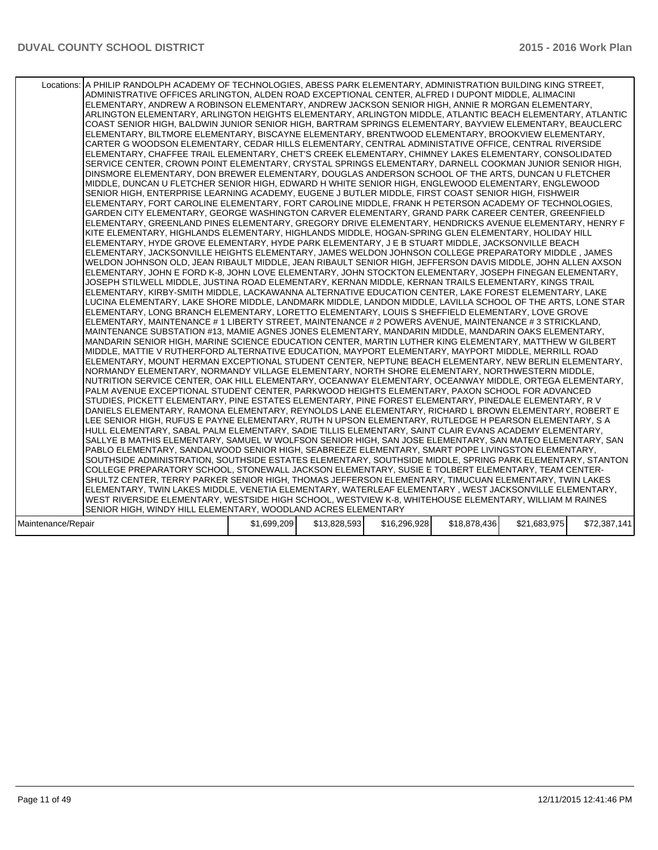| Locations: A PHILIP RANDOLPH ACADEMY OF TECHNOLOGIES, ABESS PARK ELEMENTARY, ADMINISTRATION BUILDING KING STREET,<br>ADMINISTRATIVE OFFICES ARLINGTON, ALDEN ROAD EXCEPTIONAL CENTER, ALFRED I DUPONT MIDDLE, ALIMACINI<br>ELEMENTARY, ANDREW A ROBINSON ELEMENTARY, ANDREW JACKSON SENIOR HIGH, ANNIE R MORGAN ELEMENTARY,<br>ARLINGTON ELEMENTARY, ARLINGTON HEIGHTS ELEMENTARY, ARLINGTON MIDDLE, ATLANTIC BEACH ELEMENTARY, ATLANTIC<br>COAST SENIOR HIGH, BALDWIN JUNIOR SENIOR HIGH, BARTRAM SPRINGS ELEMENTARY, BAYVIEW ELEMENTARY, BEAUCLERC<br>ELEMENTARY, BILTMORE ELEMENTARY, BISCAYNE ELEMENTARY, BRENTWOOD ELEMENTARY, BROOKVIEW ELEMENTARY,<br>CARTER G WOODSON ELEMENTARY, CEDAR HILLS ELEMENTARY, CENTRAL ADMINISTATIVE OFFICE, CENTRAL RIVERSIDE<br>ELEMENTARY, CHAFFEE TRAIL ELEMENTARY, CHET'S CREEK ELEMENTARY, CHIMNEY LAKES ELEMENTARY, CONSOLIDATED<br>SERVICE CENTER, CROWN POINT ELEMENTARY, CRYSTAL SPRINGS ELEMENTARY, DARNELL COOKMAN JUNIOR SENIOR HIGH,<br>DINSMORE ELEMENTARY, DON BREWER ELEMENTARY, DOUGLAS ANDERSON SCHOOL OF THE ARTS, DUNCAN U FLETCHER<br>MIDDLE, DUNCAN U FLETCHER SENIOR HIGH, EDWARD H WHITE SENIOR HIGH, ENGLEWOOD ELEMENTARY, ENGLEWOOD<br>SENIOR HIGH. ENTERPRISE LEARNING ACADEMY. EUGENE J BUTLER MIDDLE. FIRST COAST SENIOR HIGH. FISHWEIR<br>ELEMENTARY, FORT CAROLINE ELEMENTARY, FORT CAROLINE MIDDLE, FRANK H PETERSON ACADEMY OF TECHNOLOGIES,<br>GARDEN CITY ELEMENTARY, GEORGE WASHINGTON CARVER ELEMENTARY, GRAND PARK CAREER CENTER, GREENFIELD<br>ELEMENTARY, GREENLAND PINES ELEMENTARY, GREGORY DRIVE ELEMENTARY, HENDRICKS AVENUE ELEMENTARY, HENRY F<br>KITE ELEMENTARY. HIGHLANDS ELEMENTARY. HIGHLANDS MIDDLE. HOGAN-SPRING GLEN ELEMENTARY. HOLIDAY HILL<br>ELEMENTARY, HYDE GROVE ELEMENTARY, HYDE PARK ELEMENTARY, J E B STUART MIDDLE, JACKSONVILLE BEACH<br>ELEMENTARY, JACKSONVILLE HEIGHTS ELEMENTARY, JAMES WELDON JOHNSON COLLEGE PREPARATORY MIDDLE, JAMES<br>WELDON JOHNSON OLD, JEAN RIBAULT MIDDLE, JEAN RIBAULT SENIOR HIGH, JEFFERSON DAVIS MIDDLE, JOHN ALLEN AXSON<br>ELEMENTARY, JOHN E FORD K-8, JOHN LOVE ELEMENTARY, JOHN STOCKTON ELEMENTARY, JOSEPH FINEGAN ELEMENTARY,<br>JOSEPH STILWELL MIDDLE, JUSTINA ROAD ELEMENTARY, KERNAN MIDDLE, KERNAN TRAILS ELEMENTARY, KINGS TRAIL<br>ELEMENTARY, KIRBY-SMITH MIDDLE, LACKAWANNA ALTERNATIVE EDUCATION CENTER, LAKE FOREST ELEMENTARY, LAKE<br>LUCINA ELEMENTARY, LAKE SHORE MIDDLE, LANDMARK MIDDLE, LANDON MIDDLE, LAVILLA SCHOOL OF THE ARTS, LONE STAR<br>ELEMENTARY, LONG BRANCH ELEMENTARY, LORETTO ELEMENTARY, LOUIS S SHEFFIELD ELEMENTARY, LOVE GROVE<br>ELEMENTARY, MAINTENANCE # 1 LIBERTY STREET, MAINTENANCE # 2 POWERS AVENUE, MAINTENANCE # 3 STRICKLAND,<br>MAINTENANCE SUBSTATION #13, MAMIE AGNES JONES ELEMENTARY, MANDARIN MIDDLE, MANDARIN OAKS ELEMENTARY,<br>MANDARIN SENIOR HIGH, MARINE SCIENCE EDUCATION CENTER, MARTIN LUTHER KING ELEMENTARY, MATTHEW W GILBERT<br>MIDDLE, MATTIE V RUTHERFORD ALTERNATIVE EDUCATION, MAYPORT ELEMENTARY, MAYPORT MIDDLE, MERRILL ROAD<br>ELEMENTARY, MOUNT HERMAN EXCEPTIONAL STUDENT CENTER, NEPTUNE BEACH ELEMENTARY, NEW BERLIN ELEMENTARY,<br>NORMANDY ELEMENTARY, NORMANDY VILLAGE ELEMENTARY, NORTH SHORE ELEMENTARY, NORTHWESTERN MIDDLE,<br>NUTRITION SERVICE CENTER, OAK HILL ELEMENTARY, OCEANWAY ELEMENTARY, OCEANWAY MIDDLE, ORTEGA ELEMENTARY,<br>PALM AVENUE EXCEPTIONAL STUDENT CENTER, PARKWOOD HEIGHTS ELEMENTARY, PAXON SCHOOL FOR ADVANCED<br>STUDIES, PICKETT ELEMENTARY, PINE ESTATES ELEMENTARY, PINE FOREST ELEMENTARY, PINEDALE ELEMENTARY, R V<br>DANIELS ELEMENTARY, RAMONA ELEMENTARY, REYNOLDS LANE ELEMENTARY, RICHARD L BROWN ELEMENTARY, ROBERT E<br>LEE SENIOR HIGH, RUFUS E PAYNE ELEMENTARY, RUTH N UPSON ELEMENTARY, RUTLEDGE H PEARSON ELEMENTARY, S A<br>HULL ELEMENTARY, SABAL PALM ELEMENTARY, SADIE TILLIS ELEMENTARY, SAINT CLAIR EVANS ACADEMY ELEMENTARY,<br>SALLYE B MATHIS ELEMENTARY, SAMUEL W WOLFSON SENIOR HIGH, SAN JOSE ELEMENTARY, SAN MATEO ELEMENTARY, SAN<br>PABLO ELEMENTARY, SANDALWOOD SENIOR HIGH, SEABREEZE ELEMENTARY, SMART POPE LIVINGSTON ELEMENTARY,<br>SOUTHSIDE ADMINISTRATION, SOUTHSIDE ESTATES ELEMENTARY, SOUTHSIDE MIDDLE, SPRING PARK ELEMENTARY, STANTON<br>COLLEGE PREPARATORY SCHOOL, STONEWALL JACKSON ELEMENTARY, SUSIE E TOLBERT ELEMENTARY, TEAM CENTER-<br>SHULTZ CENTER, TERRY PARKER SENIOR HIGH, THOMAS JEFFERSON ELEMENTARY, TIMUCUAN ELEMENTARY, TWIN LAKES<br>ELEMENTARY, TWIN LAKES MIDDLE, VENETIA ELEMENTARY, WATERLEAF ELEMENTARY, WEST JACKSONVILLE ELEMENTARY,<br>WEST RIVERSIDE ELEMENTARY. WESTSIDE HIGH SCHOOL. WESTVIEW K-8. WHITEHOUSE ELEMENTARY. WILLIAM M RAINES<br>SENIOR HIGH, WINDY HILL ELEMENTARY, WOODLAND ACRES ELEMENTARY |             |              |              |              |              |              |
|--------------------------------------------------------------------------------------------------------------------------------------------------------------------------------------------------------------------------------------------------------------------------------------------------------------------------------------------------------------------------------------------------------------------------------------------------------------------------------------------------------------------------------------------------------------------------------------------------------------------------------------------------------------------------------------------------------------------------------------------------------------------------------------------------------------------------------------------------------------------------------------------------------------------------------------------------------------------------------------------------------------------------------------------------------------------------------------------------------------------------------------------------------------------------------------------------------------------------------------------------------------------------------------------------------------------------------------------------------------------------------------------------------------------------------------------------------------------------------------------------------------------------------------------------------------------------------------------------------------------------------------------------------------------------------------------------------------------------------------------------------------------------------------------------------------------------------------------------------------------------------------------------------------------------------------------------------------------------------------------------------------------------------------------------------------------------------------------------------------------------------------------------------------------------------------------------------------------------------------------------------------------------------------------------------------------------------------------------------------------------------------------------------------------------------------------------------------------------------------------------------------------------------------------------------------------------------------------------------------------------------------------------------------------------------------------------------------------------------------------------------------------------------------------------------------------------------------------------------------------------------------------------------------------------------------------------------------------------------------------------------------------------------------------------------------------------------------------------------------------------------------------------------------------------------------------------------------------------------------------------------------------------------------------------------------------------------------------------------------------------------------------------------------------------------------------------------------------------------------------------------------------------------------------------------------------------------------------------------------------------------------------------------------------------------------------------------------------------------------------------------------------------------------------------------------------------------------------------------------------------------------------------------------------------------------------------------------------------------------------------------------------------------------------------------------------------------------------------------------------------------------------------------------------------------------------------------------------------------------------------------------------------------------------------------------------------------------------------------------------------------------------------------------------------------------------------------------------------------------------------------------------------------------------------------------------------------------------------------------------------------------------------------------------------------------------------------------------------------------------------------|-------------|--------------|--------------|--------------|--------------|--------------|
| Maintenance/Repair                                                                                                                                                                                                                                                                                                                                                                                                                                                                                                                                                                                                                                                                                                                                                                                                                                                                                                                                                                                                                                                                                                                                                                                                                                                                                                                                                                                                                                                                                                                                                                                                                                                                                                                                                                                                                                                                                                                                                                                                                                                                                                                                                                                                                                                                                                                                                                                                                                                                                                                                                                                                                                                                                                                                                                                                                                                                                                                                                                                                                                                                                                                                                                                                                                                                                                                                                                                                                                                                                                                                                                                                                                                                                                                                                                                                                                                                                                                                                                                                                                                                                                                                                                                                                                                                                                                                                                                                                                                                                                                                                                                                                                                                                                                                     | \$1,699,209 | \$13,828,593 | \$16,296,928 | \$18,878,436 | \$21,683,975 | \$72,387,141 |
|                                                                                                                                                                                                                                                                                                                                                                                                                                                                                                                                                                                                                                                                                                                                                                                                                                                                                                                                                                                                                                                                                                                                                                                                                                                                                                                                                                                                                                                                                                                                                                                                                                                                                                                                                                                                                                                                                                                                                                                                                                                                                                                                                                                                                                                                                                                                                                                                                                                                                                                                                                                                                                                                                                                                                                                                                                                                                                                                                                                                                                                                                                                                                                                                                                                                                                                                                                                                                                                                                                                                                                                                                                                                                                                                                                                                                                                                                                                                                                                                                                                                                                                                                                                                                                                                                                                                                                                                                                                                                                                                                                                                                                                                                                                                                        |             |              |              |              |              |              |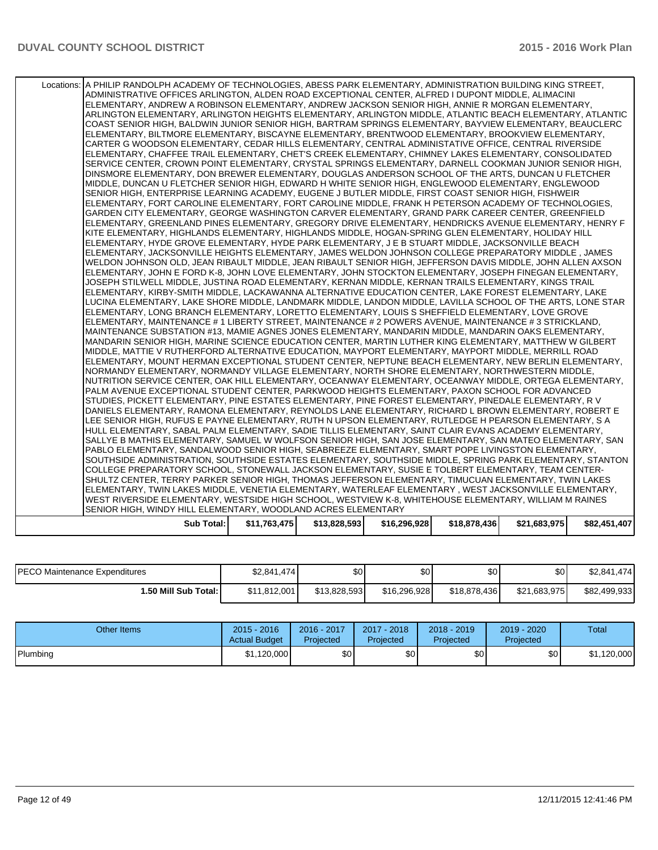| Sub Total:                                                                                                                                                                                                 | \$11,763,475 | \$13,828,593 | \$16,296,928 | \$18,878,436 | \$21,683,975 | \$82,451,407 |
|------------------------------------------------------------------------------------------------------------------------------------------------------------------------------------------------------------|--------------|--------------|--------------|--------------|--------------|--------------|
| SENIOR HIGH, WINDY HILL ELEMENTARY, WOODLAND ACRES ELEMENTARY                                                                                                                                              |              |              |              |              |              |              |
| WEST RIVERSIDE ELEMENTARY, WESTSIDE HIGH SCHOOL, WESTVIEW K-8, WHITEHOUSE ELEMENTARY, WILLIAM M RAINES                                                                                                     |              |              |              |              |              |              |
| ELEMENTARY, TWIN LAKES MIDDLE, VENETIA ELEMENTARY, WATERLEAF ELEMENTARY , WEST JACKSONVILLE ELEMENTARY,                                                                                                    |              |              |              |              |              |              |
| SHULTZ CENTER, TERRY PARKER SENIOR HIGH, THOMAS JEFFERSON ELEMENTARY, TIMUCUAN ELEMENTARY, TWIN LAKES                                                                                                      |              |              |              |              |              |              |
| COLLEGE PREPARATORY SCHOOL, STONEWALL JACKSON ELEMENTARY, SUSIE E TOLBERT ELEMENTARY, TEAM CENTER-                                                                                                         |              |              |              |              |              |              |
| SOUTHSIDE ADMINISTRATION, SOUTHSIDE ESTATES ELEMENTARY, SOUTHSIDE MIDDLE, SPRING PARK ELEMENTARY, STANTON                                                                                                  |              |              |              |              |              |              |
| PABLO ELEMENTARY, SANDALWOOD SENIOR HIGH, SEABREEZE ELEMENTARY, SMART POPE LIVINGSTON ELEMENTARY,                                                                                                          |              |              |              |              |              |              |
| SALLYE B MATHIS ELEMENTARY, SAMUEL W WOLFSON SENIOR HIGH, SAN JOSE ELEMENTARY, SAN MATEO ELEMENTARY, SAN                                                                                                   |              |              |              |              |              |              |
| HULL ELEMENTARY, SABAL PALM ELEMENTARY, SADIE TILLIS ELEMENTARY, SAINT CLAIR EVANS ACADEMY ELEMENTARY,                                                                                                     |              |              |              |              |              |              |
| LEE SENIOR HIGH, RUFUS E PAYNE ELEMENTARY, RUTH N UPSON ELEMENTARY, RUTLEDGE H PEARSON ELEMENTARY, S A                                                                                                     |              |              |              |              |              |              |
| DANIELS ELEMENTARY. RAMONA ELEMENTARY. REYNOLDS LANE ELEMENTARY. RICHARD L BROWN ELEMENTARY. ROBERT E                                                                                                      |              |              |              |              |              |              |
| STUDIES, PICKETT ELEMENTARY, PINE ESTATES ELEMENTARY, PINE FOREST ELEMENTARY, PINEDALE ELEMENTARY, R V                                                                                                     |              |              |              |              |              |              |
| PALM AVENUE EXCEPTIONAL STUDENT CENTER, PARKWOOD HEIGHTS ELEMENTARY, PAXON SCHOOL FOR ADVANCED                                                                                                             |              |              |              |              |              |              |
| NUTRITION SERVICE CENTER, OAK HILL ELEMENTARY, OCEANWAY ELEMENTARY, OCEANWAY MIDDLE, ORTEGA ELEMENTARY,                                                                                                    |              |              |              |              |              |              |
| NORMANDY ELEMENTARY, NORMANDY VILLAGE ELEMENTARY, NORTH SHORE ELEMENTARY, NORTHWESTERN MIDDLE,                                                                                                             |              |              |              |              |              |              |
| ELEMENTARY, MOUNT HERMAN EXCEPTIONAL STUDENT CENTER, NEPTUNE BEACH ELEMENTARY, NEW BERLIN ELEMENTARY,                                                                                                      |              |              |              |              |              |              |
| MIDDLE, MATTIE V RUTHERFORD ALTERNATIVE EDUCATION, MAYPORT ELEMENTARY, MAYPORT MIDDLE, MERRILL ROAD                                                                                                        |              |              |              |              |              |              |
| MANDARIN SENIOR HIGH, MARINE SCIENCE EDUCATION CENTER, MARTIN LUTHER KING ELEMENTARY, MATTHEW W GILBERT                                                                                                    |              |              |              |              |              |              |
| MAINTENANCE SUBSTATION #13, MAMIE AGNES JONES ELEMENTARY, MANDARIN MIDDLE, MANDARIN OAKS ELEMENTARY,                                                                                                       |              |              |              |              |              |              |
| ELEMENTARY, MAINTENANCE # 1 LIBERTY STREET, MAINTENANCE # 2 POWERS AVENUE, MAINTENANCE # 3 STRICKLAND,                                                                                                     |              |              |              |              |              |              |
| ELEMENTARY, LONG BRANCH ELEMENTARY, LORETTO ELEMENTARY, LOUIS S SHEFFIELD ELEMENTARY, LOVE GROVE                                                                                                           |              |              |              |              |              |              |
| LUCINA ELEMENTARY. LAKE SHORE MIDDLE. LANDMARK MIDDLE. LANDON MIDDLE. LAVILLA SCHOOL OF THE ARTS. LONE STAR                                                                                                |              |              |              |              |              |              |
| ELEMENTARY, KIRBY-SMITH MIDDLE, LACKAWANNA ALTERNATIVE EDUCATION CENTER, LAKE FOREST ELEMENTARY, LAKE                                                                                                      |              |              |              |              |              |              |
| JOSEPH STILWELL MIDDLE. JUSTINA ROAD ELEMENTARY. KERNAN MIDDLE. KERNAN TRAILS ELEMENTARY. KINGS TRAIL                                                                                                      |              |              |              |              |              |              |
| ELEMENTARY, JOHN E FORD K-8, JOHN LOVE ELEMENTARY, JOHN STOCKTON ELEMENTARY, JOSEPH FINEGAN ELEMENTARY,                                                                                                    |              |              |              |              |              |              |
| WELDON JOHNSON OLD, JEAN RIBAULT MIDDLE, JEAN RIBAULT SENIOR HIGH, JEFFERSON DAVIS MIDDLE, JOHN ALLEN AXSON                                                                                                |              |              |              |              |              |              |
| ELEMENTARY, JACKSONVILLE HEIGHTS ELEMENTARY, JAMES WELDON JOHNSON COLLEGE PREPARATORY MIDDLE, JAMES                                                                                                        |              |              |              |              |              |              |
| ELEMENTARY, HYDE GROVE ELEMENTARY, HYDE PARK ELEMENTARY, J E B STUART MIDDLE, JACKSONVILLE BEACH                                                                                                           |              |              |              |              |              |              |
| KITE ELEMENTARY, HIGHLANDS ELEMENTARY, HIGHLANDS MIDDLE, HOGAN-SPRING GLEN ELEMENTARY, HOLIDAY HILL                                                                                                        |              |              |              |              |              |              |
| ELEMENTARY, GREENLAND PINES ELEMENTARY, GREGORY DRIVE ELEMENTARY, HENDRICKS AVENUE ELEMENTARY, HENRY F                                                                                                     |              |              |              |              |              |              |
| ELEMENTARY, FORT CAROLINE ELEMENTARY, FORT CAROLINE MIDDLE, FRANK H PETERSON ACADEMY OF TECHNOLOGIES,<br>GARDEN CITY ELEMENTARY, GEORGE WASHINGTON CARVER ELEMENTARY, GRAND PARK CAREER CENTER, GREENFIELD |              |              |              |              |              |              |
|                                                                                                                                                                                                            |              |              |              |              |              |              |
| SENIOR HIGH. ENTERPRISE LEARNING ACADEMY. EUGENE J BUTLER MIDDLE. FIRST COAST SENIOR HIGH. FISHWEIR                                                                                                        |              |              |              |              |              |              |
| MIDDLE, DUNCAN U FLETCHER SENIOR HIGH, EDWARD H WHITE SENIOR HIGH, ENGLEWOOD ELEMENTARY, ENGLEWOOD                                                                                                         |              |              |              |              |              |              |
| DINSMORE ELEMENTARY. DON BREWER ELEMENTARY. DOUGLAS ANDERSON SCHOOL OF THE ARTS. DUNCAN U FLETCHER                                                                                                         |              |              |              |              |              |              |
| SERVICE CENTER, CROWN POINT ELEMENTARY, CRYSTAL SPRINGS ELEMENTARY, DARNELL COOKMAN JUNIOR SENIOR HIGH,                                                                                                    |              |              |              |              |              |              |
| ELEMENTARY, CHAFFEE TRAIL ELEMENTARY, CHET'S CREEK ELEMENTARY, CHIMNEY LAKES ELEMENTARY, CONSOLIDATED                                                                                                      |              |              |              |              |              |              |
| CARTER G WOODSON ELEMENTARY, CEDAR HILLS ELEMENTARY, CENTRAL ADMINISTATIVE OFFICE, CENTRAL RIVERSIDE                                                                                                       |              |              |              |              |              |              |
| ELEMENTARY, BILTMORE ELEMENTARY, BISCAYNE ELEMENTARY, BRENTWOOD ELEMENTARY, BROOKVIEW ELEMENTARY,                                                                                                          |              |              |              |              |              |              |
| COAST SENIOR HIGH, BALDWIN JUNIOR SENIOR HIGH, BARTRAM SPRINGS ELEMENTARY, BAYVIEW ELEMENTARY, BEAUCLERC                                                                                                   |              |              |              |              |              |              |
| ARLINGTON ELEMENTARY, ARLINGTON HEIGHTS ELEMENTARY, ARLINGTON MIDDLE, ATLANTIC BEACH ELEMENTARY, ATLANTIC                                                                                                  |              |              |              |              |              |              |
| ELEMENTARY, ANDREW A ROBINSON ELEMENTARY, ANDREW JACKSON SENIOR HIGH, ANNIE R MORGAN ELEMENTARY,                                                                                                           |              |              |              |              |              |              |
| ADMINISTRATIVE OFFICES ARLINGTON, ALDEN ROAD EXCEPTIONAL CENTER, ALFRED I DUPONT MIDDLE, ALIMACINI                                                                                                         |              |              |              |              |              |              |
| Locations: A PHILIP RANDOLPH ACADEMY OF TECHNOLOGIES, ABESS PARK ELEMENTARY, ADMINISTRATION BUILDING KING STREET,                                                                                          |              |              |              |              |              |              |
|                                                                                                                                                                                                            |              |              |              |              |              |              |

| <b>IPECO Maintenance Expenditures</b> | \$2.841.474] | \$0          | \$0 <sub>1</sub> | \$0          | \$0 I        | \$2,841,474  |
|---------------------------------------|--------------|--------------|------------------|--------------|--------------|--------------|
| ا :50 Mill Sub Total.                 | \$11,812,001 | \$13.828.593 | \$16,296,928     | \$18,878,436 | \$21,683,975 | \$82,499,933 |

| Other Items | $2015 - 2016$<br><b>Actual Budget</b> | 2016 - 2017<br>Projected | $2017 - 2018$<br>Projected | 2018 - 2019<br><b>Projected</b> | 2019 - 2020<br>Projected | Total       |
|-------------|---------------------------------------|--------------------------|----------------------------|---------------------------------|--------------------------|-------------|
| Plumbing    | \$1,120,000                           | \$OI                     | \$0                        | \$0                             | \$0                      | \$1,120,000 |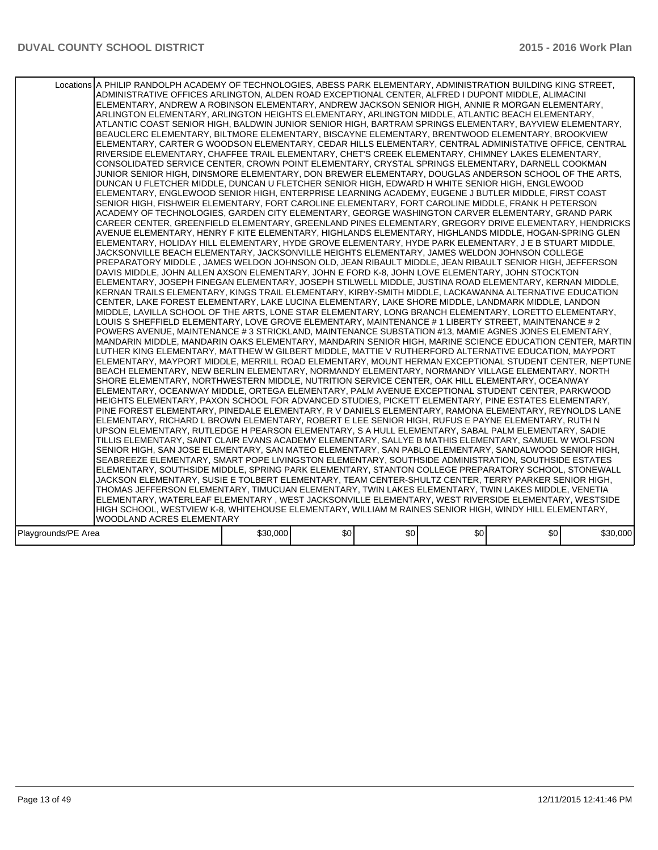|                     | Locations A PHILIP RANDOLPH ACADEMY OF TECHNOLOGIES, ABESS PARK ELEMENTARY, ADMINISTRATION BUILDING KING STREET,<br>ADMINISTRATIVE OFFICES ARLINGTON, ALDEN ROAD EXCEPTIONAL CENTER, ALFRED I DUPONT MIDDLE, ALIMACINI<br>ELEMENTARY, ANDREW A ROBINSON ELEMENTARY, ANDREW JACKSON SENIOR HIGH, ANNIE R MORGAN ELEMENTARY,<br>ARLINGTON ELEMENTARY, ARLINGTON HEIGHTS ELEMENTARY, ARLINGTON MIDDLE, ATLANTIC BEACH ELEMENTARY,<br>ATLANTIC COAST SENIOR HIGH, BALDWIN JUNIOR SENIOR HIGH, BARTRAM SPRINGS ELEMENTARY, BAYVIEW ELEMENTARY,<br>BEAUCLERC ELEMENTARY, BILTMORE ELEMENTARY, BISCAYNE ELEMENTARY, BRENTWOOD ELEMENTARY, BROOKVIEW<br>ELEMENTARY, CARTER G WOODSON ELEMENTARY, CEDAR HILLS ELEMENTARY, CENTRAL ADMINISTATIVE OFFICE, CENTRAL<br>RIVERSIDE ELEMENTARY, CHAFFEE TRAIL ELEMENTARY, CHET'S CREEK ELEMENTARY, CHIMNEY LAKES ELEMENTARY,<br>CONSOLIDATED SERVICE CENTER, CROWN POINT ELEMENTARY, CRYSTAL SPRINGS ELEMENTARY, DARNELL COOKMAN<br>JUNIOR SENIOR HIGH, DINSMORE ELEMENTARY, DON BREWER ELEMENTARY, DOUGLAS ANDERSON SCHOOL OF THE ARTS.<br>DUNCAN U FLETCHER MIDDLE, DUNCAN U FLETCHER SENIOR HIGH, EDWARD H WHITE SENIOR HIGH, ENGLEWOOD<br>ELEMENTARY, ENGLEWOOD SENIOR HIGH, ENTERPRISE LEARNING ACADEMY, EUGENE J BUTLER MIDDLE, FIRST COAST<br>SENIOR HIGH, FISHWEIR ELEMENTARY, FORT CAROLINE ELEMENTARY, FORT CAROLINE MIDDLE, FRANK H PETERSON<br>ACADEMY OF TECHNOLOGIES, GARDEN CITY ELEMENTARY, GEORGE WASHINGTON CARVER ELEMENTARY, GRAND PARK<br>CAREER CENTER, GREENFIELD ELEMENTARY, GREENLAND PINES ELEMENTARY, GREGORY DRIVE ELEMENTARY, HENDRICKS<br>AVENUE ELEMENTARY, HENRY F KITE ELEMENTARY, HIGHLANDS ELEMENTARY, HIGHLANDS MIDDLE, HOGAN-SPRING GLEN<br>ELEMENTARY, HOLIDAY HILL ELEMENTARY, HYDE GROVE ELEMENTARY, HYDE PARK ELEMENTARY, J E B STUART MIDDLE,<br>JACKSONVILLE BEACH ELEMENTARY, JACKSONVILLE HEIGHTS ELEMENTARY, JAMES WELDON JOHNSON COLLEGE<br>PREPARATORY MIDDLE, JAMES WELDON JOHNSON OLD, JEAN RIBAULT MIDDLE, JEAN RIBAULT SENIOR HIGH, JEFFERSON<br>DAVIS MIDDLE, JOHN ALLEN AXSON ELEMENTARY, JOHN E FORD K-8, JOHN LOVE ELEMENTARY, JOHN STOCKTON<br>ELEMENTARY, JOSEPH FINEGAN ELEMENTARY, JOSEPH STILWELL MIDDLE, JUSTINA ROAD ELEMENTARY, KERNAN MIDDLE,<br>KERNAN TRAILS ELEMENTARY, KINGS TRAIL ELEMENTARY, KIRBY-SMITH MIDDLE, LACKAWANNA ALTERNATIVE EDUCATION<br>CENTER, LAKE FOREST ELEMENTARY, LAKE LUCINA ELEMENTARY, LAKE SHORE MIDDLE, LANDMARK MIDDLE, LANDON<br>MIDDLE, LAVILLA SCHOOL OF THE ARTS, LONE STAR ELEMENTARY, LONG BRANCH ELEMENTARY, LORETTO ELEMENTARY,<br>LOUIS S SHEFFIELD ELEMENTARY, LOVE GROVE ELEMENTARY, MAINTENANCE # 1 LIBERTY STREET, MAINTENANCE # 2<br>POWERS AVENUE, MAINTENANCE # 3 STRICKLAND, MAINTENANCE SUBSTATION #13, MAMIE AGNES JONES ELEMENTARY,<br>MANDARIN MIDDLE, MANDARIN OAKS ELEMENTARY, MANDARIN SENIOR HIGH, MARINE SCIENCE EDUCATION CENTER, MARTIN<br>LUTHER KING ELEMENTARY, MATTHEW W GILBERT MIDDLE, MATTIE V RUTHERFORD ALTERNATIVE EDUCATION, MAYPORT<br>ELEMENTARY, MAYPORT MIDDLE, MERRILL ROAD ELEMENTARY, MOUNT HERMAN EXCEPTIONAL STUDENT CENTER, NEPTUNE<br>BEACH ELEMENTARY, NEW BERLIN ELEMENTARY, NORMANDY ELEMENTARY, NORMANDY VILLAGE ELEMENTARY, NORTH<br>SHORE ELEMENTARY. NORTHWESTERN MIDDLE. NUTRITION SERVICE CENTER. OAK HILL ELEMENTARY. OCEANWAY<br>ELEMENTARY, OCEANWAY MIDDLE, ORTEGA ELEMENTARY, PALM AVENUE EXCEPTIONAL STUDENT CENTER, PARKWOOD<br>HEIGHTS ELEMENTARY, PAXON SCHOOL FOR ADVANCED STUDIES, PICKETT ELEMENTARY, PINE ESTATES ELEMENTARY,<br>PINE FOREST ELEMENTARY, PINEDALE ELEMENTARY, R V DANIELS ELEMENTARY, RAMONA ELEMENTARY, REYNOLDS LANE<br>ELEMENTARY, RICHARD L BROWN ELEMENTARY, ROBERT E LEE SENIOR HIGH, RUFUS E PAYNE ELEMENTARY, RUTH N<br>UPSON ELEMENTARY, RUTLEDGE H PEARSON ELEMENTARY, S A HULL ELEMENTARY, SABAL PALM ELEMENTARY, SADIE<br>TILLIS ELEMENTARY, SAINT CLAIR EVANS ACADEMY ELEMENTARY, SALLYE B MATHIS ELEMENTARY, SAMUEL W WOLFSON<br>SENIOR HIGH, SAN JOSE ELEMENTARY, SAN MATEO ELEMENTARY, SAN PABLO ELEMENTARY, SANDALWOOD SENIOR HIGH,<br>SEABREEZE ELEMENTARY, SMART POPE LIVINGSTON ELEMENTARY, SOUTHSIDE ADMINISTRATION, SOUTHSIDE ESTATES<br>ELEMENTARY, SOUTHSIDE MIDDLE, SPRING PARK ELEMENTARY, STANTON COLLEGE PREPARATORY SCHOOL, STONEWALL<br>JACKSON ELEMENTARY, SUSIE E TOLBERT ELEMENTARY, TEAM CENTER-SHULTZ CENTER, TERRY PARKER SENIOR HIGH,<br>THOMAS JEFFERSON ELEMENTARY, TIMUCUAN ELEMENTARY, TWIN LAKES ELEMENTARY, TWIN LAKES MIDDLE, VENETIA<br>ELEMENTARY, WATERLEAF ELEMENTARY, WEST JACKSONVILLE ELEMENTARY, WEST RIVERSIDE ELEMENTARY, WESTSIDE |          |      |     |     |     |          |
|---------------------|------------------------------------------------------------------------------------------------------------------------------------------------------------------------------------------------------------------------------------------------------------------------------------------------------------------------------------------------------------------------------------------------------------------------------------------------------------------------------------------------------------------------------------------------------------------------------------------------------------------------------------------------------------------------------------------------------------------------------------------------------------------------------------------------------------------------------------------------------------------------------------------------------------------------------------------------------------------------------------------------------------------------------------------------------------------------------------------------------------------------------------------------------------------------------------------------------------------------------------------------------------------------------------------------------------------------------------------------------------------------------------------------------------------------------------------------------------------------------------------------------------------------------------------------------------------------------------------------------------------------------------------------------------------------------------------------------------------------------------------------------------------------------------------------------------------------------------------------------------------------------------------------------------------------------------------------------------------------------------------------------------------------------------------------------------------------------------------------------------------------------------------------------------------------------------------------------------------------------------------------------------------------------------------------------------------------------------------------------------------------------------------------------------------------------------------------------------------------------------------------------------------------------------------------------------------------------------------------------------------------------------------------------------------------------------------------------------------------------------------------------------------------------------------------------------------------------------------------------------------------------------------------------------------------------------------------------------------------------------------------------------------------------------------------------------------------------------------------------------------------------------------------------------------------------------------------------------------------------------------------------------------------------------------------------------------------------------------------------------------------------------------------------------------------------------------------------------------------------------------------------------------------------------------------------------------------------------------------------------------------------------------------------------------------------------------------------------------------------------------------------------------------------------------------------------------------------------------------------------------------------------------------------------------------------------------------------------------------------------------------------------------------------------------------------------------------------------------------------------------------------------------------------------------------------------------------------------------------------------------------------------------------------------------------------------------------------------------------------------------------------------------------------------------------------------------------------------------------------------------------------------------------------------------------------------------------------------------------------------------|----------|------|-----|-----|-----|----------|
|                     |                                                                                                                                                                                                                                                                                                                                                                                                                                                                                                                                                                                                                                                                                                                                                                                                                                                                                                                                                                                                                                                                                                                                                                                                                                                                                                                                                                                                                                                                                                                                                                                                                                                                                                                                                                                                                                                                                                                                                                                                                                                                                                                                                                                                                                                                                                                                                                                                                                                                                                                                                                                                                                                                                                                                                                                                                                                                                                                                                                                                                                                                                                                                                                                                                                                                                                                                                                                                                                                                                                                                                                                                                                                                                                                                                                                                                                                                                                                                                                                                                                                                                                                                                                                                                                                                                                                                                                                                                                                                                                                                                                                                                  |          |      |     |     |     |          |
|                     | HIGH SCHOOL, WESTVIEW K-8, WHITEHOUSE ELEMENTARY, WILLIAM M RAINES SENIOR HIGH, WINDY HILL ELEMENTARY,                                                                                                                                                                                                                                                                                                                                                                                                                                                                                                                                                                                                                                                                                                                                                                                                                                                                                                                                                                                                                                                                                                                                                                                                                                                                                                                                                                                                                                                                                                                                                                                                                                                                                                                                                                                                                                                                                                                                                                                                                                                                                                                                                                                                                                                                                                                                                                                                                                                                                                                                                                                                                                                                                                                                                                                                                                                                                                                                                                                                                                                                                                                                                                                                                                                                                                                                                                                                                                                                                                                                                                                                                                                                                                                                                                                                                                                                                                                                                                                                                                                                                                                                                                                                                                                                                                                                                                                                                                                                                                           |          |      |     |     |     |          |
|                     | WOODLAND ACRES ELEMENTARY                                                                                                                                                                                                                                                                                                                                                                                                                                                                                                                                                                                                                                                                                                                                                                                                                                                                                                                                                                                                                                                                                                                                                                                                                                                                                                                                                                                                                                                                                                                                                                                                                                                                                                                                                                                                                                                                                                                                                                                                                                                                                                                                                                                                                                                                                                                                                                                                                                                                                                                                                                                                                                                                                                                                                                                                                                                                                                                                                                                                                                                                                                                                                                                                                                                                                                                                                                                                                                                                                                                                                                                                                                                                                                                                                                                                                                                                                                                                                                                                                                                                                                                                                                                                                                                                                                                                                                                                                                                                                                                                                                                        |          |      |     |     |     |          |
| Playgrounds/PE Area |                                                                                                                                                                                                                                                                                                                                                                                                                                                                                                                                                                                                                                                                                                                                                                                                                                                                                                                                                                                                                                                                                                                                                                                                                                                                                                                                                                                                                                                                                                                                                                                                                                                                                                                                                                                                                                                                                                                                                                                                                                                                                                                                                                                                                                                                                                                                                                                                                                                                                                                                                                                                                                                                                                                                                                                                                                                                                                                                                                                                                                                                                                                                                                                                                                                                                                                                                                                                                                                                                                                                                                                                                                                                                                                                                                                                                                                                                                                                                                                                                                                                                                                                                                                                                                                                                                                                                                                                                                                                                                                                                                                                                  | \$30,000 | \$0] | \$0 | \$0 | \$0 | \$30,000 |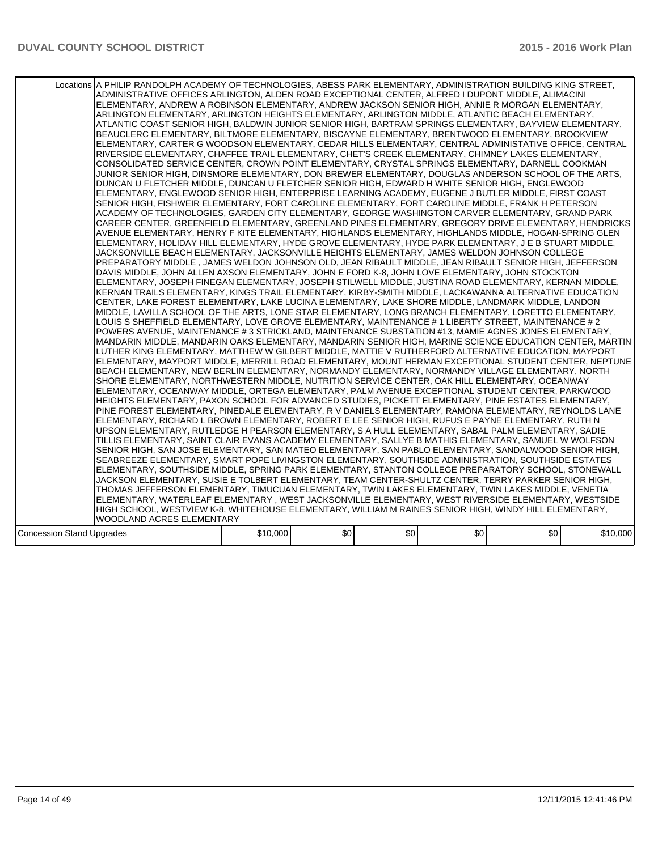|                                  | Locations A PHILIP RANDOLPH ACADEMY OF TECHNOLOGIES, ABESS PARK ELEMENTARY, ADMINISTRATION BUILDING KING STREET,<br>ADMINISTRATIVE OFFICES ARLINGTON, ALDEN ROAD EXCEPTIONAL CENTER, ALFRED I DUPONT MIDDLE, ALIMACINI<br>ELEMENTARY, ANDREW A ROBINSON ELEMENTARY, ANDREW JACKSON SENIOR HIGH, ANNIE R MORGAN ELEMENTARY,<br>ARLINGTON ELEMENTARY, ARLINGTON HEIGHTS ELEMENTARY, ARLINGTON MIDDLE, ATLANTIC BEACH ELEMENTARY,<br>ATLANTIC COAST SENIOR HIGH, BALDWIN JUNIOR SENIOR HIGH, BARTRAM SPRINGS ELEMENTARY, BAYVIEW ELEMENTARY,<br>BEAUCLERC ELEMENTARY, BILTMORE ELEMENTARY, BISCAYNE ELEMENTARY, BRENTWOOD ELEMENTARY, BROOKVIEW<br>ELEMENTARY, CARTER G WOODSON ELEMENTARY, CEDAR HILLS ELEMENTARY, CENTRAL ADMINISTATIVE OFFICE, CENTRAL<br>RIVERSIDE ELEMENTARY, CHAFFEE TRAIL ELEMENTARY, CHET'S CREEK ELEMENTARY, CHIMNEY LAKES ELEMENTARY,<br>CONSOLIDATED SERVICE CENTER, CROWN POINT ELEMENTARY, CRYSTAL SPRINGS ELEMENTARY, DARNELL COOKMAN<br>JUNIOR SENIOR HIGH. DINSMORE ELEMENTARY, DON BREWER ELEMENTARY, DOUGLAS ANDERSON SCHOOL OF THE ARTS.<br>DUNCAN U FLETCHER MIDDLE, DUNCAN U FLETCHER SENIOR HIGH, EDWARD H WHITE SENIOR HIGH, ENGLEWOOD<br>ELEMENTARY, ENGLEWOOD SENIOR HIGH, ENTERPRISE LEARNING ACADEMY, EUGENE J BUTLER MIDDLE, FIRST COAST<br>SENIOR HIGH, FISHWEIR ELEMENTARY, FORT CAROLINE ELEMENTARY, FORT CAROLINE MIDDLE, FRANK H PETERSON<br>ACADEMY OF TECHNOLOGIES, GARDEN CITY ELEMENTARY, GEORGE WASHINGTON CARVER ELEMENTARY, GRAND PARK<br>CAREER CENTER, GREENFIELD ELEMENTARY, GREENLAND PINES ELEMENTARY, GREGORY DRIVE ELEMENTARY, HENDRICKS<br>AVENUE ELEMENTARY, HENRY F KITE ELEMENTARY, HIGHLANDS ELEMENTARY, HIGHLANDS MIDDLE, HOGAN-SPRING GLEN<br>ELEMENTARY, HOLIDAY HILL ELEMENTARY, HYDE GROVE ELEMENTARY, HYDE PARK ELEMENTARY, J E B STUART MIDDLE,<br>JACKSONVILLE BEACH ELEMENTARY, JACKSONVILLE HEIGHTS ELEMENTARY, JAMES WELDON JOHNSON COLLEGE<br>PREPARATORY MIDDLE , JAMES WELDON JOHNSON OLD, JEAN RIBAULT MIDDLE, JEAN RIBAULT SENIOR HIGH, JEFFERSON<br>DAVIS MIDDLE, JOHN ALLEN AXSON ELEMENTARY, JOHN E FORD K-8, JOHN LOVE ELEMENTARY, JOHN STOCKTON<br>ELEMENTARY, JOSEPH FINEGAN ELEMENTARY, JOSEPH STILWELL MIDDLE, JUSTINA ROAD ELEMENTARY, KERNAN MIDDLE,<br>KERNAN TRAILS ELEMENTARY, KINGS TRAIL ELEMENTARY, KIRBY-SMITH MIDDLE, LACKAWANNA ALTERNATIVE EDUCATION<br>CENTER, LAKE FOREST ELEMENTARY, LAKE LUCINA ELEMENTARY, LAKE SHORE MIDDLE, LANDMARK MIDDLE, LANDON<br>MIDDLE, LAVILLA SCHOOL OF THE ARTS, LONE STAR ELEMENTARY, LONG BRANCH ELEMENTARY, LORETTO ELEMENTARY,<br>LOUIS S SHEFFIELD ELEMENTARY, LOVE GROVE ELEMENTARY, MAINTENANCE # 1 LIBERTY STREET, MAINTENANCE # 2<br>POWERS AVENUE, MAINTENANCE # 3 STRICKLAND, MAINTENANCE SUBSTATION #13, MAMIE AGNES JONES ELEMENTARY,<br>MANDARIN MIDDLE, MANDARIN OAKS ELEMENTARY, MANDARIN SENIOR HIGH, MARINE SCIENCE EDUCATION CENTER, MARTIN<br>LUTHER KING ELEMENTARY, MATTHEW W GILBERT MIDDLE, MATTIE V RUTHERFORD ALTERNATIVE EDUCATION, MAYPORT<br>ELEMENTARY, MAYPORT MIDDLE, MERRILL ROAD ELEMENTARY, MOUNT HERMAN EXCEPTIONAL STUDENT CENTER, NEPTUNE<br>BEACH ELEMENTARY, NEW BERLIN ELEMENTARY, NORMANDY ELEMENTARY, NORMANDY VILLAGE ELEMENTARY, NORTH<br>SHORE ELEMENTARY, NORTHWESTERN MIDDLE, NUTRITION SERVICE CENTER, OAK HILL ELEMENTARY, OCEANWAY<br>ELEMENTARY, OCEANWAY MIDDLE, ORTEGA ELEMENTARY, PALM AVENUE EXCEPTIONAL STUDENT CENTER, PARKWOOD<br>HEIGHTS ELEMENTARY, PAXON SCHOOL FOR ADVANCED STUDIES, PICKETT ELEMENTARY, PINE ESTATES ELEMENTARY,<br>PINE FOREST ELEMENTARY, PINEDALE ELEMENTARY, R V DANIELS ELEMENTARY, RAMONA ELEMENTARY, REYNOLDS LANE<br>ELEMENTARY, RICHARD L BROWN ELEMENTARY, ROBERT E LEE SENIOR HIGH, RUFUS E PAYNE ELEMENTARY, RUTH N<br>UPSON ELEMENTARY, RUTLEDGE H PEARSON ELEMENTARY, S A HULL ELEMENTARY, SABAL PALM ELEMENTARY, SADIE<br>TILLIS ELEMENTARY, SAINT CLAIR EVANS ACADEMY ELEMENTARY, SALLYE B MATHIS ELEMENTARY, SAMUEL W WOLFSON<br>SENIOR HIGH, SAN JOSE ELEMENTARY, SAN MATEO ELEMENTARY, SAN PABLO ELEMENTARY, SANDALWOOD SENIOR HIGH,<br>SEABREEZE ELEMENTARY, SMART POPE LIVINGSTON ELEMENTARY, SOUTHSIDE ADMINISTRATION, SOUTHSIDE ESTATES<br>ELEMENTARY, SOUTHSIDE MIDDLE, SPRING PARK ELEMENTARY, STANTON COLLEGE PREPARATORY SCHOOL, STONEWALL<br>JACKSON ELEMENTARY, SUSIE E TOLBERT ELEMENTARY, TEAM CENTER-SHULTZ CENTER, TERRY PARKER SENIOR HIGH,<br>THOMAS JEFFERSON ELEMENTARY, TIMUCUAN ELEMENTARY, TWIN LAKES ELEMENTARY, TWIN LAKES MIDDLE, VENETIA<br>ELEMENTARY, WATERLEAF ELEMENTARY , WEST JACKSONVILLE ELEMENTARY, WEST RIVERSIDE ELEMENTARY, WESTSIDE<br>HIGH SCHOOL, WESTVIEW K-8, WHITEHOUSE ELEMENTARY, WILLIAM M RAINES SENIOR HIGH, WINDY HILL ELEMENTARY, |          |      |     |     |     |          |
|----------------------------------|------------------------------------------------------------------------------------------------------------------------------------------------------------------------------------------------------------------------------------------------------------------------------------------------------------------------------------------------------------------------------------------------------------------------------------------------------------------------------------------------------------------------------------------------------------------------------------------------------------------------------------------------------------------------------------------------------------------------------------------------------------------------------------------------------------------------------------------------------------------------------------------------------------------------------------------------------------------------------------------------------------------------------------------------------------------------------------------------------------------------------------------------------------------------------------------------------------------------------------------------------------------------------------------------------------------------------------------------------------------------------------------------------------------------------------------------------------------------------------------------------------------------------------------------------------------------------------------------------------------------------------------------------------------------------------------------------------------------------------------------------------------------------------------------------------------------------------------------------------------------------------------------------------------------------------------------------------------------------------------------------------------------------------------------------------------------------------------------------------------------------------------------------------------------------------------------------------------------------------------------------------------------------------------------------------------------------------------------------------------------------------------------------------------------------------------------------------------------------------------------------------------------------------------------------------------------------------------------------------------------------------------------------------------------------------------------------------------------------------------------------------------------------------------------------------------------------------------------------------------------------------------------------------------------------------------------------------------------------------------------------------------------------------------------------------------------------------------------------------------------------------------------------------------------------------------------------------------------------------------------------------------------------------------------------------------------------------------------------------------------------------------------------------------------------------------------------------------------------------------------------------------------------------------------------------------------------------------------------------------------------------------------------------------------------------------------------------------------------------------------------------------------------------------------------------------------------------------------------------------------------------------------------------------------------------------------------------------------------------------------------------------------------------------------------------------------------------------------------------------------------------------------------------------------------------------------------------------------------------------------------------------------------------------------------------------------------------------------------------------------------------------------------------------------------------------------------------------------------------------------------------------------------------------------------------------------------------------------------------------------------------------------------------------------------------------------------------------------------|----------|------|-----|-----|-----|----------|
|                                  |                                                                                                                                                                                                                                                                                                                                                                                                                                                                                                                                                                                                                                                                                                                                                                                                                                                                                                                                                                                                                                                                                                                                                                                                                                                                                                                                                                                                                                                                                                                                                                                                                                                                                                                                                                                                                                                                                                                                                                                                                                                                                                                                                                                                                                                                                                                                                                                                                                                                                                                                                                                                                                                                                                                                                                                                                                                                                                                                                                                                                                                                                                                                                                                                                                                                                                                                                                                                                                                                                                                                                                                                                                                                                                                                                                                                                                                                                                                                                                                                                                                                                                                                                                                                                                                                                                                                                                                                                                                                                                                                                                                                                                                                                                                              |          |      |     |     |     |          |
|                                  | WOODLAND ACRES ELEMENTARY                                                                                                                                                                                                                                                                                                                                                                                                                                                                                                                                                                                                                                                                                                                                                                                                                                                                                                                                                                                                                                                                                                                                                                                                                                                                                                                                                                                                                                                                                                                                                                                                                                                                                                                                                                                                                                                                                                                                                                                                                                                                                                                                                                                                                                                                                                                                                                                                                                                                                                                                                                                                                                                                                                                                                                                                                                                                                                                                                                                                                                                                                                                                                                                                                                                                                                                                                                                                                                                                                                                                                                                                                                                                                                                                                                                                                                                                                                                                                                                                                                                                                                                                                                                                                                                                                                                                                                                                                                                                                                                                                                                                                                                                                                    |          |      |     |     |     |          |
|                                  |                                                                                                                                                                                                                                                                                                                                                                                                                                                                                                                                                                                                                                                                                                                                                                                                                                                                                                                                                                                                                                                                                                                                                                                                                                                                                                                                                                                                                                                                                                                                                                                                                                                                                                                                                                                                                                                                                                                                                                                                                                                                                                                                                                                                                                                                                                                                                                                                                                                                                                                                                                                                                                                                                                                                                                                                                                                                                                                                                                                                                                                                                                                                                                                                                                                                                                                                                                                                                                                                                                                                                                                                                                                                                                                                                                                                                                                                                                                                                                                                                                                                                                                                                                                                                                                                                                                                                                                                                                                                                                                                                                                                                                                                                                                              |          |      |     |     |     |          |
| <b>Concession Stand Upgrades</b> |                                                                                                                                                                                                                                                                                                                                                                                                                                                                                                                                                                                                                                                                                                                                                                                                                                                                                                                                                                                                                                                                                                                                                                                                                                                                                                                                                                                                                                                                                                                                                                                                                                                                                                                                                                                                                                                                                                                                                                                                                                                                                                                                                                                                                                                                                                                                                                                                                                                                                                                                                                                                                                                                                                                                                                                                                                                                                                                                                                                                                                                                                                                                                                                                                                                                                                                                                                                                                                                                                                                                                                                                                                                                                                                                                                                                                                                                                                                                                                                                                                                                                                                                                                                                                                                                                                                                                                                                                                                                                                                                                                                                                                                                                                                              | \$10,000 | \$0] | \$0 | \$0 | \$0 | \$10,000 |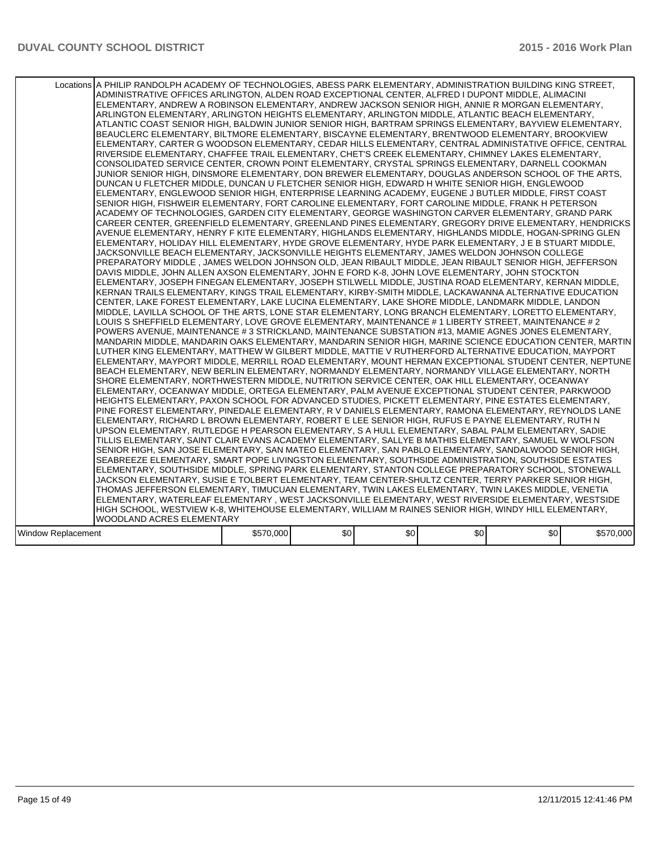|                    | Locations A PHILIP RANDOLPH ACADEMY OF TECHNOLOGIES, ABESS PARK ELEMENTARY, ADMINISTRATION BUILDING KING STREET,<br>ADMINISTRATIVE OFFICES ARLINGTON, ALDEN ROAD EXCEPTIONAL CENTER, ALFRED I DUPONT MIDDLE, ALIMACINI<br>ELEMENTARY, ANDREW A ROBINSON ELEMENTARY, ANDREW JACKSON SENIOR HIGH, ANNIE R MORGAN ELEMENTARY,<br>ARLINGTON ELEMENTARY, ARLINGTON HEIGHTS ELEMENTARY, ARLINGTON MIDDLE, ATLANTIC BEACH ELEMENTARY,<br>ATLANTIC COAST SENIOR HIGH, BALDWIN JUNIOR SENIOR HIGH, BARTRAM SPRINGS ELEMENTARY, BAYVIEW ELEMENTARY,<br>BEAUCLERC ELEMENTARY, BILTMORE ELEMENTARY, BISCAYNE ELEMENTARY, BRENTWOOD ELEMENTARY, BROOKVIEW<br>ELEMENTARY, CARTER G WOODSON ELEMENTARY, CEDAR HILLS ELEMENTARY, CENTRAL ADMINISTATIVE OFFICE, CENTRAL<br>RIVERSIDE ELEMENTARY, CHAFFEE TRAIL ELEMENTARY, CHET'S CREEK ELEMENTARY, CHIMNEY LAKES ELEMENTARY,<br>CONSOLIDATED SERVICE CENTER, CROWN POINT ELEMENTARY, CRYSTAL SPRINGS ELEMENTARY, DARNELL COOKMAN<br>JUNIOR SENIOR HIGH. DINSMORE ELEMENTARY, DON BREWER ELEMENTARY, DOUGLAS ANDERSON SCHOOL OF THE ARTS.<br>DUNCAN U FLETCHER MIDDLE, DUNCAN U FLETCHER SENIOR HIGH, EDWARD H WHITE SENIOR HIGH, ENGLEWOOD<br>ELEMENTARY, ENGLEWOOD SENIOR HIGH, ENTERPRISE LEARNING ACADEMY, EUGENE J BUTLER MIDDLE, FIRST COAST<br>SENIOR HIGH, FISHWEIR ELEMENTARY, FORT CAROLINE ELEMENTARY, FORT CAROLINE MIDDLE, FRANK H PETERSON<br>ACADEMY OF TECHNOLOGIES, GARDEN CITY ELEMENTARY, GEORGE WASHINGTON CARVER ELEMENTARY, GRAND PARK<br>CAREER CENTER, GREENFIELD ELEMENTARY, GREENLAND PINES ELEMENTARY, GREGORY DRIVE ELEMENTARY, HENDRICKS<br>AVENUE ELEMENTARY, HENRY F KITE ELEMENTARY, HIGHLANDS ELEMENTARY, HIGHLANDS MIDDLE, HOGAN-SPRING GLEN<br>ELEMENTARY, HOLIDAY HILL ELEMENTARY, HYDE GROVE ELEMENTARY, HYDE PARK ELEMENTARY, J E B STUART MIDDLE,<br>JACKSONVILLE BEACH ELEMENTARY, JACKSONVILLE HEIGHTS ELEMENTARY, JAMES WELDON JOHNSON COLLEGE<br>PREPARATORY MIDDLE , JAMES WELDON JOHNSON OLD, JEAN RIBAULT MIDDLE, JEAN RIBAULT SENIOR HIGH, JEFFERSON<br>DAVIS MIDDLE, JOHN ALLEN AXSON ELEMENTARY, JOHN E FORD K-8, JOHN LOVE ELEMENTARY, JOHN STOCKTON<br>ELEMENTARY, JOSEPH FINEGAN ELEMENTARY, JOSEPH STILWELL MIDDLE, JUSTINA ROAD ELEMENTARY, KERNAN MIDDLE,<br>KERNAN TRAILS ELEMENTARY, KINGS TRAIL ELEMENTARY, KIRBY-SMITH MIDDLE, LACKAWANNA ALTERNATIVE EDUCATION<br>CENTER, LAKE FOREST ELEMENTARY, LAKE LUCINA ELEMENTARY, LAKE SHORE MIDDLE, LANDMARK MIDDLE, LANDON<br>MIDDLE, LAVILLA SCHOOL OF THE ARTS, LONE STAR ELEMENTARY, LONG BRANCH ELEMENTARY, LORETTO ELEMENTARY,<br>LOUIS S SHEFFIELD ELEMENTARY, LOVE GROVE ELEMENTARY, MAINTENANCE # 1 LIBERTY STREET, MAINTENANCE # 2<br>POWERS AVENUE, MAINTENANCE # 3 STRICKLAND, MAINTENANCE SUBSTATION #13, MAMIE AGNES JONES ELEMENTARY,<br>MANDARIN MIDDLE, MANDARIN OAKS ELEMENTARY, MANDARIN SENIOR HIGH, MARINE SCIENCE EDUCATION CENTER, MARTIN<br>LUTHER KING ELEMENTARY, MATTHEW W GILBERT MIDDLE, MATTIE V RUTHERFORD ALTERNATIVE EDUCATION, MAYPORT<br>ELEMENTARY, MAYPORT MIDDLE, MERRILL ROAD ELEMENTARY, MOUNT HERMAN EXCEPTIONAL STUDENT CENTER, NEPTUNE<br>BEACH ELEMENTARY, NEW BERLIN ELEMENTARY, NORMANDY ELEMENTARY, NORMANDY VILLAGE ELEMENTARY, NORTH<br>SHORE ELEMENTARY, NORTHWESTERN MIDDLE, NUTRITION SERVICE CENTER, OAK HILL ELEMENTARY, OCEANWAY<br>ELEMENTARY, OCEANWAY MIDDLE, ORTEGA ELEMENTARY, PALM AVENUE EXCEPTIONAL STUDENT CENTER, PARKWOOD<br>HEIGHTS ELEMENTARY, PAXON SCHOOL FOR ADVANCED STUDIES, PICKETT ELEMENTARY, PINE ESTATES ELEMENTARY,<br>PINE FOREST ELEMENTARY, PINEDALE ELEMENTARY, R V DANIELS ELEMENTARY, RAMONA ELEMENTARY, REYNOLDS LANE<br>ELEMENTARY, RICHARD L BROWN ELEMENTARY, ROBERT E LEE SENIOR HIGH, RUFUS E PAYNE ELEMENTARY, RUTH N<br>UPSON ELEMENTARY, RUTLEDGE H PEARSON ELEMENTARY, S A HULL ELEMENTARY, SABAL PALM ELEMENTARY, SADIE<br>TILLIS ELEMENTARY, SAINT CLAIR EVANS ACADEMY ELEMENTARY, SALLYE B MATHIS ELEMENTARY, SAMUEL W WOLFSON<br>SENIOR HIGH, SAN JOSE ELEMENTARY, SAN MATEO ELEMENTARY, SAN PABLO ELEMENTARY, SANDALWOOD SENIOR HIGH,<br>SEABREEZE ELEMENTARY, SMART POPE LIVINGSTON ELEMENTARY, SOUTHSIDE ADMINISTRATION, SOUTHSIDE ESTATES<br>ELEMENTARY, SOUTHSIDE MIDDLE, SPRING PARK ELEMENTARY, STANTON COLLEGE PREPARATORY SCHOOL, STONEWALL<br>JACKSON ELEMENTARY, SUSIE E TOLBERT ELEMENTARY, TEAM CENTER-SHULTZ CENTER, TERRY PARKER SENIOR HIGH,<br>THOMAS JEFFERSON ELEMENTARY, TIMUCUAN ELEMENTARY, TWIN LAKES ELEMENTARY, TWIN LAKES MIDDLE, VENETIA<br>ELEMENTARY, WATERLEAF ELEMENTARY , WEST JACKSONVILLE ELEMENTARY, WEST RIVERSIDE ELEMENTARY, WESTSIDE<br>HIGH SCHOOL, WESTVIEW K-8, WHITEHOUSE ELEMENTARY, WILLIAM M RAINES SENIOR HIGH, WINDY HILL ELEMENTARY, |           |      |     |     |     |           |
|--------------------|------------------------------------------------------------------------------------------------------------------------------------------------------------------------------------------------------------------------------------------------------------------------------------------------------------------------------------------------------------------------------------------------------------------------------------------------------------------------------------------------------------------------------------------------------------------------------------------------------------------------------------------------------------------------------------------------------------------------------------------------------------------------------------------------------------------------------------------------------------------------------------------------------------------------------------------------------------------------------------------------------------------------------------------------------------------------------------------------------------------------------------------------------------------------------------------------------------------------------------------------------------------------------------------------------------------------------------------------------------------------------------------------------------------------------------------------------------------------------------------------------------------------------------------------------------------------------------------------------------------------------------------------------------------------------------------------------------------------------------------------------------------------------------------------------------------------------------------------------------------------------------------------------------------------------------------------------------------------------------------------------------------------------------------------------------------------------------------------------------------------------------------------------------------------------------------------------------------------------------------------------------------------------------------------------------------------------------------------------------------------------------------------------------------------------------------------------------------------------------------------------------------------------------------------------------------------------------------------------------------------------------------------------------------------------------------------------------------------------------------------------------------------------------------------------------------------------------------------------------------------------------------------------------------------------------------------------------------------------------------------------------------------------------------------------------------------------------------------------------------------------------------------------------------------------------------------------------------------------------------------------------------------------------------------------------------------------------------------------------------------------------------------------------------------------------------------------------------------------------------------------------------------------------------------------------------------------------------------------------------------------------------------------------------------------------------------------------------------------------------------------------------------------------------------------------------------------------------------------------------------------------------------------------------------------------------------------------------------------------------------------------------------------------------------------------------------------------------------------------------------------------------------------------------------------------------------------------------------------------------------------------------------------------------------------------------------------------------------------------------------------------------------------------------------------------------------------------------------------------------------------------------------------------------------------------------------------------------------------------------------------------------------------------------------------------------------------------------------------|-----------|------|-----|-----|-----|-----------|
|                    |                                                                                                                                                                                                                                                                                                                                                                                                                                                                                                                                                                                                                                                                                                                                                                                                                                                                                                                                                                                                                                                                                                                                                                                                                                                                                                                                                                                                                                                                                                                                                                                                                                                                                                                                                                                                                                                                                                                                                                                                                                                                                                                                                                                                                                                                                                                                                                                                                                                                                                                                                                                                                                                                                                                                                                                                                                                                                                                                                                                                                                                                                                                                                                                                                                                                                                                                                                                                                                                                                                                                                                                                                                                                                                                                                                                                                                                                                                                                                                                                                                                                                                                                                                                                                                                                                                                                                                                                                                                                                                                                                                                                                                                                                                                              |           |      |     |     |     |           |
|                    |                                                                                                                                                                                                                                                                                                                                                                                                                                                                                                                                                                                                                                                                                                                                                                                                                                                                                                                                                                                                                                                                                                                                                                                                                                                                                                                                                                                                                                                                                                                                                                                                                                                                                                                                                                                                                                                                                                                                                                                                                                                                                                                                                                                                                                                                                                                                                                                                                                                                                                                                                                                                                                                                                                                                                                                                                                                                                                                                                                                                                                                                                                                                                                                                                                                                                                                                                                                                                                                                                                                                                                                                                                                                                                                                                                                                                                                                                                                                                                                                                                                                                                                                                                                                                                                                                                                                                                                                                                                                                                                                                                                                                                                                                                                              |           |      |     |     |     |           |
|                    | WOODLAND ACRES ELEMENTARY                                                                                                                                                                                                                                                                                                                                                                                                                                                                                                                                                                                                                                                                                                                                                                                                                                                                                                                                                                                                                                                                                                                                                                                                                                                                                                                                                                                                                                                                                                                                                                                                                                                                                                                                                                                                                                                                                                                                                                                                                                                                                                                                                                                                                                                                                                                                                                                                                                                                                                                                                                                                                                                                                                                                                                                                                                                                                                                                                                                                                                                                                                                                                                                                                                                                                                                                                                                                                                                                                                                                                                                                                                                                                                                                                                                                                                                                                                                                                                                                                                                                                                                                                                                                                                                                                                                                                                                                                                                                                                                                                                                                                                                                                                    |           |      |     |     |     |           |
| Window Replacement |                                                                                                                                                                                                                                                                                                                                                                                                                                                                                                                                                                                                                                                                                                                                                                                                                                                                                                                                                                                                                                                                                                                                                                                                                                                                                                                                                                                                                                                                                                                                                                                                                                                                                                                                                                                                                                                                                                                                                                                                                                                                                                                                                                                                                                                                                                                                                                                                                                                                                                                                                                                                                                                                                                                                                                                                                                                                                                                                                                                                                                                                                                                                                                                                                                                                                                                                                                                                                                                                                                                                                                                                                                                                                                                                                                                                                                                                                                                                                                                                                                                                                                                                                                                                                                                                                                                                                                                                                                                                                                                                                                                                                                                                                                                              | \$570,000 | \$0] | \$0 | \$0 | \$0 | \$570,000 |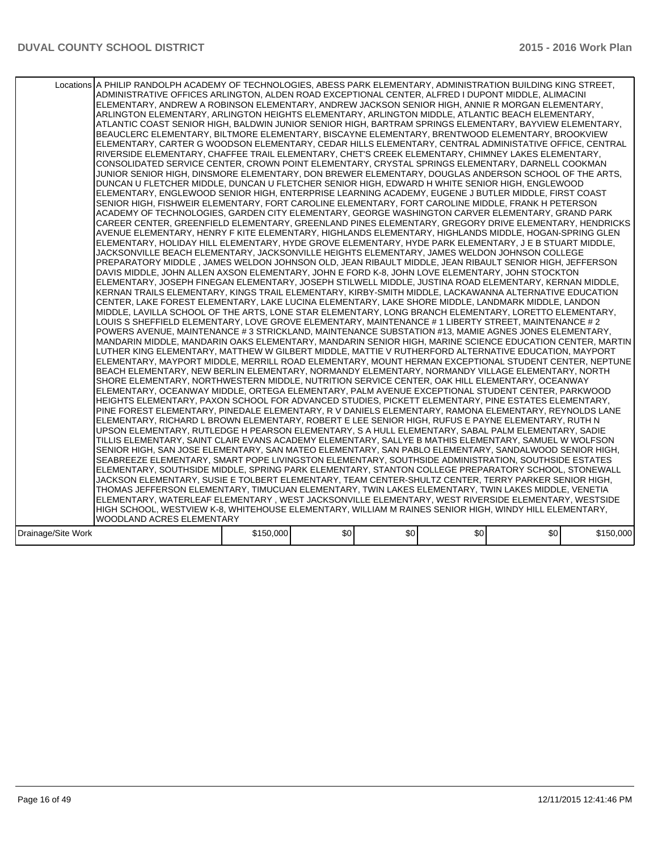|                    | Locations A PHILIP RANDOLPH ACADEMY OF TECHNOLOGIES, ABESS PARK ELEMENTARY, ADMINISTRATION BUILDING KING STREET,<br>ADMINISTRATIVE OFFICES ARLINGTON, ALDEN ROAD EXCEPTIONAL CENTER, ALFRED I DUPONT MIDDLE, ALIMACINI<br>ELEMENTARY, ANDREW A ROBINSON ELEMENTARY, ANDREW JACKSON SENIOR HIGH, ANNIE R MORGAN ELEMENTARY,<br>ARLINGTON ELEMENTARY, ARLINGTON HEIGHTS ELEMENTARY, ARLINGTON MIDDLE, ATLANTIC BEACH ELEMENTARY,<br>ATLANTIC COAST SENIOR HIGH, BALDWIN JUNIOR SENIOR HIGH, BARTRAM SPRINGS ELEMENTARY, BAYVIEW ELEMENTARY,<br>BEAUCLERC ELEMENTARY, BILTMORE ELEMENTARY, BISCAYNE ELEMENTARY, BRENTWOOD ELEMENTARY, BROOKVIEW<br>ELEMENTARY, CARTER G WOODSON ELEMENTARY, CEDAR HILLS ELEMENTARY, CENTRAL ADMINISTATIVE OFFICE, CENTRAL<br>RIVERSIDE ELEMENTARY, CHAFFEE TRAIL ELEMENTARY, CHET'S CREEK ELEMENTARY, CHIMNEY LAKES ELEMENTARY,<br>CONSOLIDATED SERVICE CENTER, CROWN POINT ELEMENTARY, CRYSTAL SPRINGS ELEMENTARY, DARNELL COOKMAN<br>JUNIOR SENIOR HIGH. DINSMORE ELEMENTARY, DON BREWER ELEMENTARY, DOUGLAS ANDERSON SCHOOL OF THE ARTS.<br>DUNCAN U FLETCHER MIDDLE, DUNCAN U FLETCHER SENIOR HIGH, EDWARD H WHITE SENIOR HIGH, ENGLEWOOD<br>ELEMENTARY, ENGLEWOOD SENIOR HIGH, ENTERPRISE LEARNING ACADEMY, EUGENE J BUTLER MIDDLE, FIRST COAST<br>SENIOR HIGH, FISHWEIR ELEMENTARY, FORT CAROLINE ELEMENTARY, FORT CAROLINE MIDDLE, FRANK H PETERSON<br>ACADEMY OF TECHNOLOGIES, GARDEN CITY ELEMENTARY, GEORGE WASHINGTON CARVER ELEMENTARY, GRAND PARK<br>CAREER CENTER, GREENFIELD ELEMENTARY, GREENLAND PINES ELEMENTARY, GREGORY DRIVE ELEMENTARY, HENDRICKS<br>AVENUE ELEMENTARY, HENRY F KITE ELEMENTARY, HIGHLANDS ELEMENTARY, HIGHLANDS MIDDLE, HOGAN-SPRING GLEN<br>ELEMENTARY, HOLIDAY HILL ELEMENTARY, HYDE GROVE ELEMENTARY, HYDE PARK ELEMENTARY, J E B STUART MIDDLE,<br>JACKSONVILLE BEACH ELEMENTARY, JACKSONVILLE HEIGHTS ELEMENTARY, JAMES WELDON JOHNSON COLLEGE<br>PREPARATORY MIDDLE, JAMES WELDON JOHNSON OLD, JEAN RIBAULT MIDDLE, JEAN RIBAULT SENIOR HIGH, JEFFERSON<br>DAVIS MIDDLE, JOHN ALLEN AXSON ELEMENTARY, JOHN E FORD K-8, JOHN LOVE ELEMENTARY, JOHN STOCKTON<br>ELEMENTARY, JOSEPH FINEGAN ELEMENTARY, JOSEPH STILWELL MIDDLE, JUSTINA ROAD ELEMENTARY, KERNAN MIDDLE,<br>KERNAN TRAILS ELEMENTARY, KINGS TRAIL ELEMENTARY, KIRBY-SMITH MIDDLE, LACKAWANNA ALTERNATIVE EDUCATION<br>CENTER, LAKE FOREST ELEMENTARY, LAKE LUCINA ELEMENTARY, LAKE SHORE MIDDLE, LANDMARK MIDDLE, LANDON<br>MIDDLE, LAVILLA SCHOOL OF THE ARTS, LONE STAR ELEMENTARY, LONG BRANCH ELEMENTARY, LORETTO ELEMENTARY,<br>LOUIS S SHEFFIELD ELEMENTARY, LOVE GROVE ELEMENTARY, MAINTENANCE # 1 LIBERTY STREET, MAINTENANCE # 2<br>POWERS AVENUE, MAINTENANCE # 3 STRICKLAND, MAINTENANCE SUBSTATION #13, MAMIE AGNES JONES ELEMENTARY,<br>MANDARIN MIDDLE, MANDARIN OAKS ELEMENTARY, MANDARIN SENIOR HIGH, MARINE SCIENCE EDUCATION CENTER, MARTIN<br>LUTHER KING ELEMENTARY, MATTHEW W GILBERT MIDDLE, MATTIE V RUTHERFORD ALTERNATIVE EDUCATION, MAYPORT<br>ELEMENTARY, MAYPORT MIDDLE, MERRILL ROAD ELEMENTARY, MOUNT HERMAN EXCEPTIONAL STUDENT CENTER, NEPTUNE<br>BEACH ELEMENTARY, NEW BERLIN ELEMENTARY, NORMANDY ELEMENTARY, NORMANDY VILLAGE ELEMENTARY, NORTH<br>SHORE ELEMENTARY. NORTHWESTERN MIDDLE. NUTRITION SERVICE CENTER. OAK HILL ELEMENTARY. OCEANWAY<br>ELEMENTARY, OCEANWAY MIDDLE, ORTEGA ELEMENTARY, PALM AVENUE EXCEPTIONAL STUDENT CENTER, PARKWOOD<br>HEIGHTS ELEMENTARY, PAXON SCHOOL FOR ADVANCED STUDIES, PICKETT ELEMENTARY, PINE ESTATES ELEMENTARY,<br>PINE FOREST ELEMENTARY, PINEDALE ELEMENTARY, R V DANIELS ELEMENTARY, RAMONA ELEMENTARY, REYNOLDS LANE<br>ELEMENTARY, RICHARD L BROWN ELEMENTARY, ROBERT E LEE SENIOR HIGH, RUFUS E PAYNE ELEMENTARY, RUTH N<br>UPSON ELEMENTARY, RUTLEDGE H PEARSON ELEMENTARY, S A HULL ELEMENTARY, SABAL PALM ELEMENTARY, SADIE<br>TILLIS ELEMENTARY, SAINT CLAIR EVANS ACADEMY ELEMENTARY, SALLYE B MATHIS ELEMENTARY, SAMUEL W WOLFSON<br>SENIOR HIGH, SAN JOSE ELEMENTARY, SAN MATEO ELEMENTARY, SAN PABLO ELEMENTARY, SANDALWOOD SENIOR HIGH,<br>SEABREEZE ELEMENTARY, SMART POPE LIVINGSTON ELEMENTARY, SOUTHSIDE ADMINISTRATION, SOUTHSIDE ESTATES<br>ELEMENTARY, SOUTHSIDE MIDDLE, SPRING PARK ELEMENTARY, STANTON COLLEGE PREPARATORY SCHOOL, STONEWALL<br>JACKSON ELEMENTARY, SUSIE E TOLBERT ELEMENTARY, TEAM CENTER-SHULTZ CENTER, TERRY PARKER SENIOR HIGH,<br>THOMAS JEFFERSON ELEMENTARY, TIMUCUAN ELEMENTARY, TWIN LAKES ELEMENTARY, TWIN LAKES MIDDLE, VENETIA<br>ELEMENTARY, WATERLEAF ELEMENTARY, WEST JACKSONVILLE ELEMENTARY, WEST RIVERSIDE ELEMENTARY, WESTSIDE<br>HIGH SCHOOL, WESTVIEW K-8, WHITEHOUSE ELEMENTARY, WILLIAM M RAINES SENIOR HIGH, WINDY HILL ELEMENTARY, |           |      |     |     |     |           |
|--------------------|----------------------------------------------------------------------------------------------------------------------------------------------------------------------------------------------------------------------------------------------------------------------------------------------------------------------------------------------------------------------------------------------------------------------------------------------------------------------------------------------------------------------------------------------------------------------------------------------------------------------------------------------------------------------------------------------------------------------------------------------------------------------------------------------------------------------------------------------------------------------------------------------------------------------------------------------------------------------------------------------------------------------------------------------------------------------------------------------------------------------------------------------------------------------------------------------------------------------------------------------------------------------------------------------------------------------------------------------------------------------------------------------------------------------------------------------------------------------------------------------------------------------------------------------------------------------------------------------------------------------------------------------------------------------------------------------------------------------------------------------------------------------------------------------------------------------------------------------------------------------------------------------------------------------------------------------------------------------------------------------------------------------------------------------------------------------------------------------------------------------------------------------------------------------------------------------------------------------------------------------------------------------------------------------------------------------------------------------------------------------------------------------------------------------------------------------------------------------------------------------------------------------------------------------------------------------------------------------------------------------------------------------------------------------------------------------------------------------------------------------------------------------------------------------------------------------------------------------------------------------------------------------------------------------------------------------------------------------------------------------------------------------------------------------------------------------------------------------------------------------------------------------------------------------------------------------------------------------------------------------------------------------------------------------------------------------------------------------------------------------------------------------------------------------------------------------------------------------------------------------------------------------------------------------------------------------------------------------------------------------------------------------------------------------------------------------------------------------------------------------------------------------------------------------------------------------------------------------------------------------------------------------------------------------------------------------------------------------------------------------------------------------------------------------------------------------------------------------------------------------------------------------------------------------------------------------------------------------------------------------------------------------------------------------------------------------------------------------------------------------------------------------------------------------------------------------------------------------------------------------------------------------------------------------------------------------------------------------------------------------------------------------------------------------------------------------------------------------------|-----------|------|-----|-----|-----|-----------|
|                    |                                                                                                                                                                                                                                                                                                                                                                                                                                                                                                                                                                                                                                                                                                                                                                                                                                                                                                                                                                                                                                                                                                                                                                                                                                                                                                                                                                                                                                                                                                                                                                                                                                                                                                                                                                                                                                                                                                                                                                                                                                                                                                                                                                                                                                                                                                                                                                                                                                                                                                                                                                                                                                                                                                                                                                                                                                                                                                                                                                                                                                                                                                                                                                                                                                                                                                                                                                                                                                                                                                                                                                                                                                                                                                                                                                                                                                                                                                                                                                                                                                                                                                                                                                                                                                                                                                                                                                                                                                                                                                                                                                                                                                                                                                                            |           |      |     |     |     |           |
|                    | WOODLAND ACRES ELEMENTARY                                                                                                                                                                                                                                                                                                                                                                                                                                                                                                                                                                                                                                                                                                                                                                                                                                                                                                                                                                                                                                                                                                                                                                                                                                                                                                                                                                                                                                                                                                                                                                                                                                                                                                                                                                                                                                                                                                                                                                                                                                                                                                                                                                                                                                                                                                                                                                                                                                                                                                                                                                                                                                                                                                                                                                                                                                                                                                                                                                                                                                                                                                                                                                                                                                                                                                                                                                                                                                                                                                                                                                                                                                                                                                                                                                                                                                                                                                                                                                                                                                                                                                                                                                                                                                                                                                                                                                                                                                                                                                                                                                                                                                                                                                  |           |      |     |     |     |           |
|                    |                                                                                                                                                                                                                                                                                                                                                                                                                                                                                                                                                                                                                                                                                                                                                                                                                                                                                                                                                                                                                                                                                                                                                                                                                                                                                                                                                                                                                                                                                                                                                                                                                                                                                                                                                                                                                                                                                                                                                                                                                                                                                                                                                                                                                                                                                                                                                                                                                                                                                                                                                                                                                                                                                                                                                                                                                                                                                                                                                                                                                                                                                                                                                                                                                                                                                                                                                                                                                                                                                                                                                                                                                                                                                                                                                                                                                                                                                                                                                                                                                                                                                                                                                                                                                                                                                                                                                                                                                                                                                                                                                                                                                                                                                                                            |           |      |     |     |     |           |
| Drainage/Site Work |                                                                                                                                                                                                                                                                                                                                                                                                                                                                                                                                                                                                                                                                                                                                                                                                                                                                                                                                                                                                                                                                                                                                                                                                                                                                                                                                                                                                                                                                                                                                                                                                                                                                                                                                                                                                                                                                                                                                                                                                                                                                                                                                                                                                                                                                                                                                                                                                                                                                                                                                                                                                                                                                                                                                                                                                                                                                                                                                                                                                                                                                                                                                                                                                                                                                                                                                                                                                                                                                                                                                                                                                                                                                                                                                                                                                                                                                                                                                                                                                                                                                                                                                                                                                                                                                                                                                                                                                                                                                                                                                                                                                                                                                                                                            | \$150,000 | \$0] | \$0 | \$0 | \$0 | \$150,000 |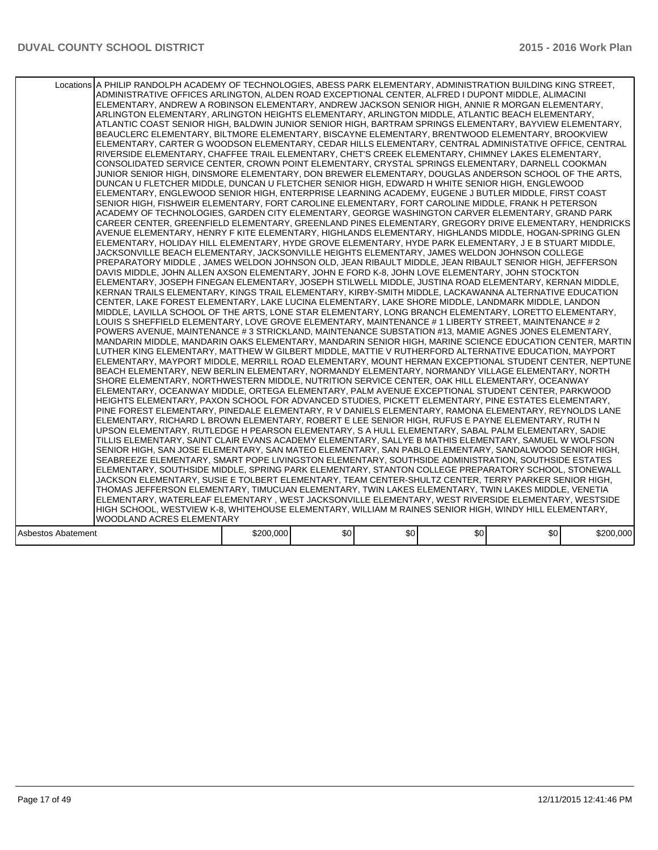|                    | Locations A PHILIP RANDOLPH ACADEMY OF TECHNOLOGIES, ABESS PARK ELEMENTARY, ADMINISTRATION BUILDING KING STREET,<br>ADMINISTRATIVE OFFICES ARLINGTON, ALDEN ROAD EXCEPTIONAL CENTER, ALFRED I DUPONT MIDDLE, ALIMACINI<br>ELEMENTARY, ANDREW A ROBINSON ELEMENTARY, ANDREW JACKSON SENIOR HIGH, ANNIE R MORGAN ELEMENTARY,<br>ARLINGTON ELEMENTARY, ARLINGTON HEIGHTS ELEMENTARY, ARLINGTON MIDDLE, ATLANTIC BEACH ELEMENTARY,<br>ATLANTIC COAST SENIOR HIGH, BALDWIN JUNIOR SENIOR HIGH, BARTRAM SPRINGS ELEMENTARY, BAYVIEW ELEMENTARY,<br>BEAUCLERC ELEMENTARY, BILTMORE ELEMENTARY, BISCAYNE ELEMENTARY, BRENTWOOD ELEMENTARY, BROOKVIEW<br>ELEMENTARY, CARTER G WOODSON ELEMENTARY, CEDAR HILLS ELEMENTARY, CENTRAL ADMINISTATIVE OFFICE, CENTRAL<br>RIVERSIDE ELEMENTARY, CHAFFEE TRAIL ELEMENTARY, CHET'S CREEK ELEMENTARY, CHIMNEY LAKES ELEMENTARY,<br>CONSOLIDATED SERVICE CENTER, CROWN POINT ELEMENTARY, CRYSTAL SPRINGS ELEMENTARY, DARNELL COOKMAN<br>JUNIOR SENIOR HIGH. DINSMORE ELEMENTARY, DON BREWER ELEMENTARY, DOUGLAS ANDERSON SCHOOL OF THE ARTS.<br>DUNCAN U FLETCHER MIDDLE, DUNCAN U FLETCHER SENIOR HIGH, EDWARD H WHITE SENIOR HIGH, ENGLEWOOD<br>ELEMENTARY, ENGLEWOOD SENIOR HIGH, ENTERPRISE LEARNING ACADEMY, EUGENE J BUTLER MIDDLE, FIRST COAST<br>SENIOR HIGH, FISHWEIR ELEMENTARY, FORT CAROLINE ELEMENTARY, FORT CAROLINE MIDDLE, FRANK H PETERSON<br>ACADEMY OF TECHNOLOGIES, GARDEN CITY ELEMENTARY, GEORGE WASHINGTON CARVER ELEMENTARY, GRAND PARK<br>CAREER CENTER, GREENFIELD ELEMENTARY, GREENLAND PINES ELEMENTARY, GREGORY DRIVE ELEMENTARY, HENDRICKS<br>AVENUE ELEMENTARY, HENRY F KITE ELEMENTARY, HIGHLANDS ELEMENTARY, HIGHLANDS MIDDLE, HOGAN-SPRING GLEN<br>ELEMENTARY, HOLIDAY HILL ELEMENTARY, HYDE GROVE ELEMENTARY, HYDE PARK ELEMENTARY, J E B STUART MIDDLE,<br>JACKSONVILLE BEACH ELEMENTARY, JACKSONVILLE HEIGHTS ELEMENTARY, JAMES WELDON JOHNSON COLLEGE<br>PREPARATORY MIDDLE , JAMES WELDON JOHNSON OLD, JEAN RIBAULT MIDDLE, JEAN RIBAULT SENIOR HIGH, JEFFERSON<br>DAVIS MIDDLE, JOHN ALLEN AXSON ELEMENTARY, JOHN E FORD K-8, JOHN LOVE ELEMENTARY, JOHN STOCKTON<br>ELEMENTARY, JOSEPH FINEGAN ELEMENTARY, JOSEPH STILWELL MIDDLE, JUSTINA ROAD ELEMENTARY, KERNAN MIDDLE,<br>KERNAN TRAILS ELEMENTARY, KINGS TRAIL ELEMENTARY, KIRBY-SMITH MIDDLE, LACKAWANNA ALTERNATIVE EDUCATION<br>CENTER, LAKE FOREST ELEMENTARY, LAKE LUCINA ELEMENTARY, LAKE SHORE MIDDLE, LANDMARK MIDDLE, LANDON<br>MIDDLE, LAVILLA SCHOOL OF THE ARTS, LONE STAR ELEMENTARY, LONG BRANCH ELEMENTARY, LORETTO ELEMENTARY,<br>LOUIS S SHEFFIELD ELEMENTARY, LOVE GROVE ELEMENTARY, MAINTENANCE # 1 LIBERTY STREET, MAINTENANCE # 2<br>POWERS AVENUE, MAINTENANCE # 3 STRICKLAND, MAINTENANCE SUBSTATION #13, MAMIE AGNES JONES ELEMENTARY,<br>MANDARIN MIDDLE, MANDARIN OAKS ELEMENTARY, MANDARIN SENIOR HIGH, MARINE SCIENCE EDUCATION CENTER, MARTIN<br>LUTHER KING ELEMENTARY, MATTHEW W GILBERT MIDDLE, MATTIE V RUTHERFORD ALTERNATIVE EDUCATION, MAYPORT<br>ELEMENTARY, MAYPORT MIDDLE, MERRILL ROAD ELEMENTARY, MOUNT HERMAN EXCEPTIONAL STUDENT CENTER, NEPTUNE<br>BEACH ELEMENTARY, NEW BERLIN ELEMENTARY, NORMANDY ELEMENTARY, NORMANDY VILLAGE ELEMENTARY, NORTH<br>SHORE ELEMENTARY, NORTHWESTERN MIDDLE, NUTRITION SERVICE CENTER, OAK HILL ELEMENTARY, OCEANWAY<br>ELEMENTARY, OCEANWAY MIDDLE, ORTEGA ELEMENTARY, PALM AVENUE EXCEPTIONAL STUDENT CENTER, PARKWOOD<br>HEIGHTS ELEMENTARY, PAXON SCHOOL FOR ADVANCED STUDIES, PICKETT ELEMENTARY, PINE ESTATES ELEMENTARY,<br>PINE FOREST ELEMENTARY, PINEDALE ELEMENTARY, R V DANIELS ELEMENTARY, RAMONA ELEMENTARY, REYNOLDS LANE<br>ELEMENTARY, RICHARD L BROWN ELEMENTARY, ROBERT E LEE SENIOR HIGH, RUFUS E PAYNE ELEMENTARY, RUTH N<br>UPSON ELEMENTARY, RUTLEDGE H PEARSON ELEMENTARY, S A HULL ELEMENTARY, SABAL PALM ELEMENTARY, SADIE<br>TILLIS ELEMENTARY, SAINT CLAIR EVANS ACADEMY ELEMENTARY, SALLYE B MATHIS ELEMENTARY, SAMUEL W WOLFSON<br>SENIOR HIGH, SAN JOSE ELEMENTARY, SAN MATEO ELEMENTARY, SAN PABLO ELEMENTARY, SANDALWOOD SENIOR HIGH,<br>SEABREEZE ELEMENTARY, SMART POPE LIVINGSTON ELEMENTARY, SOUTHSIDE ADMINISTRATION, SOUTHSIDE ESTATES<br>ELEMENTARY, SOUTHSIDE MIDDLE, SPRING PARK ELEMENTARY, STANTON COLLEGE PREPARATORY SCHOOL, STONEWALL<br>JACKSON ELEMENTARY, SUSIE E TOLBERT ELEMENTARY, TEAM CENTER-SHULTZ CENTER, TERRY PARKER SENIOR HIGH,<br>THOMAS JEFFERSON ELEMENTARY, TIMUCUAN ELEMENTARY, TWIN LAKES ELEMENTARY, TWIN LAKES MIDDLE, VENETIA<br>ELEMENTARY, WATERLEAF ELEMENTARY , WEST JACKSONVILLE ELEMENTARY, WEST RIVERSIDE ELEMENTARY, WESTSIDE<br>HIGH SCHOOL, WESTVIEW K-8, WHITEHOUSE ELEMENTARY, WILLIAM M RAINES SENIOR HIGH, WINDY HILL ELEMENTARY, |           |      |     |     |     |           |
|--------------------|------------------------------------------------------------------------------------------------------------------------------------------------------------------------------------------------------------------------------------------------------------------------------------------------------------------------------------------------------------------------------------------------------------------------------------------------------------------------------------------------------------------------------------------------------------------------------------------------------------------------------------------------------------------------------------------------------------------------------------------------------------------------------------------------------------------------------------------------------------------------------------------------------------------------------------------------------------------------------------------------------------------------------------------------------------------------------------------------------------------------------------------------------------------------------------------------------------------------------------------------------------------------------------------------------------------------------------------------------------------------------------------------------------------------------------------------------------------------------------------------------------------------------------------------------------------------------------------------------------------------------------------------------------------------------------------------------------------------------------------------------------------------------------------------------------------------------------------------------------------------------------------------------------------------------------------------------------------------------------------------------------------------------------------------------------------------------------------------------------------------------------------------------------------------------------------------------------------------------------------------------------------------------------------------------------------------------------------------------------------------------------------------------------------------------------------------------------------------------------------------------------------------------------------------------------------------------------------------------------------------------------------------------------------------------------------------------------------------------------------------------------------------------------------------------------------------------------------------------------------------------------------------------------------------------------------------------------------------------------------------------------------------------------------------------------------------------------------------------------------------------------------------------------------------------------------------------------------------------------------------------------------------------------------------------------------------------------------------------------------------------------------------------------------------------------------------------------------------------------------------------------------------------------------------------------------------------------------------------------------------------------------------------------------------------------------------------------------------------------------------------------------------------------------------------------------------------------------------------------------------------------------------------------------------------------------------------------------------------------------------------------------------------------------------------------------------------------------------------------------------------------------------------------------------------------------------------------------------------------------------------------------------------------------------------------------------------------------------------------------------------------------------------------------------------------------------------------------------------------------------------------------------------------------------------------------------------------------------------------------------------------------------------------------------------------------------------------------------------|-----------|------|-----|-----|-----|-----------|
|                    |                                                                                                                                                                                                                                                                                                                                                                                                                                                                                                                                                                                                                                                                                                                                                                                                                                                                                                                                                                                                                                                                                                                                                                                                                                                                                                                                                                                                                                                                                                                                                                                                                                                                                                                                                                                                                                                                                                                                                                                                                                                                                                                                                                                                                                                                                                                                                                                                                                                                                                                                                                                                                                                                                                                                                                                                                                                                                                                                                                                                                                                                                                                                                                                                                                                                                                                                                                                                                                                                                                                                                                                                                                                                                                                                                                                                                                                                                                                                                                                                                                                                                                                                                                                                                                                                                                                                                                                                                                                                                                                                                                                                                                                                                                                              |           |      |     |     |     |           |
|                    | WOODLAND ACRES ELEMENTARY                                                                                                                                                                                                                                                                                                                                                                                                                                                                                                                                                                                                                                                                                                                                                                                                                                                                                                                                                                                                                                                                                                                                                                                                                                                                                                                                                                                                                                                                                                                                                                                                                                                                                                                                                                                                                                                                                                                                                                                                                                                                                                                                                                                                                                                                                                                                                                                                                                                                                                                                                                                                                                                                                                                                                                                                                                                                                                                                                                                                                                                                                                                                                                                                                                                                                                                                                                                                                                                                                                                                                                                                                                                                                                                                                                                                                                                                                                                                                                                                                                                                                                                                                                                                                                                                                                                                                                                                                                                                                                                                                                                                                                                                                                    |           |      |     |     |     |           |
| Asbestos Abatement |                                                                                                                                                                                                                                                                                                                                                                                                                                                                                                                                                                                                                                                                                                                                                                                                                                                                                                                                                                                                                                                                                                                                                                                                                                                                                                                                                                                                                                                                                                                                                                                                                                                                                                                                                                                                                                                                                                                                                                                                                                                                                                                                                                                                                                                                                                                                                                                                                                                                                                                                                                                                                                                                                                                                                                                                                                                                                                                                                                                                                                                                                                                                                                                                                                                                                                                                                                                                                                                                                                                                                                                                                                                                                                                                                                                                                                                                                                                                                                                                                                                                                                                                                                                                                                                                                                                                                                                                                                                                                                                                                                                                                                                                                                                              | \$200,000 | \$0] | \$0 | \$0 | \$0 | \$200,000 |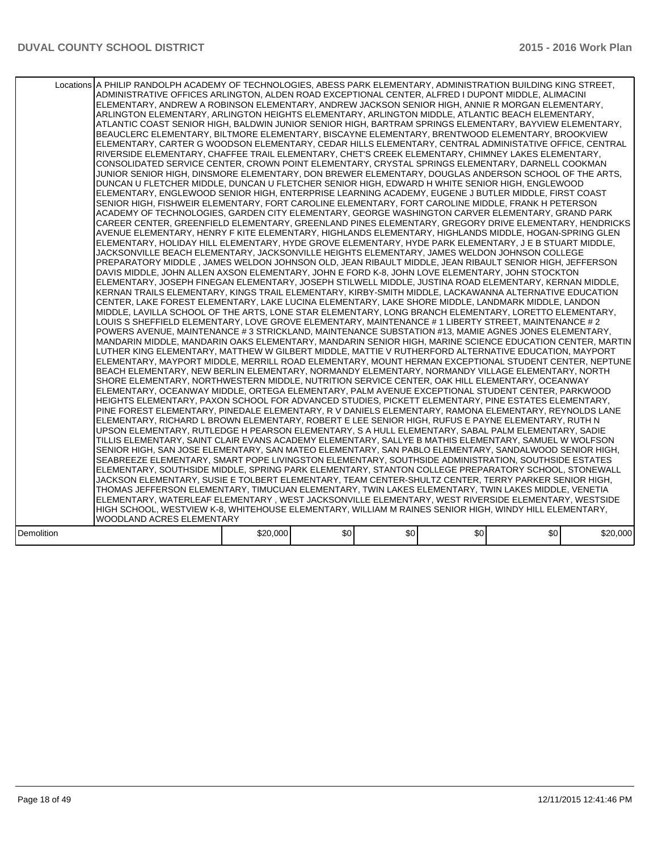|            | Locations A PHILIP RANDOLPH ACADEMY OF TECHNOLOGIES, ABESS PARK ELEMENTARY, ADMINISTRATION BUILDING KING STREET,<br>ADMINISTRATIVE OFFICES ARLINGTON, ALDEN ROAD EXCEPTIONAL CENTER, ALFRED I DUPONT MIDDLE, ALIMACINI<br>ELEMENTARY, ANDREW A ROBINSON ELEMENTARY, ANDREW JACKSON SENIOR HIGH, ANNIE R MORGAN ELEMENTARY,<br>ARLINGTON ELEMENTARY, ARLINGTON HEIGHTS ELEMENTARY, ARLINGTON MIDDLE, ATLANTIC BEACH ELEMENTARY,<br>ATLANTIC COAST SENIOR HIGH. BALDWIN JUNIOR SENIOR HIGH. BARTRAM SPRINGS ELEMENTARY. BAYVIEW ELEMENTARY.<br>BEAUCLERC ELEMENTARY, BILTMORE ELEMENTARY, BISCAYNE ELEMENTARY, BRENTWOOD ELEMENTARY, BROOKVIEW<br>ELEMENTARY, CARTER G WOODSON ELEMENTARY, CEDAR HILLS ELEMENTARY, CENTRAL ADMINISTATIVE OFFICE, CENTRAL<br>RIVERSIDE ELEMENTARY, CHAFFEE TRAIL ELEMENTARY, CHET'S CREEK ELEMENTARY, CHIMNEY LAKES ELEMENTARY,<br>CONSOLIDATED SERVICE CENTER, CROWN POINT ELEMENTARY, CRYSTAL SPRINGS ELEMENTARY, DARNELL COOKMAN<br>JUNIOR SENIOR HIGH, DINSMORE ELEMENTARY, DON BREWER ELEMENTARY, DOUGLAS ANDERSON SCHOOL OF THE ARTS,<br>DUNCAN U FLETCHER MIDDLE, DUNCAN U FLETCHER SENIOR HIGH, EDWARD H WHITE SENIOR HIGH, ENGLEWOOD<br>ELEMENTARY, ENGLEWOOD SENIOR HIGH, ENTERPRISE LEARNING ACADEMY, EUGENE J BUTLER MIDDLE, FIRST COAST<br>SENIOR HIGH, FISHWEIR ELEMENTARY, FORT CAROLINE ELEMENTARY, FORT CAROLINE MIDDLE, FRANK H PETERSON<br>ACADEMY OF TECHNOLOGIES, GARDEN CITY ELEMENTARY, GEORGE WASHINGTON CARVER ELEMENTARY, GRAND PARK<br>CAREER CENTER, GREENFIELD ELEMENTARY, GREENLAND PINES ELEMENTARY, GREGORY DRIVE ELEMENTARY, HENDRICKS<br>AVENUE ELEMENTARY, HENRY F KITE ELEMENTARY, HIGHLANDS ELEMENTARY, HIGHLANDS MIDDLE, HOGAN-SPRING GLEN<br>ELEMENTARY, HOLIDAY HILL ELEMENTARY, HYDE GROVE ELEMENTARY, HYDE PARK ELEMENTARY, J E B STUART MIDDLE,<br>JACKSONVILLE BEACH ELEMENTARY, JACKSONVILLE HEIGHTS ELEMENTARY, JAMES WELDON JOHNSON COLLEGE<br>PREPARATORY MIDDLE, JAMES WELDON JOHNSON OLD, JEAN RIBAULT MIDDLE, JEAN RIBAULT SENIOR HIGH, JEFFERSON<br>DAVIS MIDDLE, JOHN ALLEN AXSON ELEMENTARY, JOHN E FORD K-8, JOHN LOVE ELEMENTARY, JOHN STOCKTON<br>ELEMENTARY. JOSEPH FINEGAN ELEMENTARY. JOSEPH STILWELL MIDDLE. JUSTINA ROAD ELEMENTARY. KERNAN MIDDLE.<br>KERNAN TRAILS ELEMENTARY, KINGS TRAIL ELEMENTARY, KIRBY-SMITH MIDDLE, LACKAWANNA ALTERNATIVE EDUCATION<br>CENTER, LAKE FOREST ELEMENTARY, LAKE LUCINA ELEMENTARY, LAKE SHORE MIDDLE, LANDMARK MIDDLE, LANDON<br>MIDDLE, LAVILLA SCHOOL OF THE ARTS, LONE STAR ELEMENTARY, LONG BRANCH ELEMENTARY, LORETTO ELEMENTARY,<br>LOUIS S SHEFFIELD ELEMENTARY, LOVE GROVE ELEMENTARY, MAINTENANCE # 1 LIBERTY STREET, MAINTENANCE # 2<br>POWERS AVENUE, MAINTENANCE # 3 STRICKLAND, MAINTENANCE SUBSTATION #13, MAMIE AGNES JONES ELEMENTARY,<br>MANDARIN MIDDLE, MANDARIN OAKS ELEMENTARY, MANDARIN SENIOR HIGH, MARINE SCIENCE EDUCATION CENTER, MARTIN<br>LUTHER KING ELEMENTARY, MATTHEW W GILBERT MIDDLE, MATTIE V RUTHERFORD ALTERNATIVE EDUCATION, MAYPORT<br>ELEMENTARY, MAYPORT MIDDLE, MERRILL ROAD ELEMENTARY, MOUNT HERMAN EXCEPTIONAL STUDENT CENTER, NEPTUNE<br>BEACH ELEMENTARY, NEW BERLIN ELEMENTARY, NORMANDY ELEMENTARY, NORMANDY VILLAGE ELEMENTARY, NORTH<br>SHORE ELEMENTARY, NORTHWESTERN MIDDLE, NUTRITION SERVICE CENTER, OAK HILL ELEMENTARY, OCEANWAY<br>ELEMENTARY, OCEANWAY MIDDLE, ORTEGA ELEMENTARY, PALM AVENUE EXCEPTIONAL STUDENT CENTER, PARKWOOD<br>HEIGHTS ELEMENTARY, PAXON SCHOOL FOR ADVANCED STUDIES, PICKETT ELEMENTARY, PINE ESTATES ELEMENTARY,<br>PINE FOREST ELEMENTARY. PINEDALE ELEMENTARY. R V DANIELS ELEMENTARY. RAMONA ELEMENTARY. REYNOLDS LANE<br>ELEMENTARY, RICHARD L BROWN ELEMENTARY, ROBERT E LEE SENIOR HIGH, RUFUS E PAYNE ELEMENTARY, RUTH N<br>UPSON ELEMENTARY, RUTLEDGE H PEARSON ELEMENTARY, S A HULL ELEMENTARY, SABAL PALM ELEMENTARY, SADIE<br>TILLIS ELEMENTARY, SAINT CLAIR EVANS ACADEMY ELEMENTARY, SALLYE B MATHIS ELEMENTARY, SAMUEL W WOLFSON<br>SENIOR HIGH, SAN JOSE ELEMENTARY, SAN MATEO ELEMENTARY, SAN PABLO ELEMENTARY, SANDALWOOD SENIOR HIGH,<br>SEABREEZE ELEMENTARY, SMART POPE LIVINGSTON ELEMENTARY, SOUTHSIDE ADMINISTRATION, SOUTHSIDE ESTATES<br>ELEMENTARY, SOUTHSIDE MIDDLE, SPRING PARK ELEMENTARY, STANTON COLLEGE PREPARATORY SCHOOL, STONEWALL<br>JACKSON ELEMENTARY, SUSIE E TOLBERT ELEMENTARY, TEAM CENTER-SHULTZ CENTER, TERRY PARKER SENIOR HIGH,<br>THOMAS JEFFERSON ELEMENTARY, TIMUCUAN ELEMENTARY, TWIN LAKES ELEMENTARY, TWIN LAKES MIDDLE, VENETIA<br>ELEMENTARY, WATERLEAF ELEMENTARY, WEST JACKSONVILLE ELEMENTARY, WEST RIVERSIDE ELEMENTARY, WESTSIDE<br>HIGH SCHOOL, WESTVIEW K-8, WHITEHOUSE ELEMENTARY, WILLIAM M RAINES SENIOR HIGH, WINDY HILL ELEMENTARY, |          |      |                  |     |     |          |
|------------|----------------------------------------------------------------------------------------------------------------------------------------------------------------------------------------------------------------------------------------------------------------------------------------------------------------------------------------------------------------------------------------------------------------------------------------------------------------------------------------------------------------------------------------------------------------------------------------------------------------------------------------------------------------------------------------------------------------------------------------------------------------------------------------------------------------------------------------------------------------------------------------------------------------------------------------------------------------------------------------------------------------------------------------------------------------------------------------------------------------------------------------------------------------------------------------------------------------------------------------------------------------------------------------------------------------------------------------------------------------------------------------------------------------------------------------------------------------------------------------------------------------------------------------------------------------------------------------------------------------------------------------------------------------------------------------------------------------------------------------------------------------------------------------------------------------------------------------------------------------------------------------------------------------------------------------------------------------------------------------------------------------------------------------------------------------------------------------------------------------------------------------------------------------------------------------------------------------------------------------------------------------------------------------------------------------------------------------------------------------------------------------------------------------------------------------------------------------------------------------------------------------------------------------------------------------------------------------------------------------------------------------------------------------------------------------------------------------------------------------------------------------------------------------------------------------------------------------------------------------------------------------------------------------------------------------------------------------------------------------------------------------------------------------------------------------------------------------------------------------------------------------------------------------------------------------------------------------------------------------------------------------------------------------------------------------------------------------------------------------------------------------------------------------------------------------------------------------------------------------------------------------------------------------------------------------------------------------------------------------------------------------------------------------------------------------------------------------------------------------------------------------------------------------------------------------------------------------------------------------------------------------------------------------------------------------------------------------------------------------------------------------------------------------------------------------------------------------------------------------------------------------------------------------------------------------------------------------------------------------------------------------------------------------------------------------------------------------------------------------------------------------------------------------------------------------------------------------------------------------------------------------------------------------------------------------------------------------------------------------------------------------------------------------------------------------------------------------------------|----------|------|------------------|-----|-----|----------|
|            |                                                                                                                                                                                                                                                                                                                                                                                                                                                                                                                                                                                                                                                                                                                                                                                                                                                                                                                                                                                                                                                                                                                                                                                                                                                                                                                                                                                                                                                                                                                                                                                                                                                                                                                                                                                                                                                                                                                                                                                                                                                                                                                                                                                                                                                                                                                                                                                                                                                                                                                                                                                                                                                                                                                                                                                                                                                                                                                                                                                                                                                                                                                                                                                                                                                                                                                                                                                                                                                                                                                                                                                                                                                                                                                                                                                                                                                                                                                                                                                                                                                                                                                                                                                                                                                                                                                                                                                                                                                                                                                                                                                                                                                                                                                            |          |      |                  |     |     |          |
|            |                                                                                                                                                                                                                                                                                                                                                                                                                                                                                                                                                                                                                                                                                                                                                                                                                                                                                                                                                                                                                                                                                                                                                                                                                                                                                                                                                                                                                                                                                                                                                                                                                                                                                                                                                                                                                                                                                                                                                                                                                                                                                                                                                                                                                                                                                                                                                                                                                                                                                                                                                                                                                                                                                                                                                                                                                                                                                                                                                                                                                                                                                                                                                                                                                                                                                                                                                                                                                                                                                                                                                                                                                                                                                                                                                                                                                                                                                                                                                                                                                                                                                                                                                                                                                                                                                                                                                                                                                                                                                                                                                                                                                                                                                                                            |          |      |                  |     |     |          |
|            |                                                                                                                                                                                                                                                                                                                                                                                                                                                                                                                                                                                                                                                                                                                                                                                                                                                                                                                                                                                                                                                                                                                                                                                                                                                                                                                                                                                                                                                                                                                                                                                                                                                                                                                                                                                                                                                                                                                                                                                                                                                                                                                                                                                                                                                                                                                                                                                                                                                                                                                                                                                                                                                                                                                                                                                                                                                                                                                                                                                                                                                                                                                                                                                                                                                                                                                                                                                                                                                                                                                                                                                                                                                                                                                                                                                                                                                                                                                                                                                                                                                                                                                                                                                                                                                                                                                                                                                                                                                                                                                                                                                                                                                                                                                            |          |      |                  |     |     |          |
|            | WOODLAND ACRES ELEMENTARY                                                                                                                                                                                                                                                                                                                                                                                                                                                                                                                                                                                                                                                                                                                                                                                                                                                                                                                                                                                                                                                                                                                                                                                                                                                                                                                                                                                                                                                                                                                                                                                                                                                                                                                                                                                                                                                                                                                                                                                                                                                                                                                                                                                                                                                                                                                                                                                                                                                                                                                                                                                                                                                                                                                                                                                                                                                                                                                                                                                                                                                                                                                                                                                                                                                                                                                                                                                                                                                                                                                                                                                                                                                                                                                                                                                                                                                                                                                                                                                                                                                                                                                                                                                                                                                                                                                                                                                                                                                                                                                                                                                                                                                                                                  |          |      |                  |     |     |          |
| Demolition |                                                                                                                                                                                                                                                                                                                                                                                                                                                                                                                                                                                                                                                                                                                                                                                                                                                                                                                                                                                                                                                                                                                                                                                                                                                                                                                                                                                                                                                                                                                                                                                                                                                                                                                                                                                                                                                                                                                                                                                                                                                                                                                                                                                                                                                                                                                                                                                                                                                                                                                                                                                                                                                                                                                                                                                                                                                                                                                                                                                                                                                                                                                                                                                                                                                                                                                                                                                                                                                                                                                                                                                                                                                                                                                                                                                                                                                                                                                                                                                                                                                                                                                                                                                                                                                                                                                                                                                                                                                                                                                                                                                                                                                                                                                            | \$20,000 | \$0] | \$0 <sub>1</sub> | \$0 | \$0 | \$20,000 |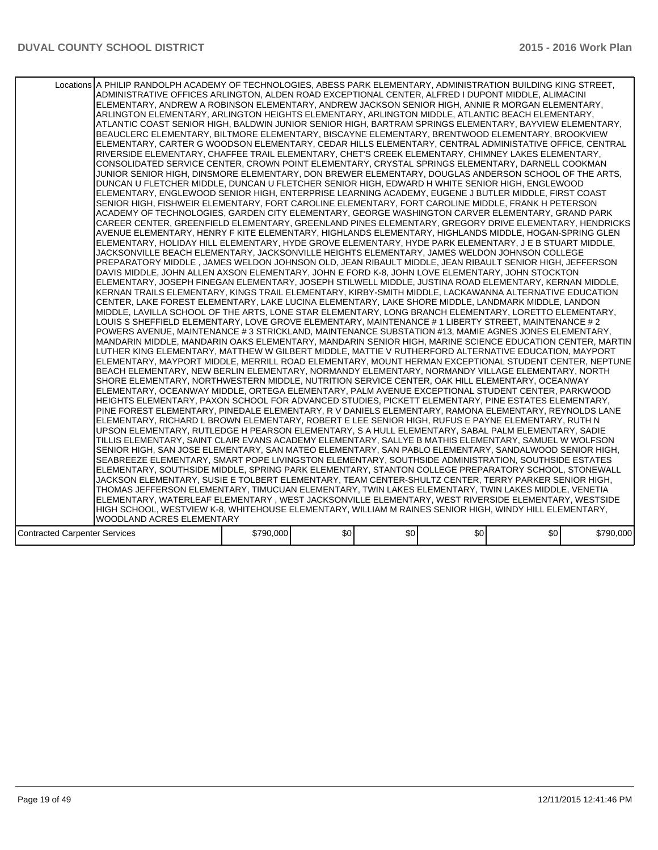|                                      | Locations A PHILIP RANDOLPH ACADEMY OF TECHNOLOGIES, ABESS PARK ELEMENTARY, ADMINISTRATION BUILDING KING STREET,<br>ADMINISTRATIVE OFFICES ARLINGTON, ALDEN ROAD EXCEPTIONAL CENTER, ALFRED I DUPONT MIDDLE, ALIMACINI<br>ELEMENTARY, ANDREW A ROBINSON ELEMENTARY, ANDREW JACKSON SENIOR HIGH, ANNIE R MORGAN ELEMENTARY,<br>ARLINGTON ELEMENTARY, ARLINGTON HEIGHTS ELEMENTARY, ARLINGTON MIDDLE, ATLANTIC BEACH ELEMENTARY,<br>ATLANTIC COAST SENIOR HIGH, BALDWIN JUNIOR SENIOR HIGH, BARTRAM SPRINGS ELEMENTARY, BAYVIEW ELEMENTARY,<br>BEAUCLERC ELEMENTARY, BILTMORE ELEMENTARY, BISCAYNE ELEMENTARY, BRENTWOOD ELEMENTARY, BROOKVIEW<br>ELEMENTARY, CARTER G WOODSON ELEMENTARY, CEDAR HILLS ELEMENTARY, CENTRAL ADMINISTATIVE OFFICE, CENTRAL<br>RIVERSIDE ELEMENTARY, CHAFFEE TRAIL ELEMENTARY, CHET'S CREEK ELEMENTARY, CHIMNEY LAKES ELEMENTARY,<br>CONSOLIDATED SERVICE CENTER, CROWN POINT ELEMENTARY, CRYSTAL SPRINGS ELEMENTARY, DARNELL COOKMAN<br>JUNIOR SENIOR HIGH, DINSMORE ELEMENTARY, DON BREWER ELEMENTARY, DOUGLAS ANDERSON SCHOOL OF THE ARTS.<br>DUNCAN U FLETCHER MIDDLE, DUNCAN U FLETCHER SENIOR HIGH, EDWARD H WHITE SENIOR HIGH, ENGLEWOOD<br>ELEMENTARY, ENGLEWOOD SENIOR HIGH, ENTERPRISE LEARNING ACADEMY, EUGENE J BUTLER MIDDLE, FIRST COAST<br>SENIOR HIGH, FISHWEIR ELEMENTARY, FORT CAROLINE ELEMENTARY, FORT CAROLINE MIDDLE, FRANK H PETERSON<br>ACADEMY OF TECHNOLOGIES, GARDEN CITY ELEMENTARY, GEORGE WASHINGTON CARVER ELEMENTARY, GRAND PARK<br>CAREER CENTER, GREENFIELD ELEMENTARY, GREENLAND PINES ELEMENTARY, GREGORY DRIVE ELEMENTARY, HENDRICKS<br>AVENUE ELEMENTARY, HENRY F KITE ELEMENTARY, HIGHLANDS ELEMENTARY, HIGHLANDS MIDDLE, HOGAN-SPRING GLEN<br>ELEMENTARY, HOLIDAY HILL ELEMENTARY, HYDE GROVE ELEMENTARY, HYDE PARK ELEMENTARY, J E B STUART MIDDLE,<br>JACKSONVILLE BEACH ELEMENTARY, JACKSONVILLE HEIGHTS ELEMENTARY, JAMES WELDON JOHNSON COLLEGE<br>PREPARATORY MIDDLE, JAMES WELDON JOHNSON OLD, JEAN RIBAULT MIDDLE, JEAN RIBAULT SENIOR HIGH, JEFFERSON<br>DAVIS MIDDLE, JOHN ALLEN AXSON ELEMENTARY, JOHN E FORD K-8, JOHN LOVE ELEMENTARY, JOHN STOCKTON<br>ELEMENTARY, JOSEPH FINEGAN ELEMENTARY, JOSEPH STILWELL MIDDLE, JUSTINA ROAD ELEMENTARY, KERNAN MIDDLE,<br>KERNAN TRAILS ELEMENTARY, KINGS TRAIL ELEMENTARY, KIRBY-SMITH MIDDLE, LACKAWANNA ALTERNATIVE EDUCATION<br>CENTER, LAKE FOREST ELEMENTARY, LAKE LUCINA ELEMENTARY, LAKE SHORE MIDDLE, LANDMARK MIDDLE, LANDON<br>MIDDLE, LAVILLA SCHOOL OF THE ARTS, LONE STAR ELEMENTARY, LONG BRANCH ELEMENTARY, LORETTO ELEMENTARY,<br>LOUIS S SHEFFIELD ELEMENTARY, LOVE GROVE ELEMENTARY, MAINTENANCE # 1 LIBERTY STREET, MAINTENANCE # 2<br>POWERS AVENUE, MAINTENANCE # 3 STRICKLAND, MAINTENANCE SUBSTATION #13, MAMIE AGNES JONES ELEMENTARY,<br>MANDARIN MIDDLE, MANDARIN OAKS ELEMENTARY, MANDARIN SENIOR HIGH, MARINE SCIENCE EDUCATION CENTER, MARTIN<br>LUTHER KING ELEMENTARY, MATTHEW W GILBERT MIDDLE, MATTIE V RUTHERFORD ALTERNATIVE EDUCATION, MAYPORT<br>ELEMENTARY, MAYPORT MIDDLE, MERRILL ROAD ELEMENTARY, MOUNT HERMAN EXCEPTIONAL STUDENT CENTER, NEPTUNE<br>BEACH ELEMENTARY, NEW BERLIN ELEMENTARY, NORMANDY ELEMENTARY, NORMANDY VILLAGE ELEMENTARY, NORTH<br>SHORE ELEMENTARY. NORTHWESTERN MIDDLE. NUTRITION SERVICE CENTER. OAK HILL ELEMENTARY. OCEANWAY<br>ELEMENTARY, OCEANWAY MIDDLE, ORTEGA ELEMENTARY, PALM AVENUE EXCEPTIONAL STUDENT CENTER, PARKWOOD<br>HEIGHTS ELEMENTARY, PAXON SCHOOL FOR ADVANCED STUDIES, PICKETT ELEMENTARY, PINE ESTATES ELEMENTARY,<br>PINE FOREST ELEMENTARY, PINEDALE ELEMENTARY, R V DANIELS ELEMENTARY, RAMONA ELEMENTARY, REYNOLDS LANE<br>ELEMENTARY, RICHARD L BROWN ELEMENTARY, ROBERT E LEE SENIOR HIGH, RUFUS E PAYNE ELEMENTARY, RUTH N<br>UPSON ELEMENTARY, RUTLEDGE H PEARSON ELEMENTARY, S A HULL ELEMENTARY, SABAL PALM ELEMENTARY, SADIE<br>TILLIS ELEMENTARY, SAINT CLAIR EVANS ACADEMY ELEMENTARY, SALLYE B MATHIS ELEMENTARY, SAMUEL W WOLFSON<br>SENIOR HIGH, SAN JOSE ELEMENTARY, SAN MATEO ELEMENTARY, SAN PABLO ELEMENTARY, SANDALWOOD SENIOR HIGH,<br>SEABREEZE ELEMENTARY, SMART POPE LIVINGSTON ELEMENTARY, SOUTHSIDE ADMINISTRATION, SOUTHSIDE ESTATES<br>ELEMENTARY, SOUTHSIDE MIDDLE, SPRING PARK ELEMENTARY, STANTON COLLEGE PREPARATORY SCHOOL, STONEWALL<br>JACKSON ELEMENTARY, SUSIE E TOLBERT ELEMENTARY, TEAM CENTER-SHULTZ CENTER, TERRY PARKER SENIOR HIGH,<br>THOMAS JEFFERSON ELEMENTARY, TIMUCUAN ELEMENTARY, TWIN LAKES ELEMENTARY, TWIN LAKES MIDDLE, VENETIA<br>ELEMENTARY, WATERLEAF ELEMENTARY, WEST JACKSONVILLE ELEMENTARY, WEST RIVERSIDE ELEMENTARY, WESTSIDE |           |      |     |     |     |           |
|--------------------------------------|------------------------------------------------------------------------------------------------------------------------------------------------------------------------------------------------------------------------------------------------------------------------------------------------------------------------------------------------------------------------------------------------------------------------------------------------------------------------------------------------------------------------------------------------------------------------------------------------------------------------------------------------------------------------------------------------------------------------------------------------------------------------------------------------------------------------------------------------------------------------------------------------------------------------------------------------------------------------------------------------------------------------------------------------------------------------------------------------------------------------------------------------------------------------------------------------------------------------------------------------------------------------------------------------------------------------------------------------------------------------------------------------------------------------------------------------------------------------------------------------------------------------------------------------------------------------------------------------------------------------------------------------------------------------------------------------------------------------------------------------------------------------------------------------------------------------------------------------------------------------------------------------------------------------------------------------------------------------------------------------------------------------------------------------------------------------------------------------------------------------------------------------------------------------------------------------------------------------------------------------------------------------------------------------------------------------------------------------------------------------------------------------------------------------------------------------------------------------------------------------------------------------------------------------------------------------------------------------------------------------------------------------------------------------------------------------------------------------------------------------------------------------------------------------------------------------------------------------------------------------------------------------------------------------------------------------------------------------------------------------------------------------------------------------------------------------------------------------------------------------------------------------------------------------------------------------------------------------------------------------------------------------------------------------------------------------------------------------------------------------------------------------------------------------------------------------------------------------------------------------------------------------------------------------------------------------------------------------------------------------------------------------------------------------------------------------------------------------------------------------------------------------------------------------------------------------------------------------------------------------------------------------------------------------------------------------------------------------------------------------------------------------------------------------------------------------------------------------------------------------------------------------------------------------------------------------------------------------------------------------------------------------------------------------------------------------------------------------------------------------------------------------------------------------------------------------------------------------------------------------------------------------------------------------------------------------------------------------------------------|-----------|------|-----|-----|-----|-----------|
|                                      |                                                                                                                                                                                                                                                                                                                                                                                                                                                                                                                                                                                                                                                                                                                                                                                                                                                                                                                                                                                                                                                                                                                                                                                                                                                                                                                                                                                                                                                                                                                                                                                                                                                                                                                                                                                                                                                                                                                                                                                                                                                                                                                                                                                                                                                                                                                                                                                                                                                                                                                                                                                                                                                                                                                                                                                                                                                                                                                                                                                                                                                                                                                                                                                                                                                                                                                                                                                                                                                                                                                                                                                                                                                                                                                                                                                                                                                                                                                                                                                                                                                                                                                                                                                                                                                                                                                                                                                                                                                                                                                                                                                                                  |           |      |     |     |     |           |
|                                      |                                                                                                                                                                                                                                                                                                                                                                                                                                                                                                                                                                                                                                                                                                                                                                                                                                                                                                                                                                                                                                                                                                                                                                                                                                                                                                                                                                                                                                                                                                                                                                                                                                                                                                                                                                                                                                                                                                                                                                                                                                                                                                                                                                                                                                                                                                                                                                                                                                                                                                                                                                                                                                                                                                                                                                                                                                                                                                                                                                                                                                                                                                                                                                                                                                                                                                                                                                                                                                                                                                                                                                                                                                                                                                                                                                                                                                                                                                                                                                                                                                                                                                                                                                                                                                                                                                                                                                                                                                                                                                                                                                                                                  |           |      |     |     |     |           |
|                                      | HIGH SCHOOL, WESTVIEW K-8, WHITEHOUSE ELEMENTARY, WILLIAM M RAINES SENIOR HIGH, WINDY HILL ELEMENTARY,                                                                                                                                                                                                                                                                                                                                                                                                                                                                                                                                                                                                                                                                                                                                                                                                                                                                                                                                                                                                                                                                                                                                                                                                                                                                                                                                                                                                                                                                                                                                                                                                                                                                                                                                                                                                                                                                                                                                                                                                                                                                                                                                                                                                                                                                                                                                                                                                                                                                                                                                                                                                                                                                                                                                                                                                                                                                                                                                                                                                                                                                                                                                                                                                                                                                                                                                                                                                                                                                                                                                                                                                                                                                                                                                                                                                                                                                                                                                                                                                                                                                                                                                                                                                                                                                                                                                                                                                                                                                                                           |           |      |     |     |     |           |
|                                      | WOODLAND ACRES ELEMENTARY                                                                                                                                                                                                                                                                                                                                                                                                                                                                                                                                                                                                                                                                                                                                                                                                                                                                                                                                                                                                                                                                                                                                                                                                                                                                                                                                                                                                                                                                                                                                                                                                                                                                                                                                                                                                                                                                                                                                                                                                                                                                                                                                                                                                                                                                                                                                                                                                                                                                                                                                                                                                                                                                                                                                                                                                                                                                                                                                                                                                                                                                                                                                                                                                                                                                                                                                                                                                                                                                                                                                                                                                                                                                                                                                                                                                                                                                                                                                                                                                                                                                                                                                                                                                                                                                                                                                                                                                                                                                                                                                                                                        |           |      |     |     |     |           |
|                                      |                                                                                                                                                                                                                                                                                                                                                                                                                                                                                                                                                                                                                                                                                                                                                                                                                                                                                                                                                                                                                                                                                                                                                                                                                                                                                                                                                                                                                                                                                                                                                                                                                                                                                                                                                                                                                                                                                                                                                                                                                                                                                                                                                                                                                                                                                                                                                                                                                                                                                                                                                                                                                                                                                                                                                                                                                                                                                                                                                                                                                                                                                                                                                                                                                                                                                                                                                                                                                                                                                                                                                                                                                                                                                                                                                                                                                                                                                                                                                                                                                                                                                                                                                                                                                                                                                                                                                                                                                                                                                                                                                                                                                  |           |      |     |     |     |           |
| <b>Contracted Carpenter Services</b> |                                                                                                                                                                                                                                                                                                                                                                                                                                                                                                                                                                                                                                                                                                                                                                                                                                                                                                                                                                                                                                                                                                                                                                                                                                                                                                                                                                                                                                                                                                                                                                                                                                                                                                                                                                                                                                                                                                                                                                                                                                                                                                                                                                                                                                                                                                                                                                                                                                                                                                                                                                                                                                                                                                                                                                                                                                                                                                                                                                                                                                                                                                                                                                                                                                                                                                                                                                                                                                                                                                                                                                                                                                                                                                                                                                                                                                                                                                                                                                                                                                                                                                                                                                                                                                                                                                                                                                                                                                                                                                                                                                                                                  | \$790,000 | \$0] | \$0 | \$0 | \$0 | \$790,000 |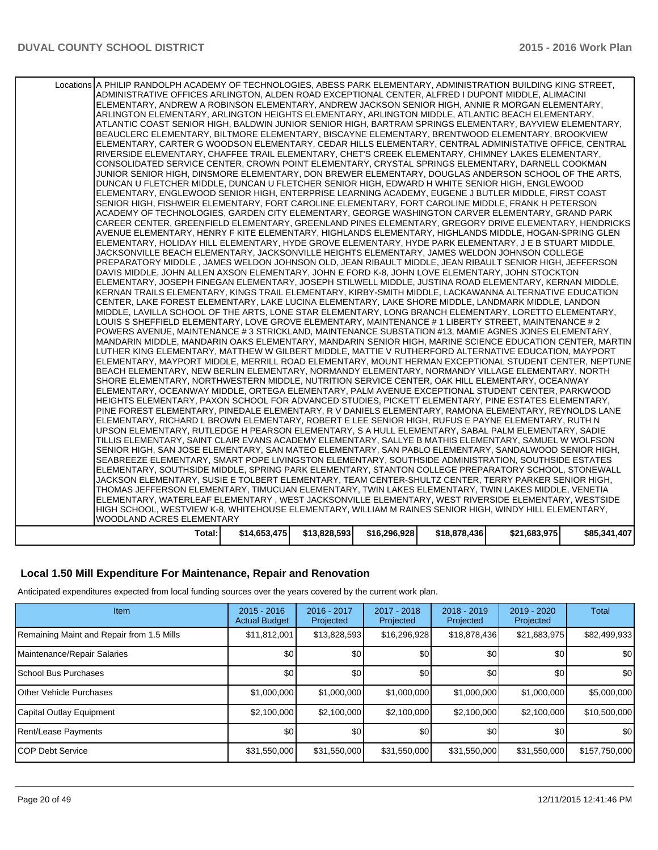| Locations A PHILIP RANDOLPH ACADEMY OF TECHNOLOGIES, ABESS PARK ELEMENTARY, ADMINISTRATION BUILDING KING STREET,<br>ADMINISTRATIVE OFFICES ARLINGTON, ALDEN ROAD EXCEPTIONAL CENTER, ALFRED I DUPONT MIDDLE, ALIMACINI<br>ELEMENTARY, ANDREW A ROBINSON ELEMENTARY, ANDREW JACKSON SENIOR HIGH, ANNIE R MORGAN ELEMENTARY,<br>ARLINGTON ELEMENTARY, ARLINGTON HEIGHTS ELEMENTARY, ARLINGTON MIDDLE, ATLANTIC BEACH ELEMENTARY,<br>ATLANTIC COAST SENIOR HIGH, BALDWIN JUNIOR SENIOR HIGH, BARTRAM SPRINGS ELEMENTARY, BAYVIEW ELEMENTARY,<br>BEAUCLERC ELEMENTARY, BILTMORE ELEMENTARY, BISCAYNE ELEMENTARY, BRENTWOOD ELEMENTARY, BROOKVIEW<br>ELEMENTARY, CARTER G WOODSON ELEMENTARY, CEDAR HILLS ELEMENTARY, CENTRAL ADMINISTATIVE OFFICE, CENTRAL<br>RIVERSIDE ELEMENTARY, CHAFFEE TRAIL ELEMENTARY, CHET'S CREEK ELEMENTARY, CHIMNEY LAKES ELEMENTARY,<br>CONSOLIDATED SERVICE CENTER, CROWN POINT ELEMENTARY, CRYSTAL SPRINGS ELEMENTARY, DARNELL COOKMAN<br>JUNIOR SENIOR HIGH, DINSMORE ELEMENTARY, DON BREWER ELEMENTARY, DOUGLAS ANDERSON SCHOOL OF THE ARTS,<br>DUNCAN U FLETCHER MIDDLE, DUNCAN U FLETCHER SENIOR HIGH, EDWARD H WHITE SENIOR HIGH, ENGLEWOOD<br>ELEMENTARY, ENGLEWOOD SENIOR HIGH, ENTERPRISE LEARNING ACADEMY, EUGENE J BUTLER MIDDLE, FIRST COAST<br>SENIOR HIGH, FISHWEIR ELEMENTARY, FORT CAROLINE ELEMENTARY, FORT CAROLINE MIDDLE, FRANK H PETERSON<br>ACADEMY OF TECHNOLOGIES, GARDEN CITY ELEMENTARY, GEORGE WASHINGTON CARVER ELEMENTARY, GRAND PARK<br>CAREER CENTER, GREENFIELD ELEMENTARY, GREENLAND PINES ELEMENTARY, GREGORY DRIVE ELEMENTARY, HENDRICKS<br>AVENUE ELEMENTARY, HENRY F KITE ELEMENTARY, HIGHLANDS ELEMENTARY, HIGHLANDS MIDDLE, HOGAN-SPRING GLEN<br>ELEMENTARY, HOLIDAY HILL ELEMENTARY, HYDE GROVE ELEMENTARY, HYDE PARK ELEMENTARY, J E B STUART MIDDLE,<br>JACKSONVILLE BEACH ELEMENTARY, JACKSONVILLE HEIGHTS ELEMENTARY, JAMES WELDON JOHNSON COLLEGE<br>PREPARATORY MIDDLE . JAMES WELDON JOHNSON OLD. JEAN RIBAULT MIDDLE. JEAN RIBAULT SENIOR HIGH. JEFFERSON<br>DAVIS MIDDLE, JOHN ALLEN AXSON ELEMENTARY, JOHN E FORD K-8, JOHN LOVE ELEMENTARY, JOHN STOCKTON<br>ELEMENTARY, JOSEPH FINEGAN ELEMENTARY, JOSEPH STILWELL MIDDLE, JUSTINA ROAD ELEMENTARY, KERNAN MIDDLE,<br>KERNAN TRAILS ELEMENTARY, KINGS TRAIL ELEMENTARY, KIRBY-SMITH MIDDLE, LACKAWANNA ALTERNATIVE EDUCATION<br>CENTER, LAKE FOREST ELEMENTARY, LAKE LUCINA ELEMENTARY, LAKE SHORE MIDDLE, LANDMARK MIDDLE, LANDON<br>MIDDLE, LAVILLA SCHOOL OF THE ARTS, LONE STAR ELEMENTARY, LONG BRANCH ELEMENTARY, LORETTO ELEMENTARY,<br>LOUIS S SHEFFIELD ELEMENTARY, LOVE GROVE ELEMENTARY, MAINTENANCE #1 LIBERTY STREET, MAINTENANCE #2<br>POWERS AVENUE, MAINTENANCE #3 STRICKLAND, MAINTENANCE SUBSTATION #13, MAMIE AGNES JONES ELEMENTARY,<br>MANDARIN MIDDLE, MANDARIN OAKS ELEMENTARY, MANDARIN SENIOR HIGH, MARINE SCIENCE EDUCATION CENTER, MARTIN<br>LUTHER KING ELEMENTARY, MATTHEW W GILBERT MIDDLE, MATTIE V RUTHERFORD ALTERNATIVE EDUCATION, MAYPORT<br>ELEMENTARY, MAYPORT MIDDLE, MERRILL ROAD ELEMENTARY, MOUNT HERMAN EXCEPTIONAL STUDENT CENTER, NEPTUNE<br>BEACH ELEMENTARY, NEW BERLIN ELEMENTARY, NORMANDY ELEMENTARY, NORMANDY VILLAGE ELEMENTARY, NORTH<br>SHORE ELEMENTARY, NORTHWESTERN MIDDLE, NUTRITION SERVICE CENTER, OAK HILL ELEMENTARY, OCEANWAY<br>ELEMENTARY, OCEANWAY MIDDLE, ORTEGA ELEMENTARY, PALM AVENUE EXCEPTIONAL STUDENT CENTER, PARKWOOD<br>HEIGHTS ELEMENTARY, PAXON SCHOOL FOR ADVANCED STUDIES, PICKETT ELEMENTARY, PINE ESTATES ELEMENTARY,<br>PINE FOREST ELEMENTARY, PINEDALE ELEMENTARY, R V DANIELS ELEMENTARY, RAMONA ELEMENTARY, REYNOLDS LANE<br>ELEMENTARY, RICHARD L BROWN ELEMENTARY, ROBERT E LEE SENIOR HIGH, RUFUS E PAYNE ELEMENTARY, RUTH N<br>UPSON ELEMENTARY, RUTLEDGE H PEARSON ELEMENTARY, S A HULL ELEMENTARY, SABAL PALM ELEMENTARY, SADIE<br>TILLIS ELEMENTARY, SAINT CLAIR EVANS ACADEMY ELEMENTARY, SALLYE B MATHIS ELEMENTARY, SAMUEL W WOLFSON<br>SENIOR HIGH, SAN JOSE ELEMENTARY, SAN MATEO ELEMENTARY, SAN PABLO ELEMENTARY, SANDALWOOD SENIOR HIGH,<br>SEABREEZE ELEMENTARY, SMART POPE LIVINGSTON ELEMENTARY, SOUTHSIDE ADMINISTRATION, SOUTHSIDE ESTATES<br>ELEMENTARY, SOUTHSIDE MIDDLE, SPRING PARK ELEMENTARY, STANTON COLLEGE PREPARATORY SCHOOL, STONEWALL<br>JACKSON ELEMENTARY, SUSIE E TOLBERT ELEMENTARY, TEAM CENTER-SHULTZ CENTER, TERRY PARKER SENIOR HIGH,<br>THOMAS JEFFERSON ELEMENTARY, TIMUCUAN ELEMENTARY, TWIN LAKES ELEMENTARY, TWIN LAKES MIDDLE, VENETIA<br>ELEMENTARY, WATERLEAF ELEMENTARY , WEST JACKSONVILLE ELEMENTARY, WEST RIVERSIDE ELEMENTARY, WESTSIDE<br>HIGH SCHOOL, WESTVIEW K-8, WHITEHOUSE ELEMENTARY, WILLIAM M RAINES SENIOR HIGH, WINDY HILL ELEMENTARY,<br>WOODLAND ACRES ELEMENTARY |              |              |              |              |              |              |
|--------------------------------------------------------------------------------------------------------------------------------------------------------------------------------------------------------------------------------------------------------------------------------------------------------------------------------------------------------------------------------------------------------------------------------------------------------------------------------------------------------------------------------------------------------------------------------------------------------------------------------------------------------------------------------------------------------------------------------------------------------------------------------------------------------------------------------------------------------------------------------------------------------------------------------------------------------------------------------------------------------------------------------------------------------------------------------------------------------------------------------------------------------------------------------------------------------------------------------------------------------------------------------------------------------------------------------------------------------------------------------------------------------------------------------------------------------------------------------------------------------------------------------------------------------------------------------------------------------------------------------------------------------------------------------------------------------------------------------------------------------------------------------------------------------------------------------------------------------------------------------------------------------------------------------------------------------------------------------------------------------------------------------------------------------------------------------------------------------------------------------------------------------------------------------------------------------------------------------------------------------------------------------------------------------------------------------------------------------------------------------------------------------------------------------------------------------------------------------------------------------------------------------------------------------------------------------------------------------------------------------------------------------------------------------------------------------------------------------------------------------------------------------------------------------------------------------------------------------------------------------------------------------------------------------------------------------------------------------------------------------------------------------------------------------------------------------------------------------------------------------------------------------------------------------------------------------------------------------------------------------------------------------------------------------------------------------------------------------------------------------------------------------------------------------------------------------------------------------------------------------------------------------------------------------------------------------------------------------------------------------------------------------------------------------------------------------------------------------------------------------------------------------------------------------------------------------------------------------------------------------------------------------------------------------------------------------------------------------------------------------------------------------------------------------------------------------------------------------------------------------------------------------------------------------------------------------------------------------------------------------------------------------------------------------------------------------------------------------------------------------------------------------------------------------------------------------------------------------------------------------------------------------------------------------------------------------------------------------------------------------------------------------------------------------------------------------------------------------------------------------|--------------|--------------|--------------|--------------|--------------|--------------|
| Total:                                                                                                                                                                                                                                                                                                                                                                                                                                                                                                                                                                                                                                                                                                                                                                                                                                                                                                                                                                                                                                                                                                                                                                                                                                                                                                                                                                                                                                                                                                                                                                                                                                                                                                                                                                                                                                                                                                                                                                                                                                                                                                                                                                                                                                                                                                                                                                                                                                                                                                                                                                                                                                                                                                                                                                                                                                                                                                                                                                                                                                                                                                                                                                                                                                                                                                                                                                                                                                                                                                                                                                                                                                                                                                                                                                                                                                                                                                                                                                                                                                                                                                                                                                                                                                                                                                                                                                                                                                                                                                                                                                                                                                                                                                                                                 | \$14,653,475 | \$13,828,593 | \$16,296,928 | \$18,878,436 | \$21,683,975 | \$85,341,407 |

### **Local 1.50 Mill Expenditure For Maintenance, Repair and Renovation**

Anticipated expenditures expected from local funding sources over the years covered by the current work plan.

| Item                                      | $2015 - 2016$<br><b>Actual Budget</b> | 2016 - 2017<br>Projected | 2017 - 2018<br>Projected | $2018 - 2019$<br>Projected | $2019 - 2020$<br>Projected | <b>Total</b>  |
|-------------------------------------------|---------------------------------------|--------------------------|--------------------------|----------------------------|----------------------------|---------------|
| Remaining Maint and Repair from 1.5 Mills | \$11,812,001                          | \$13,828,593             | \$16,296,928             | \$18,878,436               | \$21,683,975               | \$82,499,933  |
| Maintenance/Repair Salaries               | \$0 <sub>1</sub>                      | \$0                      | \$0                      | \$0                        | \$0                        | \$0           |
| <b>School Bus Purchases</b>               | \$0                                   | \$0                      | \$0                      | \$0                        | \$0                        | \$0           |
| <b>Other Vehicle Purchases</b>            | \$1,000,000                           | \$1,000,000              | \$1,000,000              | \$1,000,000                | \$1,000,000                | \$5,000,000   |
| Capital Outlay Equipment                  | \$2,100,000                           | \$2,100,000              | \$2,100,000              | \$2,100,000                | \$2,100,000                | \$10,500,000  |
| Rent/Lease Payments                       | \$0                                   | \$0                      | \$0                      | \$0 <sub>1</sub>           | \$0 <sub>1</sub>           | \$0           |
| <b>ICOP Debt Service</b>                  | \$31,550,000                          | \$31,550,000             | \$31,550,000             | \$31,550,000               | \$31,550,000               | \$157,750,000 |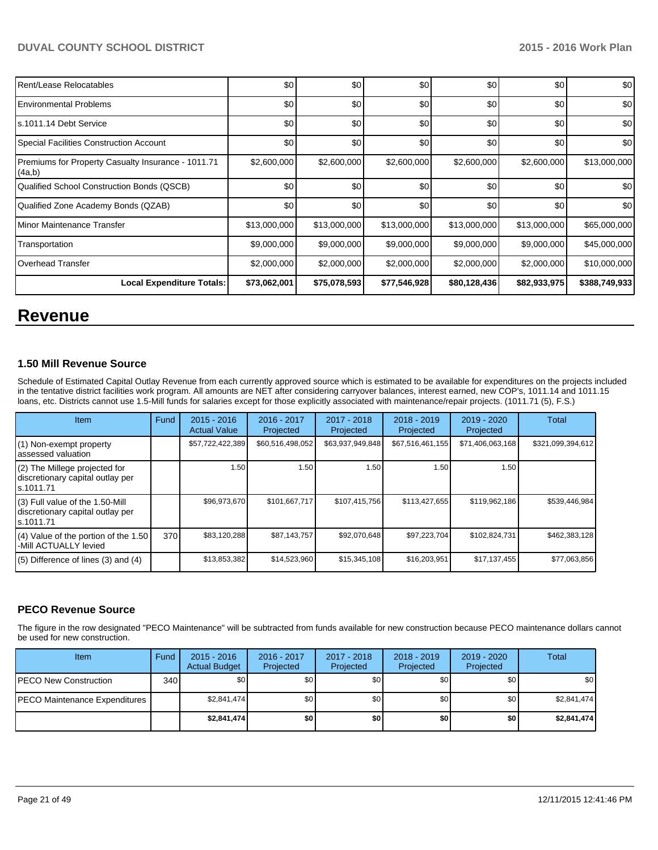| Rent/Lease Relocatables                                      | \$0          | \$0          | \$0          | \$0          | \$0          | \$0           |
|--------------------------------------------------------------|--------------|--------------|--------------|--------------|--------------|---------------|
| <b>Environmental Problems</b>                                | \$0          | \$0          | \$0          | \$0          | \$0          | \$0           |
| s.1011.14 Debt Service                                       | \$0          | \$0          | \$0          | \$0          | \$0          | \$0           |
| <b>Special Facilities Construction Account</b>               | \$0          | \$0          | \$0          | \$0          | \$0          | \$0           |
| Premiums for Property Casualty Insurance - 1011.71<br>(4a,b) | \$2,600,000  | \$2,600,000  | \$2,600,000  | \$2,600,000  | \$2,600,000  | \$13,000,000  |
| Qualified School Construction Bonds (QSCB)                   | \$0          | \$0          | \$0          | \$0          | \$0          | \$0           |
| Qualified Zone Academy Bonds (QZAB)                          | \$0          | \$0          | \$0          | \$0          | \$0          | \$0           |
| Minor Maintenance Transfer                                   | \$13,000,000 | \$13,000,000 | \$13,000,000 | \$13,000,000 | \$13,000,000 | \$65,000,000  |
| Transportation                                               | \$9,000,000  | \$9,000,000  | \$9,000,000  | \$9,000,000  | \$9,000,000  | \$45,000,000  |
| Overhead Transfer                                            | \$2,000,000  | \$2,000,000  | \$2,000,000  | \$2,000,000  | \$2,000,000  | \$10,000,000  |
| Local Expenditure Totals:                                    | \$73,062,001 | \$75,078,593 | \$77,546,928 | \$80,128,436 | \$82,933,975 | \$388,749,933 |

## **Revenue**

### **1.50 Mill Revenue Source**

Schedule of Estimated Capital Outlay Revenue from each currently approved source which is estimated to be available for expenditures on the projects included in the tentative district facilities work program. All amounts are NET after considering carryover balances, interest earned, new COP's, 1011.14 and 1011.15 loans, etc. Districts cannot use 1.5-Mill funds for salaries except for those explicitly associated with maintenance/repair projects. (1011.71 (5), F.S.)

| Item                                                                             | Fund | $2015 - 2016$<br><b>Actual Value</b> | 2016 - 2017<br>Projected | 2017 - 2018<br>Projected | $2018 - 2019$<br>Projected | 2019 - 2020<br>Projected | Total             |
|----------------------------------------------------------------------------------|------|--------------------------------------|--------------------------|--------------------------|----------------------------|--------------------------|-------------------|
| (1) Non-exempt property<br>assessed valuation                                    |      | \$57,722,422,389                     | \$60,516,498,052         | \$63,937,949,848         | \$67,516,461,155           | \$71,406,063,168         | \$321,099,394,612 |
| (2) The Millege projected for<br>discretionary capital outlay per<br>ls.1011.71  |      | 1.50                                 | 1.50                     | 1.50                     | 1.50                       | 1.50                     |                   |
| (3) Full value of the 1.50-Mill<br>discretionary capital outlay per<br>s.1011.71 |      | \$96,973,670                         | \$101.667.717            | \$107,415,756            | \$113,427,655              | \$119,962,186            | \$539,446,984     |
| (4) Value of the portion of the 1.50<br>-Mill ACTUALLY levied                    | 370  | \$83,120,288                         | \$87,143,757             | \$92,070,648             | \$97,223,704               | \$102,824,731            | \$462,383,128     |
| $(5)$ Difference of lines $(3)$ and $(4)$                                        |      | \$13,853,382                         | \$14,523,960             | \$15,345,108             | \$16,203,951               | \$17,137,455             | \$77,063,856      |

## **PECO Revenue Source**

The figure in the row designated "PECO Maintenance" will be subtracted from funds available for new construction because PECO maintenance dollars cannot be used for new construction.

| <b>Item</b>                   | Fund | $2015 - 2016$<br><b>Actual Budget</b> | $2016 - 2017$<br>Projected | 2017 - 2018<br>Projected | $2018 - 2019$<br>Projected | $2019 - 2020$<br>Projected | Total       |
|-------------------------------|------|---------------------------------------|----------------------------|--------------------------|----------------------------|----------------------------|-------------|
| PECO New Construction         | 340  | \$0                                   | \$0                        | \$0                      | \$0                        | \$0                        | \$0         |
| PECO Maintenance Expenditures |      | \$2.841.474                           | \$0                        | \$0                      | \$0 <sub>1</sub>           | \$0                        | \$2,841,474 |
|                               |      | \$2,841,474                           | \$0                        | \$0                      | \$0                        | \$0                        | \$2,841,474 |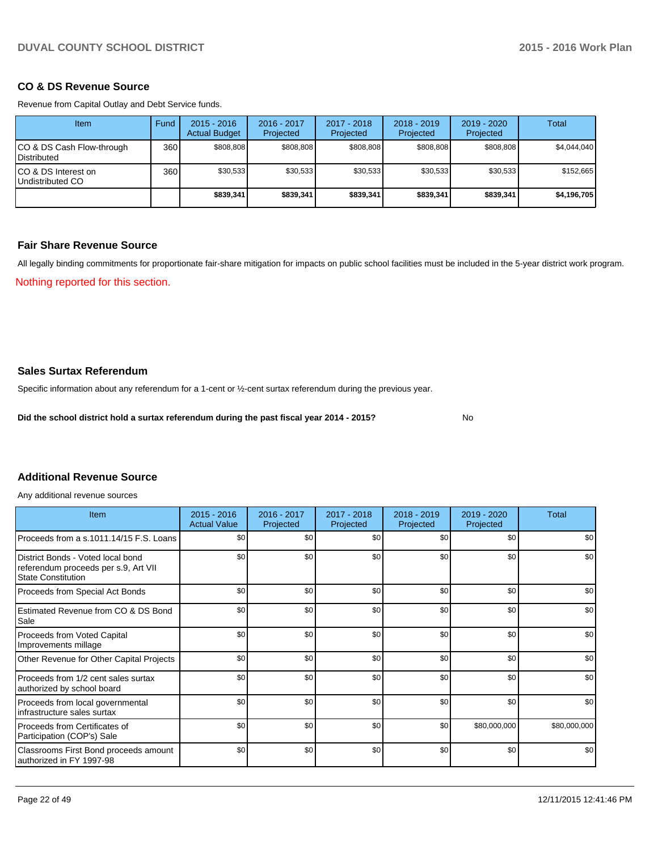### **CO & DS Revenue Source**

Revenue from Capital Outlay and Debt Service funds.

| Item                                               | Fund | $2015 - 2016$<br><b>Actual Budget</b> | $2016 - 2017$<br>Projected | $2017 - 2018$<br>Projected | $2018 - 2019$<br>Projected | $2019 - 2020$<br>Projected | Total       |
|----------------------------------------------------|------|---------------------------------------|----------------------------|----------------------------|----------------------------|----------------------------|-------------|
| ICO & DS Cash Flow-through<br><b>I</b> Distributed | 360  | \$808.808                             | \$808.808                  | \$808.808                  | \$808.808                  | \$808.808                  | \$4,044,040 |
| ICO & DS Interest on<br>Undistributed CO           | 360  | \$30.533                              | \$30,533                   | \$30,533                   | \$30.533                   | \$30,533                   | \$152,665   |
|                                                    |      | \$839,341                             | \$839,341                  | \$839,341                  | \$839,341                  | \$839,341                  | \$4,196,705 |

## **Fair Share Revenue Source**

All legally binding commitments for proportionate fair-share mitigation for impacts on public school facilities must be included in the 5-year district work program.

Nothing reported for this section.

## **Sales Surtax Referendum**

Specific information about any referendum for a 1-cent or ½-cent surtax referendum during the previous year.

**Did the school district hold a surtax referendum during the past fiscal year 2014 - 2015?**

No

## **Additional Revenue Source**

Any additional revenue sources

| Item                                                                                                   | $2015 - 2016$<br><b>Actual Value</b> | 2016 - 2017<br>Projected | 2017 - 2018<br>Projected | $2018 - 2019$<br>Projected | 2019 - 2020<br>Projected | Total        |
|--------------------------------------------------------------------------------------------------------|--------------------------------------|--------------------------|--------------------------|----------------------------|--------------------------|--------------|
| Proceeds from a s.1011.14/15 F.S. Loans                                                                | \$0                                  | \$0                      | \$0                      | \$0                        | \$0                      | \$0          |
| District Bonds - Voted local bond<br>referendum proceeds per s.9, Art VII<br><b>State Constitution</b> | \$0                                  | \$0                      | \$0                      | \$0                        | \$0                      | \$0          |
| Proceeds from Special Act Bonds                                                                        | \$0                                  | \$0                      | \$0                      | \$0                        | \$0                      | \$0          |
| Estimated Revenue from CO & DS Bond<br>Sale                                                            | \$0                                  | \$0                      | \$0                      | \$0                        | \$0                      | \$0          |
| Proceeds from Voted Capital<br>Improvements millage                                                    | \$0                                  | \$0                      | \$0                      | \$0                        | \$0                      | \$0          |
| Other Revenue for Other Capital Projects                                                               | \$0                                  | \$0                      | \$0                      | \$0                        | \$0                      | \$0          |
| Proceeds from 1/2 cent sales surtax<br>authorized by school board                                      | \$0                                  | \$0                      | \$0                      | \$0                        | \$0                      | \$0          |
| Proceeds from local governmental<br>infrastructure sales surtax                                        | \$0                                  | \$0                      | \$0                      | \$0                        | \$0                      | \$0          |
| Proceeds from Certificates of<br>Participation (COP's) Sale                                            | \$0                                  | \$0                      | \$0                      | \$0                        | \$80,000,000             | \$80,000,000 |
| Classrooms First Bond proceeds amount<br>authorized in FY 1997-98                                      | \$0                                  | \$0                      | \$0                      | \$0                        | \$0                      | \$0          |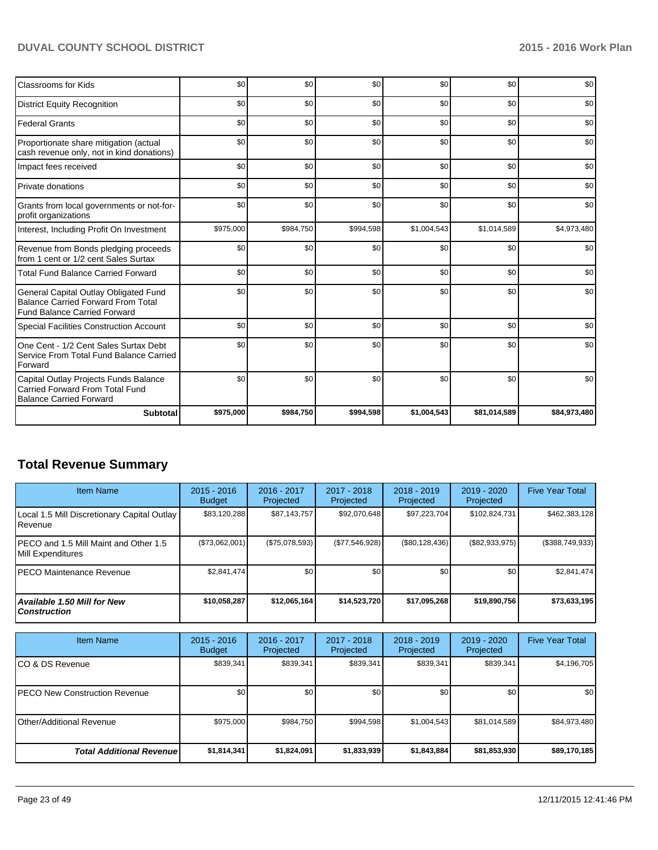| Classrooms for Kids                                                                                                       | \$0       | \$0       | \$0       | \$0         | \$0          | \$0          |
|---------------------------------------------------------------------------------------------------------------------------|-----------|-----------|-----------|-------------|--------------|--------------|
| <b>District Equity Recognition</b>                                                                                        | \$0       | \$0       | \$0       | \$0         | \$0          | \$0          |
| <b>Federal Grants</b>                                                                                                     | \$0       | \$0       | \$0       | \$0         | \$0          | \$0          |
| Proportionate share mitigation (actual<br>cash revenue only, not in kind donations)                                       | \$0       | \$0       | \$0       | \$0         | \$0          | \$0          |
| Impact fees received                                                                                                      | \$0       | \$0       | \$0       | \$0         | \$0          | \$0          |
| Private donations                                                                                                         | \$0       | \$0       | \$0       | \$0         | \$0          | \$0          |
| Grants from local governments or not-for-<br>profit organizations                                                         | \$0       | \$0       | \$0       | \$0         | \$0          | \$0          |
| Interest, Including Profit On Investment                                                                                  | \$975,000 | \$984,750 | \$994,598 | \$1,004,543 | \$1,014,589  | \$4,973,480  |
| Revenue from Bonds pledging proceeds<br>from 1 cent or 1/2 cent Sales Surtax                                              | \$0       | \$0       | \$0       | \$0         | \$0          | \$0          |
| <b>Total Fund Balance Carried Forward</b>                                                                                 | \$0       | \$0       | \$0       | \$0         | \$0          | \$0          |
| General Capital Outlay Obligated Fund<br><b>Balance Carried Forward From Total</b><br><b>Fund Balance Carried Forward</b> | \$0       | \$0       | \$0       | \$0         | \$0          | \$0          |
| Special Facilities Construction Account                                                                                   | \$0       | \$0       | \$0       | \$0         | \$0          | \$0          |
| One Cent - 1/2 Cent Sales Surtax Debt<br>Service From Total Fund Balance Carried<br>Forward                               | \$0       | \$0       | \$0       | \$0         | \$0          | \$0          |
| Capital Outlay Projects Funds Balance<br>Carried Forward From Total Fund<br><b>Balance Carried Forward</b>                | \$0       | \$0       | \$0       | \$0         | \$0          | \$0          |
| <b>Subtotal</b>                                                                                                           | \$975,000 | \$984,750 | \$994,598 | \$1,004,543 | \$81,014,589 | \$84,973,480 |

## **Total Revenue Summary**

| <b>Item Name</b>                                                  | $2015 - 2016$<br><b>Budget</b> | 2016 - 2017<br>Projected | 2017 - 2018<br>Projected | 2018 - 2019<br>Projected | 2019 - 2020<br>Projected | <b>Five Year Total</b> |
|-------------------------------------------------------------------|--------------------------------|--------------------------|--------------------------|--------------------------|--------------------------|------------------------|
| Local 1.5 Mill Discretionary Capital Outlay  <br><b>I</b> Revenue | \$83,120,288                   | \$87,143,757             | \$92,070,648             | \$97,223,704             | \$102,824,731            | \$462,383,128          |
| IPECO and 1.5 Mill Maint and Other 1.5<br>Mill Expenditures       | (\$73,062,001)                 | (S75.078.593)            | (\$77,546,928)           | $(\$80, 128, 436)$       | (\$82,933,975)           | (\$388,749,933)        |
| IPECO Maintenance Revenue                                         | \$2.841.474                    | \$0                      | \$0                      | \$0                      | \$0 <sub>1</sub>         | \$2,841,474            |
| Available 1.50 Mill for New l<br>l Construction                   | \$10,058,287                   | \$12,065,164             | \$14,523,720             | \$17,095,268             | \$19,890,756             | \$73,633,195           |

| <b>Item Name</b>                      | $2015 - 2016$<br><b>Budget</b> | 2016 - 2017<br>Projected | 2017 - 2018<br>Projected | $2018 - 2019$<br>Projected | $2019 - 2020$<br>Projected | <b>Five Year Total</b> |
|---------------------------------------|--------------------------------|--------------------------|--------------------------|----------------------------|----------------------------|------------------------|
| ICO & DS Revenue                      | \$839,341                      | \$839,341                | \$839,341                | \$839,341                  | \$839,341                  | \$4,196,705            |
| <b>IPECO New Construction Revenue</b> | \$0                            | \$0                      | \$0                      | \$0                        | \$0                        | \$0                    |
| <b>IOther/Additional Revenue</b>      | \$975,000                      | \$984,750                | \$994.598                | \$1,004,543                | \$81,014,589               | \$84,973,480           |
| <b>Total Additional Revenuel</b>      | \$1,814,341                    | \$1,824,091              | \$1,833,939              | \$1,843,884                | \$81,853,930               | \$89,170,185           |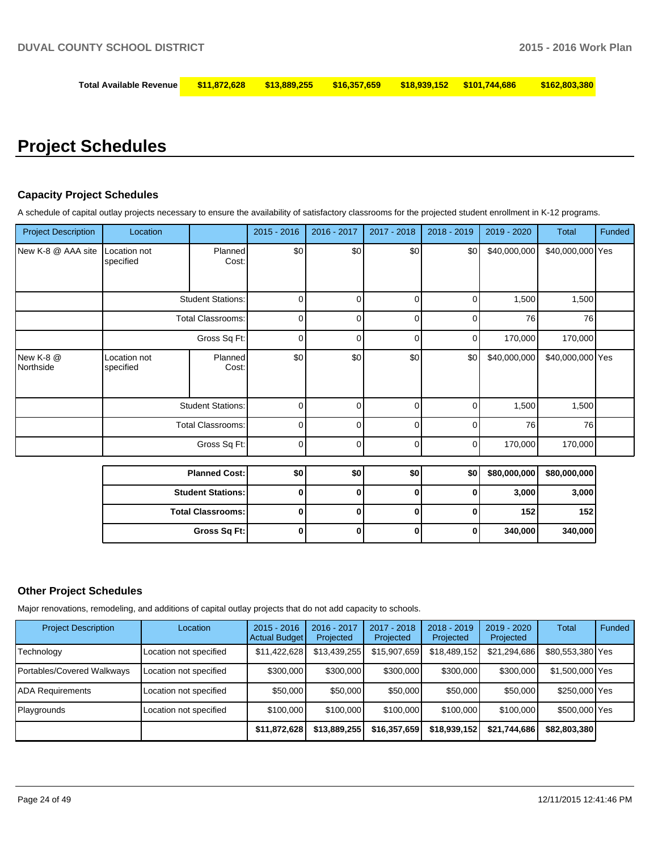## **Total Available Revenue \$11,872,628 \$13,889,255 \$16,357,659 \$18,939,152 \$101,744,686 \$162,803,380**

## **Project Schedules**

### **Capacity Project Schedules**

A schedule of capital outlay projects necessary to ensure the availability of satisfactory classrooms for the projected student enrollment in K-12 programs.

| <b>Project Description</b> | Location                  |                          | $2015 - 2016$ | 2016 - 2017 | 2017 - 2018 | 2018 - 2019 | 2019 - 2020  | Total            | Funded |
|----------------------------|---------------------------|--------------------------|---------------|-------------|-------------|-------------|--------------|------------------|--------|
| New K-8 @ AAA site         | Location not<br>specified | Planned<br>Cost:         | \$0           | \$0         | \$0         | \$0         | \$40,000,000 | \$40,000,000 Yes |        |
|                            |                           | <b>Student Stations:</b> | 0             | n           | $\Omega$    | 0           | 1,500        | 1,500            |        |
|                            |                           | <b>Total Classrooms:</b> | 0             | 0           | 0           | 0           | 76           | 76               |        |
|                            |                           | Gross Sq Ft:             | 0             | $\Omega$    | $\Omega$    | $\Omega$    | 170,000      | 170,000          |        |
| New K-8 @<br>Northside     | Location not<br>specified | Planned<br>Cost:         | \$0           | \$0         | \$0         | \$0         | \$40,000,000 | \$40,000,000 Yes |        |
|                            |                           | <b>Student Stations:</b> | 0             | 0           | 0           | $\Omega$    | 1,500        | 1,500            |        |
|                            |                           | <b>Total Classrooms:</b> | 0             |             | 0           | ი           | 76           | 76               |        |
|                            |                           | Gross Sq Ft:             | 0             | 0           | $\Omega$    | 0           | 170,000      | 170,000          |        |
|                            |                           | <b>Planned Cost:</b>     | \$0           | \$0         | \$0         | \$0         | \$80,000,000 | \$80,000,000     |        |
|                            |                           | <b>Student Stations:</b> | 0             | $\bf{0}$    | $\bf{0}$    | 0           | 3,000        | 3,000            |        |
|                            | <b>Total Classrooms:</b>  |                          | $\mathbf{0}$  | 0           | 0           | 0           | 152          | 152              |        |

#### **Other Project Schedules**

Major renovations, remodeling, and additions of capital outlay projects that do not add capacity to schools.

| <b>Project Description</b> | Location               | $2015 - 2016$<br><b>Actual Budget</b> | $2016 - 2017$<br>Projected | 2017 - 2018<br>Projected | $2018 - 2019$<br>Projected | $2019 - 2020$<br>Projected | Total            | Funded |
|----------------------------|------------------------|---------------------------------------|----------------------------|--------------------------|----------------------------|----------------------------|------------------|--------|
| Technology                 | Location not specified | \$11,422,628                          | \$13.439.255               | \$15,907,659             | \$18,489,152               | \$21,294,686               | \$80,553,380 Yes |        |
| Portables/Covered Walkways | Location not specified | \$300,000                             | \$300,000                  | \$300,000                | \$300,000                  | \$300,000                  | \$1,500,000 Yes  |        |
| <b>ADA Requirements</b>    | Location not specified | \$50,000                              | \$50,000                   | \$50,000                 | \$50,000                   | \$50,000                   | \$250,000 Yes    |        |
| Playgrounds                | Location not specified | \$100,000                             | \$100,000                  | \$100,000                | \$100,000                  | \$100,000                  | \$500,000 Yes    |        |
|                            |                        | \$11,872,628                          | \$13,889,255               | \$16,357,659             | \$18,939,152               | \$21,744,686               | \$82,803,380     |        |

**Gross Sq Ft: 0 0 0 0 340,000 340,000**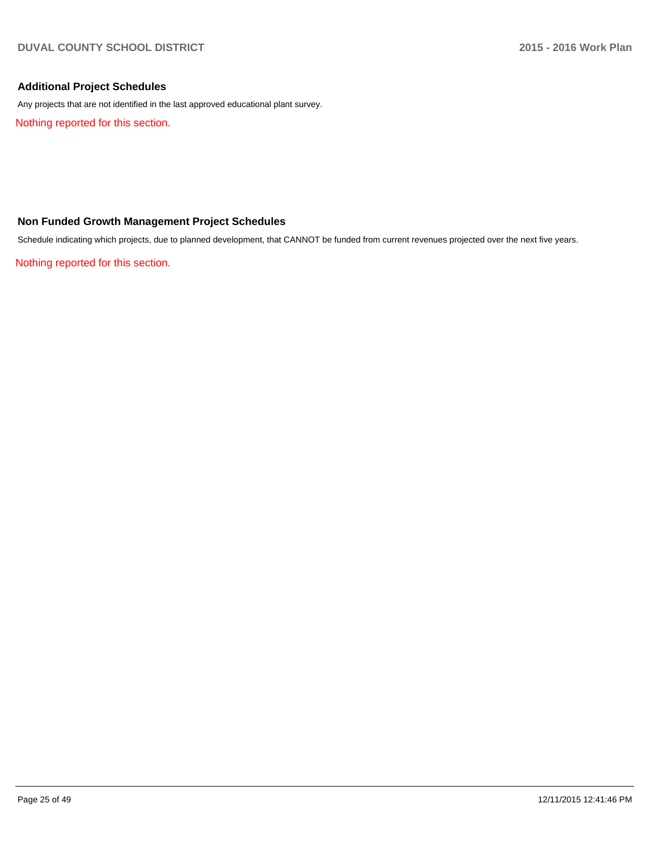## **Additional Project Schedules**

Any projects that are not identified in the last approved educational plant survey.

Nothing reported for this section.

## **Non Funded Growth Management Project Schedules**

Schedule indicating which projects, due to planned development, that CANNOT be funded from current revenues projected over the next five years.

Nothing reported for this section.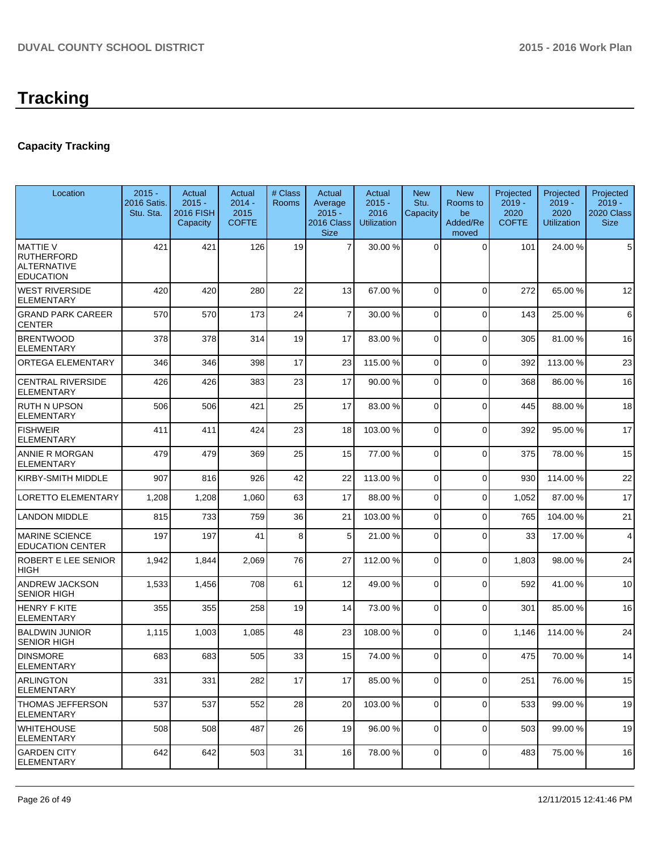## **Capacity Tracking**

| Location                                                                       | $2015 -$<br>2016 Satis.<br>Stu. Sta. | Actual<br>$2015 -$<br><b>2016 FISH</b><br>Capacity | Actual<br>$2014 -$<br>2015<br><b>COFTE</b> | # Class<br>Rooms | Actual<br>Average<br>$2015 -$<br>2016 Class<br><b>Size</b> | Actual<br>$2015 -$<br>2016<br><b>Utilization</b> | <b>New</b><br>Stu.<br>Capacity | <b>New</b><br>Rooms to<br>be<br>Added/Re<br>moved | Projected<br>$2019 -$<br>2020<br><b>COFTE</b> | Projected<br>$2019 -$<br>2020<br><b>Utilization</b> | Projected<br>$2019 -$<br>2020 Class<br><b>Size</b> |
|--------------------------------------------------------------------------------|--------------------------------------|----------------------------------------------------|--------------------------------------------|------------------|------------------------------------------------------------|--------------------------------------------------|--------------------------------|---------------------------------------------------|-----------------------------------------------|-----------------------------------------------------|----------------------------------------------------|
| <b>MATTIE V</b><br><b>RUTHERFORD</b><br><b>ALTERNATIVE</b><br><b>EDUCATION</b> | 421                                  | 421                                                | 126                                        | 19               | $\overline{7}$                                             | 30.00 %                                          | $\Omega$                       | $\Omega$                                          | 101                                           | 24.00 %                                             | 5                                                  |
| <b>WEST RIVERSIDE</b><br>ELEMENTARY                                            | 420                                  | 420                                                | 280                                        | 22               | 13                                                         | 67.00 %                                          | $\mathbf 0$                    | $\Omega$                                          | 272                                           | 65.00 %                                             | 12                                                 |
| <b>GRAND PARK CAREER</b><br><b>CENTER</b>                                      | 570                                  | 570                                                | 173                                        | 24               | $\overline{7}$                                             | 30.00 %                                          | 0                              | $\Omega$                                          | 143                                           | 25.00 %                                             | 6                                                  |
| <b>BRENTWOOD</b><br><b>ELEMENTARY</b>                                          | 378                                  | 378                                                | 314                                        | 19               | 17                                                         | 83.00 %                                          | 0                              | $\Omega$                                          | 305                                           | 81.00%                                              | 16                                                 |
| ORTEGA ELEMENTARY                                                              | 346                                  | 346                                                | 398                                        | 17               | 23                                                         | 115.00 %                                         | 0                              | $\mathbf 0$                                       | 392                                           | 113.00 %                                            | 23                                                 |
| <b>CENTRAL RIVERSIDE</b><br><b>ELEMENTARY</b>                                  | 426                                  | 426                                                | 383                                        | 23               | 17                                                         | 90.00 %                                          | 0                              | $\Omega$                                          | 368                                           | 86.00 %                                             | 16                                                 |
| <b>RUTH N UPSON</b><br>ELEMENTARY                                              | 506                                  | 506                                                | 421                                        | 25               | 17                                                         | 83.00 %                                          | 0                              | $\Omega$                                          | 445                                           | 88.00 %                                             | 18                                                 |
| <b>FISHWEIR</b><br><b>ELEMENTARY</b>                                           | 411                                  | 411                                                | 424                                        | 23               | 18                                                         | 103.00 %                                         | 0                              | $\Omega$                                          | 392                                           | 95.00 %                                             | 17                                                 |
| ANNIE R MORGAN<br>ELEMENTARY                                                   | 479                                  | 479                                                | 369                                        | 25               | 15                                                         | 77.00 %                                          | $\Omega$                       | $\Omega$                                          | 375                                           | 78.00 %                                             | 15                                                 |
| KIRBY-SMITH MIDDLE                                                             | 907                                  | 816                                                | 926                                        | 42               | 22                                                         | 113.00%                                          | $\mathbf 0$                    | $\Omega$                                          | 930                                           | 114.00%                                             | 22                                                 |
| LORETTO ELEMENTARY                                                             | 1,208                                | 1,208                                              | 1,060                                      | 63               | 17                                                         | 88.00 %                                          | 0                              | $\Omega$                                          | 1,052                                         | 87.00 %                                             | 17                                                 |
| <b>LANDON MIDDLE</b>                                                           | 815                                  | 733                                                | 759                                        | 36               | 21                                                         | 103.00 %                                         | 0                              | $\Omega$                                          | 765                                           | 104.00%                                             | 21                                                 |
| <b>MARINE SCIENCE</b><br><b>EDUCATION CENTER</b>                               | 197                                  | 197                                                | 41                                         | 8                | 5 <sup>1</sup>                                             | 21.00 %                                          | 0                              | $\Omega$                                          | 33                                            | 17.00 %                                             | $\overline{4}$                                     |
| ROBERT E LEE SENIOR<br>HIGH                                                    | 1,942                                | 1,844                                              | 2,069                                      | 76               | 27                                                         | 112.00 %                                         | 0                              | $\Omega$                                          | 1,803                                         | 98.00 %                                             | 24                                                 |
| ANDREW JACKSON<br><b>SENIOR HIGH</b>                                           | 1,533                                | 1,456                                              | 708                                        | 61               | 12                                                         | 49.00 %                                          | 0                              | $\Omega$                                          | 592                                           | 41.00%                                              | 10                                                 |
| <b>HENRY F KITE</b><br>ELEMENTARY                                              | 355                                  | 355                                                | 258                                        | 19               | 14                                                         | 73.00 %                                          | $\Omega$                       | $\Omega$                                          | 301                                           | 85.00 %                                             | 16                                                 |
| <b>BALDWIN JUNIOR</b><br>SENIOR HIGH                                           | 1,115                                | 1,003                                              | 1,085                                      | 48               | 23                                                         | 108.00 %                                         | 0                              | $\Omega$                                          | 1,146                                         | 114.00%                                             | 24                                                 |
| <b>DINSMORE</b><br>ELEMENTARY                                                  | 683                                  | 683                                                | 505                                        | 33               | 15                                                         | 74.00 %                                          | 0                              | $\Omega$                                          | 475                                           | 70.00%                                              | 14                                                 |
| ARLINGTON<br><b>ELEMENTARY</b>                                                 | 331                                  | 331                                                | 282                                        | 17               | 17                                                         | 85.00 %                                          | 0                              | 0                                                 | 251                                           | 76.00 %                                             | 15                                                 |
| THOMAS JEFFERSON<br>ELEMENTARY                                                 | 537                                  | 537                                                | 552                                        | 28               | 20                                                         | 103.00 %                                         | $\Omega$                       | $\Omega$                                          | 533                                           | 99.00 %                                             | 19                                                 |
| WHITEHOUSE<br>ELEMENTARY                                                       | 508                                  | 508                                                | 487                                        | 26               | 19                                                         | 96.00 %                                          | 0                              | $\Omega$                                          | 503                                           | 99.00 %                                             | 19                                                 |
| <b>GARDEN CITY</b><br><b>ELEMENTARY</b>                                        | 642                                  | 642                                                | 503                                        | 31               | 16                                                         | 78.00 %                                          | 0                              | $\mathbf 0$                                       | 483                                           | 75.00 %                                             | 16                                                 |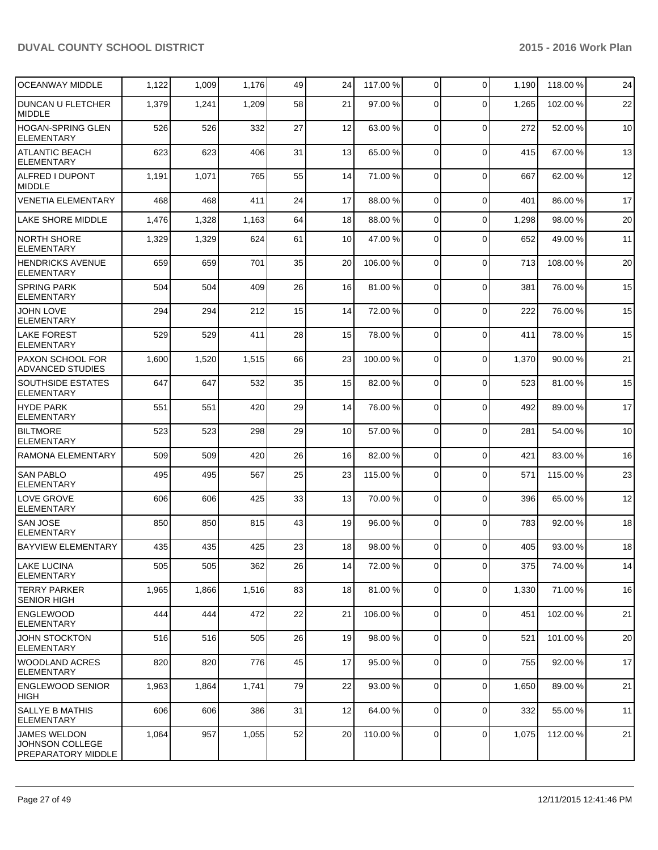| <b>OCEANWAY MIDDLE</b>                                              | 1,122 | 1,009 | 1,176 | 49 | 24              | 117.00 % | $\overline{0}$ | $\Omega$       | 1,190 | 118.00 % | 24 |
|---------------------------------------------------------------------|-------|-------|-------|----|-----------------|----------|----------------|----------------|-------|----------|----|
| <b>DUNCAN U FLETCHER</b><br><b>MIDDLE</b>                           | 1,379 | 1,241 | 1,209 | 58 | 21              | 97.00 %  | $\Omega$       | $\Omega$       | 1,265 | 102.00%  | 22 |
| <b>HOGAN-SPRING GLEN</b><br><b>ELEMENTARY</b>                       | 526   | 526   | 332   | 27 | 12              | 63.00 %  | $\Omega$       | $\mathbf 0$    | 272   | 52.00 %  | 10 |
| <b>ATLANTIC BEACH</b><br>ELEMENTARY                                 | 623   | 623   | 406   | 31 | 13              | 65.00 %  | $\Omega$       | $\Omega$       | 415   | 67.00%   | 13 |
| <b>ALFRED I DUPONT</b><br>MIDDLE                                    | 1,191 | 1,071 | 765   | 55 | 14              | 71.00 %  | $\Omega$       | $\Omega$       | 667   | 62.00%   | 12 |
| <b>VENETIA ELEMENTARY</b>                                           | 468   | 468   | 411   | 24 | 17              | 88.00 %  | $\Omega$       | $\mathbf 0$    | 401   | 86.00%   | 17 |
| <b>LAKE SHORE MIDDLE</b>                                            | 1,476 | 1,328 | 1,163 | 64 | 18              | 88.00 %  | $\Omega$       | $\Omega$       | 1,298 | 98.00 %  | 20 |
| <b>NORTH SHORE</b><br><b>ELEMENTARY</b>                             | 1,329 | 1,329 | 624   | 61 | 10              | 47.00 %  | $\Omega$       | $\Omega$       | 652   | 49.00 %  | 11 |
| <b>HENDRICKS AVENUE</b><br><b>ELEMENTARY</b>                        | 659   | 659   | 701   | 35 | 20              | 106.00 % | $\Omega$       | $\mathbf 0$    | 713   | 108.00%  | 20 |
| <b>SPRING PARK</b><br><b>ELEMENTARY</b>                             | 504   | 504   | 409   | 26 | 16              | 81.00 %  | $\overline{0}$ | $\Omega$       | 381   | 76.00 %  | 15 |
| <b>JOHN LOVE</b><br><b>ELEMENTARY</b>                               | 294   | 294   | 212   | 15 | 14              | 72.00 %  | $\Omega$       | $\Omega$       | 222   | 76.00 %  | 15 |
| <b>LAKE FOREST</b><br><b>ELEMENTARY</b>                             | 529   | 529   | 411   | 28 | 15              | 78.00 %  | $\Omega$       | $\Omega$       | 411   | 78.00 %  | 15 |
| <b>PAXON SCHOOL FOR</b><br><b>ADVANCED STUDIES</b>                  | 1,600 | 1,520 | 1,515 | 66 | 23              | 100.00 % | $\Omega$       | $\Omega$       | 1,370 | 90.00%   | 21 |
| <b>SOUTHSIDE ESTATES</b><br><b>ELEMENTARY</b>                       | 647   | 647   | 532   | 35 | 15              | 82.00 %  | $\Omega$       | $\Omega$       | 523   | 81.00%   | 15 |
| <b>HYDE PARK</b><br><b>ELEMENTARY</b>                               | 551   | 551   | 420   | 29 | 14              | 76.00 %  | 0              | $\Omega$       | 492   | 89.00 %  | 17 |
| <b>BILTMORE</b><br><b>ELEMENTARY</b>                                | 523   | 523   | 298   | 29 | 10              | 57.00 %  | $\Omega$       | $\Omega$       | 281   | 54.00 %  | 10 |
| RAMONA ELEMENTARY                                                   | 509   | 509   | 420   | 26 | 16              | 82.00 %  | $\overline{0}$ | $\mathbf 0$    | 421   | 83.00 %  | 16 |
| <b>SAN PABLO</b><br><b>ELEMENTARY</b>                               | 495   | 495   | 567   | 25 | 23              | 115.00 % | $\overline{0}$ | $\overline{0}$ | 571   | 115.00 % | 23 |
| <b>LOVE GROVE</b><br><b>ELEMENTARY</b>                              | 606   | 606   | 425   | 33 | 13              | 70.00 %  | $\Omega$       | $\Omega$       | 396   | 65.00%   | 12 |
| <b>SAN JOSE</b><br><b>ELEMENTARY</b>                                | 850   | 850   | 815   | 43 | 19              | 96.00 %  | $\Omega$       | $\Omega$       | 783   | 92.00%   | 18 |
| <b>BAYVIEW ELEMENTARY</b>                                           | 435   | 435   | 425   | 23 | 18              | 98.00 %  | $\Omega$       | $\Omega$       | 405   | 93.00 %  | 18 |
| LAKE LUCINA<br><b>ELEMENTARY</b>                                    | 505   | 505   | 362   | 26 | 14              | 72.00 %  | $\overline{0}$ | $\mathbf 0$    | 375   | 74.00 %  | 14 |
| <b>TERRY PARKER</b><br><b>SENIOR HIGH</b>                           | 1,965 | 1,866 | 1,516 | 83 | 18              | 81.00 %  | $\overline{0}$ | $\overline{0}$ | 1,330 | 71.00 %  | 16 |
| <b>ENGLEWOOD</b><br><b>ELEMENTARY</b>                               | 444   | 444   | 472   | 22 | 21              | 106.00%  | $\overline{0}$ | $\mathbf 0$    | 451   | 102.00%  | 21 |
| JOHN STOCKTON<br><b>ELEMENTARY</b>                                  | 516   | 516   | 505   | 26 | 19              | 98.00 %  | 0              | $\mathbf 0$    | 521   | 101.00%  | 20 |
| WOODLAND ACRES<br>ELEMENTARY                                        | 820   | 820   | 776   | 45 | 17              | 95.00 %  | $\Omega$       | $\mathbf 0$    | 755   | 92.00%   | 17 |
| <b>ENGLEWOOD SENIOR</b><br>HIGH                                     | 1,963 | 1,864 | 1,741 | 79 | 22              | 93.00 %  | $\overline{0}$ | $\mathbf 0$    | 1,650 | 89.00 %  | 21 |
| SALLYE B MATHIS<br><b>ELEMENTARY</b>                                | 606   | 606   | 386   | 31 | 12              | 64.00 %  | $\overline{0}$ | $\mathbf 0$    | 332   | 55.00 %  | 11 |
| <b>JAMES WELDON</b><br>JOHNSON COLLEGE<br><b>PREPARATORY MIDDLE</b> | 1,064 | 957   | 1,055 | 52 | 20 <sub>l</sub> | 110.00%  | $\overline{0}$ | $\mathbf 0$    | 1,075 | 112.00 % | 21 |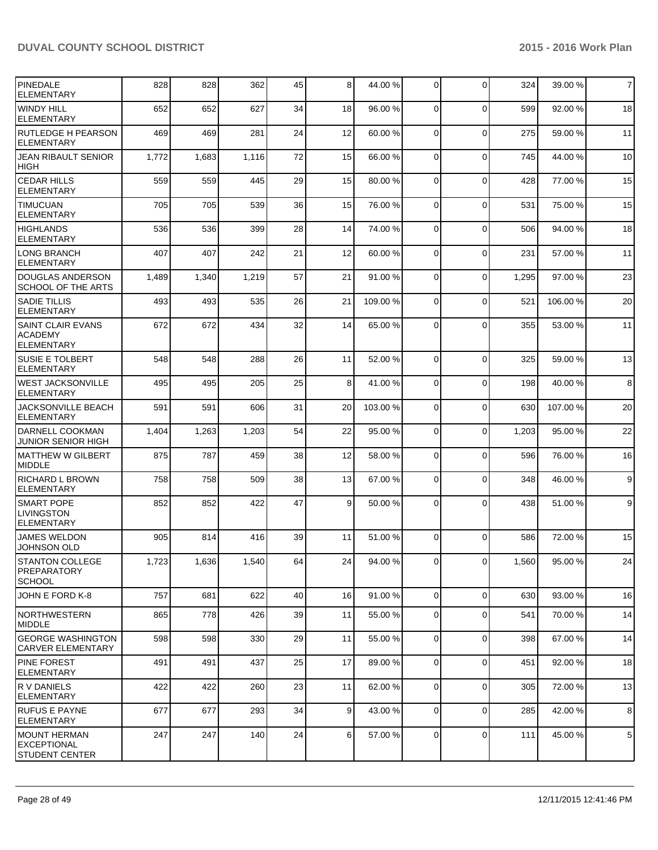| PINEDALE<br><b>ELEMENTARY</b>                               | 828   | 828   | 362   | 45 | 8 <sup>1</sup> | 44.00 %  | $\overline{0}$ | $\Omega$       | 324   | 39.00 % | $\overline{7}$ |
|-------------------------------------------------------------|-------|-------|-------|----|----------------|----------|----------------|----------------|-------|---------|----------------|
| <b>WINDY HILL</b><br><b>ELEMENTARY</b>                      | 652   | 652   | 627   | 34 | 18             | 96.00 %  | 0              | $\Omega$       | 599   | 92.00 % | 18             |
| <b>RUTLEDGE H PEARSON</b><br><b>ELEMENTARY</b>              | 469   | 469   | 281   | 24 | 12             | 60.00 %  | $\overline{0}$ | $\mathbf 0$    | 275   | 59.00 % | 11             |
| <b>JEAN RIBAULT SENIOR</b><br>HIGH                          | 1,772 | 1,683 | 1,116 | 72 | 15             | 66.00 %  | $\overline{0}$ | $\mathbf 0$    | 745   | 44.00 % | 10             |
| <b>CEDAR HILLS</b><br><b>ELEMENTARY</b>                     | 559   | 559   | 445   | 29 | 15             | 80.00 %  | 0              | $\mathbf 0$    | 428   | 77.00 % | 15             |
| <b>TIMUCUAN</b><br><b>ELEMENTARY</b>                        | 705   | 705   | 539   | 36 | 15             | 76.00 %  | 0              | $\mathbf 0$    | 531   | 75.00 % | 15             |
| <b>HIGHLANDS</b><br><b>ELEMENTARY</b>                       | 536   | 536   | 399   | 28 | 14             | 74.00 %  | $\Omega$       | $\mathbf 0$    | 506   | 94.00%  | 18             |
| LONG BRANCH<br><b>ELEMENTARY</b>                            | 407   | 407   | 242   | 21 | 12             | 60.00 %  | $\Omega$       | $\mathbf 0$    | 231   | 57.00 % | 11             |
| DOUGLAS ANDERSON<br>SCHOOL OF THE ARTS                      | 1,489 | 1,340 | 1,219 | 57 | 21             | 91.00 %  | $\mathbf 0$    | $\mathbf 0$    | 1,295 | 97.00 % | 23             |
| <b>SADIE TILLIS</b><br><b>ELEMENTARY</b>                    | 493   | 493   | 535   | 26 | 21             | 109.00 % | $\Omega$       | $\mathbf 0$    | 521   | 106.00% | 20             |
| <b>SAINT CLAIR EVANS</b><br>ACADEMY<br><b>ELEMENTARY</b>    | 672   | 672   | 434   | 32 | 14             | 65.00 %  | $\Omega$       | $\Omega$       | 355   | 53.00 % | 11             |
| <b>SUSIE E TOLBERT</b><br><b>ELEMENTARY</b>                 | 548   | 548   | 288   | 26 | 11             | 52.00 %  | $\Omega$       | $\mathbf 0$    | 325   | 59.00 % | 13             |
| <b>WEST JACKSONVILLE</b><br><b>ELEMENTARY</b>               | 495   | 495   | 205   | 25 | 8 <sup>1</sup> | 41.00 %  | $\Omega$       | $\mathbf 0$    | 198   | 40.00%  | 8              |
| JACKSONVILLE BEACH<br><b>ELEMENTARY</b>                     | 591   | 591   | 606   | 31 | 20             | 103.00 % | $\Omega$       | $\mathbf 0$    | 630   | 107.00% | 20             |
| DARNELL COOKMAN<br><b>JUNIOR SENIOR HIGH</b>                | 1,404 | 1,263 | 1,203 | 54 | 22             | 95.00 %  | 0              | $\mathbf 0$    | 1,203 | 95.00 % | 22             |
| MATTHEW W GILBERT<br><b>IMIDDLE</b>                         | 875   | 787   | 459   | 38 | 12             | 58.00 %  | $\Omega$       | $\mathbf 0$    | 596   | 76.00%  | 16             |
| <b>RICHARD L BROWN</b><br><b>ELEMENTARY</b>                 | 758   | 758   | 509   | 38 | 13             | 67.00 %  | $\overline{0}$ | 0              | 348   | 46.00 % | 9              |
| ISMART POPE<br><b>LIVINGSTON</b><br><b>ELEMENTARY</b>       | 852   | 852   | 422   | 47 | $\vert$ 9      | 50.00 %  | $\Omega$       | $\Omega$       | 438   | 51.00 % | 9              |
| <b>JAMES WELDON</b><br>JOHNSON OLD                          | 905   | 814   | 416   | 39 | 11             | 51.00 %  | $\Omega$       | $\Omega$       | 586   | 72.00 % | 15             |
| <b>ISTANTON COLLEGE</b><br>PREPARATORY<br><b>SCHOOL</b>     | 1,723 | 1,636 | 1,540 | 64 | 24             | 94.00 %  | $\overline{0}$ | $\overline{0}$ | 1,560 | 95.00 % | 24             |
| JOHN E FORD K-8                                             | 757   | 681   | 622   | 40 | 16             | 91.00 %  | $\overline{0}$ | $\mathbf 0$    | 630   | 93.00 % | 16             |
| INORTHWESTERN<br><b>MIDDLE</b>                              | 865   | 778   | 426   | 39 | 11             | 55.00 %  | $\overline{0}$ | $\mathbf 0$    | 541   | 70.00%  | 14             |
| <b>GEORGE WASHINGTON</b><br><b>CARVER ELEMENTARY</b>        | 598   | 598   | 330   | 29 | 11             | 55.00 %  | $\overline{0}$ | 0              | 398   | 67.00 % | 14             |
| <b>PINE FOREST</b><br>ELEMENTARY                            | 491   | 491   | 437   | 25 | 17             | 89.00 %  | $\overline{0}$ | 0              | 451   | 92.00 % | 18             |
| IR V DANIELS<br> ELEMENTARY                                 | 422   | 422   | 260   | 23 | 11             | 62.00 %  | $\Omega$       | $\mathbf 0$    | 305   | 72.00 % | 13             |
| <b>RUFUS E PAYNE</b><br> ELEMENTARY                         | 677   | 677   | 293   | 34 | 9 <sub>l</sub> | 43.00 %  | $\overline{0}$ | $\mathbf 0$    | 285   | 42.00 % | 8              |
| MOUNT HERMAN<br><b>EXCEPTIONAL</b><br><b>STUDENT CENTER</b> | 247   | 247   | 140   | 24 | $6\vert$       | 57.00 %  | $\overline{0}$ | $\mathbf 0$    | 111   | 45.00 % | $\,$ 5 $\,$    |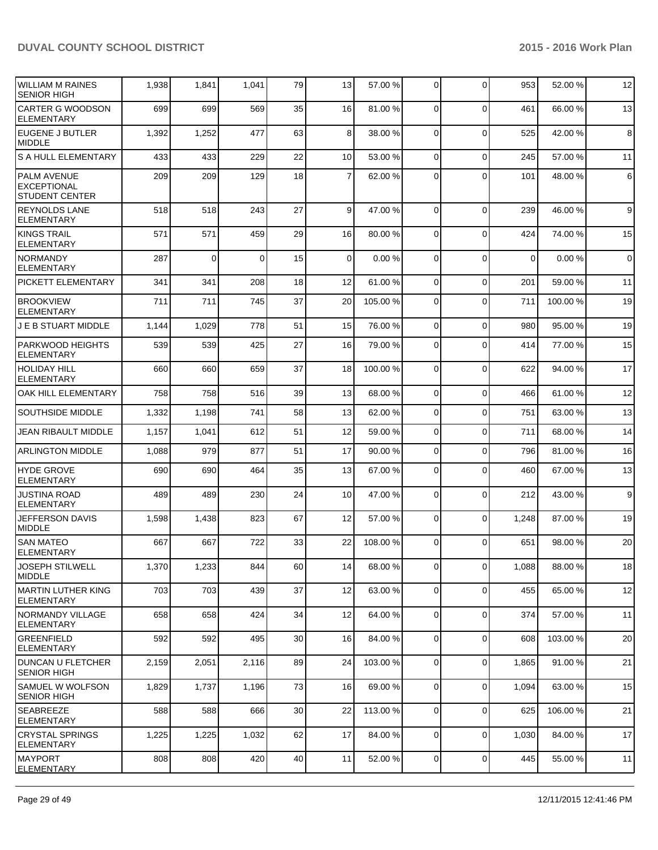| <b>WILLIAM M RAINES</b><br><b>SENIOR HIGH</b>              | 1,938 | 1,841    | 1,041    | 79 | 13              | 57.00 %  | $\overline{0}$ | $\Omega$     | 953         | 52.00 %  | 12             |
|------------------------------------------------------------|-------|----------|----------|----|-----------------|----------|----------------|--------------|-------------|----------|----------------|
| <b>CARTER G WOODSON</b><br><b>ELEMENTARY</b>               | 699   | 699      | 569      | 35 | 16              | 81.00 %  | $\Omega$       | $\Omega$     | 461         | 66.00 %  | 13             |
| EUGENE J BUTLER<br>MIDDLE                                  | 1,392 | 1,252    | 477      | 63 | 8 <sup>1</sup>  | 38.00 %  | $\Omega$       | $\mathbf{0}$ | 525         | 42.00%   | 8              |
| <b>S A HULL ELEMENTARY</b>                                 | 433   | 433      | 229      | 22 | 10 <sup>1</sup> | 53.00 %  | $\Omega$       | $\Omega$     | 245         | 57.00 %  | 11             |
| <b>PALM AVENUE</b><br>EXCEPTIONAL<br><b>STUDENT CENTER</b> | 209   | 209      | 129      | 18 | $\overline{7}$  | 62.00 %  | $\Omega$       | $\Omega$     | 101         | 48.00%   | $6 \,$         |
| <b>REYNOLDS LANE</b><br><b>ELEMENTARY</b>                  | 518   | 518      | 243      | 27 | $\vert$ 9       | 47.00 %  | $\Omega$       | $\Omega$     | 239         | 46.00%   | 9              |
| IKINGS TRAIL<br><b>ELEMENTARY</b>                          | 571   | 571      | 459      | 29 | 16              | 80.00 %  | $\Omega$       | $\Omega$     | 424         | 74.00%   | 15             |
| NORMANDY<br><b>ELEMENTARY</b>                              | 287   | $\Omega$ | $\Omega$ | 15 | $\Omega$        | 0.00%    | $\Omega$       | $\Omega$     | $\mathbf 0$ | 0.00%    | $\overline{0}$ |
| PICKETT ELEMENTARY                                         | 341   | 341      | 208      | 18 | 12              | 61.00%   | $\Omega$       | $\Omega$     | 201         | 59.00 %  | 11             |
| <b>BROOKVIEW</b><br><b>ELEMENTARY</b>                      | 711   | 711      | 745      | 37 | 20              | 105.00 % | $\Omega$       | $\mathbf{0}$ | 711         | 100.00%  | 19             |
| <b>J E B STUART MIDDLE</b>                                 | 1,144 | 1,029    | 778      | 51 | 15              | 76.00 %  | $\Omega$       | $\mathbf{0}$ | 980         | 95.00 %  | 19             |
| PARKWOOD HEIGHTS<br><b>ELEMENTARY</b>                      | 539   | 539      | 425      | 27 | 16              | 79.00 %  | $\Omega$       | $\mathbf{0}$ | 414         | 77.00 %  | 15             |
| Iholiday hill<br><b>ELEMENTARY</b>                         | 660   | 660      | 659      | 37 | 18              | 100.00 % | $\Omega$       | $\mathbf{0}$ | 622         | 94.00%   | 17             |
| OAK HILL ELEMENTARY                                        | 758   | 758      | 516      | 39 | 13              | 68.00 %  | $\Omega$       | $\mathbf{0}$ | 466         | 61.00%   | 12             |
| <b>SOUTHSIDE MIDDLE</b>                                    | 1,332 | 1,198    | 741      | 58 | 13              | 62.00 %  | $\Omega$       | $\Omega$     | 751         | 63.00 %  | 13             |
| JEAN RIBAULT MIDDLE                                        | 1,157 | 1,041    | 612      | 51 | 12              | 59.00 %  | $\Omega$       | $\mathbf{0}$ | 711         | 68.00%   | 14             |
| <b>ARLINGTON MIDDLE</b>                                    | 1,088 | 979      | 877      | 51 | 17              | 90.00 %  | $\Omega$       | $\Omega$     | 796         | 81.00%   | 16             |
| <b>HYDE GROVE</b><br><b>ELEMENTARY</b>                     | 690   | 690      | 464      | 35 | 13              | 67.00 %  | $\Omega$       | $\Omega$     | 460         | 67.00 %  | 13             |
| <b>JUSTINA ROAD</b><br><b>ELEMENTARY</b>                   | 489   | 489      | 230      | 24 | 10 <sup>1</sup> | 47.00 %  | $\Omega$       | $\Omega$     | 212         | 43.00 %  | 9              |
| JEFFERSON DAVIS<br><b>MIDDLE</b>                           | 1,598 | 1,438    | 823      | 67 | 12              | 57.00 %  | $\Omega$       | $\Omega$     | 1,248       | 87.00 %  | 19             |
| ISAN MATEO<br>ELEMENTARY                                   | 667   | 667      | 722      | 33 | 22              | 108.00 % | $\Omega$       | 0            | 651         | 98.00 %  | 20             |
| <b>JOSEPH STILWELL</b><br>MIDDLE                           | 1,370 | 1,233    | 844      | 60 | 14              | 68.00 %  | $\overline{0}$ | 0            | 1,088       | 88.00 %  | 18             |
| MARTIN LUTHER KING<br><b>ELEMENTARY</b>                    | 703   | 703      | 439      | 37 | 12              | 63.00 %  | $\overline{0}$ | 0            | 455         | 65.00 %  | 12             |
| NORMANDY VILLAGE<br><b>ELEMENTARY</b>                      | 658   | 658      | 424      | 34 | 12              | 64.00 %  | $\overline{0}$ | 0            | 374         | 57.00 %  | 11             |
| <b>GREENFIELD</b><br><b>ELEMENTARY</b>                     | 592   | 592      | 495      | 30 | 16              | 84.00 %  | $\overline{0}$ | 0            | 608         | 103.00 % | 20             |
| DUNCAN U FLETCHER<br><b>SENIOR HIGH</b>                    | 2,159 | 2,051    | 2,116    | 89 | 24              | 103.00 % | $\overline{0}$ | 0            | 1,865       | 91.00 %  | 21             |
| <b>SAMUEL W WOLFSON</b><br>SENIOR HIGH                     | 1,829 | 1,737    | 1,196    | 73 | 16              | 69.00 %  | $\overline{0}$ | $\mathbf 0$  | 1,094       | 63.00 %  | 15             |
| SEABREEZE<br><b>ELEMENTARY</b>                             | 588   | 588      | 666      | 30 | 22              | 113.00 % | $\overline{0}$ | 0            | 625         | 106.00%  | 21             |
| <b>CRYSTAL SPRINGS</b><br><b>ELEMENTARY</b>                | 1,225 | 1,225    | 1,032    | 62 | 17              | 84.00 %  | $\overline{0}$ | 0            | 1,030       | 84.00 %  | 17             |
| <b>MAYPORT</b><br><b>ELEMENTARY</b>                        | 808   | 808      | 420      | 40 | 11              | 52.00 %  | $\overline{0}$ | 0            | 445         | 55.00 %  | 11             |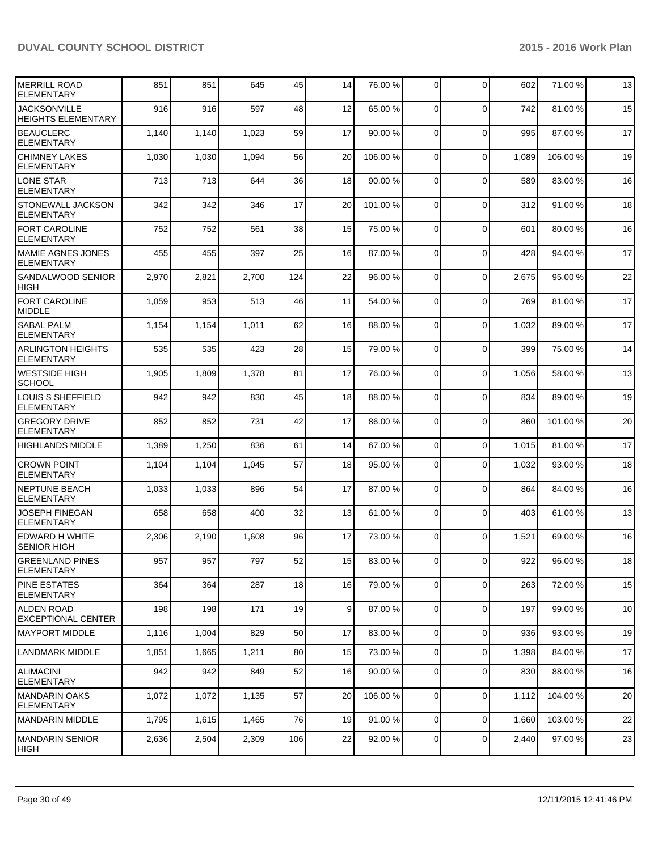| MERRILL ROAD<br><b>ELEMENTARY</b>                | 851   | 851   | 645   | 45  | 14             | 76.00 %  | $\overline{0}$ | $\Omega$       | 602   | 71.00 % | 13 |
|--------------------------------------------------|-------|-------|-------|-----|----------------|----------|----------------|----------------|-------|---------|----|
| <b>JACKSONVILLE</b><br><b>HEIGHTS ELEMENTARY</b> | 916   | 916   | 597   | 48  | 12             | 65.00 %  | $\Omega$       | $\mathbf 0$    | 742   | 81.00%  | 15 |
| <b>BEAUCLERC</b><br><b>ELEMENTARY</b>            | 1,140 | 1,140 | 1,023 | 59  | 17             | 90.00 %  | $\Omega$       | $\mathbf 0$    | 995   | 87.00 % | 17 |
| <b>CHIMNEY LAKES</b><br><b>ELEMENTARY</b>        | 1,030 | 1,030 | 1,094 | 56  | 20             | 106.00%  | $\Omega$       | $\Omega$       | 1,089 | 106.00% | 19 |
| <b>LONE STAR</b><br><b>ELEMENTARY</b>            | 713   | 713   | 644   | 36  | 18             | 90.00 %  | $\Omega$       | $\mathbf 0$    | 589   | 83.00 % | 16 |
| <b>STONEWALL JACKSON</b><br><b>ELEMENTARY</b>    | 342   | 342   | 346   | 17  | 20             | 101.00 % | $\Omega$       | $\mathbf 0$    | 312   | 91.00%  | 18 |
| <b>FORT CAROLINE</b><br><b>ELEMENTARY</b>        | 752   | 752   | 561   | 38  | 15             | 75.00 %  | $\overline{0}$ | $\Omega$       | 601   | 80.00 % | 16 |
| <b>MAMIE AGNES JONES</b><br><b>ELEMENTARY</b>    | 455   | 455   | 397   | 25  | 16             | 87.00 %  | $\overline{0}$ | $\Omega$       | 428   | 94.00%  | 17 |
| SANDALWOOD SENIOR<br><b>HIGH</b>                 | 2,970 | 2,821 | 2,700 | 124 | 22             | 96.00 %  | 0              | $\Omega$       | 2,675 | 95.00 % | 22 |
| FORT CAROLINE<br><b>MIDDLE</b>                   | 1,059 | 953   | 513   | 46  | 11             | 54.00 %  | $\Omega$       | $\Omega$       | 769   | 81.00%  | 17 |
| <b>SABAL PALM</b><br><b>ELEMENTARY</b>           | 1,154 | 1,154 | 1,011 | 62  | 16             | 88.00 %  | $\overline{0}$ | $\mathbf 0$    | 1,032 | 89.00 % | 17 |
| <b>ARLINGTON HEIGHTS</b><br><b>ELEMENTARY</b>    | 535   | 535   | 423   | 28  | 15             | 79.00 %  | 0              | $\mathbf 0$    | 399   | 75.00 % | 14 |
| <b>WESTSIDE HIGH</b><br><b>SCHOOL</b>            | 1,905 | 1,809 | 1,378 | 81  | 17             | 76.00 %  | 0              | $\mathbf 0$    | 1,056 | 58.00 % | 13 |
| LOUIS S SHEFFIELD<br><b>ELEMENTARY</b>           | 942   | 942   | 830   | 45  | 18             | 88.00 %  | $\overline{0}$ | $\mathbf 0$    | 834   | 89.00 % | 19 |
| <b>GREGORY DRIVE</b><br><b>ELEMENTARY</b>        | 852   | 852   | 731   | 42  | 17             | 86.00 %  | $\Omega$       | $\mathbf 0$    | 860   | 101.00% | 20 |
| <b>HIGHLANDS MIDDLE</b>                          | 1,389 | 1,250 | 836   | 61  | 14             | 67.00 %  | $\mathbf 0$    | $\mathbf 0$    | 1,015 | 81.00%  | 17 |
| <b>CROWN POINT</b><br><b>ELEMENTARY</b>          | 1,104 | 1,104 | 1,045 | 57  | 18             | 95.00 %  | 0              | $\mathbf 0$    | 1,032 | 93.00 % | 18 |
| NEPTUNE BEACH<br><b>ELEMENTARY</b>               | 1,033 | 1,033 | 896   | 54  | 17             | 87.00 %  | $\Omega$       | $\mathbf 0$    | 864   | 84.00 % | 16 |
| <b>JOSEPH FINEGAN</b><br><b>ELEMENTARY</b>       | 658   | 658   | 400   | 32  | 13             | 61.00%   | $\overline{0}$ | $\mathbf 0$    | 403   | 61.00%  | 13 |
| <b>EDWARD H WHITE</b><br><b>SENIOR HIGH</b>      | 2,306 | 2,190 | 1,608 | 96  | 17             | 73.00 %  | $\Omega$       | $\Omega$       | 1,521 | 69.00 % | 16 |
| <b>GREENLAND PINES</b><br><b>ELEMENTARY</b>      | 957   | 957   | 797   | 52  | 15             | 83.00 %  | $\overline{0}$ | $\overline{0}$ | 922   | 96.00 % | 18 |
| <b>PINE ESTATES</b><br><b>ELEMENTARY</b>         | 364   | 364   | 287   | 18  | 16             | 79.00 %  | $\Omega$       | $\mathbf 0$    | 263   | 72.00 % | 15 |
| <b>ALDEN ROAD</b><br><b>EXCEPTIONAL CENTER</b>   | 198   | 198   | 171   | 19  | 9 <sub>l</sub> | 87.00 %  | $\overline{0}$ | $\mathbf 0$    | 197   | 99.00%  | 10 |
| IMAYPORT MIDDLE                                  | 1,116 | 1,004 | 829   | 50  | 17             | 83.00 %  | $\overline{0}$ | $\mathbf 0$    | 936   | 93.00 % | 19 |
| <b>LANDMARK MIDDLE</b>                           | 1,851 | 1,665 | 1,211 | 80  | 15             | 73.00 %  | $\overline{0}$ | $\mathbf 0$    | 1,398 | 84.00%  | 17 |
| ALIMACINI<br><b>ELEMENTARY</b>                   | 942   | 942   | 849   | 52  | 16             | 90.00 %  | $\overline{0}$ | $\mathbf 0$    | 830   | 88.00 % | 16 |
| MANDARIN OAKS<br><b>ELEMENTARY</b>               | 1,072 | 1,072 | 1,135 | 57  | 20             | 106.00 % | $\overline{0}$ | 0              | 1,112 | 104.00% | 20 |
| MANDARIN MIDDLE                                  | 1,795 | 1,615 | 1,465 | 76  | 19             | 91.00 %  | $\overline{0}$ | $\mathbf 0$    | 1,660 | 103.00% | 22 |
| IMANDARIN SENIOR<br> HIGH                        | 2,636 | 2,504 | 2,309 | 106 | 22             | 92.00 %  | $\overline{0}$ | $\mathbf 0$    | 2,440 | 97.00 % | 23 |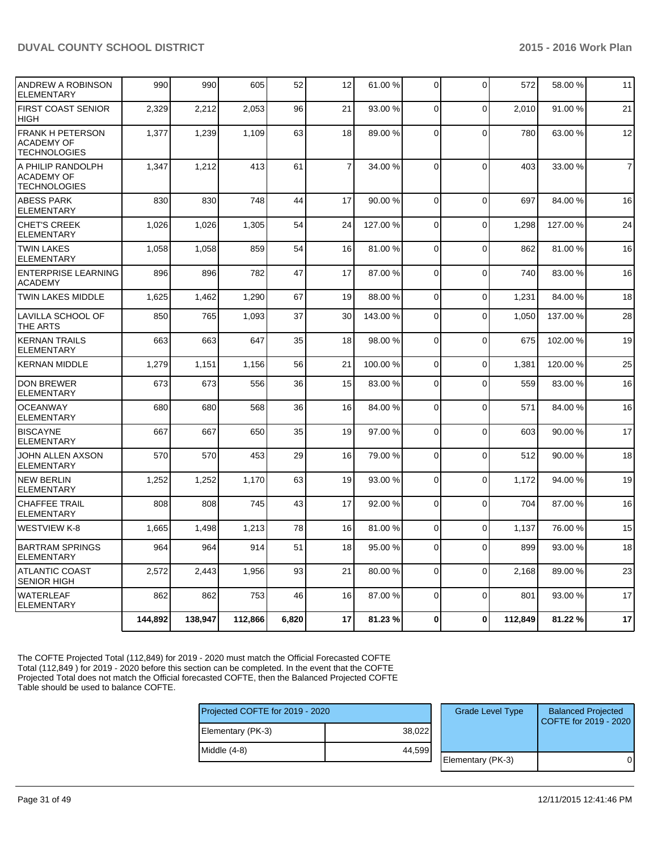| <b>SENIOR HIGH</b><br><b>WATERLEAF</b>                              | 862   | 862   | 753   | 46 | 16             | 87.00 %  | $\Omega$       | $\Omega$       | 801   | 93.00 %  | 17             |
|---------------------------------------------------------------------|-------|-------|-------|----|----------------|----------|----------------|----------------|-------|----------|----------------|
| <b>ATLANTIC COAST</b>                                               | 2,572 | 2,443 | 1,956 | 93 | 21             | 80.00 %  | $\Omega$       | $\mathbf 0$    | 2,168 | 89.00 %  | 23             |
| <b>BARTRAM SPRINGS</b><br><b>ELEMENTARY</b>                         | 964   | 964   | 914   | 51 | 18             | 95.00 %  | $\Omega$       | 0              | 899   | 93.00%   | 18             |
| <b>WESTVIEW K-8</b>                                                 | 1,665 | 1,498 | 1,213 | 78 | 16             | 81.00 %  | $\overline{0}$ | $\mathbf 0$    | 1,137 | 76.00%   | 15             |
| <b>CHAFFEE TRAIL</b><br><b>ELEMENTARY</b>                           | 808   | 808   | 745   | 43 | 17             | 92.00 %  | $\Omega$       | $\overline{0}$ | 704   | 87.00 %  | 16             |
| <b>NEW BERLIN</b><br><b>ELEMENTARY</b>                              | 1,252 | 1,252 | 1,170 | 63 | 19             | 93.00 %  | $\overline{0}$ | $\mathbf 0$    | 1,172 | 94.00%   | 19             |
| JOHN ALLEN AXSON<br><b>ELEMENTARY</b>                               | 570   | 570   | 453   | 29 | 16             | 79.00 %  | $\Omega$       | $\overline{0}$ | 512   | 90.00%   | 18             |
| <b>BISCAYNE</b><br><b>ELEMENTARY</b>                                | 667   | 667   | 650   | 35 | 19             | 97.00 %  | $\Omega$       | 0              | 603   | 90.00 %  | 17             |
| <b>OCEANWAY</b><br><b>ELEMENTARY</b>                                | 680   | 680   | 568   | 36 | 16             | 84.00 %  | $\Omega$       | $\overline{0}$ | 571   | 84.00%   | 16             |
| <b>DON BREWER</b><br><b>ELEMENTARY</b>                              | 673   | 673   | 556   | 36 | 15             | 83.00 %  | $\Omega$       | $\Omega$       | 559   | 83.00 %  | 16             |
| <b>KERNAN MIDDLE</b>                                                | 1,279 | 1,151 | 1,156 | 56 | 21             | 100.00 % | $\overline{0}$ | $\mathbf 0$    | 1,381 | 120.00%  | 25             |
| <b>KERNAN TRAILS</b><br><b>ELEMENTARY</b>                           | 663   | 663   | 647   | 35 | 18             | 98.00 %  | $\overline{0}$ | $\mathbf 0$    | 675   | 102.00%  | 19             |
| LAVILLA SCHOOL OF<br>THE ARTS                                       | 850   | 765   | 1,093 | 37 | 30             | 143.00 % | $\Omega$       | $\Omega$       | 1.050 | 137.00 % | 28             |
| <b>TWIN LAKES MIDDLE</b>                                            | 1.625 | 1,462 | 1,290 | 67 | 19             | 88.00 %  | $\Omega$       | $\Omega$       | 1,231 | 84.00%   | 18             |
| <b>ENTERPRISE LEARNING</b><br><b>ACADEMY</b>                        | 896   | 896   | 782   | 47 | 17             | 87.00 %  | $\overline{0}$ | $\mathbf 0$    | 740   | 83.00%   | 16             |
| <b>TWIN LAKES</b><br><b>ELEMENTARY</b>                              | 1,058 | 1,058 | 859   | 54 | 16             | 81.00%   | $\Omega$       | $\Omega$       | 862   | 81.00%   | 16             |
| <b>CHET'S CREEK</b><br><b>ELEMENTARY</b>                            | 1,026 | 1,026 | 1,305 | 54 | 24             | 127.00 % | $\Omega$       | $\mathbf 0$    | 1.298 | 127.00%  | 24             |
| <b>ABESS PARK</b><br><b>ELEMENTARY</b>                              | 830   | 830   | 748   | 44 | 17             | 90.00 %  | $\overline{0}$ | $\mathbf 0$    | 697   | 84.00 %  | 16             |
| A PHILIP RANDOLPH<br><b>ACADEMY OF</b><br><b>TECHNOLOGIES</b>       | 1,347 | 1,212 | 413   | 61 | $\overline{7}$ | 34.00 %  | $\Omega$       | $\overline{0}$ | 403   | 33.00 %  | $\overline{7}$ |
| <b>FRANK H PETERSON</b><br><b>ACADEMY OF</b><br><b>TECHNOLOGIES</b> | 1,377 | 1,239 | 1,109 | 63 | 18             | 89.00 %  | $\overline{0}$ | $\mathbf 0$    | 780   | 63.00 %  | 12             |
| <b>FIRST COAST SENIOR</b><br><b>HIGH</b>                            | 2,329 | 2,212 | 2,053 | 96 | 21             | 93.00 %  | $\Omega$       | $\overline{0}$ | 2,010 | 91.00%   | 21             |
| <b>ANDREW A ROBINSON</b><br><b>ELEMENTARY</b>                       | 990   | 990   | 605   | 52 | 12             | 61.00 %  | $\overline{0}$ | 0              | 572   | 58.00 %  | 11             |

The COFTE Projected Total (112,849) for 2019 - 2020 must match the Official Forecasted COFTE Total (112,849 ) for 2019 - 2020 before this section can be completed. In the event that the COFTE Projected Total does not match the Official forecasted COFTE, then the Balanced Projected COFTE Table should be used to balance COFTE.

| Projected COFTE for 2019 - 2020 |        |  | <b>Grade Level Type</b> | <b>Balanced Projected</b><br>COFTE for 2019 - 2020 |
|---------------------------------|--------|--|-------------------------|----------------------------------------------------|
| Elementary (PK-3)               | 38,022 |  |                         |                                                    |
| Middle (4-8)                    | 44.599 |  |                         |                                                    |
|                                 |        |  | Elementary (PK-3)       |                                                    |
|                                 |        |  |                         |                                                    |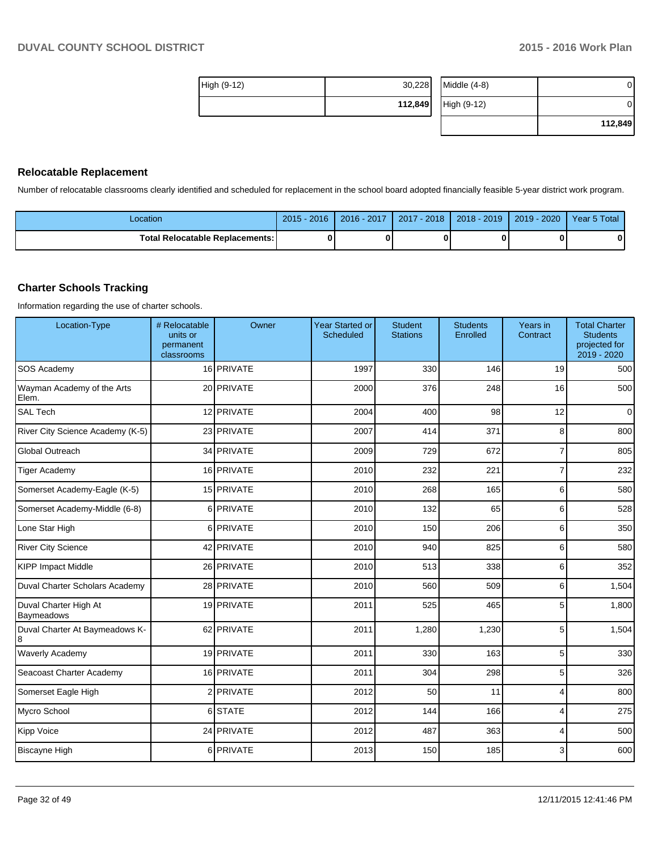| High (9-12) | 30,228  | Middle (4-8) | 0       |
|-------------|---------|--------------|---------|
|             | 112,849 | High (9-12)  | 0       |
|             |         |              | 112,849 |

#### **Relocatable Replacement**

Number of relocatable classrooms clearly identified and scheduled for replacement in the school board adopted financially feasible 5-year district work program.

| Location                               | $2015 - 2016$ | 2016 - 2017 | $^{\prime}$ - 2018<br>2017 | $2018 - 2019$ | 2019 - 2020 | Year 5 Total |
|----------------------------------------|---------------|-------------|----------------------------|---------------|-------------|--------------|
| <b>Total Relocatable Replacements:</b> | 0             |             | 0                          |               |             |              |

#### **Charter Schools Tracking**

Information regarding the use of charter schools.

| Location-Type                       | # Relocatable<br>units or<br>permanent<br>classrooms | Owner      | <b>Year Started or</b><br>Scheduled | <b>Student</b><br><b>Stations</b> | <b>Students</b><br>Enrolled | Years in<br>Contract | <b>Total Charter</b><br><b>Students</b><br>projected for<br>$2019 - 2020$ |
|-------------------------------------|------------------------------------------------------|------------|-------------------------------------|-----------------------------------|-----------------------------|----------------------|---------------------------------------------------------------------------|
| SOS Academy                         |                                                      | 16 PRIVATE | 1997                                | 330                               | 146                         | 19                   | 500                                                                       |
| Wayman Academy of the Arts<br>Elem. |                                                      | 20 PRIVATE | 2000                                | 376                               | 248                         | 16                   | 500                                                                       |
| <b>SAL Tech</b>                     |                                                      | 12 PRIVATE | 2004                                | 400                               | 98                          | 12                   | $\overline{0}$                                                            |
| River City Science Academy (K-5)    |                                                      | 23 PRIVATE | 2007                                | 414                               | 371                         | 8                    | 800                                                                       |
| Global Outreach                     |                                                      | 34 PRIVATE | 2009                                | 729                               | 672                         | $\overline{7}$       | 805                                                                       |
| <b>Tiger Academy</b>                |                                                      | 16 PRIVATE | 2010                                | 232                               | 221                         | $\overline{7}$       | 232                                                                       |
| Somerset Academy-Eagle (K-5)        |                                                      | 15 PRIVATE | 2010                                | 268                               | 165                         | 6                    | 580                                                                       |
| Somerset Academy-Middle (6-8)       |                                                      | 6 PRIVATE  | 2010                                | 132                               | 65                          | 6                    | 528                                                                       |
| Lone Star High                      |                                                      | 6 PRIVATE  | 2010                                | 150                               | 206                         | 6                    | 350                                                                       |
| <b>River City Science</b>           |                                                      | 42 PRIVATE | 2010                                | 940                               | 825                         | 6                    | 580                                                                       |
| <b>KIPP Impact Middle</b>           |                                                      | 26 PRIVATE | 2010                                | 513                               | 338                         | 6                    | 352                                                                       |
| Duval Charter Scholars Academy      |                                                      | 28 PRIVATE | 2010                                | 560                               | 509                         | 6                    | 1,504                                                                     |
| Duval Charter High At<br>Baymeadows |                                                      | 19 PRIVATE | 2011                                | 525                               | 465                         | 5                    | 1,800                                                                     |
| Duval Charter At Baymeadows K-<br>8 |                                                      | 62 PRIVATE | 2011                                | 1,280                             | 1,230                       | 5                    | 1,504                                                                     |
| <b>Waverly Academy</b>              |                                                      | 19 PRIVATE | 2011                                | 330                               | 163                         | 5                    | 330                                                                       |
| Seacoast Charter Academy            |                                                      | 16 PRIVATE | 2011                                | 304                               | 298                         | 5                    | 326                                                                       |
| Somerset Eagle High                 |                                                      | 2 PRIVATE  | 2012                                | 50                                | 11                          | 4                    | 800                                                                       |
| Mycro School                        |                                                      | 6 STATE    | 2012                                | 144                               | 166                         | 4                    | 275                                                                       |
| Kipp Voice                          |                                                      | 24 PRIVATE | 2012                                | 487                               | 363                         | 4                    | 500                                                                       |
| <b>Biscayne High</b>                |                                                      | 6 PRIVATE  | 2013                                | 150                               | 185                         | 3                    | 600                                                                       |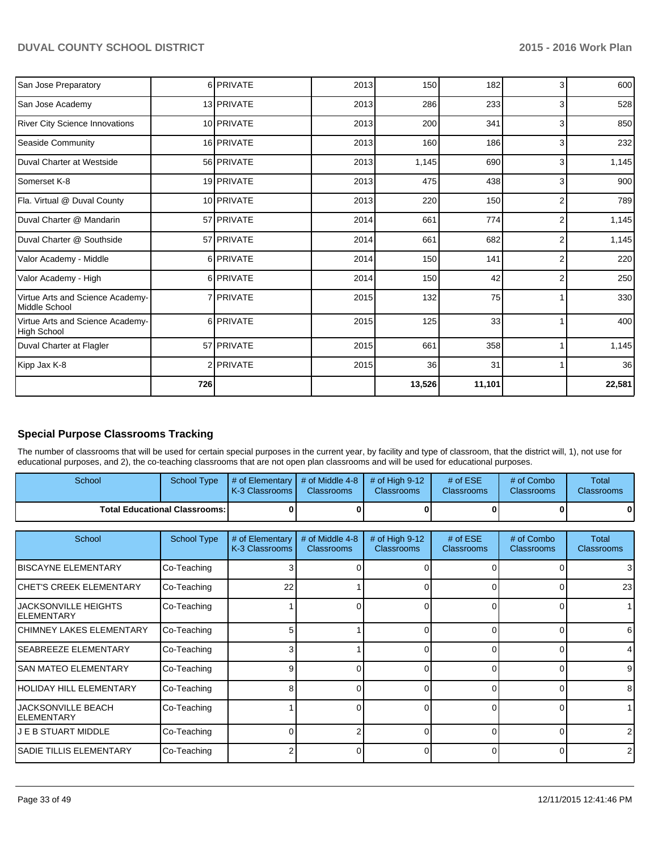| San Jose Preparatory                              |     | 6 PRIVATE  | 2013 | 150    | 182    | 3              | 600    |
|---------------------------------------------------|-----|------------|------|--------|--------|----------------|--------|
| San Jose Academy                                  |     | 13 PRIVATE | 2013 | 286    | 233    | 3              | 528    |
| <b>River City Science Innovations</b>             |     | 10 PRIVATE | 2013 | 200    | 341    | 3              | 850    |
| Seaside Community                                 |     | 16 PRIVATE | 2013 | 160    | 186    | 3              | 232    |
| Duval Charter at Westside                         |     | 56 PRIVATE | 2013 | 1,145  | 690    | 3              | 1,145  |
| Somerset K-8                                      |     | 19 PRIVATE | 2013 | 475    | 438    | 3              | 900    |
| Fla. Virtual @ Duval County                       |     | 10 PRIVATE | 2013 | 220    | 150    | $\overline{2}$ | 789    |
| Duval Charter @ Mandarin                          |     | 57 PRIVATE | 2014 | 661    | 774    | 2              | 1,145  |
| Duval Charter @ Southside                         |     | 57 PRIVATE | 2014 | 661    | 682    | $\overline{2}$ | 1,145  |
| Valor Academy - Middle                            |     | 6 PRIVATE  | 2014 | 150    | 141    | $\overline{2}$ | 220    |
| Valor Academy - High                              |     | 6 PRIVATE  | 2014 | 150    | 42     | $\overline{2}$ | 250    |
| Virtue Arts and Science Academy-<br>Middle School |     | 7 PRIVATE  | 2015 | 132    | 75     |                | 330    |
| Virtue Arts and Science Academy-<br>High School   |     | 6 PRIVATE  | 2015 | 125    | 33     |                | 400    |
| Duval Charter at Flagler                          |     | 57 PRIVATE | 2015 | 661    | 358    |                | 1,145  |
| Kipp Jax K-8                                      |     | 2 PRIVATE  | 2015 | 36     | 31     |                | 36     |
|                                                   | 726 |            |      | 13,526 | 11,101 |                | 22,581 |

## **Special Purpose Classrooms Tracking**

The number of classrooms that will be used for certain special purposes in the current year, by facility and type of classroom, that the district will, 1), not use for educational purposes, and 2), the co-teaching classrooms that are not open plan classrooms and will be used for educational purposes.

| School                                 | School Type | $\parallel \#$ of Elementary $\parallel \#$ of Middle 4-8 $\parallel \#$ of High 9-12<br>K-3 Classrooms I | <b>Classrooms</b> | <b>Classrooms</b> | # of $ESE$<br><b>Classrooms</b> | # of Combo<br><b>Classrooms</b> | Total<br><b>Classrooms</b> |
|----------------------------------------|-------------|-----------------------------------------------------------------------------------------------------------|-------------------|-------------------|---------------------------------|---------------------------------|----------------------------|
| <b>Total Educational Classrooms: I</b> |             |                                                                                                           |                   | OΙ                |                                 |                                 | 01                         |

| School                                     | <b>School Type</b> | # of Elementary<br>K-3 Classrooms | # of Middle 4-8<br><b>Classrooms</b> | # of High $9-12$<br><b>Classrooms</b> | # of $ESE$<br><b>Classrooms</b> | # of Combo<br><b>Classrooms</b> | Total<br><b>Classrooms</b> |
|--------------------------------------------|--------------------|-----------------------------------|--------------------------------------|---------------------------------------|---------------------------------|---------------------------------|----------------------------|
| <b>IBISCAYNE ELEMENTARY</b>                | Co-Teaching        |                                   |                                      |                                       |                                 |                                 | 3                          |
| ICHET'S CREEK ELEMENTARY                   | Co-Teaching        | 22                                |                                      |                                       |                                 | 0                               | 23                         |
| <b>JACKSONVILLE HEIGHTS</b><br>IELEMENTARY | Co-Teaching        |                                   |                                      |                                       |                                 | 0                               |                            |
| İCHIMNEY LAKES ELEMENTARY                  | Co-Teaching        | 5                                 |                                      |                                       | ſ                               | 0                               | 6                          |
| <b>SEABREEZE ELEMENTARY</b>                | Co-Teaching        | 3 <sub>1</sub>                    |                                      |                                       | $\Omega$                        | 0                               | 4                          |
| <b>SAN MATEO ELEMENTARY</b>                | Co-Teaching        | 9                                 |                                      | 0                                     | $\Omega$                        | 0                               | 9                          |
| HOLIDAY HILL ELEMENTARY                    | Co-Teaching        | 8                                 | n                                    | 0                                     | $\Omega$                        | 0                               | 8                          |
| <b>JACKSONVILLE BEACH</b><br>IELEMENTARY   | Co-Teaching        |                                   |                                      | 0                                     | 0                               | 0                               |                            |
| <b>J E B STUART MIDDLE</b>                 | Co-Teaching        |                                   |                                      | U                                     |                                 | 0                               | 2                          |
| <b>SADIE TILLIS ELEMENTARY</b>             | Co-Teaching        |                                   |                                      |                                       |                                 | 0                               |                            |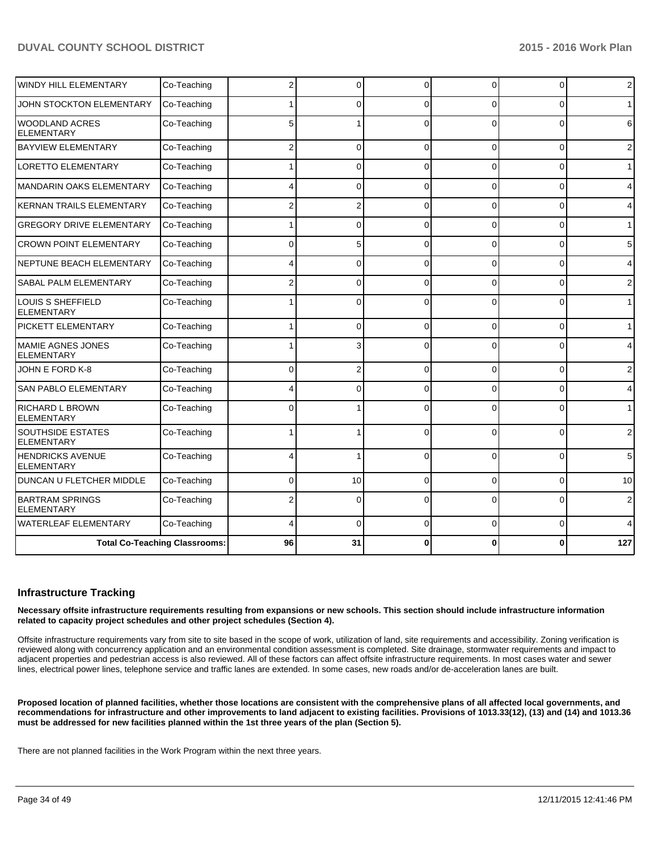| <b>WINDY HILL ELEMENTARY</b>                  | Co-Teaching                          | 2           | $\Omega$ | $\Omega$ | 0        | $\overline{0}$ | $\overline{2}$ |
|-----------------------------------------------|--------------------------------------|-------------|----------|----------|----------|----------------|----------------|
| JOHN STOCKTON ELEMENTARY                      | Co-Teaching                          |             | O        | $\Omega$ | 0        | $\Omega$       | $\mathbf 1$    |
| <b>WOODLAND ACRES</b><br><b>ELEMENTARY</b>    | Co-Teaching                          | 5           |          | $\Omega$ | $\Omega$ | 0              | 6              |
| <b>BAYVIEW ELEMENTARY</b>                     | Co-Teaching                          | 2           | 0        | $\Omega$ | 0        | 0              | $\overline{2}$ |
| <b>LORETTO ELEMENTARY</b>                     | Co-Teaching                          |             | $\Omega$ | $\Omega$ | 0        | 0              | $\mathbf{1}$   |
| <b>MANDARIN OAKS ELEMENTARY</b>               | Co-Teaching                          |             | $\Omega$ | $\Omega$ | $\Omega$ | 0              | 4              |
| <b>KERNAN TRAILS ELEMENTARY</b>               | Co-Teaching                          | 2           | 2        | $\Omega$ | $\Omega$ | 0              | 4              |
| <b>GREGORY DRIVE ELEMENTARY</b>               | Co-Teaching                          |             | 0        | $\Omega$ | $\Omega$ | $\Omega$       | $\mathbf{1}$   |
| <b>CROWN POINT ELEMENTARY</b>                 | Co-Teaching                          | $\Omega$    | 5        | $\Omega$ | $\Omega$ | 0              | 5              |
| NEPTUNE BEACH ELEMENTARY                      | Co-Teaching                          |             | 0        | $\Omega$ | $\Omega$ | $\Omega$       | 4              |
| SABAL PALM ELEMENTARY                         | Co-Teaching                          | 2           | 0        | $\Omega$ | $\Omega$ | $\Omega$       | $\overline{2}$ |
| LOUIS S SHEFFIELD<br><b>ELEMENTARY</b>        | Co-Teaching                          |             | U        | O        | 0        | $\Omega$       | $\mathbf{1}$   |
| PICKETT ELEMENTARY                            | Co-Teaching                          |             | $\Omega$ | $\Omega$ | $\Omega$ | $\Omega$       | $\mathbf{1}$   |
| MAMIE AGNES JONES<br><b>ELEMENTARY</b>        | Co-Teaching                          |             | 3        |          | $\Omega$ | 0              | 4              |
| JOHN E FORD K-8                               | Co-Teaching                          | $\mathbf 0$ | 2        | $\Omega$ | 0        | 0              | $\overline{2}$ |
| SAN PABLO ELEMENTARY                          | Co-Teaching                          |             | 0        | $\Omega$ | $\Omega$ | $\Omega$       | 4              |
| <b>RICHARD L BROWN</b><br><b>ELEMENTARY</b>   | Co-Teaching                          | $\Omega$    |          | $\Omega$ | $\Omega$ | $\Omega$       | $\mathbf{1}$   |
| <b>SOUTHSIDE ESTATES</b><br><b>ELEMENTARY</b> | Co-Teaching                          | 1           |          | $\Omega$ | $\Omega$ | $\Omega$       | $\overline{2}$ |
| <b>HENDRICKS AVENUE</b><br><b>ELEMENTARY</b>  | Co-Teaching                          |             |          | $\Omega$ | $\Omega$ | $\Omega$       | 5              |
| DUNCAN U FLETCHER MIDDLE                      | Co-Teaching                          | 0           | 10       | $\Omega$ | $\Omega$ | $\Omega$       | 10             |
| <b>BARTRAM SPRINGS</b><br><b>ELEMENTARY</b>   | Co-Teaching                          |             | 0        | $\Omega$ | 0        | 0              | 2              |
| <b>WATERLEAF ELEMENTARY</b>                   | Co-Teaching                          | 4           | $\Omega$ | $\Omega$ | 0        | 0              | 4              |
|                                               | <b>Total Co-Teaching Classrooms:</b> |             | 31       | 0        | 0        | O              | 127            |

#### **Infrastructure Tracking**

**Necessary offsite infrastructure requirements resulting from expansions or new schools. This section should include infrastructure information related to capacity project schedules and other project schedules (Section 4).**

Offsite infrastructure requirements vary from site to site based in the scope of work, utilization of land, site requirements and accessibility. Zoning verification is reviewed along with concurrency application and an environmental condition assessment is completed. Site drainage, stormwater requirements and impact to adjacent properties and pedestrian access is also reviewed. All of these factors can affect offsite infrastructure requirements. In most cases water and sewer lines, electrical power lines, telephone service and traffic lanes are extended. In some cases, new roads and/or de-acceleration lanes are built.

**Proposed location of planned facilities, whether those locations are consistent with the comprehensive plans of all affected local governments, and recommendations for infrastructure and other improvements to land adjacent to existing facilities. Provisions of 1013.33(12), (13) and (14) and 1013.36 must be addressed for new facilities planned within the 1st three years of the plan (Section 5).**

There are not planned facilities in the Work Program within the next three years.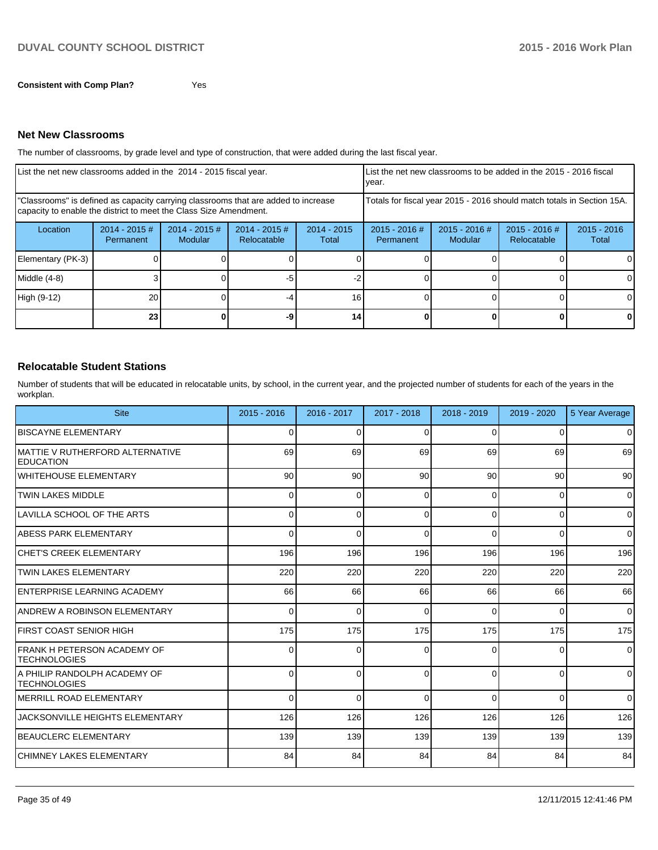#### **Net New Classrooms**

The number of classrooms, by grade level and type of construction, that were added during the last fiscal year.

| List the net new classrooms added in the 2014 - 2015 fiscal year. |                                                                                                                                                         |                                   |                                |                                                                        | List the net new classrooms to be added in the 2015 - 2016 fiscal<br>vear. |                            |                                |                        |
|-------------------------------------------------------------------|---------------------------------------------------------------------------------------------------------------------------------------------------------|-----------------------------------|--------------------------------|------------------------------------------------------------------------|----------------------------------------------------------------------------|----------------------------|--------------------------------|------------------------|
|                                                                   | "Classrooms" is defined as capacity carrying classrooms that are added to increase<br>capacity to enable the district to meet the Class Size Amendment. |                                   |                                | Totals for fiscal year 2015 - 2016 should match totals in Section 15A. |                                                                            |                            |                                |                        |
| Location                                                          | $2014 - 2015 \#$<br>Permanent                                                                                                                           | $2014 - 2015$ #<br><b>Modular</b> | $2014 - 2015$ #<br>Relocatable | $2014 - 2015$<br>Total                                                 | $2015 - 2016$ #<br>Permanent                                               | $2015 - 2016$ #<br>Modular | $2015 - 2016$ #<br>Relocatable | $2015 - 2016$<br>Total |
| Elementary (PK-3)                                                 |                                                                                                                                                         |                                   |                                |                                                                        |                                                                            |                            |                                |                        |
| $Middle (4-8)$                                                    |                                                                                                                                                         |                                   | -5                             |                                                                        |                                                                            |                            |                                |                        |
| High (9-12)                                                       | 20                                                                                                                                                      |                                   |                                | 16 <sub>1</sub>                                                        |                                                                            |                            |                                |                        |
|                                                                   | 23 <sub>1</sub>                                                                                                                                         |                                   | -9                             | 14.                                                                    |                                                                            |                            |                                | 0                      |

#### **Relocatable Student Stations**

Number of students that will be educated in relocatable units, by school, in the current year, and the projected number of students for each of the years in the workplan.

| <b>Site</b>                                           | $2015 - 2016$   | $2016 - 2017$   | $2017 - 2018$ | 2018 - 2019     | 2019 - 2020 | 5 Year Average |
|-------------------------------------------------------|-----------------|-----------------|---------------|-----------------|-------------|----------------|
| <b>BISCAYNE ELEMENTARY</b>                            | 0               | $\Omega$        | $\Omega$      | $\Omega$        | 0           | $\mathbf 0$    |
| IMATTIE V RUTHERFORD ALTERNATIVE<br><b>IEDUCATION</b> | 69              | 69              | 69            | 69              | 69          | 69             |
| IWHITEHOUSE ELEMENTARY                                | 90 <sub>0</sub> | 90 <sup>°</sup> | 90            | 90 <sup>°</sup> | 90          | 90             |
| <b>ITWIN LAKES MIDDLE</b>                             | 0               | $\Omega$        | $\Omega$      | $\Omega$        | 0           | $\Omega$       |
| ILAVILLA SCHOOL OF THE ARTS                           | $\Omega$        | $\Omega$        | $\Omega$      | $\Omega$        | 0           | $\Omega$       |
| ABESS PARK ELEMENTARY                                 | 0               | $\Omega$        | $\Omega$      | $\Omega$        | 0           | $\Omega$       |
| <b>ICHET'S CREEK ELEMENTARY</b>                       | 196             | 196             | 196           | 196             | 196         | 196            |
| <b>ITWIN LAKES ELEMENTARY</b>                         | 220             | 220             | 220           | 220             | 220         | 220            |
| <b>IENTERPRISE LEARNING ACADEMY</b>                   | 66              | 66              | 66            | 66              | 66          | 66             |
| IANDREW A ROBINSON ELEMENTARY                         | $\Omega$        | $\Omega$        | $\Omega$      | $\Omega$        | 0           | $\Omega$       |
| IFIRST COAST SENIOR HIGH                              | 175             | 175             | 175           | 175             | 175         | 175            |
| IFRANK H PETERSON ACADEMY OF<br><b>ITECHNOLOGIES</b>  | 0               | 0               | $\Omega$      | 0               | 0           | $\Omega$       |
| IA PHILIP RANDOLPH ACADEMY OF<br><b>ITECHNOLOGIES</b> | 0               | 0               | $\Omega$      | U               | $\Omega$    | $\mathbf 0$    |
| IMERRILL ROAD ELEMENTARY                              | 0               | $\Omega$        | $\Omega$      | $\Omega$        | 0           | $\mathbf 0$    |
| <b>JACKSONVILLE HEIGHTS ELEMENTARY</b>                | 126             | 126             | 126           | 126             | 126         | 126            |
| <b>IBEAUCLERC ELEMENTARY</b>                          | 139             | 139             | 139           | 139             | 139         | 139            |
| İCHIMNEY LAKES ELEMENTARY                             | 84              | 84              | 84            | 84              | 84          | 84             |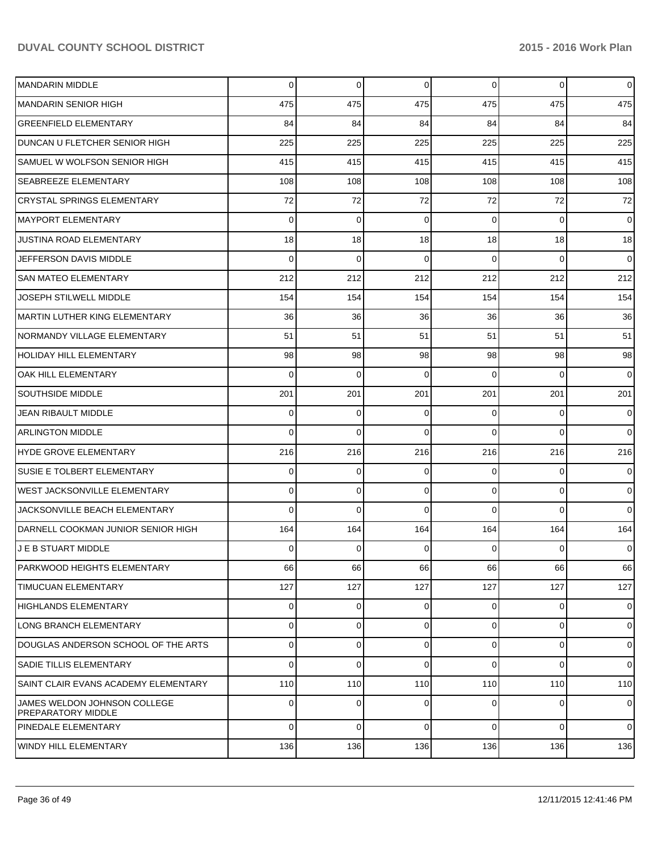| MANDARIN MIDDLE                                           | $\Omega$ | $\overline{0}$ | $\mathbf 0$ | $\Omega$ | $\overline{0}$ | $\overline{0}$ |
|-----------------------------------------------------------|----------|----------------|-------------|----------|----------------|----------------|
| <b>MANDARIN SENIOR HIGH</b>                               | 475      | 475            | 475         | 475      | 475            | 475            |
| <b>GREENFIELD ELEMENTARY</b>                              | 84       | 84             | 84          | 84       | 84             | 84             |
| DUNCAN U FLETCHER SENIOR HIGH                             | 225      | 225            | 225         | 225      | 225            | 225            |
| SAMUEL W WOLFSON SENIOR HIGH                              | 415      | 415            | 415         | 415      | 415            | 415            |
| <b>SEABREEZE ELEMENTARY</b>                               | 108      | 108            | 108         | 108      | 108            | 108            |
| <b>CRYSTAL SPRINGS ELEMENTARY</b>                         | 72       | 72             | 72          | 72       | 72             | 72             |
| <b>MAYPORT ELEMENTARY</b>                                 | $\Omega$ | $\mathbf 0$    | $\Omega$    | $\Omega$ | $\overline{0}$ | $\overline{0}$ |
| JUSTINA ROAD ELEMENTARY                                   | 18       | 18             | 18          | 18       | 18             | 18             |
| JEFFERSON DAVIS MIDDLE                                    | $\Omega$ | $\Omega$       | $\Omega$    | $\Omega$ | $\Omega$       | $\Omega$       |
| <b>SAN MATEO ELEMENTARY</b>                               | 212      | 212            | 212         | 212      | 212            | 212            |
| JOSEPH STILWELL MIDDLE                                    | 154      | 154            | 154         | 154      | 154            | 154            |
| MARTIN LUTHER KING ELEMENTARY                             | 36       | 36             | 36          | 36       | 36             | 36             |
| NORMANDY VILLAGE ELEMENTARY                               | 51       | 51             | 51          | 51       | 51             | 51             |
| HOLIDAY HILL ELEMENTARY                                   | 98       | 98             | 98          | 98       | 98             | 98             |
| OAK HILL ELEMENTARY                                       | $\Omega$ | $\Omega$       | $\Omega$    | $\Omega$ | $\Omega$       | $\overline{0}$ |
| <b>SOUTHSIDE MIDDLE</b>                                   | 201      | 201            | 201         | 201      | 201            | 201            |
| JEAN RIBAULT MIDDLE                                       | $\Omega$ | 0              | $\Omega$    | $\Omega$ | $\overline{0}$ | $\overline{0}$ |
| <b>ARLINGTON MIDDLE</b>                                   | $\Omega$ | $\Omega$       | $\Omega$    | $\Omega$ | $\Omega$       | $\Omega$       |
| HYDE GROVE ELEMENTARY                                     | 216      | 216            | 216         | 216      | 216            | 216            |
| <b>SUSIE E TOLBERT ELEMENTARY</b>                         | $\Omega$ | 0              | $\Omega$    | $\Omega$ | $\overline{0}$ | $\overline{0}$ |
| <b>WEST JACKSONVILLE ELEMENTARY</b>                       | $\Omega$ | 0              | $\Omega$    | $\Omega$ | $\overline{0}$ | $\overline{0}$ |
| JACKSONVILLE BEACH ELEMENTARY                             | $\Omega$ | $\Omega$       | $\Omega$    | $\Omega$ | $\Omega$       | $\Omega$       |
| DARNELL COOKMAN JUNIOR SENIOR HIGH                        | 164      | 164            | 164         | 164      | 164            | 164            |
| J E B STUART MIDDLE                                       | $\Omega$ | 0              | $\Omega$    | $\Omega$ | $\Omega$       | $\overline{0}$ |
| PARKWOOD HEIGHTS ELEMENTARY                               | 66       | 66             | 66          | 66       | 66             | 66             |
| <b>TIMUCUAN ELEMENTARY</b>                                | 127      | 127            | 127         | 127      | 127            | 127            |
| HIGHLANDS ELEMENTARY                                      | $\Omega$ | $\mathbf 0$    | $\Omega$    | $\Omega$ | $\overline{0}$ | $\overline{0}$ |
| LONG BRANCH ELEMENTARY                                    | $\Omega$ | 0              | $\Omega$    | $\Omega$ | $\overline{0}$ | $\overline{0}$ |
| DOUGLAS ANDERSON SCHOOL OF THE ARTS                       | $\Omega$ | 0              | $\Omega$    | $\Omega$ | $\overline{0}$ | $\overline{0}$ |
| <b>SADIE TILLIS ELEMENTARY</b>                            | $\Omega$ | 0              | $\Omega$    | $\Omega$ | $\overline{0}$ | $\overline{0}$ |
| SAINT CLAIR EVANS ACADEMY ELEMENTARY                      | 110      | 110            | 110         | 110      | 110            | 110            |
| JAMES WELDON JOHNSON COLLEGE<br><b>PREPARATORY MIDDLE</b> | $\Omega$ | $\mathbf 0$    | $\Omega$    | $\Omega$ | $\overline{0}$ | $\overline{0}$ |
| PINEDALE ELEMENTARY                                       | $\Omega$ | 0              | $\Omega$    | $\Omega$ | $\overline{0}$ | $\overline{0}$ |
| WINDY HILL ELEMENTARY                                     | 136      | 136            | 136         | 136      | 136            | 136            |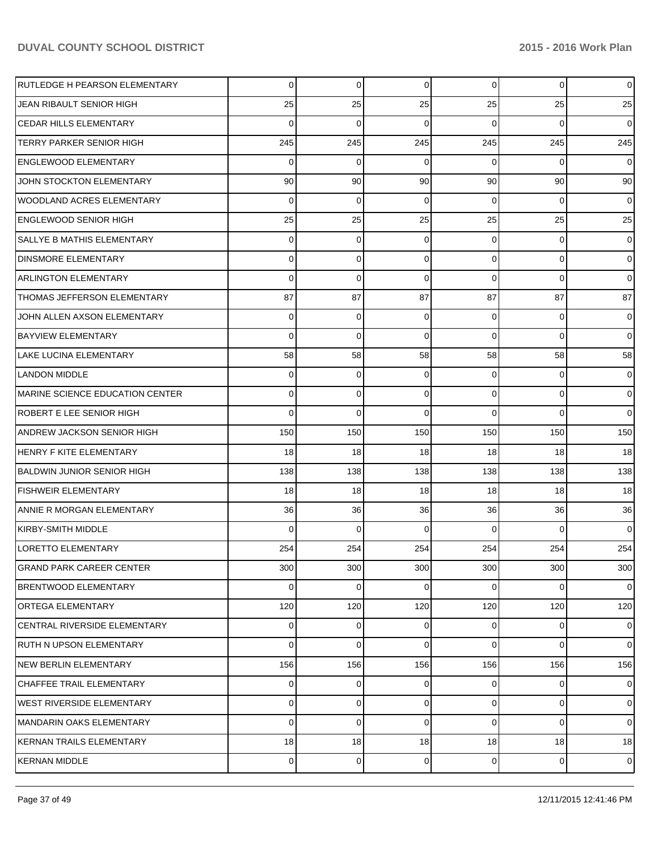| RUTLEDGE H PEARSON ELEMENTARY     | $\overline{0}$  | 0           | 0              | $\overline{0}$  | $\mathbf{0}$ | $\overline{0}$  |
|-----------------------------------|-----------------|-------------|----------------|-----------------|--------------|-----------------|
| JEAN RIBAULT SENIOR HIGH          | 25              | 25          | 25             | 25              | 25           | 25              |
| <b>CEDAR HILLS ELEMENTARY</b>     | 0               | $\Omega$    | $\Omega$       | $\Omega$        | $\Omega$     | $\overline{0}$  |
| TERRY PARKER SENIOR HIGH          | 245             | 245         | 245            | 245             | 245          | 245             |
| <b>ENGLEWOOD ELEMENTARY</b>       | 0               | $\Omega$    | $\Omega$       | $\Omega$        | $\Omega$     | $\overline{0}$  |
| JOHN STOCKTON ELEMENTARY          | 90              | 90          | 90             | 90 <sub>1</sub> | 90           | 90 <sub>1</sub> |
| <b>WOODLAND ACRES ELEMENTARY</b>  | $\Omega$        | $\Omega$    | $\Omega$       | $\Omega$        | $\Omega$     | $\overline{0}$  |
| <b>ENGLEWOOD SENIOR HIGH</b>      | 25              | 25          | 25             | 25              | 25           | 25              |
| <b>SALLYE B MATHIS ELEMENTARY</b> | $\Omega$        | 0           | $\Omega$       | $\Omega$        | 0            | $\overline{0}$  |
| <b>DINSMORE ELEMENTARY</b>        | $\Omega$        | 0           | $\Omega$       | $\Omega$        | $\mathbf 0$  | $\overline{0}$  |
| <b>ARLINGTON ELEMENTARY</b>       | $\Omega$        | $\Omega$    | $\Omega$       | $\Omega$        | $\Omega$     | $\overline{0}$  |
| THOMAS JEFFERSON ELEMENTARY       | 87              | 87          | 87             | 87              | 87           | 87              |
| JOHN ALLEN AXSON ELEMENTARY       | $\Omega$        | 0           | $\Omega$       | $\Omega$        | $\Omega$     | $\overline{0}$  |
| <b>BAYVIEW ELEMENTARY</b>         | $\Omega$        | $\Omega$    | $\Omega$       | $\Omega$        | $\Omega$     | $\overline{0}$  |
| LAKE LUCINA ELEMENTARY            | 58              | 58          | 58             | 58              | 58           | 58              |
| LANDON MIDDLE                     | $\Omega$        | 0           | 0              | $\Omega$        | 0            | $\overline{0}$  |
| MARINE SCIENCE EDUCATION CENTER   | $\Omega$        | $\mathbf 0$ | $\Omega$       | $\Omega$        | $\Omega$     | $\overline{0}$  |
| ROBERT E LEE SENIOR HIGH          | 0               | $\Omega$    | $\Omega$       | $\Omega$        | $\Omega$     | $\overline{0}$  |
| <b>ANDREW JACKSON SENIOR HIGH</b> | 150             | 150         | 150            | 150             | 150          | 150             |
| HENRY F KITE ELEMENTARY           | 18 <sup>1</sup> | 18          | 18             | 18              | 18           | 18              |
| BALDWIN JUNIOR SENIOR HIGH        | 138             | 138         | 138            | 138             | 138          | 138             |
| <b>FISHWEIR ELEMENTARY</b>        | 18 <sup>1</sup> | 18          | 18             | 18              | 18           | 18              |
| ANNIE R MORGAN ELEMENTARY         | 36              | 36          | 36             | 36              | 36           | 36              |
| KIRBY-SMITH MIDDLE                | 0               | $\Omega$    | $\Omega$       | $\Omega$        | $\Omega$     | $\overline{0}$  |
| <b>LORETTO ELEMENTARY</b>         | 254             | 254         | 254            | 254             | 254          | 254             |
| <b>GRAND PARK CAREER CENTER</b>   | 300             | 300         | 300            | 300             | 300          | 300             |
| <b>BRENTWOOD ELEMENTARY</b>       | $\Omega$        | 0           | 0              | $\Omega$        | $\Omega$     | $\overline{0}$  |
| <b>ORTEGA ELEMENTARY</b>          | 120             | 120         | 120            | 120             | 120          | 120             |
| CENTRAL RIVERSIDE ELEMENTARY      | $\Omega$        | $\mathbf 0$ | $\overline{0}$ | $\overline{0}$  | $\mathbf 0$  | $\overline{0}$  |
| RUTH N UPSON ELEMENTARY           | $\Omega$        | 0           | $\Omega$       | $\Omega$        | $\Omega$     | $\overline{0}$  |
| <b>INEW BERLIN ELEMENTARY</b>     | 156             | 156         | 156            | 156             | 156          | 156             |
| <b>CHAFFEE TRAIL ELEMENTARY</b>   | $\Omega$        | 0           | 0              | $\overline{0}$  | 0            | $\overline{0}$  |
| <b>WEST RIVERSIDE ELEMENTARY</b>  | $\Omega$        | 0           | 0              | $\overline{0}$  | $\mathbf 0$  | $\overline{0}$  |
| MANDARIN OAKS ELEMENTARY          | $\Omega$        | 0           | $\Omega$       | $\Omega$        | $\Omega$     | $\overline{0}$  |
| KERNAN TRAILS ELEMENTARY          | 18              | 18          | 18             | 18              | 18           | 18 <sup>1</sup> |
| <b>KERNAN MIDDLE</b>              | $\Omega$        | 0           | 0              | $\overline{0}$  | $\mathbf 0$  | $\overline{0}$  |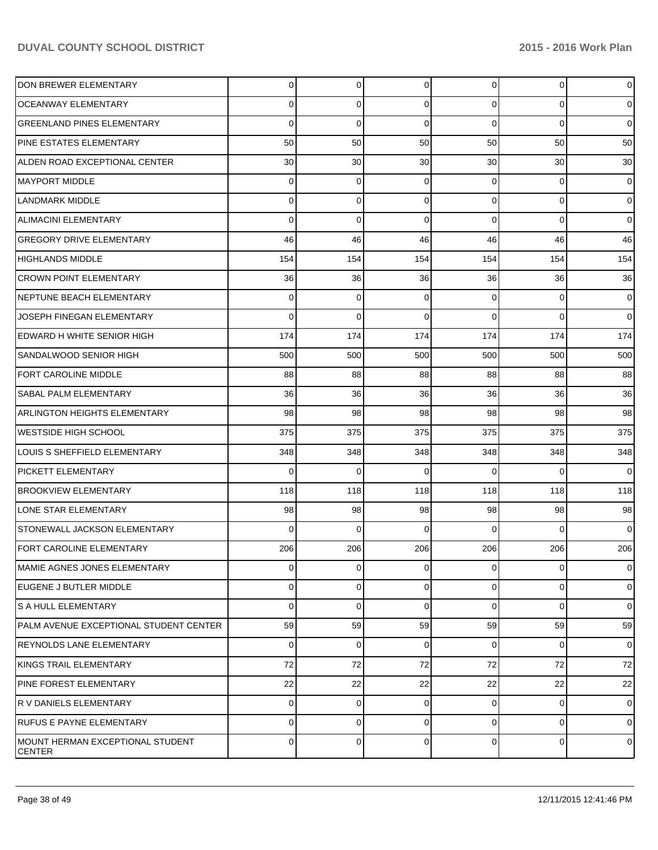| DON BREWER ELEMENTARY                       | $\Omega$       | $\overline{0}$ | $\overline{0}$ | $\Omega$       | $\overline{0}$ | $\mathbf 0$    |
|---------------------------------------------|----------------|----------------|----------------|----------------|----------------|----------------|
| <b>OCEANWAY ELEMENTARY</b>                  | $\Omega$       | 0              | $\Omega$       | $\Omega$       | $\overline{0}$ | $\overline{0}$ |
| <b>GREENLAND PINES ELEMENTARY</b>           | $\Omega$       | $\mathbf 0$    | $\Omega$       | $\Omega$       | $\Omega$       | $\overline{0}$ |
| PINE ESTATES ELEMENTARY                     | 50             | 50             | 50             | 50             | 50             | 50             |
| ALDEN ROAD EXCEPTIONAL CENTER               | 30             | 30             | 30             | 30             | 30             | 30             |
| <b>MAYPORT MIDDLE</b>                       | $\Omega$       | $\mathbf 0$    | $\mathbf 0$    | $\Omega$       | $\overline{0}$ | $\overline{0}$ |
| <b>LANDMARK MIDDLE</b>                      | $\Omega$       | 0              | $\Omega$       | $\Omega$       | $\overline{0}$ | $\overline{0}$ |
| <b>ALIMACINI ELEMENTARY</b>                 | $\Omega$       | 0              | $\Omega$       | $\Omega$       | $\overline{0}$ | $\overline{0}$ |
| <b>GREGORY DRIVE ELEMENTARY</b>             | 46             | 46             | 46             | 46             | 46             | 46             |
| <b>HIGHLANDS MIDDLE</b>                     | 154            | 154            | 154            | 154            | 154            | 154            |
| <b>CROWN POINT ELEMENTARY</b>               | 36             | 36             | 36             | 36             | 36             | 36             |
| NEPTUNE BEACH ELEMENTARY                    | $\Omega$       | $\mathbf 0$    | $\mathbf 0$    | $\Omega$       | $\overline{0}$ | $\overline{0}$ |
| JOSEPH FINEGAN ELEMENTARY                   | $\Omega$       | 0              | $\Omega$       | $\Omega$       | $\Omega$       | $\overline{0}$ |
| <b>EDWARD H WHITE SENIOR HIGH</b>           | 174            | 174            | 174            | 174            | 174            | 174            |
| SANDALWOOD SENIOR HIGH                      | 500            | 500            | 500            | 500            | 500            | 500            |
| <b>FORT CAROLINE MIDDLE</b>                 | 88             | 88             | 88             | 88             | 88             | 88             |
| SABAL PALM ELEMENTARY                       | 36             | 36             | 36             | 36             | 36             | 36             |
| <b>ARLINGTON HEIGHTS ELEMENTARY</b>         | 98             | 98             | 98             | 98             | 98             | 98             |
| <b>WESTSIDE HIGH SCHOOL</b>                 | 375            | 375            | 375            | 375            | 375            | 375            |
| <b>LOUIS S SHEFFIELD ELEMENTARY</b>         | 348            | 348            | 348            | 348            | 348            | 348            |
| <b>PICKETT ELEMENTARY</b>                   | $\Omega$       | $\Omega$       | $\Omega$       | $\Omega$       | $\Omega$       | $\overline{0}$ |
| <b>BROOKVIEW ELEMENTARY</b>                 | 118            | 118            | 118            | 118            | 118            | 118            |
| LONE STAR ELEMENTARY                        | 98             | 98             | 98             | 98             | 98             | 98             |
| STONEWALL JACKSON ELEMENTARY                | $\Omega$       | $\Omega$       | $\Omega$       | $\Omega$       | $\Omega$       | $\overline{0}$ |
| FORT CAROLINE ELEMENTARY                    | 206            | 206            | 206            | 206            | 206            | 206            |
| MAMIE AGNES JONES ELEMENTARY                | $\overline{0}$ | $\overline{0}$ | $\overline{0}$ | $\overline{0}$ | $\overline{0}$ | $\overline{0}$ |
| <b>IEUGENE J BUTLER MIDDLE</b>              | $\Omega$       | 0              | $\Omega$       | $\Omega$       | $\overline{0}$ | $\overline{0}$ |
| S A HULL ELEMENTARY                         | $\Omega$       | 0              | $\Omega$       | $\Omega$       | $\overline{0}$ | $\overline{0}$ |
| PALM AVENUE EXCEPTIONAL STUDENT CENTER      | 59             | 59             | 59             | 59             | 59             | 59             |
| <b>REYNOLDS LANE ELEMENTARY</b>             | $\Omega$       | 0              | $\Omega$       | $\Omega$       | $\overline{0}$ | $\overline{0}$ |
| KINGS TRAIL ELEMENTARY                      | 72             | 72             | 72             | 72             | 72             | 72             |
| <b>PINE FOREST ELEMENTARY</b>               | 22             | 22             | 22             | 22             | 22             | 22             |
| R V DANIELS ELEMENTARY                      | $\Omega$       | 0              | 0              | $\Omega$       | $\overline{0}$ | $\overline{0}$ |
| <b>RUFUS E PAYNE ELEMENTARY</b>             | 0              | 0              | $\Omega$       | $\overline{0}$ | 0              | $\overline{0}$ |
| MOUNT HERMAN EXCEPTIONAL STUDENT<br> CENTER | $\overline{0}$ | 0              | $\Omega$       | $\overline{0}$ | $\overline{0}$ | $\mathbf 0$    |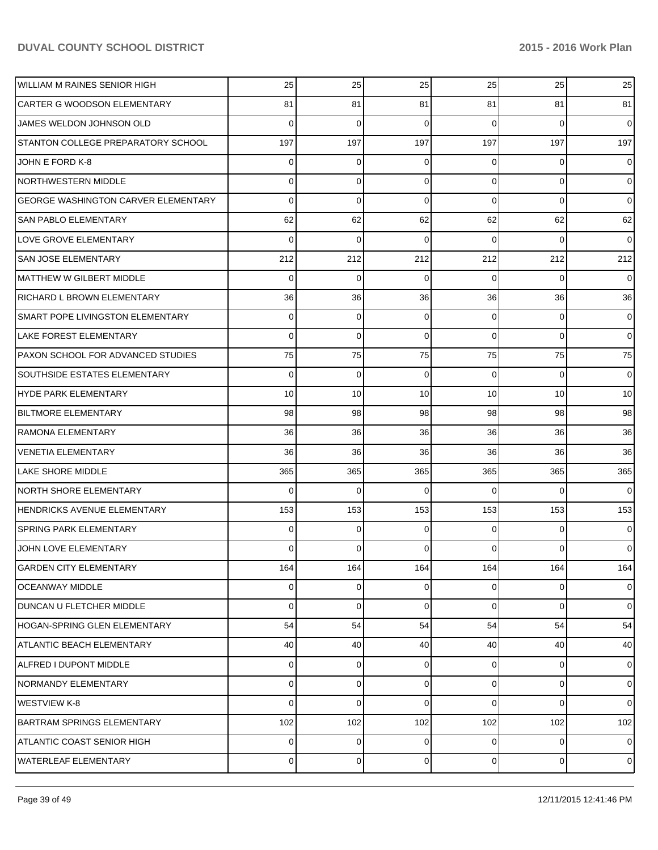| <b>WILLIAM M RAINES SENIOR HIGH</b>        | 25              | 25          | 25              | 25              | 25             | 25              |
|--------------------------------------------|-----------------|-------------|-----------------|-----------------|----------------|-----------------|
| <b>CARTER G WOODSON ELEMENTARY</b>         | 81              | 81          | 81              | 81              | 81             | 81              |
| JAMES WELDON JOHNSON OLD                   | 0               | $\Omega$    | $\Omega$        | $\Omega$        | $\Omega$       | $\overline{0}$  |
| STANTON COLLEGE PREPARATORY SCHOOL         | 197             | 197         | 197             | 197             | 197            | 197             |
| JOHN E FORD K-8                            | 0               | $\Omega$    | $\Omega$        | $\Omega$        | $\Omega$       | $\overline{0}$  |
| <b>NORTHWESTERN MIDDLE</b>                 | 0               | $\Omega$    | $\Omega$        | $\Omega$        | $\Omega$       | $\overline{0}$  |
| <b>GEORGE WASHINGTON CARVER ELEMENTARY</b> | 0               | $\Omega$    | $\Omega$        | $\Omega$        | $\Omega$       | $\overline{0}$  |
| <b>SAN PABLO ELEMENTARY</b>                | 62              | 62          | 62              | 62              | 62             | 62              |
| <b>LOVE GROVE ELEMENTARY</b>               | 0               | $\Omega$    | $\Omega$        | $\Omega$        | $\Omega$       | $\overline{0}$  |
| <b>SAN JOSE ELEMENTARY</b>                 | 212             | 212         | 212             | 212             | 212            | 212             |
| MATTHEW W GILBERT MIDDLE                   | 0               | $\Omega$    | $\Omega$        | $\Omega$        | $\Omega$       | $\overline{0}$  |
| <b>RICHARD L BROWN ELEMENTARY</b>          | 36              | 36          | 36              | 36              | 36             | 36 <sup>1</sup> |
| SMART POPE LIVINGSTON ELEMENTARY           | $\Omega$        | $\Omega$    | $\Omega$        | $\Omega$        | $\Omega$       | $\overline{0}$  |
| LAKE FOREST ELEMENTARY                     | 0               | $\Omega$    | $\Omega$        | $\Omega$        | $\Omega$       | $\overline{0}$  |
| <b>PAXON SCHOOL FOR ADVANCED STUDIES</b>   | 75              | 75          | 75              | 75              | 75             | 75              |
| <b>SOUTHSIDE ESTATES ELEMENTARY</b>        | 0               | $\Omega$    | $\Omega$        | $\Omega$        | $\Omega$       | $\overline{0}$  |
| HYDE PARK ELEMENTARY                       | 10 <sup>1</sup> | 10          | 10 <sup>1</sup> | 10 <sup>1</sup> | 10             | 10 <sup>1</sup> |
| <b>BILTMORE ELEMENTARY</b>                 | 98              | 98          | 98              | 98              | 98             | 98              |
| <b>RAMONA ELEMENTARY</b>                   | 36              | 36          | 36              | 36              | 36             | 36              |
| <b>VENETIA ELEMENTARY</b>                  | 36              | 36          | 36              | 36              | 36             | 36              |
| <b>LAKE SHORE MIDDLE</b>                   | 365             | 365         | 365             | 365             | 365            | 365             |
| <b>NORTH SHORE ELEMENTARY</b>              | 0               | $\Omega$    | $\Omega$        | $\Omega$        | $\Omega$       | $\overline{0}$  |
| HENDRICKS AVENUE ELEMENTARY                | 153             | 153         | 153             | 153             | 153            | 153             |
| <b>SPRING PARK ELEMENTARY</b>              | 0               | $\Omega$    | 0               | $\Omega$        | $\Omega$       | $\overline{0}$  |
| JOHN LOVE ELEMENTARY                       | 0               | $\Omega$    | 0               | $\Omega$        | $\Omega$       | $\overline{0}$  |
| <b>GARDEN CITY ELEMENTARY</b>              | 164             | 164         | 164             | 164             | 164            | 164             |
| <b>OCEANWAY MIDDLE</b>                     | $\Omega$        | 0           | 0               | $\overline{0}$  | 0              | $\overline{0}$  |
| DUNCAN U FLETCHER MIDDLE                   | 0               | $\Omega$    | $\Omega$        | $\Omega$        | $\Omega$       | $\overline{0}$  |
| HOGAN-SPRING GLEN ELEMENTARY               | 54              | 54          | 54              | 54              | 54             | 54              |
| <b>ATLANTIC BEACH ELEMENTARY</b>           | 40              | 40          | 40              | 40              | 40             | 40              |
| ALFRED I DUPONT MIDDLE                     | $\Omega$        | 0           | $\overline{0}$  | $\Omega$        | $\overline{0}$ | $\overline{0}$  |
| NORMANDY ELEMENTARY                        | $\Omega$        | 0           | $\Omega$        | $\Omega$        | $\mathbf 0$    | $\overline{0}$  |
| <b>WESTVIEW K-8</b>                        | $\Omega$        | $\Omega$    | 0               | $\Omega$        | $\Omega$       | $\overline{0}$  |
| <b>BARTRAM SPRINGS ELEMENTARY</b>          | 102             | 102         | 102             | 102             | 102            | 102             |
| ATLANTIC COAST SENIOR HIGH                 | $\Omega$        | 0           | 0               | $\Omega$        | 0              | $\overline{0}$  |
| <b>WATERLEAF ELEMENTARY</b>                | $\Omega$        | $\mathbf 0$ | 0               | $\overline{0}$  | $\mathbf 0$    | $\overline{0}$  |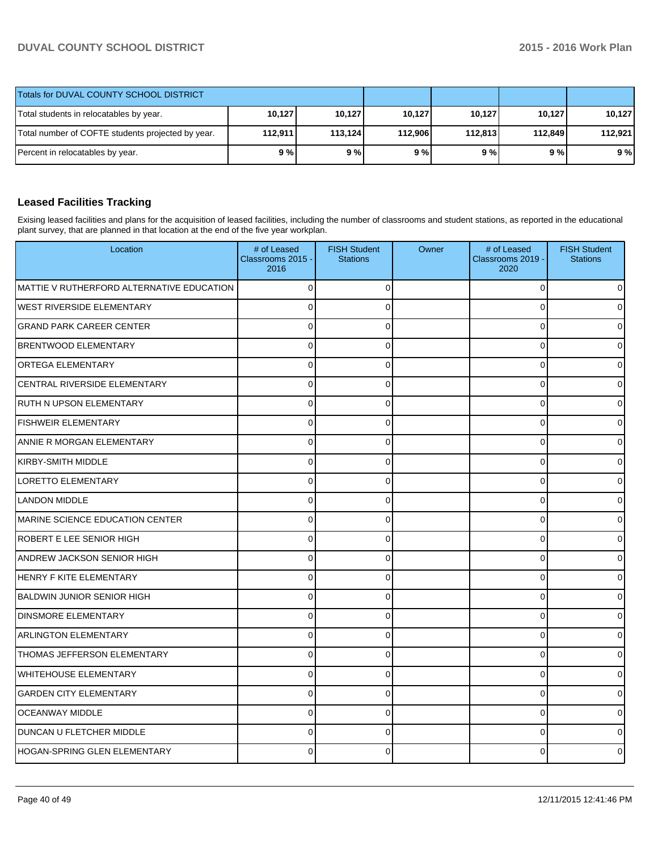| Totals for DUVAL COUNTY SCHOOL DISTRICT           |         |         |         |         |         |         |
|---------------------------------------------------|---------|---------|---------|---------|---------|---------|
| Total students in relocatables by year.           | 10,127  | 10,127  | 10,127  | 10,127  | 10.127  | 10.127  |
| Total number of COFTE students projected by year. | 112.911 | 113.124 | 112.906 | 112.813 | 112.849 | 112.921 |
| Percent in relocatables by year.                  | 9 % l   | 9%      | 9%      | 9 % l   | 9 % l   | 9%      |

## **Leased Facilities Tracking**

Exising leased facilities and plans for the acquisition of leased facilities, including the number of classrooms and student stations, as reported in the educational plant survey, that are planned in that location at the end of the five year workplan.

| Location                                  | # of Leased<br>Classrooms 2015 -<br>2016 | <b>FISH Student</b><br><b>Stations</b> | Owner | # of Leased<br>Classrooms 2019 -<br>2020 | <b>FISH Student</b><br><b>Stations</b> |
|-------------------------------------------|------------------------------------------|----------------------------------------|-------|------------------------------------------|----------------------------------------|
| MATTIE V RUTHERFORD ALTERNATIVE EDUCATION | $\overline{0}$                           | $\mathbf 0$                            |       | 0                                        | $\overline{0}$                         |
| <b>WEST RIVERSIDE ELEMENTARY</b>          | $\Omega$                                 | $\Omega$                               |       | $\Omega$                                 | $\Omega$                               |
| <b>GRAND PARK CAREER CENTER</b>           | $\mathbf{0}$                             | $\Omega$                               |       | $\Omega$                                 | 0                                      |
| <b>BRENTWOOD ELEMENTARY</b>               | $\overline{0}$                           | $\Omega$                               |       | $\Omega$                                 | $\overline{0}$                         |
| <b>ORTEGA ELEMENTARY</b>                  | $\overline{0}$                           | $\mathbf 0$                            |       | $\Omega$                                 | $\overline{0}$                         |
| CENTRAL RIVERSIDE ELEMENTARY              | $\overline{0}$                           | $\Omega$                               |       | $\Omega$                                 | $\overline{0}$                         |
| RUTH N UPSON ELEMENTARY                   | 0                                        | $\Omega$                               |       | $\Omega$                                 | $\overline{0}$                         |
| <b>FISHWEIR ELEMENTARY</b>                | $\mathbf{0}$                             | $\Omega$                               |       | $\Omega$                                 | $\overline{0}$                         |
| ANNIE R MORGAN ELEMENTARY                 | $\overline{0}$                           | $\Omega$                               |       | $\Omega$                                 | $\overline{0}$                         |
| <b>KIRBY-SMITH MIDDLE</b>                 | $\mathbf{0}$                             | $\Omega$                               |       | $\Omega$                                 | $\overline{0}$                         |
| <b>LORETTO ELEMENTARY</b>                 | $\mathbf 0$                              | $\Omega$                               |       | $\Omega$                                 | $\overline{0}$                         |
| <b>LANDON MIDDLE</b>                      | $\mathbf 0$                              | $\Omega$                               |       | $\Omega$                                 | $\overline{0}$                         |
| MARINE SCIENCE EDUCATION CENTER           | $\Omega$                                 | $\Omega$                               |       | $\Omega$                                 | $\overline{0}$                         |
| ROBERT E LEE SENIOR HIGH                  | $\Omega$                                 | $\Omega$                               |       | $\Omega$                                 | $\Omega$                               |
| <b>ANDREW JACKSON SENIOR HIGH</b>         | $\Omega$                                 | $\Omega$                               |       | $\Omega$                                 | 0                                      |
| <b>HENRY F KITE ELEMENTARY</b>            | $\mathbf 0$                              | $\Omega$                               |       | C                                        | 0                                      |
| <b>BALDWIN JUNIOR SENIOR HIGH</b>         | $\Omega$                                 | $\Omega$                               |       | $\Omega$                                 | $\Omega$                               |
| <b>DINSMORE ELEMENTARY</b>                | $\Omega$                                 | $\Omega$                               |       | $\Omega$                                 | $\Omega$                               |
| <b>ARLINGTON ELEMENTARY</b>               | $\Omega$                                 | $\Omega$                               |       | $\Omega$                                 | $\Omega$                               |
| THOMAS JEFFERSON ELEMENTARY               | 0                                        | $\Omega$                               |       | $\Omega$                                 | $\overline{0}$                         |
| <b>WHITEHOUSE ELEMENTARY</b>              | $\Omega$                                 | $\Omega$                               |       | $\mathbf 0$                              | $\mathbf 0$                            |
| <b>GARDEN CITY ELEMENTARY</b>             | $\Omega$                                 | $\Omega$                               |       | $\Omega$                                 | $\Omega$                               |
| <b>OCEANWAY MIDDLE</b>                    | $\Omega$                                 | $\Omega$                               |       | $\Omega$                                 | $\Omega$                               |
| DUNCAN U FLETCHER MIDDLE                  | $\mathbf{0}$                             | $\Omega$                               |       | $\Omega$                                 | 0                                      |
| <b>HOGAN-SPRING GLEN ELEMENTARY</b>       | $\Omega$                                 | $\Omega$                               |       | C                                        | $\overline{0}$                         |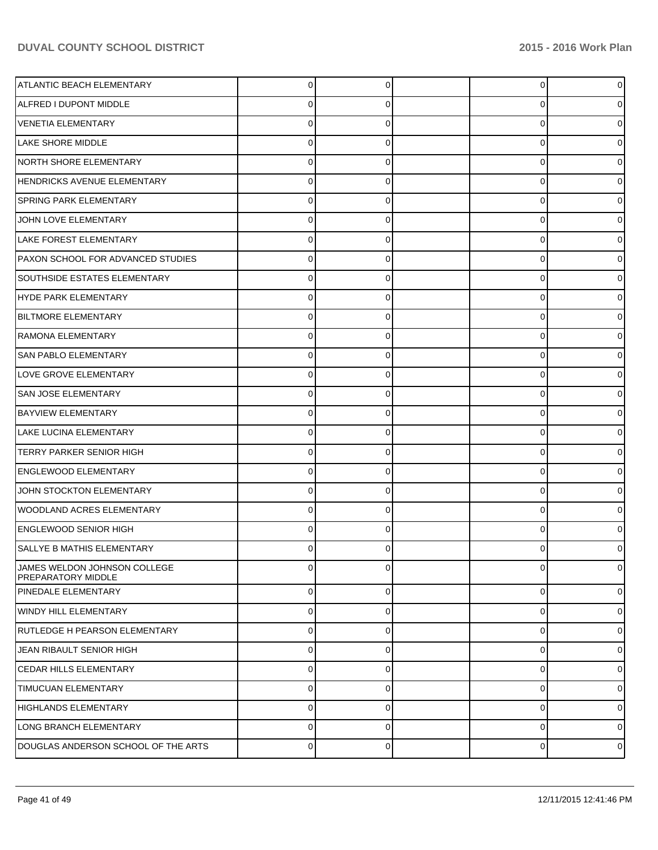| <b>ATLANTIC BEACH ELEMENTARY</b>                   | 0              | 0        | $\overline{0}$ |   |
|----------------------------------------------------|----------------|----------|----------------|---|
| ALFRED I DUPONT MIDDLE                             | 0              | O        | 0              |   |
| <b>VENETIA ELEMENTARY</b>                          | $\Omega$       |          | 0              |   |
| <b>LAKE SHORE MIDDLE</b>                           | 0              | 0        | 0              |   |
| NORTH SHORE ELEMENTARY                             | 0              |          | 0              |   |
| <b>HENDRICKS AVENUE ELEMENTARY</b>                 | 0              | 0        | 0              |   |
| <b>SPRING PARK ELEMENTARY</b>                      | 0              | O        | 0              |   |
| JOHN LOVE ELEMENTARY                               | 0              | 0        | 0              |   |
| LAKE FOREST ELEMENTARY                             | 0              |          | 0              |   |
| PAXON SCHOOL FOR ADVANCED STUDIES                  | 0              | 0        | 0              |   |
| <b>SOUTHSIDE ESTATES ELEMENTARY</b>                | 0              |          | 0              |   |
| HYDE PARK ELEMENTARY                               | 0              | 0        | 0              |   |
| <b>BILTMORE ELEMENTARY</b>                         | 0              |          | 0              |   |
| <b>RAMONA ELEMENTARY</b>                           | 0              | 0        | 0              |   |
| <b>SAN PABLO ELEMENTARY</b>                        | 0              |          | 0              |   |
| <b>LOVE GROVE ELEMENTARY</b>                       | 0              | 0        | 0              |   |
| <b>SAN JOSE ELEMENTARY</b>                         | 0              | O        | 0              |   |
| <b>BAYVIEW ELEMENTARY</b>                          | 0              | 0        | 0              |   |
| LAKE LUCINA ELEMENTARY                             | 0              |          | 0              |   |
| <b>TERRY PARKER SENIOR HIGH</b>                    | 0              | 0        | 0              |   |
| <b>ENGLEWOOD ELEMENTARY</b>                        | 0              |          | 0              |   |
| JOHN STOCKTON ELEMENTARY                           | 0              | 0        | 0              |   |
| WOODLAND ACRES ELEMENTARY                          | 0              |          | 0              |   |
| <b>ENGLEWOOD SENIOR HIGH</b>                       | 0              |          | 0              |   |
| SALLYE B MATHIS ELEMENTARY                         | 0              |          | 0              |   |
| JAMES WELDON JOHNSON COLLEGE<br>PREPARATORY MIDDLE | $\Omega$       | C        | 0              | 0 |
| <b>PINEDALE ELEMENTARY</b>                         | $\overline{0}$ | $\Omega$ | $\overline{0}$ | 0 |
| WINDY HILL ELEMENTARY                              | $\Omega$       | 0        | $\overline{0}$ | 0 |
| RUTLEDGE H PEARSON ELEMENTARY                      | 0              | $\Omega$ | $\overline{0}$ | 0 |
| JEAN RIBAULT SENIOR HIGH                           | $\Omega$       | 0        | $\overline{0}$ | 0 |
| <b>CEDAR HILLS ELEMENTARY</b>                      | $\overline{0}$ | $\Omega$ | $\overline{0}$ | 0 |
| <b>TIMUCUAN ELEMENTARY</b>                         | $\Omega$       | 0        | $\overline{0}$ | 0 |
| HIGHLANDS ELEMENTARY                               | 0              | 0        | $\overline{0}$ | 0 |
| LONG BRANCH ELEMENTARY                             | $\Omega$       | 0        | $\overline{0}$ | 0 |
| DOUGLAS ANDERSON SCHOOL OF THE ARTS                | 0              | 0        | $\overline{0}$ | 0 |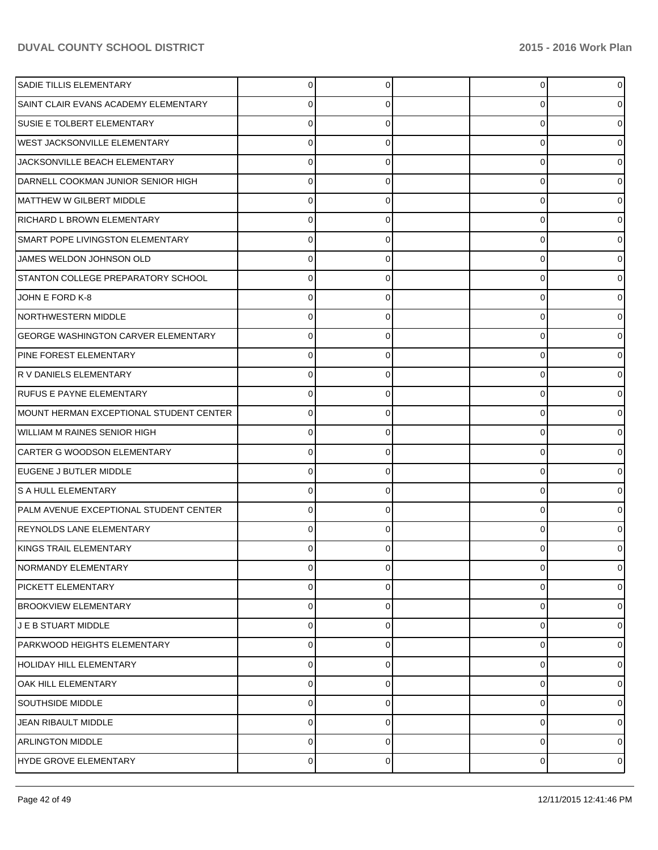| SADIE TILLIS ELEMENTARY                    | 0              |   | 0 | 01             |
|--------------------------------------------|----------------|---|---|----------------|
| SAINT CLAIR EVANS ACADEMY ELEMENTARY       |                |   | C | 0              |
| <b>SUSIE E TOLBERT ELEMENTARY</b>          |                |   | C | 0              |
| <b>WEST JACKSONVILLE ELEMENTARY</b>        | 0              |   | 0 | 0              |
| JACKSONVILLE BEACH ELEMENTARY              | C              |   | 0 |                |
| DARNELL COOKMAN JUNIOR SENIOR HIGH         | 0              |   | 0 |                |
| MATTHEW W GILBERT MIDDLE                   | 0              |   | 0 |                |
| RICHARD L BROWN ELEMENTARY                 | 0              |   | 0 | 0              |
| SMART POPE LIVINGSTON ELEMENTARY           |                |   | ŋ |                |
| JAMES WELDON JOHNSON OLD                   | 0              |   | 0 |                |
| STANTON COLLEGE PREPARATORY SCHOOL         | 0              |   | ŋ |                |
| JOHN E FORD K-8                            | 0              |   | 0 |                |
| NORTHWESTERN MIDDLE                        | 0              |   | 0 |                |
| <b>GEORGE WASHINGTON CARVER ELEMENTARY</b> | 0              |   | 0 | 0              |
| <b>PINE FOREST ELEMENTARY</b>              |                |   | C |                |
| R V DANIELS ELEMENTARY                     | 0              |   | 0 |                |
| <b>RUFUS E PAYNE ELEMENTARY</b>            | 0              |   | ŋ |                |
| MOUNT HERMAN EXCEPTIONAL STUDENT CENTER    | 0              |   | 0 | 0              |
| WILLIAM M RAINES SENIOR HIGH               | 0              |   | 0 |                |
| CARTER G WOODSON ELEMENTARY                | 0              |   | 0 | 0              |
| EUGENE J BUTLER MIDDLE                     |                |   | C |                |
| S A HULL ELEMENTARY                        | 0              |   | 0 | 0              |
| PALM AVENUE EXCEPTIONAL STUDENT CENTER     |                |   | ŋ |                |
| REYNOLDS LANE ELEMENTARY                   | 0              |   | ŋ | 0              |
| KINGS TRAIL ELEMENTARY                     | 0              |   |   | 0              |
| NORMANDY ELEMENTARY                        | 0              | 0 | 0 | $\overline{0}$ |
| PICKETT ELEMENTARY                         | 0              | 0 | 0 | 0              |
| <b>BROOKVIEW ELEMENTARY</b>                | 0              |   | 0 | 0              |
| <b>JE B STUART MIDDLE</b>                  | 0              | 0 | 0 | 0              |
| PARKWOOD HEIGHTS ELEMENTARY                | 0              | O | 0 | 01             |
| HOLIDAY HILL ELEMENTARY                    | 0              | 0 | 0 | 01             |
| <b>OAK HILL ELEMENTARY</b>                 | 0              | O | 0 | 01             |
| SOUTHSIDE MIDDLE                           | 0              | 0 | 0 | 01             |
| JEAN RIBAULT MIDDLE                        | 0              | O | 0 | 0              |
| <b>ARLINGTON MIDDLE</b>                    | 0              | 0 | 0 | 0              |
| HYDE GROVE ELEMENTARY                      | $\overline{0}$ | 0 | 0 | $\circ$        |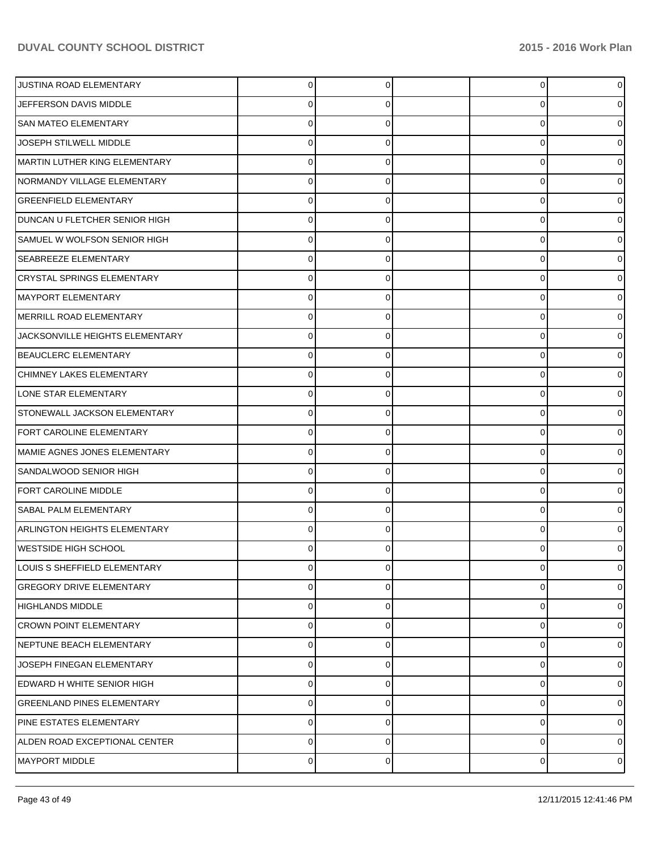| JUSTINA ROAD ELEMENTARY              | 0 |   | $\overline{0}$ |   |
|--------------------------------------|---|---|----------------|---|
| JEFFERSON DAVIS MIDDLE               | 0 |   | 0              |   |
| <b>SAN MATEO ELEMENTARY</b>          | 0 |   | 0              |   |
| JOSEPH STILWELL MIDDLE               | 0 |   | 0              |   |
| MARTIN LUTHER KING ELEMENTARY        | 0 |   | 0              |   |
| NORMANDY VILLAGE ELEMENTARY          | 0 |   | 0              |   |
| <b>GREENFIELD ELEMENTARY</b>         | 0 |   | 0              |   |
| <b>DUNCAN U FLETCHER SENIOR HIGH</b> | 0 |   | 0              |   |
| SAMUEL W WOLFSON SENIOR HIGH         | 0 |   | 0              |   |
| <b>SEABREEZE ELEMENTARY</b>          | 0 |   | 0              |   |
| CRYSTAL SPRINGS ELEMENTARY           | 0 |   | 0              |   |
| MAYPORT ELEMENTARY                   | 0 |   | 0              |   |
| MERRILL ROAD ELEMENTARY              | 0 |   | 0              |   |
| JACKSONVILLE HEIGHTS ELEMENTARY      | 0 |   | 0              |   |
| BEAUCLERC ELEMENTARY                 | 0 |   | 0              |   |
| CHIMNEY LAKES ELEMENTARY             | 0 |   | 0              |   |
| LONE STAR ELEMENTARY                 | 0 |   | 0              |   |
| STONEWALL JACKSON ELEMENTARY         | 0 |   | 0              |   |
| FORT CAROLINE ELEMENTARY             | 0 |   | 0              |   |
| MAMIE AGNES JONES ELEMENTARY         | 0 |   | 0              |   |
| SANDALWOOD SENIOR HIGH               | 0 |   | 0              |   |
| FORT CAROLINE MIDDLE                 | 0 |   | 0              |   |
| <b>SABAL PALM ELEMENTARY</b>         | 0 |   | 0              |   |
| <b>ARLINGTON HEIGHTS ELEMENTARY</b>  | 0 |   | 0              |   |
| <b>WESTSIDE HIGH SCHOOL</b>          | 0 |   | 0              |   |
| LOUIS S SHEFFIELD ELEMENTARY         | 0 | O | 0              |   |
| <b>GREGORY DRIVE ELEMENTARY</b>      | 0 | O | 0              |   |
| <b>HIGHLANDS MIDDLE</b>              | 0 |   | 0              |   |
| <b>CROWN POINT ELEMENTARY</b>        | 0 | 0 | 0              | o |
| NEPTUNE BEACH ELEMENTARY             | 0 |   | 0              | o |
| JOSEPH FINEGAN ELEMENTARY            | 0 | 0 | 0              | 0 |
| EDWARD H WHITE SENIOR HIGH           | 0 |   | 0              |   |
| <b>GREENLAND PINES ELEMENTARY</b>    | 0 | 0 | 0              |   |
| PINE ESTATES ELEMENTARY              | 0 | O | 0              | o |
| ALDEN ROAD EXCEPTIONAL CENTER        | 0 | 0 | 0              | o |
| <b>MAYPORT MIDDLE</b>                | 0 | 0 | 0              | 0 |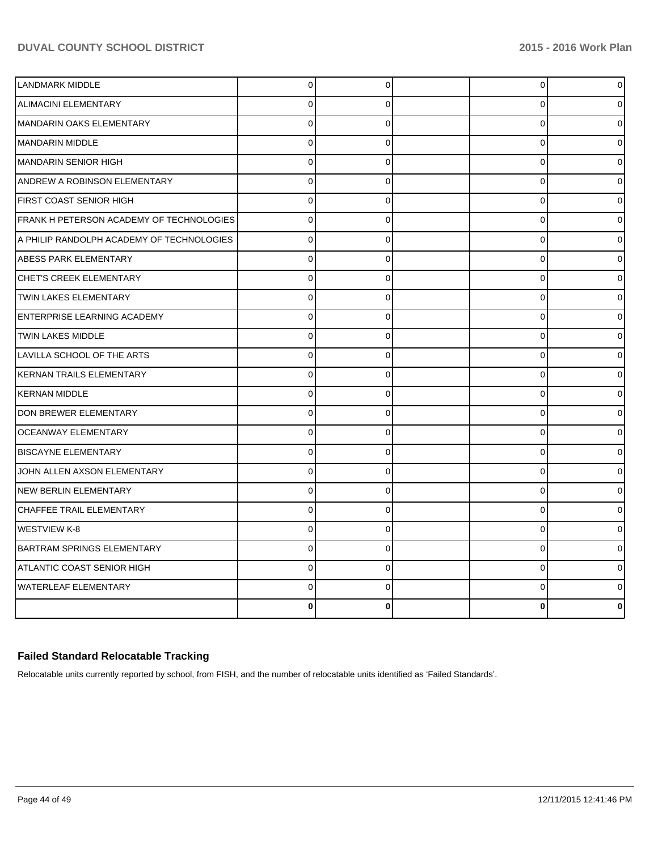| <b>LANDMARK MIDDLE</b>                    | $\overline{0}$ | $\overline{0}$ | $\overline{0}$ | $\overline{0}$ |
|-------------------------------------------|----------------|----------------|----------------|----------------|
| <b>ALIMACINI ELEMENTARY</b>               | $\Omega$       | $\Omega$       | $\Omega$       | 0              |
| MANDARIN OAKS ELEMENTARY                  | $\Omega$       | $\Omega$       | $\Omega$       | 0              |
| <b>MANDARIN MIDDLE</b>                    | $\Omega$       | 0              | 0              | 0              |
| <b>MANDARIN SENIOR HIGH</b>               | $\Omega$       | $\overline{0}$ | $\Omega$       |                |
| <b>ANDREW A ROBINSON ELEMENTARY</b>       | $\mathbf 0$    | $\Omega$       | 0              |                |
| <b>FIRST COAST SENIOR HIGH</b>            | $\Omega$       | $\Omega$       | 0              |                |
| FRANK H PETERSON ACADEMY OF TECHNOLOGIES  | $\overline{0}$ | $\overline{0}$ | $\Omega$       |                |
| A PHILIP RANDOLPH ACADEMY OF TECHNOLOGIES | $\mathbf 0$    | $\Omega$       | 0              |                |
| <b>ABESS PARK ELEMENTARY</b>              | $\Omega$       | $\Omega$       | $\Omega$       |                |
| CHET'S CREEK ELEMENTARY                   | $\Omega$       | $\Omega$       | $\Omega$       |                |
| <b>TWIN LAKES ELEMENTARY</b>              | $\mathbf 0$    | $\Omega$       | 0              |                |
| <b>ENTERPRISE LEARNING ACADEMY</b>        | $\Omega$       | $\Omega$       | $\Omega$       |                |
| TWIN LAKES MIDDLE                         | $\Omega$       | $\Omega$       | $\Omega$       |                |
| LAVILLA SCHOOL OF THE ARTS                | $\Omega$       | $\Omega$       | 0              |                |
| KERNAN TRAILS ELEMENTARY                  | $\Omega$       | $\Omega$       | $\Omega$       |                |
| <b>KERNAN MIDDLE</b>                      | $\Omega$       | $\Omega$       | $\Omega$       |                |
| DON BREWER ELEMENTARY                     | $\Omega$       | $\Omega$       | 0              | 0              |
| OCEANWAY ELEMENTARY                       | $\Omega$       | $\Omega$       | $\Omega$       |                |
| <b>BISCAYNE ELEMENTARY</b>                | $\overline{0}$ | $\Omega$       | $\Omega$       |                |
| JOHN ALLEN AXSON ELEMENTARY               | $\Omega$       | $\Omega$       | $\Omega$       | 0              |
| <b>NEW BERLIN ELEMENTARY</b>              | $\Omega$       | $\Omega$       | 0              |                |
| CHAFFEE TRAIL ELEMENTARY                  | $\Omega$       | $\Omega$       | $\Omega$       |                |
| <b>WESTVIEW K-8</b>                       | 0              | $\Omega$       | $\Omega$       | 0              |
| <b>BARTRAM SPRINGS ELEMENTARY</b>         | $\Omega$       | $\Omega$       | $\Omega$       |                |
| ATLANTIC COAST SENIOR HIGH                | $\Omega$       | $\Omega$       | $\Omega$       |                |
| <b>WATERLEAF ELEMENTARY</b>               | $\Omega$       | 0              | 0              | ი              |
|                                           | ŋ              | 0              | n              | 0              |

## **Failed Standard Relocatable Tracking**

Relocatable units currently reported by school, from FISH, and the number of relocatable units identified as 'Failed Standards'.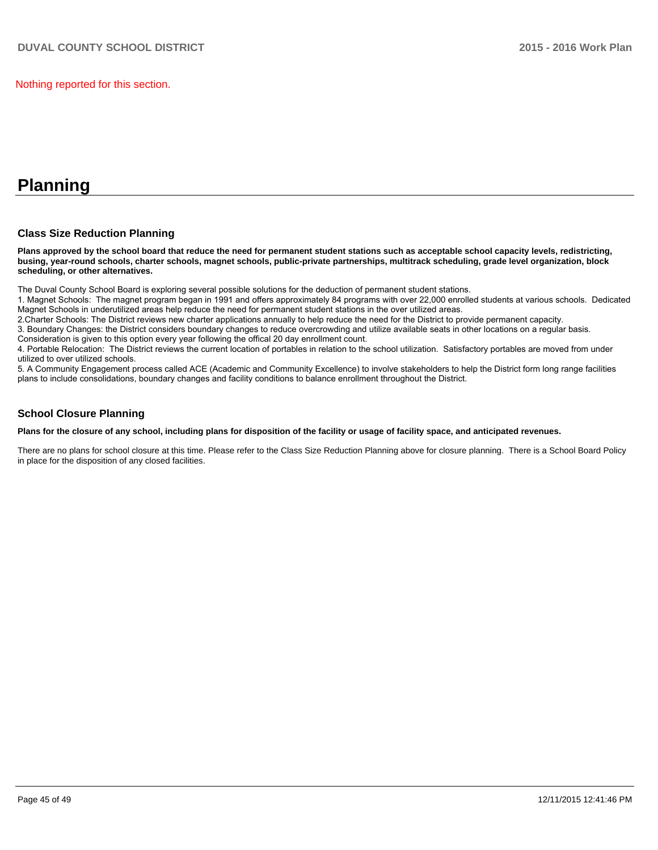Nothing reported for this section.

# **Planning**

### **Class Size Reduction Planning**

**Plans approved by the school board that reduce the need for permanent student stations such as acceptable school capacity levels, redistricting, busing, year-round schools, charter schools, magnet schools, public-private partnerships, multitrack scheduling, grade level organization, block scheduling, or other alternatives.**

The Duval County School Board is exploring several possible solutions for the deduction of permanent student stations.

1. Magnet Schools: The magnet program began in 1991 and offers approximately 84 programs with over 22,000 enrolled students at various schools. Dedicated Magnet Schools in underutilized areas help reduce the need for permanent student stations in the over utilized areas.

2. Charter Schools: The District reviews new charter applications annually to help reduce the need for the District to provide permanent capacity.

3. Boundary Changes: the District considers boundary changes to reduce overcrowding and utilize available seats in other locations on a regular basis. Consideration is given to this option every year following the offical 20 day enrollment count.

4. Portable Relocation: The District reviews the current location of portables in relation to the school utilization. Satisfactory portables are moved from under utilized to over utilized schools.

5. A Community Engagement process called ACE (Academic and Community Excellence) to involve stakeholders to help the District form long range facilities plans to include consolidations, boundary changes and facility conditions to balance enrollment throughout the District.

### **School Closure Planning**

**Plans for the closure of any school, including plans for disposition of the facility or usage of facility space, and anticipated revenues.**

There are no plans for school closure at this time. Please refer to the Class Size Reduction Planning above for closure planning. There is a School Board Policy in place for the disposition of any closed facilities.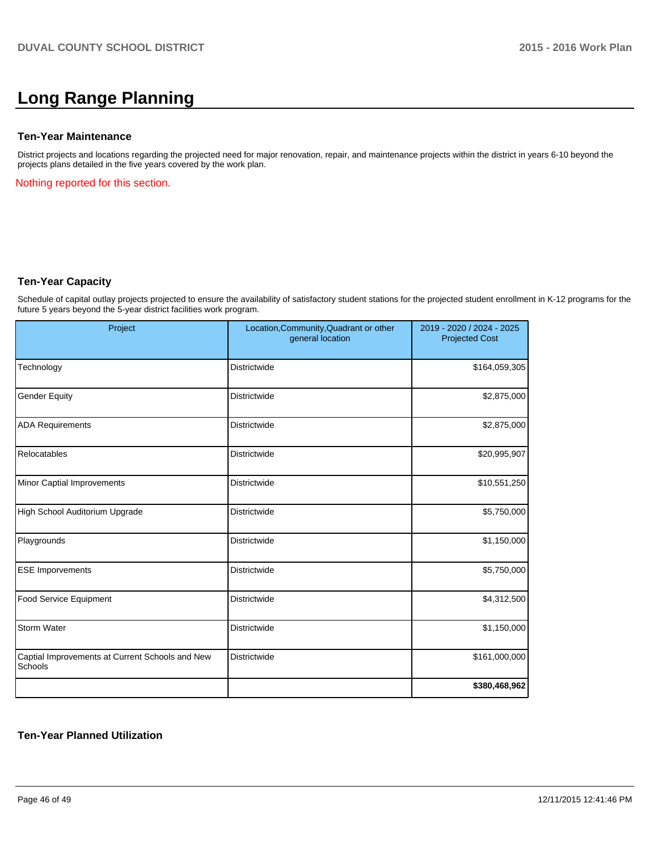# **Long Range Planning**

#### **Ten-Year Maintenance**

District projects and locations regarding the projected need for major renovation, repair, and maintenance projects within the district in years 6-10 beyond the projects plans detailed in the five years covered by the work plan.

Nothing reported for this section.

#### **Ten-Year Capacity**

Schedule of capital outlay projects projected to ensure the availability of satisfactory student stations for the projected student enrollment in K-12 programs for the future 5 years beyond the 5-year district facilities work program.

| Project                                                    | Location, Community, Quadrant or other<br>general location | 2019 - 2020 / 2024 - 2025<br><b>Projected Cost</b> |
|------------------------------------------------------------|------------------------------------------------------------|----------------------------------------------------|
| Technology                                                 | <b>Districtwide</b>                                        | \$164,059,305                                      |
| <b>Gender Equity</b>                                       | Districtwide                                               | \$2,875,000                                        |
| <b>ADA Requirements</b>                                    | Districtwide                                               | \$2,875,000                                        |
| Relocatables                                               | Districtwide                                               | \$20,995,907                                       |
| Minor Captial Improvements                                 | Districtwide                                               | \$10,551,250                                       |
| High School Auditorium Upgrade                             | Districtwide                                               | \$5,750,000                                        |
| Playgrounds                                                | <b>Districtwide</b>                                        | \$1,150,000                                        |
| <b>ESE Imporvements</b>                                    | <b>Districtwide</b>                                        | \$5,750,000                                        |
| Food Service Equipment                                     | <b>Districtwide</b>                                        | \$4,312,500                                        |
| Storm Water                                                | <b>Districtwide</b>                                        | \$1,150,000                                        |
| Captial Improvements at Current Schools and New<br>Schools | Districtwide                                               | \$161,000,000                                      |
|                                                            |                                                            | \$380,468,962                                      |

## **Ten-Year Planned Utilization**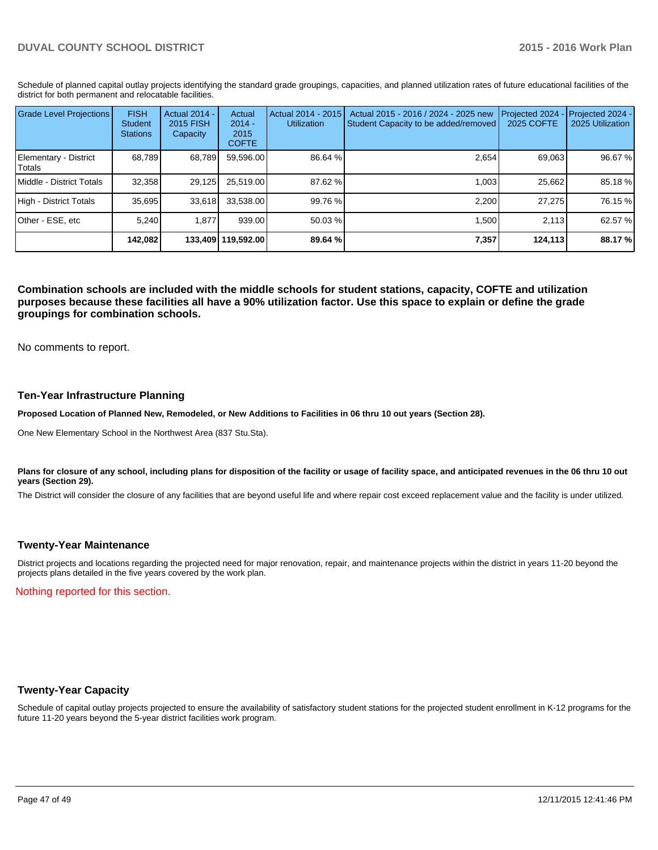Schedule of planned capital outlay projects identifying the standard grade groupings, capacities, and planned utilization rates of future educational facilities of the district for both permanent and relocatable facilities.

| <b>Grade Level Projections</b>    | <b>FISH</b><br><b>Student</b><br><b>Stations</b> | <b>Actual 2014 -</b><br><b>2015 FISH</b><br>Capacity | Actual<br>$2014 -$<br>2015<br><b>COFTE</b> | Actual 2014 - 2015<br><b>Utilization</b> | Actual 2015 - 2016 / 2024 - 2025 new<br>Student Capacity to be added/removed | Projected 2024<br><b>2025 COFTE</b> | Projected 2024 -<br>2025 Utilization |
|-----------------------------------|--------------------------------------------------|------------------------------------------------------|--------------------------------------------|------------------------------------------|------------------------------------------------------------------------------|-------------------------------------|--------------------------------------|
| Elementary - District<br>l Totals | 68,789                                           | 68,789                                               | 59,596.00                                  | 86.64 %                                  | 2.654                                                                        | 69,063                              | 96.67 %                              |
| <b>IMiddle - District Totals</b>  | 32,358                                           | 29,125                                               | 25,519.00                                  | 87.62 %                                  | 1.003                                                                        | 25,662                              | 85.18 %                              |
| High - District Totals            | 35.695                                           | 33.618                                               | 33,538.00                                  | 99.76 %                                  | 2.200                                                                        | 27.275                              | 76.15 %                              |
| Other - ESE, etc                  | 5.240                                            | 1.877                                                | 939.00                                     | $50.03\%$                                | 1.500                                                                        | 2.113                               | 62.57 %                              |
|                                   | 142,082                                          |                                                      | 133,409 119,592.00                         | 89.64 %                                  | 7,357                                                                        | 124,113                             | 88.17 %                              |

**Combination schools are included with the middle schools for student stations, capacity, COFTE and utilization purposes because these facilities all have a 90% utilization factor. Use this space to explain or define the grade groupings for combination schools.**

No comments to report.

#### **Ten-Year Infrastructure Planning**

**Proposed Location of Planned New, Remodeled, or New Additions to Facilities in 06 thru 10 out years (Section 28).**

One New Elementary School in the Northwest Area (837 Stu.Sta).

Plans for closure of any school, including plans for disposition of the facility or usage of facility space, and anticipated revenues in the 06 thru 10 out **years (Section 29).**

The District will consider the closure of any facilities that are beyond useful life and where repair cost exceed replacement value and the facility is under utilized.

#### **Twenty-Year Maintenance**

District projects and locations regarding the projected need for major renovation, repair, and maintenance projects within the district in years 11-20 beyond the projects plans detailed in the five years covered by the work plan.

Nothing reported for this section.

#### **Twenty-Year Capacity**

Schedule of capital outlay projects projected to ensure the availability of satisfactory student stations for the projected student enrollment in K-12 programs for the future 11-20 years beyond the 5-year district facilities work program.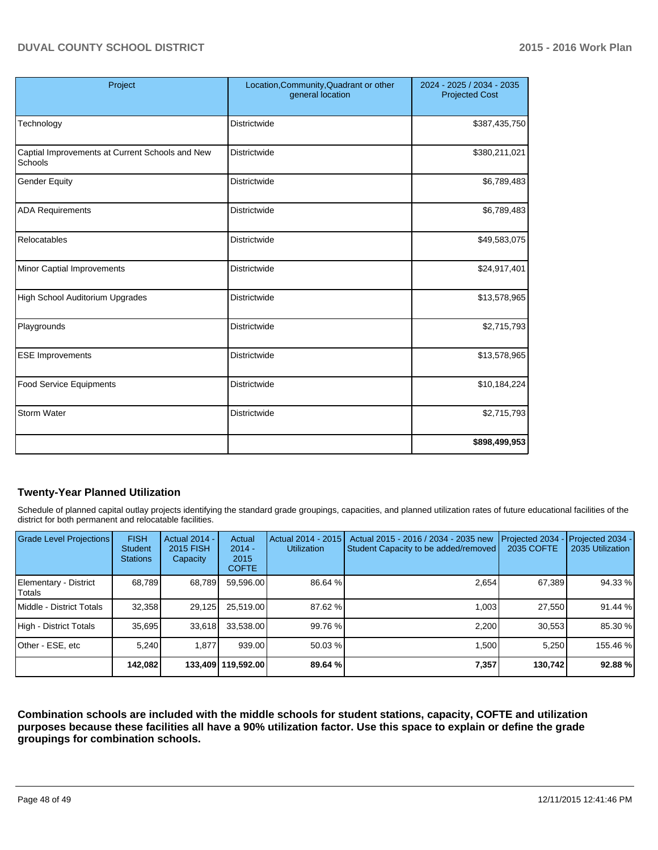| Project                                                    | Location, Community, Quadrant or other<br>general location | 2024 - 2025 / 2034 - 2035<br><b>Projected Cost</b> |
|------------------------------------------------------------|------------------------------------------------------------|----------------------------------------------------|
| Technology                                                 | <b>Districtwide</b>                                        | \$387,435,750                                      |
| Captial Improvements at Current Schools and New<br>Schools | Districtwide                                               | \$380,211,021                                      |
| <b>Gender Equity</b>                                       | <b>Districtwide</b>                                        | \$6,789,483                                        |
| <b>ADA Requirements</b>                                    | <b>Districtwide</b>                                        | \$6,789,483                                        |
| Relocatables                                               | <b>Districtwide</b>                                        | \$49,583,075                                       |
| Minor Captial Improvements                                 | <b>Districtwide</b>                                        | \$24,917,401                                       |
| <b>High School Auditorium Upgrades</b>                     | <b>Districtwide</b>                                        | \$13,578,965                                       |
| Playgrounds                                                | Districtwide                                               | \$2,715,793                                        |
| <b>ESE Improvements</b>                                    | Districtwide                                               | \$13,578,965                                       |
| <b>Food Service Equipments</b>                             | <b>Districtwide</b>                                        | \$10,184,224                                       |
| <b>Storm Water</b>                                         | <b>Districtwide</b>                                        | \$2,715,793                                        |
|                                                            |                                                            | \$898,499,953                                      |

## **Twenty-Year Planned Utilization**

Schedule of planned capital outlay projects identifying the standard grade groupings, capacities, and planned utilization rates of future educational facilities of the district for both permanent and relocatable facilities.

| <b>Grade Level Projections</b>    | <b>FISH</b><br><b>Student</b><br><b>Stations</b> | <b>Actual 2014 -</b><br>2015 FISH<br>Capacity | Actual<br>$2014 -$<br>2015<br><b>COFTE</b> | Actual 2014 - 2015<br><b>Utilization</b> | Actual 2015 - 2016 / 2034 - 2035 new<br>Student Capacity to be added/removed | Projected 2034<br>2035 COFTE | Projected 2034 -<br>2035 Utilization |
|-----------------------------------|--------------------------------------------------|-----------------------------------------------|--------------------------------------------|------------------------------------------|------------------------------------------------------------------------------|------------------------------|--------------------------------------|
| Elementary - District<br>l Totals | 68.789                                           | 68,789                                        | 59,596.00                                  | 86.64 %                                  | 2.654                                                                        | 67,389                       | 94.33 %                              |
| Middle - District Totals          | 32,358                                           | 29,125                                        | 25,519.00                                  | 87.62 %                                  | 1.003                                                                        | 27.550                       | 91.44 %                              |
| High - District Totals            | 35.695                                           | 33.618                                        | 33,538.00                                  | 99.76 %                                  | 2.200                                                                        | 30,553                       | 85.30 %                              |
| IOther - ESE. etc                 | 5.240                                            | 1.877                                         | 939.00                                     | $50.03\%$                                | 1.500                                                                        | 5.250                        | 155.46 %                             |
|                                   | 142,082                                          |                                               | 133,409   119,592.00                       | 89.64%                                   | 7,357                                                                        | 130,742                      | 92.88 %                              |

**Combination schools are included with the middle schools for student stations, capacity, COFTE and utilization purposes because these facilities all have a 90% utilization factor. Use this space to explain or define the grade groupings for combination schools.**